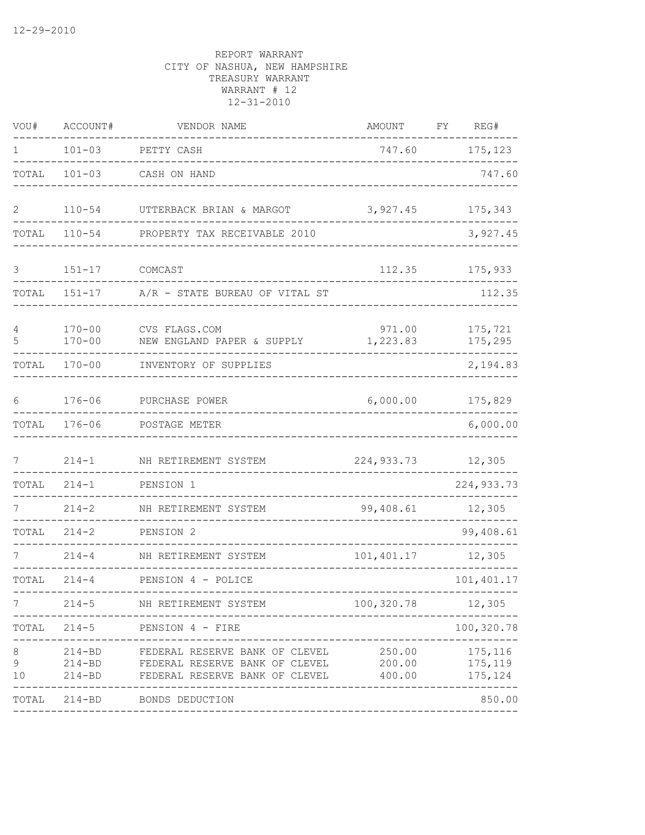| VOU#                | ACCOUNT#                               | VENDOR NAME                                                                                        | AMOUNT                     | FY<br>REG#                     |
|---------------------|----------------------------------------|----------------------------------------------------------------------------------------------------|----------------------------|--------------------------------|
| $\mathbf{1}$        | $101 - 03$                             | PETTY CASH                                                                                         | 747.60                     | 175,123                        |
| TOTAL               | $101 - 03$                             | CASH ON HAND                                                                                       |                            | 747.60                         |
| $\mathbf{2}$        | $110 - 54$                             | UTTERBACK BRIAN & MARGOT                                                                           | 3,927.45                   | 175,343                        |
| TOTAL               | $110 - 54$                             | PROPERTY TAX RECEIVABLE 2010                                                                       |                            | 3,927.45                       |
| 3                   | $151 - 17$                             | COMCAST                                                                                            | 112.35                     | 175,933                        |
| TOTAL               | $151 - 17$                             | A/R - STATE BUREAU OF VITAL ST                                                                     |                            | 112.35                         |
| $\overline{4}$<br>5 | $170 - 00$<br>$170 - 00$               | CVS FLAGS.COM<br>NEW ENGLAND PAPER & SUPPLY                                                        | 971.00<br>1,223.83         | 175,721<br>175,295             |
| TOTAL               | $170 - 00$                             | INVENTORY OF SUPPLIES                                                                              |                            | 2,194.83                       |
| 6                   | $176 - 06$                             | PURCHASE POWER                                                                                     | 6,000.00                   | 175,829                        |
| TOTAL               | $176 - 06$                             | POSTAGE METER                                                                                      |                            | 6,000.00                       |
| 7                   | $214 - 1$                              | NH RETIREMENT SYSTEM                                                                               | 224, 933. 73               | 12,305                         |
| TOTAL               | $214 - 1$                              | PENSION 1                                                                                          |                            | 224, 933.73                    |
|                     | $214 - 2$                              | NH RETIREMENT SYSTEM                                                                               | 99,408.61                  | 12,305                         |
| TOTAL               | $214 - 2$                              | PENSION 2                                                                                          |                            | 99,408.61                      |
|                     | $214 - 4$                              | NH RETIREMENT SYSTEM                                                                               | 101,401.17                 | 12,305                         |
| TOTAL               | $214 - 4$                              | PENSION 4 - POLICE                                                                                 |                            | 101,401.17                     |
| 7                   | $214 - 5$                              | NH RETIREMENT SYSTEM                                                                               | 100,320.78                 | 12,305                         |
| TOTAL               | $214 - 5$                              | PENSION 4 - FIRE                                                                                   |                            | 100,320.78<br>$- - - -$        |
| 8<br>9<br>10        | $214 - BD$<br>$214 - BD$<br>$214 - BD$ | FEDERAL RESERVE BANK OF CLEVEL<br>FEDERAL RESERVE BANK OF CLEVEL<br>FEDERAL RESERVE BANK OF CLEVEL | 250.00<br>200.00<br>400.00 | 175,116<br>175,119<br>175, 124 |
| TOTAL               |                                        | 214-BD BONDS DEDUCTION                                                                             |                            | 850.00                         |
|                     |                                        |                                                                                                    |                            |                                |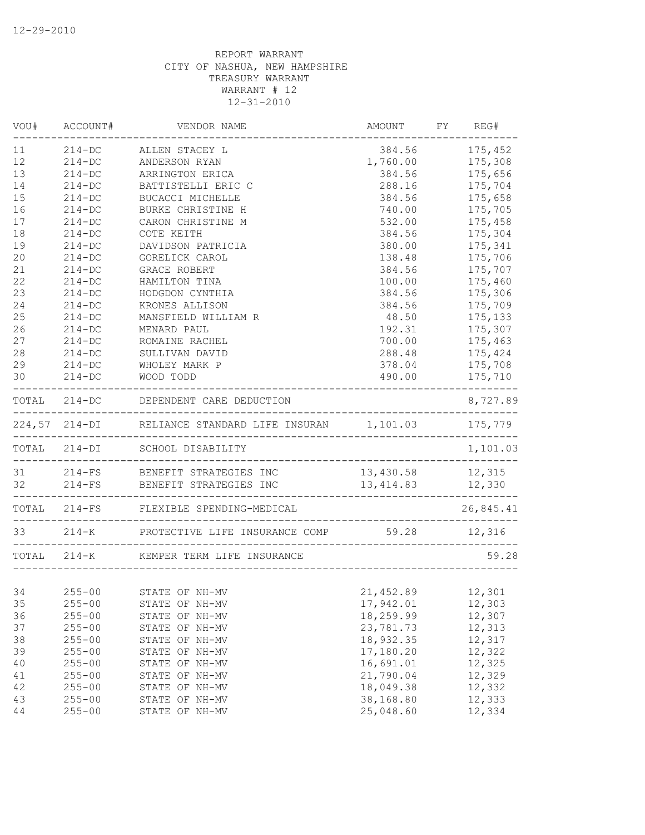| VOU#   | ACCOUNT#   | VENDOR NAME                                           | AMOUNT                                           | FY REG#   |
|--------|------------|-------------------------------------------------------|--------------------------------------------------|-----------|
| 11     | $214 - DC$ | ALLEN STACEY L                                        | 384.56                                           | 175,452   |
| 12     | $214 - DC$ | ANDERSON RYAN                                         | 1,760.00                                         | 175,308   |
| 13     | $214 - DC$ | ARRINGTON ERICA                                       | 384.56                                           | 175,656   |
| 14     | $214-DC$   | BATTISTELLI ERIC C                                    | 288.16                                           | 175,704   |
| 15     | $214 - DC$ | BUCACCI MICHELLE                                      | 384.56                                           | 175,658   |
| 16     | $214 - DC$ | BURKE CHRISTINE H                                     | 740.00                                           | 175,705   |
| 17     | $214 - DC$ | CARON CHRISTINE M                                     | 532.00                                           | 175,458   |
| 18     | $214 - DC$ | COTE KEITH                                            | 384.56                                           | 175,304   |
| 19     | $214-DC$   | DAVIDSON PATRICIA                                     | 380.00                                           | 175,341   |
| 20     | $214-DC$   | GORELICK CAROL                                        | 138.48                                           | 175,706   |
| 21     | $214 - DC$ | GRACE ROBERT                                          | 384.56                                           | 175,707   |
| 22     | $214-DC$   | HAMILTON TINA                                         | 100.00                                           | 175,460   |
| 23     | $214-DC$   | HODGDON CYNTHIA                                       | 384.56                                           | 175,306   |
| 24     | $214-DC$   | KRONES ALLISON                                        | 384.56                                           | 175,709   |
| 25     | $214 - DC$ | MANSFIELD WILLIAM R                                   | 48.50                                            | 175,133   |
| 26     | $214 - DC$ | MENARD PAUL                                           | 192.31                                           | 175,307   |
| 27     | $214-DC$   | ROMAINE RACHEL                                        | 700.00                                           | 175,463   |
| 28     | $214 - DC$ | SULLIVAN DAVID                                        | 288.48                                           | 175,424   |
| 29     | $214 - DC$ | WHOLEY MARK P                                         | 378.04                                           | 175,708   |
| 30     | $214 - DC$ | WOOD TODD                                             | 490.00<br>____________________________           | 175,710   |
|        |            | TOTAL 214-DC DEPENDENT CARE DEDUCTION                 |                                                  | 8,727.89  |
|        |            | 224,57 214-DI RELIANCE STANDARD LIFE INSURAN 1,101.03 |                                                  | 175,779   |
|        |            | TOTAL 214-DI SCHOOL DISABILITY                        | ------------------------------------             | 1,101.03  |
|        |            | 31 214-FS BENEFIT STRATEGIES INC                      | 13,430.58 12,315                                 |           |
|        |            | 32 214-FS BENEFIT STRATEGIES INC                      | 13, 414.83 12, 330<br>__________________________ |           |
|        |            | TOTAL 214-FS FLEXIBLE SPENDING-MEDICAL                | -------------------                              | 26,845.41 |
|        |            | 33 214-K PROTECTIVE LIFE INSURANCE COMP 59.28 12,316  | __________________________                       |           |
|        |            | TOTAL 214-K KEMPER TERM LIFE INSURANCE                |                                                  | 59.28     |
|        |            |                                                       |                                                  |           |
| 34     | $255 - 00$ | STATE OF NH-MV                                        | 21,452.89 12,301                                 |           |
| 35     | $255 - 00$ | STATE OF NH-MV                                        | 17,942.01                                        | 12,303    |
| 36     | $255 - 00$ | STATE OF NH-MV                                        | 18,259.99                                        | 12,307    |
| 37     | $255 - 00$ | STATE OF NH-MV                                        | 23,781.73                                        | 12,313    |
| 38     | $255 - 00$ | STATE OF NH-MV                                        | 18,932.35                                        | 12,317    |
| 39     | $255 - 00$ | STATE OF NH-MV                                        | 17,180.20                                        | 12,322    |
| 40     | $255 - 00$ | STATE OF NH-MV                                        | 16,691.01                                        | 12,325    |
| 41     | $255 - 00$ | STATE OF NH-MV                                        | 21,790.04                                        | 12,329    |
| 42     | $255 - 00$ | STATE OF NH-MV                                        | 18,049.38                                        | 12,332    |
| 43     | $255 - 00$ | STATE OF NH-MV                                        | 38,168.80                                        | 12,333    |
| $4\,4$ | $255 - 00$ | STATE OF NH-MV                                        | 25,048.60                                        | 12,334    |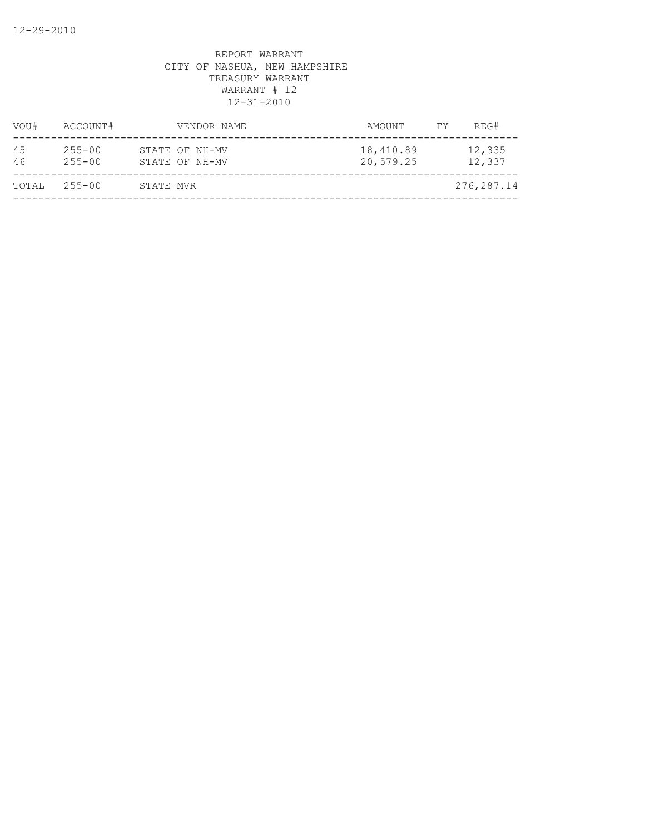| VOU#     | ACCOUNT#                 |           | VENDOR NAME                      | AMOUNT                 | FY. | REG#             |
|----------|--------------------------|-----------|----------------------------------|------------------------|-----|------------------|
| 45<br>46 | $255 - 00$<br>$255 - 00$ |           | STATE OF NH-MV<br>STATE OF NH-MV | 18,410.89<br>20,579.25 |     | 12,335<br>12,337 |
| TOTAL    | $255 - 00$               | STATE MVR |                                  |                        |     | 276,287.14       |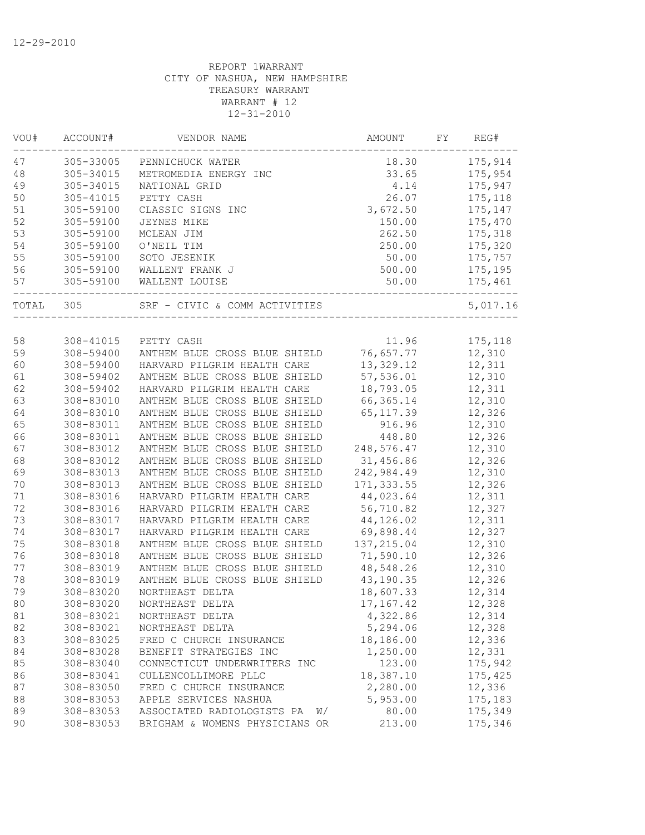| VOU#  | ACCOUNT#               | VENDOR NAME                      | AMOUNT               | FY | REG#     |
|-------|------------------------|----------------------------------|----------------------|----|----------|
| 47    | 305-33005              | PENNICHUCK WATER                 | 18.30                |    | 175,914  |
| 48    | 305-34015              | METROMEDIA ENERGY INC            | 33.65                |    | 175,954  |
| 49    | 305-34015              | NATIONAL GRID                    | 4.14                 |    | 175,947  |
| 50    | 305-41015              | PETTY CASH                       | 26.07                |    | 175,118  |
| 51    | 305-59100              | CLASSIC SIGNS INC                | 3,672.50             |    | 175,147  |
| 52    | 305-59100              | <b>JEYNES MIKE</b>               | 150.00               |    | 175,470  |
| 53    | 305-59100              | MCLEAN JIM                       | 262.50               |    | 175,318  |
| 54    | 305-59100              | O'NEIL TIM                       | 250.00               |    | 175,320  |
| 55    | 305-59100              | SOTO JESENIK                     | 50.00                |    | 175,757  |
| 56    | 305-59100              | WALLENT FRANK J                  | 500.00               |    | 175,195  |
| 57    | 305-59100              | WALLENT LOUISE                   | 50.00                |    | 175,461  |
| TOTAL | 305                    | SRF - CIVIC & COMM ACTIVITIES    |                      |    | 5,017.16 |
|       |                        |                                  |                      |    |          |
| 58    | 308-41015              | PETTY CASH                       | 11.96                |    | 175,118  |
| 59    | 308-59400              | ANTHEM BLUE CROSS BLUE SHIELD    | 76,657.77            |    | 12,310   |
| 60    | 308-59400              | HARVARD PILGRIM HEALTH CARE      | 13,329.12            |    | 12,311   |
| 61    | 308-59402              | ANTHEM BLUE CROSS BLUE SHIELD    | 57,536.01            |    | 12,310   |
| 62    | 308-59402              | HARVARD PILGRIM HEALTH CARE      | 18,793.05            |    | 12,311   |
| 63    | 308-83010              | ANTHEM BLUE CROSS BLUE SHIELD    | 66,365.14            |    | 12,310   |
| 64    | 308-83010              | ANTHEM BLUE CROSS BLUE SHIELD    | 65, 117.39           |    | 12,326   |
| 65    | 308-83011              | ANTHEM BLUE CROSS BLUE SHIELD    | 916.96               |    | 12,310   |
| 66    | 308-83011              | ANTHEM BLUE CROSS BLUE SHIELD    | 448.80               |    | 12,326   |
| 67    | 308-83012              | ANTHEM BLUE CROSS BLUE SHIELD    | 248,576.47           |    | 12,310   |
| 68    | 308-83012              | ANTHEM BLUE CROSS BLUE SHIELD    | 31,456.86            |    | 12,326   |
| 69    | 308-83013              | ANTHEM BLUE CROSS BLUE SHIELD    | 242,984.49           |    | 12,310   |
| 70    | 308-83013              | ANTHEM BLUE CROSS BLUE SHIELD    | 171, 333.55          |    | 12,326   |
| 71    | 308-83016              | HARVARD PILGRIM HEALTH CARE      | 44,023.64            |    | 12,311   |
| 72    | 308-83016              | HARVARD PILGRIM HEALTH CARE      | 56,710.82            |    | 12,327   |
| 73    | 308-83017              | HARVARD PILGRIM HEALTH CARE      | 44,126.02            |    | 12,311   |
| 74    | 308-83017              | HARVARD PILGRIM HEALTH CARE      | 69,898.44            |    | 12,327   |
| 75    | 308-83018              | ANTHEM BLUE CROSS BLUE SHIELD    | 137, 215.04          |    | 12,310   |
| 76    | 308-83018              | ANTHEM BLUE CROSS BLUE SHIELD    | 71,590.10            |    | 12,326   |
| 77    | 308-83019              | ANTHEM BLUE CROSS BLUE SHIELD    | 48,548.26            |    | 12,310   |
| 78    | 308-83019              | ANTHEM BLUE CROSS BLUE SHIELD    | 43, 190. 35          |    | 12,326   |
| 79    | 308-83020              | NORTHEAST DELTA                  | 18,607.33            |    | 12,314   |
| 80    | 308-83020              | NORTHEAST DELTA                  | 17,167.42            |    | 12,328   |
| 81    | 308-83021              | NORTHEAST DELTA                  | 4,322.86             |    | 12,314   |
| 82    | 308-83021              | NORTHEAST DELTA                  | 5,294.06             |    | 12,328   |
| 83    | 308-83025              | FRED C CHURCH INSURANCE          | 18,186.00            |    | 12,336   |
| 84    | 308-83028              | BENEFIT STRATEGIES INC           | 1,250.00             |    | 12,331   |
| 85    | 308-83040              | CONNECTICUT UNDERWRITERS INC     | 123.00               |    | 175,942  |
| 86    | 308-83041              | CULLENCOLLIMORE PLLC             | 18,387.10            |    | 175,425  |
|       |                        |                                  |                      |    | 12,336   |
| 87    | 308-83050<br>308-83053 | FRED C CHURCH INSURANCE          | 2,280.00<br>5,953.00 |    | 175,183  |
| 88    |                        | APPLE SERVICES NASHUA            |                      |    |          |
| 89    | 308-83053              | ASSOCIATED RADIOLOGISTS PA<br>W/ | 80.00                |    | 175,349  |
| 90    | 308-83053              | BRIGHAM & WOMENS PHYSICIANS OR   | 213.00               |    | 175,346  |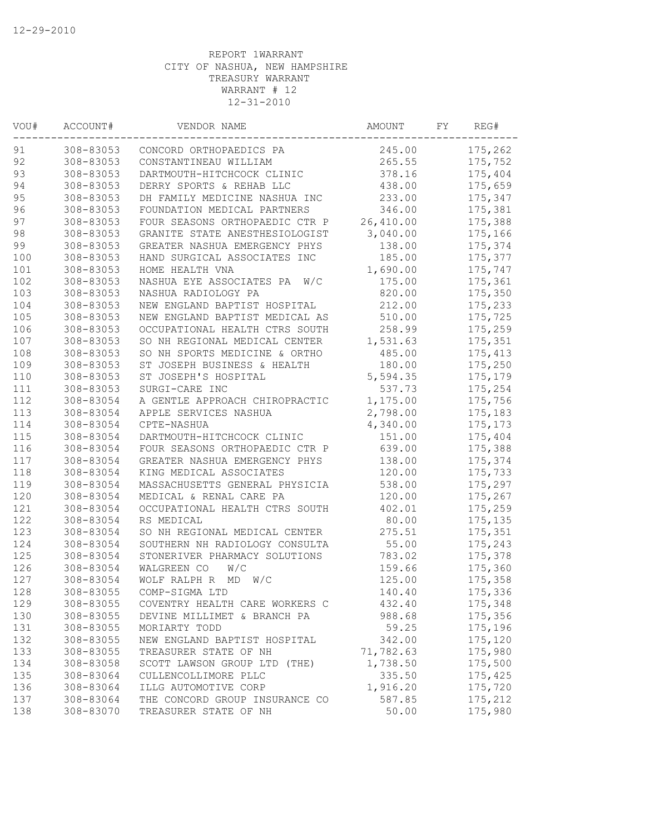| VOU# | ACCOUNT#  | VENDOR NAME                     | AMOUNT    | FY | REG#     |
|------|-----------|---------------------------------|-----------|----|----------|
| 91   | 308-83053 | CONCORD ORTHOPAEDICS PA         | 245.00    |    | 175,262  |
| 92   | 308-83053 | CONSTANTINEAU WILLIAM           | 265.55    |    | 175,752  |
| 93   | 308-83053 | DARTMOUTH-HITCHCOCK CLINIC      | 378.16    |    | 175,404  |
| 94   | 308-83053 | DERRY SPORTS & REHAB LLC        | 438.00    |    | 175,659  |
| 95   | 308-83053 | DH FAMILY MEDICINE NASHUA INC   | 233.00    |    | 175,347  |
| 96   | 308-83053 | FOUNDATION MEDICAL PARTNERS     | 346.00    |    | 175,381  |
| 97   | 308-83053 | FOUR SEASONS ORTHOPAEDIC CTR P  | 26,410.00 |    | 175,388  |
| 98   | 308-83053 | GRANITE STATE ANESTHESIOLOGIST  | 3,040.00  |    | 175,166  |
| 99   | 308-83053 | GREATER NASHUA EMERGENCY PHYS   | 138.00    |    | 175,374  |
| 100  | 308-83053 | HAND SURGICAL ASSOCIATES INC    | 185.00    |    | 175,377  |
| 101  | 308-83053 | HOME HEALTH VNA                 | 1,690.00  |    | 175,747  |
| 102  | 308-83053 | NASHUA EYE ASSOCIATES PA<br>W/C | 175.00    |    | 175,361  |
| 103  | 308-83053 | NASHUA RADIOLOGY PA             | 820.00    |    | 175,350  |
| 104  | 308-83053 | NEW ENGLAND BAPTIST HOSPITAL    | 212.00    |    | 175,233  |
| 105  | 308-83053 | NEW ENGLAND BAPTIST MEDICAL AS  | 510.00    |    | 175,725  |
| 106  | 308-83053 | OCCUPATIONAL HEALTH CTRS SOUTH  | 258.99    |    | 175,259  |
| 107  | 308-83053 | SO NH REGIONAL MEDICAL CENTER   | 1,531.63  |    | 175,351  |
| 108  | 308-83053 | SO NH SPORTS MEDICINE & ORTHO   | 485.00    |    | 175, 413 |
| 109  | 308-83053 | ST JOSEPH BUSINESS & HEALTH     | 180.00    |    | 175,250  |
| 110  | 308-83053 | ST JOSEPH'S HOSPITAL            | 5,594.35  |    | 175,179  |
| 111  | 308-83053 | SURGI-CARE INC                  | 537.73    |    | 175,254  |
| 112  | 308-83054 | A GENTLE APPROACH CHIROPRACTIC  | 1,175.00  |    | 175,756  |
| 113  | 308-83054 | APPLE SERVICES NASHUA           | 2,798.00  |    | 175,183  |
| 114  | 308-83054 | CPTE-NASHUA                     | 4,340.00  |    | 175, 173 |
| 115  | 308-83054 | DARTMOUTH-HITCHCOCK CLINIC      | 151.00    |    | 175,404  |
| 116  | 308-83054 | FOUR SEASONS ORTHOPAEDIC CTR P  | 639.00    |    | 175,388  |
| 117  | 308-83054 | GREATER NASHUA EMERGENCY PHYS   | 138.00    |    | 175,374  |
| 118  | 308-83054 | KING MEDICAL ASSOCIATES         | 120.00    |    | 175,733  |
| 119  | 308-83054 | MASSACHUSETTS GENERAL PHYSICIA  | 538.00    |    | 175,297  |
| 120  | 308-83054 | MEDICAL & RENAL CARE PA         | 120.00    |    | 175,267  |
| 121  | 308-83054 | OCCUPATIONAL HEALTH CTRS SOUTH  | 402.01    |    | 175,259  |
| 122  | 308-83054 | RS MEDICAL                      | 80.00     |    | 175, 135 |
| 123  | 308-83054 | SO NH REGIONAL MEDICAL CENTER   | 275.51    |    | 175,351  |
| 124  | 308-83054 | SOUTHERN NH RADIOLOGY CONSULTA  | 55.00     |    | 175,243  |
| 125  | 308-83054 | STONERIVER PHARMACY SOLUTIONS   | 783.02    |    | 175,378  |
| 126  | 308-83054 | WALGREEN CO<br>W/C              | 159.66    |    | 175,360  |
| 127  | 308-83054 | WOLF RALPH R<br>MD<br>W/C       | 125.00    |    | 175,358  |
| 128  | 308-83055 | COMP-SIGMA LTD                  | 140.40    |    | 175,336  |
| 129  | 308-83055 | COVENTRY HEALTH CARE WORKERS C  | 432.40    |    | 175,348  |
| 130  | 308-83055 | DEVINE MILLIMET & BRANCH PA     | 988.68    |    | 175,356  |
| 131  | 308-83055 | MORIARTY TODD                   | 59.25     |    | 175,196  |
| 132  | 308-83055 | NEW ENGLAND BAPTIST HOSPITAL    | 342.00    |    | 175,120  |
| 133  | 308-83055 | TREASURER STATE OF NH           | 71,782.63 |    | 175,980  |
| 134  | 308-83058 | SCOTT LAWSON GROUP LTD (THE)    | 1,738.50  |    | 175,500  |
| 135  | 308-83064 | CULLENCOLLIMORE PLLC            | 335.50    |    | 175,425  |
| 136  | 308-83064 | ILLG AUTOMOTIVE CORP            | 1,916.20  |    | 175,720  |
| 137  | 308-83064 | THE CONCORD GROUP INSURANCE CO  | 587.85    |    | 175,212  |
| 138  | 308-83070 | TREASURER STATE OF NH           | 50.00     |    | 175,980  |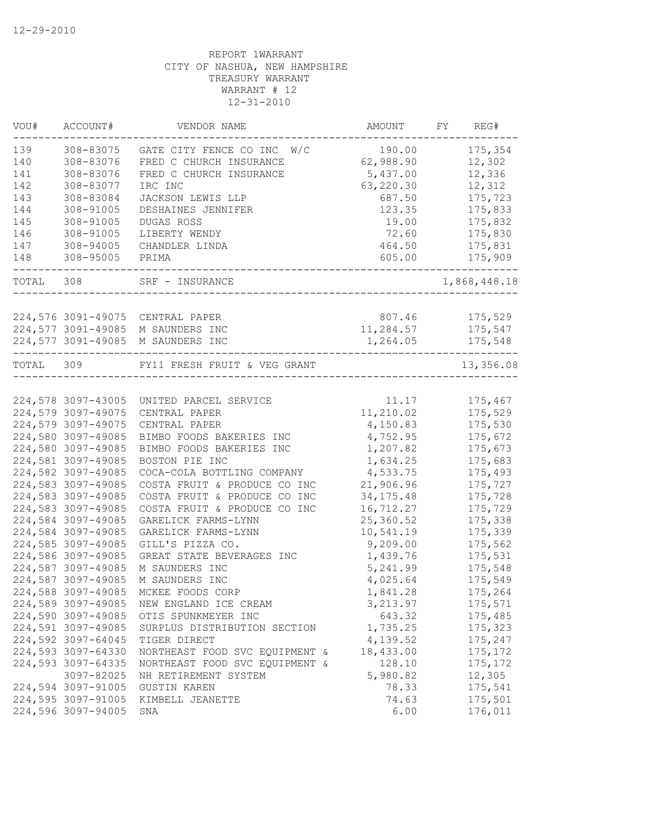| VOU#      | ACCOUNT#           | VENDOR NAME                                                           | AMOUNT      | REG#<br>FY   |
|-----------|--------------------|-----------------------------------------------------------------------|-------------|--------------|
| 139       | 308-83075          | GATE CITY FENCE CO INC W/C                                            | 190.00      | 175,354      |
| 140       | 308-83076          | FRED C CHURCH INSURANCE                                               | 62,988.90   | 12,302       |
| 141       | 308-83076          | FRED C CHURCH INSURANCE                                               | 5,437.00    | 12,336       |
| 142       | 308-83077          | IRC INC                                                               | 63,220.30   | 12,312       |
| 143       | 308-83084          | JACKSON LEWIS LLP                                                     | 687.50      | 175,723      |
| 144       | 308-91005          | DESHAINES JENNIFER                                                    | 123.35      | 175,833      |
| 145       | 308-91005          | DUGAS ROSS                                                            | 19.00       | 175,832      |
| 146       | 308-91005          | LIBERTY WENDY                                                         | 72.60       | 175,830      |
| 147       | 308-94005          | CHANDLER LINDA                                                        | 464.50      | 175,831      |
| 148       | 308-95005          | PRIMA                                                                 | 605.00      | 175,909      |
| TOTAL     | 308                | SRF - INSURANCE                                                       |             | 1,868,448.18 |
|           |                    |                                                                       |             |              |
|           |                    | 224,576 3091-49075 CENTRAL PAPER                                      | 807.46      | 175,529      |
|           | 224,577 3091-49085 | M SAUNDERS INC                                                        | 11,284.57   | 175,547      |
|           |                    | 224,577 3091-49085 M SAUNDERS INC<br>-------------------------------- | 1,264.05    | 175,548      |
| TOTAL 309 |                    | FY11 FRESH FRUIT & VEG GRANT                                          |             | 13,356.08    |
|           |                    |                                                                       |             |              |
|           | 224,578 3097-43005 | UNITED PARCEL SERVICE                                                 | 11.17       | 175,467      |
|           | 224,579 3097-49075 | CENTRAL PAPER                                                         | 11,210.02   | 175,529      |
|           | 224,579 3097-49075 | CENTRAL PAPER                                                         | 4,150.83    | 175,530      |
|           | 224,580 3097-49085 | BIMBO FOODS BAKERIES INC                                              | 4,752.95    | 175,672      |
|           | 224,580 3097-49085 | BIMBO FOODS BAKERIES INC                                              | 1,207.82    | 175,673      |
|           | 224,581 3097-49085 | BOSTON PIE INC                                                        | 1,634.25    | 175,683      |
|           | 224,582 3097-49085 | COCA-COLA BOTTLING COMPANY                                            | 4,533.75    | 175,493      |
|           | 224,583 3097-49085 | COSTA FRUIT & PRODUCE CO INC                                          | 21,906.96   | 175,727      |
|           | 224,583 3097-49085 | COSTA FRUIT & PRODUCE CO INC                                          | 34, 175. 48 | 175,728      |
|           | 224,583 3097-49085 | COSTA FRUIT & PRODUCE CO INC                                          | 16,712.27   | 175,729      |
|           | 224,584 3097-49085 | GARELICK FARMS-LYNN                                                   | 25,360.52   | 175,338      |
|           | 224,584 3097-49085 | GARELICK FARMS-LYNN                                                   | 10,541.19   | 175,339      |
|           | 224,585 3097-49085 | GILL'S PIZZA CO.                                                      | 9,209.00    | 175,562      |
|           | 224,586 3097-49085 | GREAT STATE BEVERAGES INC                                             | 1,439.76    | 175,531      |
|           | 224,587 3097-49085 | M SAUNDERS INC                                                        | 5,241.99    | 175,548      |
|           | 224,587 3097-49085 | M SAUNDERS INC                                                        | 4,025.64    | 175,549      |
|           | 224,588 3097-49085 | MCKEE FOODS CORP                                                      | 1,841.28    | 175,264      |
|           | 224,589 3097-49085 | NEW ENGLAND ICE CREAM                                                 | 3,213.97    | 175,571      |
|           | 224,590 3097-49085 | OTIS SPUNKMEYER INC                                                   | 643.32      | 175,485      |
|           | 224,591 3097-49085 | SURPLUS DISTRIBUTION SECTION                                          | 1,735.25    | 175,323      |
|           | 224,592 3097-64045 | TIGER DIRECT                                                          | 4,139.52    | 175,247      |
|           | 224,593 3097-64330 | NORTHEAST FOOD SVC EQUIPMENT &                                        | 18,433.00   | 175, 172     |
|           | 224,593 3097-64335 | NORTHEAST FOOD SVC EQUIPMENT &                                        | 128.10      | 175, 172     |
|           | 3097-82025         | NH RETIREMENT SYSTEM                                                  | 5,980.82    | 12,305       |
|           | 224,594 3097-91005 | <b>GUSTIN KAREN</b>                                                   | 78.33       | 175,541      |
|           | 224,595 3097-91005 | KIMBELL JEANETTE                                                      | 74.63       | 175,501      |
|           | 224,596 3097-94005 | SNA                                                                   | 6.00        | 176,011      |
|           |                    |                                                                       |             |              |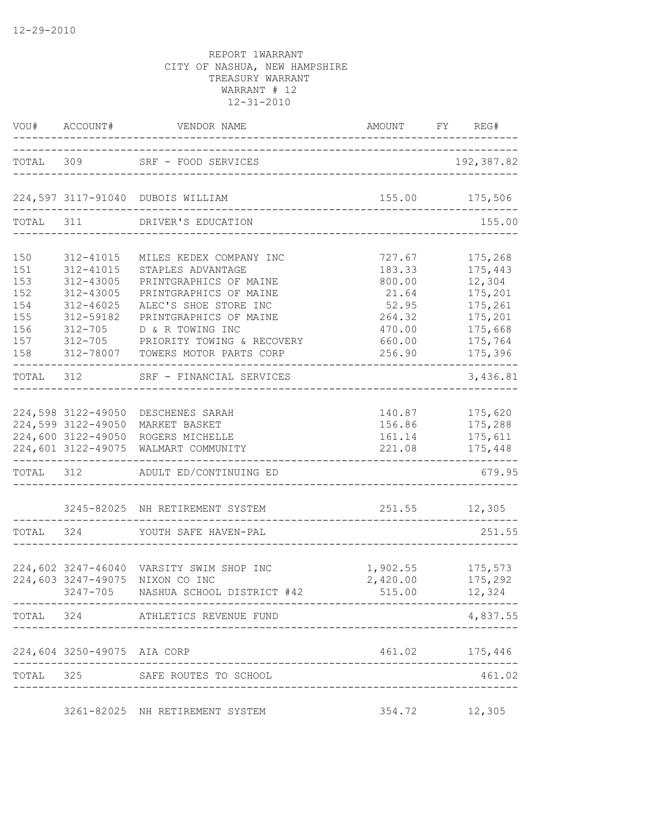|                                               | VOU# ACCOUNT#                                                                             |                                                                                                                                                                         |                                                                  | FY REG#                                                                  |
|-----------------------------------------------|-------------------------------------------------------------------------------------------|-------------------------------------------------------------------------------------------------------------------------------------------------------------------------|------------------------------------------------------------------|--------------------------------------------------------------------------|
|                                               |                                                                                           | TOTAL 309 SRF - FOOD SERVICES                                                                                                                                           | ----------------------------------                               | 192,387.82                                                               |
|                                               |                                                                                           | 224,597 3117-91040 DUBOIS WILLIAM                                                                                                                                       | 155.00 175,506                                                   |                                                                          |
|                                               | TOTAL 311                                                                                 | DRIVER'S EDUCATION                                                                                                                                                      |                                                                  | 155.00                                                                   |
| 150<br>151<br>153<br>152<br>154<br>155<br>156 | 312-41015<br>312-41015<br>312-43005<br>312-43005<br>312-46025<br>312-59182<br>$312 - 705$ | MILES KEDEX COMPANY INC<br>STAPLES ADVANTAGE<br>PRINTGRAPHICS OF MAINE<br>PRINTGRAPHICS OF MAINE<br>ALEC'S SHOE STORE INC<br>PRINTGRAPHICS OF MAINE<br>D & R TOWING INC | 727.67<br>183.33<br>800.00<br>21.64<br>52.95<br>264.32<br>470.00 | 175,268<br>175,443<br>12,304<br>175,201<br>175,261<br>175,201<br>175,668 |
| 157<br>158                                    | $312 - 705$<br>312-78007                                                                  | PRIORITY TOWING & RECOVERY<br>TOWERS MOTOR PARTS CORP                                                                                                                   | 660.00<br>256.90                                                 | 175,764<br>175,396                                                       |
|                                               |                                                                                           | TOTAL 312 SRF - FINANCIAL SERVICES                                                                                                                                      | _____________________                                            | 3,436.81                                                                 |
|                                               | 224,598 3122-49050<br>224,599 3122-49050                                                  | DESCHENES SARAH<br>MARKET BASKET<br>224,600 3122-49050 ROGERS MICHELLE<br>224,601 3122-49075 WALMART COMMUNITY                                                          | 161.14<br>221.08<br>_________________________                    | 140.87 175,620<br>156.86 175,288<br>175,611<br>175,448                   |
|                                               |                                                                                           | TOTAL 312 ADULT ED/CONTINUING ED                                                                                                                                        |                                                                  | 679.95                                                                   |
| TOTAL 324                                     |                                                                                           | 3245-82025 NH RETIREMENT SYSTEM<br>YOUTH SAFE HAVEN-PAL                                                                                                                 | 251.55 12,305                                                    | 251.55                                                                   |
|                                               | 224,603 3247-49075                                                                        | 224,602 3247-46040 VARSITY SWIM SHOP INC<br>NIXON CO INC<br>3247-705 NASHUA SCHOOL DISTRICT #42                                                                         | 1,902.55 175,573<br>2,420.00<br>515.00                           | 175,292<br>12,324                                                        |
|                                               |                                                                                           | TOTAL 324 ATHLETICS REVENUE FUND                                                                                                                                        |                                                                  | 4,837.55                                                                 |
|                                               | 224,604 3250-49075 AIA CORP                                                               |                                                                                                                                                                         |                                                                  | 461.02 175,446                                                           |
|                                               |                                                                                           | TOTAL 325 SAFE ROUTES TO SCHOOL                                                                                                                                         | ----------------------                                           | 461.02                                                                   |
|                                               |                                                                                           | 3261-82025 NH RETIREMENT SYSTEM                                                                                                                                         | 354.72 12,305                                                    |                                                                          |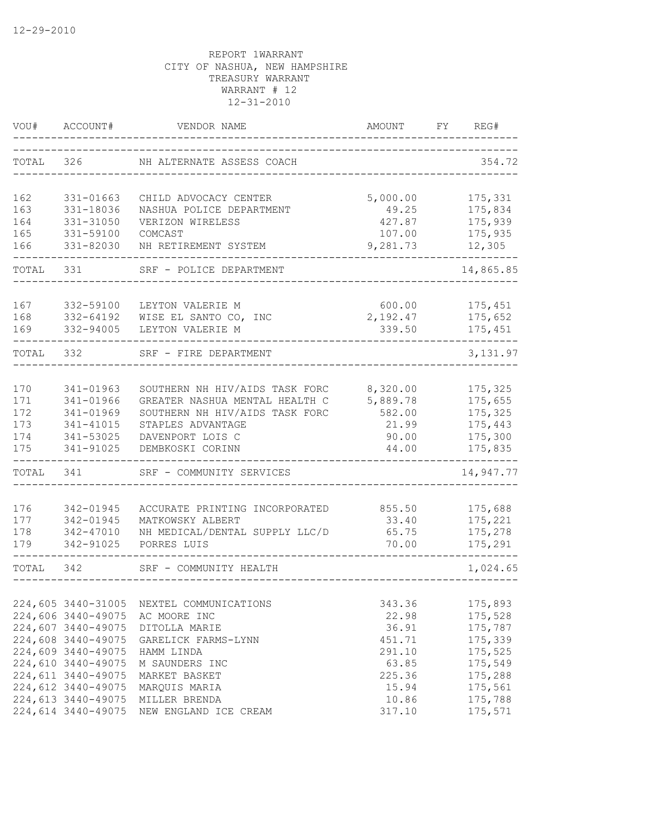| VOU#       | ACCOUNT#                                 | VENDOR NAME                          | AMOUNT          | FY | REG#               |
|------------|------------------------------------------|--------------------------------------|-----------------|----|--------------------|
| TOTAL      | 326                                      | NH ALTERNATE ASSESS COACH            |                 |    | 354.72             |
| 162        | 331-01663                                | CHILD ADVOCACY CENTER                | 5,000.00        |    | 175,331            |
| 163        | 331-18036                                | NASHUA POLICE DEPARTMENT             | 49.25           |    | 175,834            |
| 164        | 331-31050                                | VERIZON WIRELESS                     | 427.87          |    | 175,939            |
| 165        | 331-59100                                | COMCAST                              | 107.00          |    | 175,935            |
| 166        | 331-82030                                | NH RETIREMENT SYSTEM                 | 9,281.73        |    | 12,305             |
| TOTAL      | 331                                      | SRF - POLICE DEPARTMENT              |                 |    | 14,865.85          |
| 167        | 332-59100                                | LEYTON VALERIE M                     | 600.00          |    | 175,451            |
| 168        | 332-64192                                | WISE EL SANTO CO, INC                | 2,192.47        |    | 175,652            |
| 169        | 332-94005                                | LEYTON VALERIE M                     | 339.50          |    | 175,451            |
| TOTAL      | 332                                      | SRF - FIRE DEPARTMENT                |                 |    | 3, 131.97          |
|            |                                          |                                      |                 |    |                    |
| 170        | 341-01963                                | SOUTHERN NH HIV/AIDS TASK FORC       | 8,320.00        |    | 175,325            |
| 171        | 341-01966                                | GREATER NASHUA MENTAL HEALTH C       | 5,889.78        |    | 175,655            |
| 172        | 341-01969                                | SOUTHERN NH HIV/AIDS TASK FORC       | 582.00          |    | 175,325            |
| 173        | 341-41015                                | STAPLES ADVANTAGE                    | 21.99           |    | 175,443            |
| 174<br>175 | 341-53025<br>341-91025                   | DAVENPORT LOIS C<br>DEMBKOSKI CORINN | 90.00<br>44.00  |    | 175,300<br>175,835 |
| TOTAL      | 341                                      | SRF - COMMUNITY SERVICES             |                 |    | 14,947.77          |
|            |                                          |                                      |                 |    |                    |
| 176        | 342-01945                                | ACCURATE PRINTING INCORPORATED       | 855.50          |    | 175,688            |
| 177        | 342-01945                                | MATKOWSKY ALBERT                     | 33.40           |    | 175,221            |
| 178<br>179 | 342-47010                                | NH MEDICAL/DENTAL SUPPLY LLC/D       | 65.75           |    | 175,278            |
|            | 342-91025                                | PORRES LUIS                          | 70.00           |    | 175,291            |
| TOTAL      | 342                                      | SRF - COMMUNITY HEALTH               |                 |    | 1,024.65           |
|            |                                          |                                      |                 |    |                    |
|            | 224,605 3440-31005                       | NEXTEL COMMUNICATIONS                | 343.36          |    | 175,893            |
|            | 224,606 3440-49075<br>224,607 3440-49075 | AC MOORE INC                         | 22.98           |    | 175,528            |
|            | 224,608 3440-49075                       | DITOLLA MARIE<br>GARELICK FARMS-LYNN | 36.91<br>451.71 |    | 175,787<br>175,339 |
|            | 224,609 3440-49075                       | HAMM LINDA                           | 291.10          |    | 175,525            |
|            | 224,610 3440-49075                       | M SAUNDERS INC                       | 63.85           |    | 175,549            |
|            | 224,611 3440-49075                       | MARKET BASKET                        | 225.36          |    | 175,288            |
|            | 224,612 3440-49075                       | MARQUIS MARIA                        | 15.94           |    | 175,561            |
|            | 224,613 3440-49075                       | MILLER BRENDA                        | 10.86           |    | 175,788            |
|            | 224,614 3440-49075                       | NEW ENGLAND ICE CREAM                | 317.10          |    | 175,571            |
|            |                                          |                                      |                 |    |                    |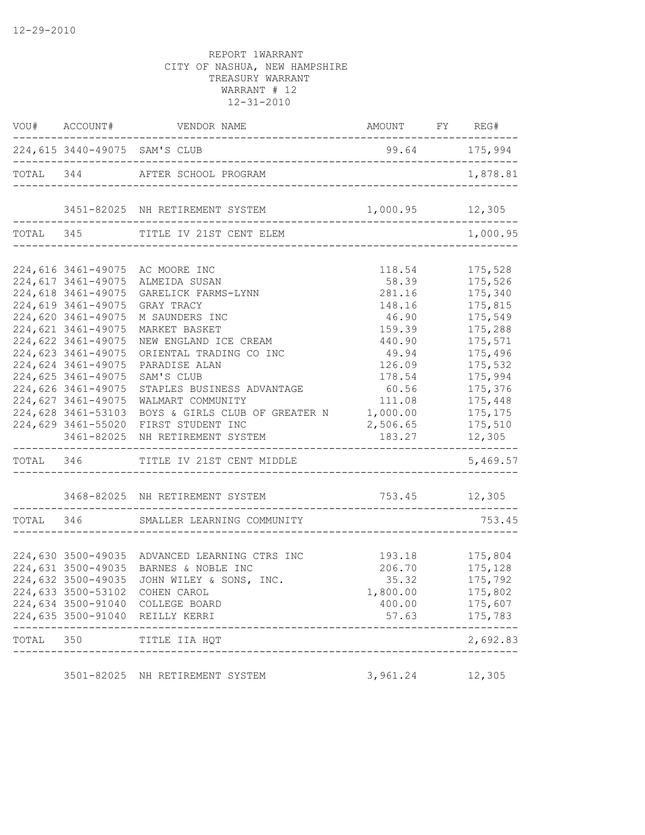|       |                    | $\verb VOU + \verb {{ACCOUNT} + \verb {{VENDOR NAME}}  \verb {{AMOUNT} + \verb {{FY}}  \verb {{REG} + \verb {{AMOUNT}} }$ |                                              |                    |
|-------|--------------------|---------------------------------------------------------------------------------------------------------------------------|----------------------------------------------|--------------------|
|       |                    | 224,615 3440-49075 SAM'S CLUB<br>__________________________________                                                       | 99.64 175,994                                |                    |
|       |                    | TOTAL 344 AFTER SCHOOL PROGRAM                                                                                            |                                              | 1,878.81           |
|       |                    | 3451-82025 NH RETIREMENT SYSTEM 1,000.95 12,305                                                                           |                                              |                    |
|       |                    | TOTAL 345 TITLE IV 21ST CENT ELEM                                                                                         |                                              | 1,000.95           |
|       |                    | 224,616 3461-49075 AC MOORE INC                                                                                           | 118.54                                       | 175,528            |
|       | 224,617 3461-49075 | ALMEIDA SUSAN                                                                                                             | 58.39                                        | 175,526            |
|       | 224,618 3461-49075 | GARELICK FARMS-LYNN                                                                                                       | 281.16                                       | 175,340            |
|       | 224,619 3461-49075 | GRAY TRACY                                                                                                                | 148.16                                       | 175,815            |
|       | 224,620 3461-49075 | M SAUNDERS INC                                                                                                            | 46.90                                        | 175,549            |
|       | 224,621 3461-49075 | MARKET BASKET                                                                                                             | 159.39                                       | 175,288            |
|       | 224,622 3461-49075 | NEW ENGLAND ICE CREAM                                                                                                     | 440.90                                       | 175,571            |
|       | 224,623 3461-49075 | ORIENTAL TRADING CO INC                                                                                                   | 49.94                                        | 175,496            |
|       | 224,624 3461-49075 | PARADISE ALAN                                                                                                             | 126.09                                       | 175,532            |
|       | 224,625 3461-49075 | SAM'S CLUB                                                                                                                | 178.54                                       | 175,994            |
|       | 224,626 3461-49075 | STAPLES BUSINESS ADVANTAGE                                                                                                | 60.56                                        | 175,376            |
|       | 224,627 3461-49075 | WALMART COMMUNITY                                                                                                         | 111.08                                       | 175,448            |
|       | 224,628 3461-53103 | BOYS & GIRLS CLUB OF GREATER N                                                                                            | 1,000.00                                     | 175,175            |
|       | 224,629 3461-55020 | FIRST STUDENT INC                                                                                                         | 2,506.65                                     | 175,510            |
|       | 3461-82025         | NH RETIREMENT SYSTEM                                                                                                      | 183.27                                       | 12,305             |
|       |                    | TOTAL 346 TITLE IV 21ST CENT MIDDLE                                                                                       |                                              | 5,469.57           |
|       |                    | 3468-82025 NH RETIREMENT SYSTEM                                                                                           | 753.45 12,305<br>--------------------------- |                    |
|       |                    | TOTAL 346 SMALLER LEARNING COMMUNITY                                                                                      |                                              | 753.45             |
|       |                    |                                                                                                                           |                                              |                    |
|       |                    | 224,630 3500-49035 ADVANCED LEARNING CTRS INC                                                                             | $193.18$ $175,804$                           |                    |
|       |                    | 224,631 3500-49035 BARNES & NOBLE INC                                                                                     | 206.70                                       | 175,128<br>175,792 |
|       | 224,632 3500-49035 | JOHN WILEY & SONS, INC.                                                                                                   | 35.32                                        |                    |
|       |                    | 224,633 3500-53102 COHEN CAROL                                                                                            | 1,800.00                                     | 175,802            |
|       |                    | 224,634 3500-91040 COLLEGE BOARD                                                                                          | 400.00                                       | 175,607            |
|       |                    | 224,635 3500-91040 REILLY KERRI                                                                                           | 57.63                                        | 175,783            |
| TOTAL | 350                | TITLE IIA HQT                                                                                                             |                                              | 2,692.83           |
|       |                    | 3501-82025 NH RETIREMENT SYSTEM                                                                                           | 3,961.24                                     | 12,305             |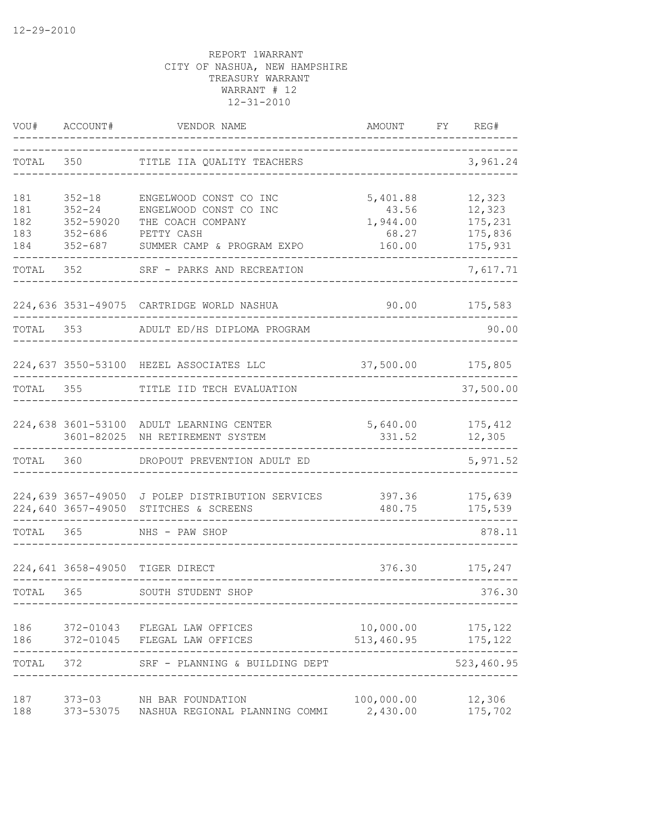| VOU#                            | ACCOUNT#                                                            | VENDOR NAME                                                                                                       | AMOUNT                                           | FY | REG#                                              |
|---------------------------------|---------------------------------------------------------------------|-------------------------------------------------------------------------------------------------------------------|--------------------------------------------------|----|---------------------------------------------------|
| TOTAL                           | 350                                                                 | TITLE IIA QUALITY TEACHERS                                                                                        |                                                  |    | 3,961.24                                          |
| 181<br>181<br>182<br>183<br>184 | $352 - 18$<br>$352 - 24$<br>352-59020<br>$352 - 686$<br>$352 - 687$ | ENGELWOOD CONST CO INC<br>ENGELWOOD CONST CO INC<br>THE COACH COMPANY<br>PETTY CASH<br>SUMMER CAMP & PROGRAM EXPO | 5,401.88<br>43.56<br>1,944.00<br>68.27<br>160.00 |    | 12,323<br>12,323<br>175,231<br>175,836<br>175,931 |
| TOTAL                           | 352                                                                 | SRF - PARKS AND RECREATION                                                                                        |                                                  |    | 7,617.71                                          |
|                                 |                                                                     | 224,636 3531-49075 CARTRIDGE WORLD NASHUA                                                                         | 90.00                                            |    | 175,583                                           |
| TOTAL 353                       |                                                                     | ADULT ED/HS DIPLOMA PROGRAM                                                                                       |                                                  |    | 90.00                                             |
|                                 |                                                                     | 224,637 3550-53100 HEZEL ASSOCIATES LLC                                                                           | 37,500.00                                        |    | 175,805                                           |
| TOTAL                           | 355                                                                 | TITLE IID TECH EVALUATION                                                                                         |                                                  |    | 37,500.00                                         |
|                                 |                                                                     | 224,638 3601-53100 ADULT LEARNING CENTER<br>3601-82025 NH RETIREMENT SYSTEM                                       | 5,640.00<br>331.52                               |    | 175,412<br>12,305                                 |
| TOTAL 360                       |                                                                     | DROPOUT PREVENTION ADULT ED                                                                                       |                                                  |    | 5,971.52                                          |
|                                 | 224,639 3657-49050                                                  | J POLEP DISTRIBUTION SERVICES<br>224,640 3657-49050 STITCHES & SCREENS                                            | 397.36<br>480.75                                 |    | 175,639<br>175,539                                |
| TOTAL 365                       |                                                                     | NHS - PAW SHOP                                                                                                    |                                                  |    | 878.11                                            |
|                                 |                                                                     | 224,641 3658-49050 TIGER DIRECT                                                                                   | 376.30                                           |    | 175,247                                           |
| TOTAL 365                       |                                                                     | SOUTH STUDENT SHOP                                                                                                |                                                  |    | 376.30                                            |
| 186<br>186                      |                                                                     | 372-01043 FLEGAL LAW OFFICES<br>372-01045 FLEGAL LAW OFFICES                                                      | $10,000.00$ 175,122<br>513,460.95                |    | 175,122                                           |
| TOTAL 372                       |                                                                     | SRF - PLANNING & BUILDING DEPT                                                                                    |                                                  |    | 523,460.95                                        |
| 187<br>188                      |                                                                     | 373-03 NH BAR FOUNDATION<br>373-53075 NASHUA REGIONAL PLANNING COMMI                                              | 100,000.00<br>2,430.00                           |    | 12,306<br>175,702                                 |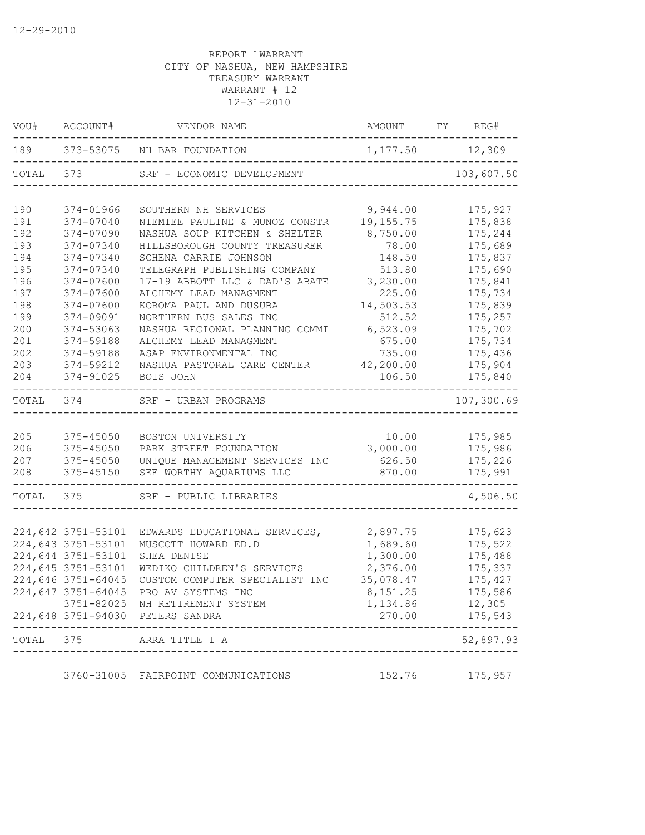| VOU#  | ACCOUNT#           | VENDOR NAME                         | AMOUNT            | FY REG#    |
|-------|--------------------|-------------------------------------|-------------------|------------|
| 189   |                    | 373-53075 NH BAR FOUNDATION         | 1, 177.50 12, 309 |            |
| TOTAL | 373                | SRF - ECONOMIC DEVELOPMENT          |                   | 103,607.50 |
| 190   | 374-01966          | SOUTHERN NH SERVICES                | 9,944.00          | 175,927    |
| 191   | 374-07040          | NIEMIEE PAULINE & MUNOZ CONSTR      | 19, 155.75        | 175,838    |
| 192   | 374-07090          | NASHUA SOUP KITCHEN & SHELTER       | 8,750.00          | 175,244    |
| 193   | 374-07340          | HILLSBOROUGH COUNTY TREASURER       | 78.00             | 175,689    |
| 194   | 374-07340          | SCHENA CARRIE JOHNSON               | 148.50            | 175,837    |
| 195   | 374-07340          | TELEGRAPH PUBLISHING COMPANY        | 513.80            | 175,690    |
| 196   | 374-07600          | 17-19 ABBOTT LLC & DAD'S ABATE      | 3,230.00          | 175,841    |
| 197   | 374-07600          | ALCHEMY LEAD MANAGMENT              | 225.00            | 175,734    |
| 198   | 374-07600          | KOROMA PAUL AND DUSUBA              | 14,503.53         | 175,839    |
| 199   | 374-09091          | NORTHERN BUS SALES INC              | 512.52            | 175,257    |
| 200   | 374-53063          | NASHUA REGIONAL PLANNING COMMI      | 6,523.09          | 175,702    |
| 201   | 374-59188          | ALCHEMY LEAD MANAGMENT              | 675.00            | 175,734    |
| 202   | 374-59188          | ASAP ENVIRONMENTAL INC              | 735.00            | 175,436    |
| 203   | 374-59212          | NASHUA PASTORAL CARE CENTER         | 42,200.00         | 175,904    |
| 204   | 374-91025          | BOIS JOHN                           | 106.50            | 175,840    |
| TOTAL | 374                | SRF - URBAN PROGRAMS                |                   | 107,300.69 |
|       |                    |                                     |                   |            |
| 205   | 375-45050          | BOSTON UNIVERSITY                   | 10.00             | 175,985    |
| 206   | 375-45050          | PARK STREET FOUNDATION              | 3,000.00          | 175,986    |
| 207   | 375-45050          | UNIQUE MANAGEMENT SERVICES INC      | 626.50            | 175,226    |
| 208   | 375-45150          | SEE WORTHY AQUARIUMS LLC            | 870.00            | 175,991    |
| TOTAL | 375                | SRF - PUBLIC LIBRARIES              |                   | 4,506.50   |
|       |                    |                                     |                   |            |
|       | 224,642 3751-53101 | EDWARDS EDUCATIONAL SERVICES,       | 2,897.75          | 175,623    |
|       | 224,643 3751-53101 | MUSCOTT HOWARD ED.D                 | 1,689.60          | 175,522    |
|       | 224,644 3751-53101 | SHEA DENISE                         | 1,300.00          | 175,488    |
|       | 224,645 3751-53101 | WEDIKO CHILDREN'S SERVICES          | 2,376.00          | 175,337    |
|       | 224,646 3751-64045 | CUSTOM COMPUTER SPECIALIST INC      | 35,078.47         | 175,427    |
|       | 224,647 3751-64045 | PRO AV SYSTEMS INC                  | 8,151.25          | 175,586    |
|       |                    | 3751-82025 NH RETIREMENT SYSTEM     | 1,134.86          | 12,305     |
|       |                    | 224,648 3751-94030 PETERS SANDRA    | 270.00            | 175,543    |
| TOTAL | 375                | ARRA TITLE I A                      |                   | 52,897.93  |
|       |                    |                                     |                   |            |
|       |                    | 3760-31005 FAIRPOINT COMMUNICATIONS | 152.76            | 175,957    |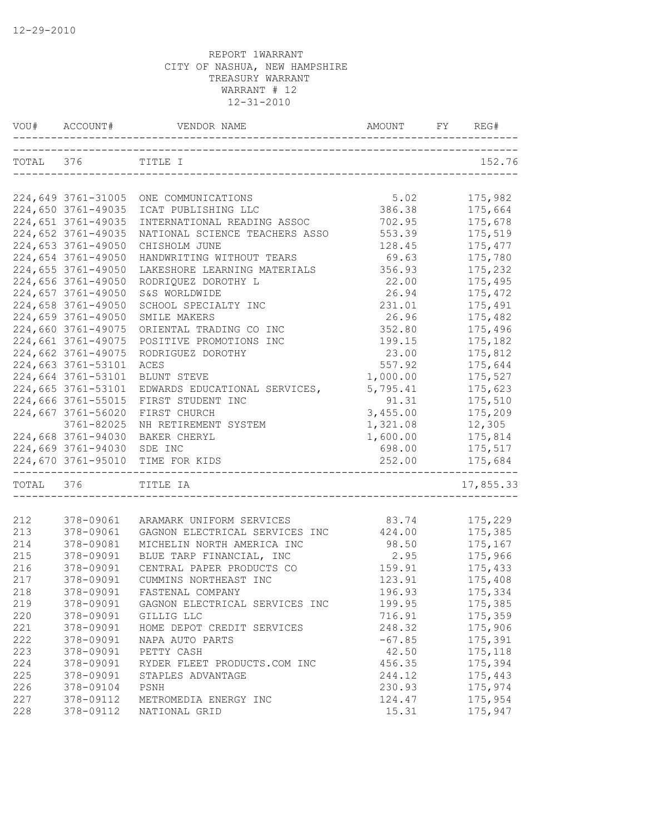|           | VOU# ACCOUNT#              | VENDOR NAME                                | AMOUNT   | REG#      |
|-----------|----------------------------|--------------------------------------------|----------|-----------|
| TOTAL 376 |                            | TITLE I                                    |          | 152.76    |
|           |                            |                                            |          |           |
|           |                            | 224,649 3761-31005 ONE COMMUNICATIONS      | 5.02     | 175,982   |
|           | 224,650 3761-49035         | ICAT PUBLISHING LLC                        | 386.38   | 175,664   |
|           | 224,651 3761-49035         | INTERNATIONAL READING ASSOC                | 702.95   | 175,678   |
|           | 224,652 3761-49035         | NATIONAL SCIENCE TEACHERS ASSO             | 553.39   | 175,519   |
|           | 224,653 3761-49050         | CHISHOLM JUNE                              | 128.45   | 175, 477  |
|           | 224,654 3761-49050         | HANDWRITING WITHOUT TEARS                  | 69.63    | 175,780   |
|           | 224,655 3761-49050         | LAKESHORE LEARNING MATERIALS               | 356.93   | 175,232   |
|           | 224,656 3761-49050         | RODRIQUEZ DOROTHY L                        | 22.00    | 175,495   |
|           | 224,657 3761-49050         | S&S WORLDWIDE                              | 26.94    | 175,472   |
|           | 224,658 3761-49050         | SCHOOL SPECIALTY INC                       | 231.01   | 175,491   |
|           |                            |                                            |          |           |
|           | 224,659 3761-49050         | SMILE MAKERS                               | 26.96    | 175,482   |
|           | 224,660 3761-49075         | ORIENTAL TRADING CO INC                    | 352.80   | 175,496   |
|           | 224,661 3761-49075         | POSITIVE PROMOTIONS INC                    | 199.15   | 175,182   |
|           | 224,662 3761-49075         | RODRIGUEZ DOROTHY                          | 23.00    | 175,812   |
|           | 224,663 3761-53101         | ACES                                       | 557.92   | 175,644   |
|           | 224,664 3761-53101         | BLUNT STEVE                                | 1,000.00 | 175,527   |
|           | 224,665 3761-53101         | EDWARDS EDUCATIONAL SERVICES,              | 5,795.41 | 175,623   |
|           | 224,666 3761-55015         | FIRST STUDENT INC                          | 91.31    | 175,510   |
|           | 224,667 3761-56020         | FIRST CHURCH                               | 3,455.00 | 175,209   |
|           | 3761-82025                 | NH RETIREMENT SYSTEM                       | 1,321.08 | 12,305    |
|           | 224,668 3761-94030         | BAKER CHERYL                               | 1,600.00 | 175,814   |
|           | 224,669 3761-94030 SDE INC |                                            | 698.00   | 175,517   |
|           | 224,670 3761-95010         | TIME FOR KIDS                              | 252.00   | 175,684   |
| TOTAL 376 |                            | TITLE IA<br>______________________________ |          | 17,855.33 |
|           |                            |                                            |          |           |
| 212       | 378-09061                  | ARAMARK UNIFORM SERVICES                   | 83.74    | 175,229   |
| 213       | 378-09061                  | GAGNON ELECTRICAL SERVICES INC             | 424.00   | 175,385   |
| 214       | 378-09081                  | MICHELIN NORTH AMERICA INC                 | 98.50    | 175,167   |
| 215       | 378-09091                  | BLUE TARP FINANCIAL, INC                   | 2.95     | 175,966   |
| 216       | 378-09091                  | CENTRAL PAPER PRODUCTS CO                  | 159.91   | 175,433   |
| 217       | 378-09091                  | CUMMINS NORTHEAST INC                      | 123.91   | 175,408   |
| 218       | 378-09091                  | FASTENAL COMPANY                           | 196.93   | 175,334   |
| 219       | 378-09091                  | GAGNON ELECTRICAL SERVICES INC             | 199.95   | 175,385   |
| 220       | 378-09091                  | GILLIG LLC                                 | 716.91   | 175,359   |
| 221       | 378-09091                  | HOME DEPOT CREDIT SERVICES                 | 248.32   | 175,906   |
| 222       | 378-09091                  | NAPA AUTO PARTS                            | $-67.85$ | 175,391   |
| 223       | 378-09091                  | PETTY CASH                                 | 42.50    | 175,118   |
| 224       | 378-09091                  | RYDER FLEET PRODUCTS.COM INC               | 456.35   | 175,394   |
| 225       | 378-09091                  | STAPLES ADVANTAGE                          | 244.12   | 175,443   |
| 226       | 378-09104                  | PSNH                                       | 230.93   | 175,974   |
| 227       | 378-09112                  | METROMEDIA ENERGY INC                      | 124.47   | 175,954   |
| 228       | 378-09112                  | NATIONAL GRID                              | 15.31    | 175,947   |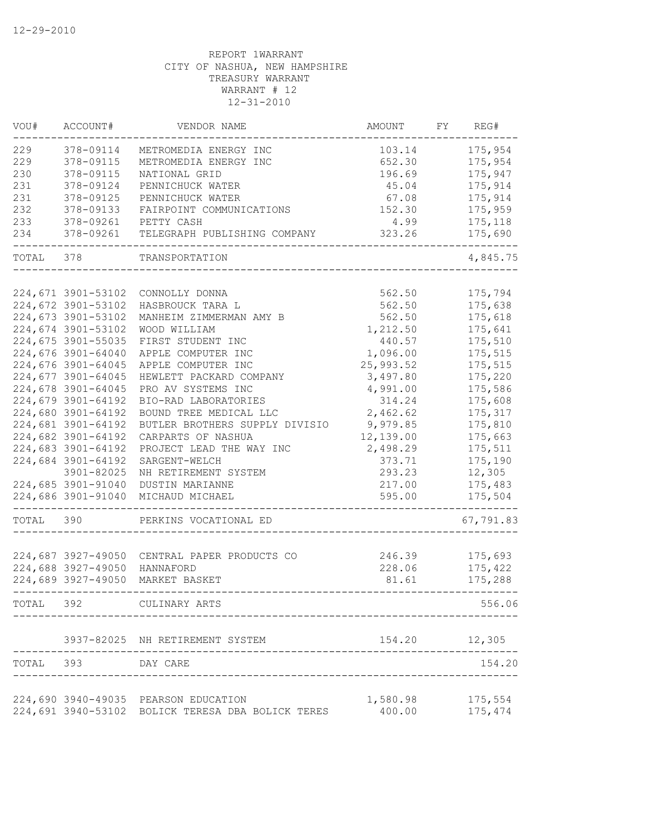| VOU#      | ACCOUNT#           | VENDOR NAME                                       | AMOUNT             | FY | REG#               |
|-----------|--------------------|---------------------------------------------------|--------------------|----|--------------------|
| 229       | 378-09114          | METROMEDIA ENERGY INC                             | 103.14             |    | 175,954            |
| 229       | 378-09115          | METROMEDIA ENERGY INC                             | 652.30             |    | 175,954            |
| 230       | 378-09115          | NATIONAL GRID                                     | 196.69             |    | 175,947            |
| 231       | 378-09124          | PENNICHUCK WATER                                  | 45.04              |    | 175,914            |
| 231       | 378-09125          | PENNICHUCK WATER                                  | 67.08              |    | 175,914            |
| 232       | 378-09133          | FAIRPOINT COMMUNICATIONS                          | 152.30             |    | 175,959            |
| 233       | 378-09261          | PETTY CASH                                        | 4.99               |    | 175,118            |
| 234       | 378-09261          | TELEGRAPH PUBLISHING COMPANY                      | 323.26             |    | 175,690            |
| TOTAL     | 378                | TRANSPORTATION                                    |                    |    | 4,845.75           |
|           |                    |                                                   |                    |    |                    |
|           | 224,671 3901-53102 | CONNOLLY DONNA                                    | 562.50             |    | 175,794            |
|           | 224,672 3901-53102 | HASBROUCK TARA L                                  | 562.50             |    | 175,638            |
|           | 224,673 3901-53102 | MANHEIM ZIMMERMAN AMY B                           | 562.50             |    | 175,618            |
|           | 224,674 3901-53102 | WOOD WILLIAM                                      | 1,212.50           |    | 175,641            |
|           | 224,675 3901-55035 | FIRST STUDENT INC                                 | 440.57             |    | 175,510            |
|           | 224,676 3901-64040 | APPLE COMPUTER INC                                | 1,096.00           |    | 175,515            |
|           | 224,676 3901-64045 | APPLE COMPUTER INC                                | 25,993.52          |    | 175,515            |
|           | 224,677 3901-64045 | HEWLETT PACKARD COMPANY                           | 3,497.80           |    | 175,220            |
|           | 224,678 3901-64045 | PRO AV SYSTEMS INC                                | 4,991.00           |    | 175,586            |
|           | 224,679 3901-64192 | BIO-RAD LABORATORIES                              | 314.24             |    | 175,608            |
|           | 224,680 3901-64192 | BOUND TREE MEDICAL LLC                            | 2,462.62           |    | 175,317            |
|           | 224,681 3901-64192 | BUTLER BROTHERS SUPPLY DIVISIO                    | 9,979.85           |    | 175,810            |
|           | 224,682 3901-64192 | CARPARTS OF NASHUA                                | 12,139.00          |    | 175,663            |
|           | 224,683 3901-64192 | PROJECT LEAD THE WAY INC                          | 2,498.29           |    | 175,511            |
|           | 224,684 3901-64192 | SARGENT-WELCH                                     | 373.71             |    | 175,190            |
|           | 3901-82025         | NH RETIREMENT SYSTEM                              | 293.23             |    | 12,305             |
|           | 224,685 3901-91040 | <b>DUSTIN MARIANNE</b>                            | 217.00             |    | 175,483            |
|           | 224,686 3901-91040 | MICHAUD MICHAEL                                   | 595.00             |    | 175,504            |
| TOTAL     | 390                | PERKINS VOCATIONAL ED                             |                    |    | 67,791.83          |
|           |                    |                                                   |                    |    |                    |
|           | 224,687 3927-49050 | CENTRAL PAPER PRODUCTS CO                         | 246.39             |    | 175,693            |
|           | 224,688 3927-49050 | HANNAFORD                                         | 228.06             |    | 175,422            |
|           | 224,689 3927-49050 | MARKET BASKET                                     | 81.61              |    | 175,288            |
| TOTAL     | 392                | CULINARY ARTS                                     |                    |    | 556.06             |
|           |                    | 3937-82025 NH RETIREMENT SYSTEM                   | 154.20             |    | 12,305             |
| TOTAL 393 |                    | DAY CARE                                          |                    |    | 154.20             |
|           |                    | 224,690 3940-49035 PEARSON EDUCATION              |                    |    |                    |
|           |                    | 224,691 3940-53102 BOLICK TERESA DBA BOLICK TERES | 1,580.98<br>400.00 |    | 175,554<br>175,474 |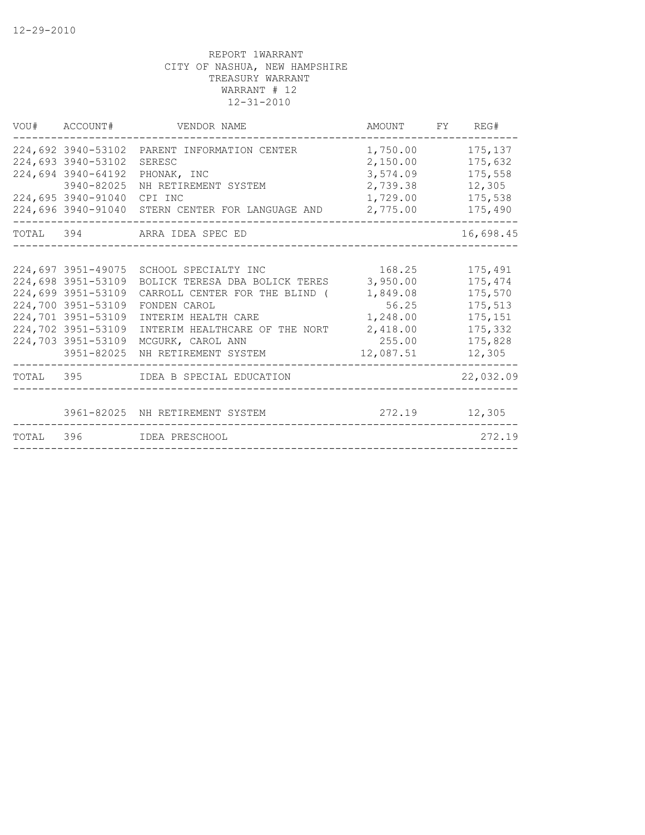| VOU# ACCOUNT#                                                                                                                                  | VENDOR NAME                                                                                                                                                                                                                       | AMOUNT FY REG#                                                                         |                                                                                     |
|------------------------------------------------------------------------------------------------------------------------------------------------|-----------------------------------------------------------------------------------------------------------------------------------------------------------------------------------------------------------------------------------|----------------------------------------------------------------------------------------|-------------------------------------------------------------------------------------|
| 224,692 3940-53102<br>224,693 3940-53102<br>224,694 3940-64192<br>3940-82025<br>224,695 3940-91040<br>224,696 3940-91040                       | PARENT INFORMATION CENTER<br>SERESC<br>PHONAK, INC<br>NH RETIREMENT SYSTEM<br>CPI INC<br>STERN CENTER FOR LANGUAGE AND                                                                                                            | 1,750.00<br>2,150.00<br>3,574.09<br>2,739.38<br>1,729.00<br>2,775.00                   | 175,137<br>175,632<br>175,558<br>12,305<br>175,538<br>175,490                       |
|                                                                                                                                                | TOTAL 394 ARRA IDEA SPEC ED                                                                                                                                                                                                       | ____________________________________                                                   | 16,698.45                                                                           |
| 224,698 3951-53109<br>224,699 3951-53109<br>224,700 3951-53109<br>224,701 3951-53109<br>224,702 3951-53109<br>224,703 3951-53109<br>3951-82025 | 224,697 3951-49075 SCHOOL SPECIALTY INC<br>BOLICK TERESA DBA BOLICK TERES<br>CARROLL CENTER FOR THE BLIND (<br>FONDEN CAROL<br>INTERIM HEALTH CARE<br>INTERIM HEALTHCARE OF THE NORT<br>MCGURK, CAROL ANN<br>NH RETIREMENT SYSTEM | 168.25<br>3,950.00<br>1,849.08<br>56.25<br>1,248.00<br>2,418.00<br>255.00<br>12,087.51 | 175,491<br>175,474<br>175,570<br>175,513<br>175,151<br>175,332<br>175,828<br>12,305 |
|                                                                                                                                                | TOTAL 395 IDEA B SPECIAL EDUCATION                                                                                                                                                                                                |                                                                                        | 22,032.09                                                                           |
| TOTAL 396                                                                                                                                      | 3961-82025 NH RETIREMENT SYSTEM<br>IDEA PRESCHOOL                                                                                                                                                                                 | 272.19                                                                                 | 12,305<br>272.19                                                                    |
|                                                                                                                                                |                                                                                                                                                                                                                                   |                                                                                        |                                                                                     |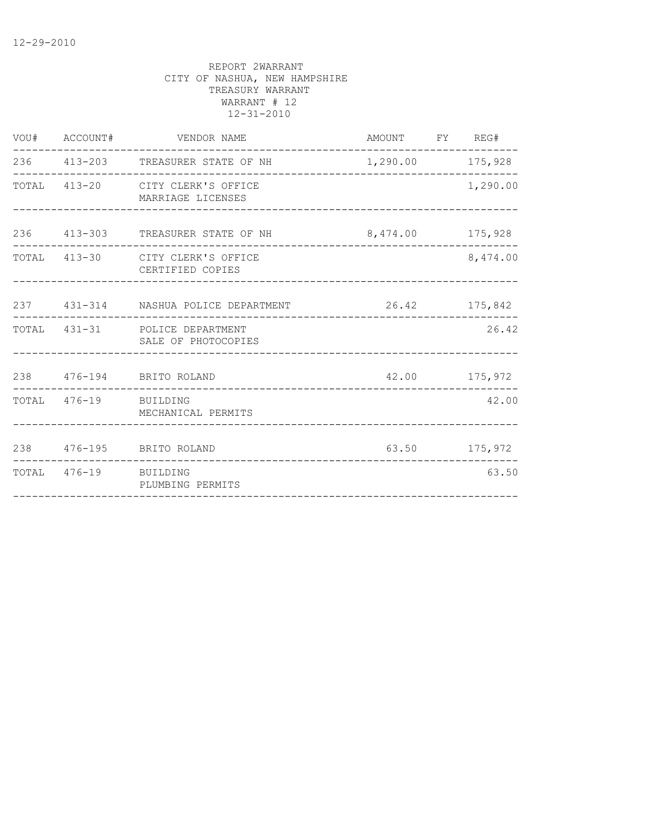| 236 413-203 TREASURER STATE OF NH<br>------------------------------------<br>TOTAL 413-20 CITY CLERK'S OFFICE<br>MARRIAGE LICENSES |                                                                                                                                                                                                                                                                                      | 1,290.00 175,928                                             |
|------------------------------------------------------------------------------------------------------------------------------------|--------------------------------------------------------------------------------------------------------------------------------------------------------------------------------------------------------------------------------------------------------------------------------------|--------------------------------------------------------------|
|                                                                                                                                    |                                                                                                                                                                                                                                                                                      |                                                              |
|                                                                                                                                    |                                                                                                                                                                                                                                                                                      | 1,290.00                                                     |
|                                                                                                                                    |                                                                                                                                                                                                                                                                                      |                                                              |
| CERTIFIED COPIES                                                                                                                   |                                                                                                                                                                                                                                                                                      | 8,474.00                                                     |
|                                                                                                                                    |                                                                                                                                                                                                                                                                                      |                                                              |
|                                                                                                                                    |                                                                                                                                                                                                                                                                                      | 26.42                                                        |
|                                                                                                                                    |                                                                                                                                                                                                                                                                                      | 42.00 175,972                                                |
| MECHANICAL PERMITS                                                                                                                 |                                                                                                                                                                                                                                                                                      | 42.00                                                        |
|                                                                                                                                    |                                                                                                                                                                                                                                                                                      | 63.50 175,972                                                |
| PLUMBING PERMITS<br>-------------------------------                                                                                |                                                                                                                                                                                                                                                                                      | 63.50                                                        |
|                                                                                                                                    | 236 413-303 TREASURER STATE OF NH<br>TOTAL 413-30 CITY CLERK'S OFFICE<br>237 431-314 NASHUA POLICE DEPARTMENT<br>TOTAL 431-31 POLICE DEPARTMENT<br>SALE OF PHOTOCOPIES<br>238  476-194  BRITO ROLAND<br>TOTAL 476-19 BUILDING<br>238  476-195  BRITO ROLAND<br>TOTAL 476-19 BUILDING | 8,474.00 175,928<br>26.42 175,842<br>----------------------- |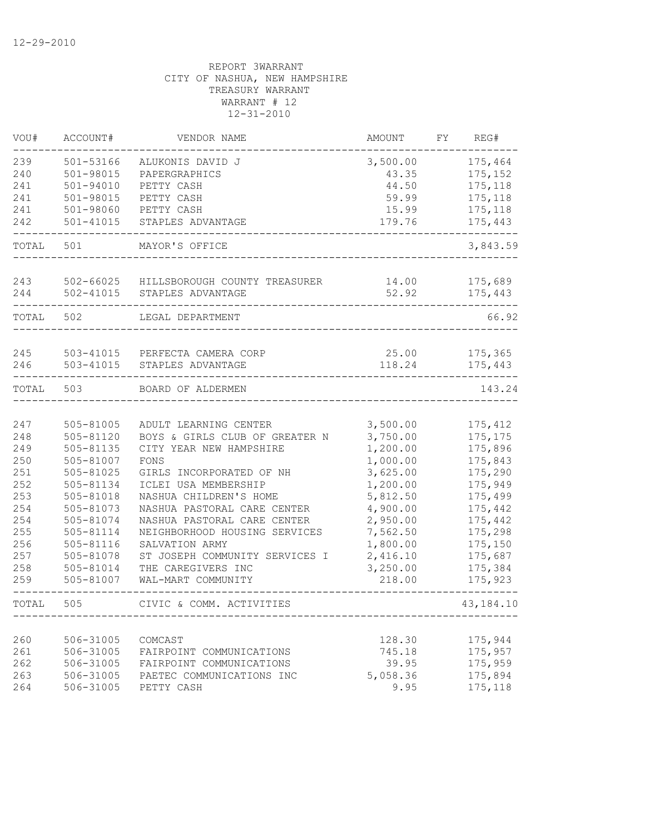| 239<br>501-53166<br>175,464<br>ALUKONIS DAVID J<br>3,500.00<br>240<br>501-98015<br>175,152<br>PAPERGRAPHICS<br>43.35<br>241<br>$501 - 94010$<br>175,118<br>PETTY CASH<br>44.50<br>241<br>501-98015<br>PETTY CASH<br>59.99<br>175,118<br>241<br>501-98060<br>PETTY CASH<br>15.99<br>175,118<br>$501 - 41015$<br>179.76<br>175,443<br>242<br>STAPLES ADVANTAGE<br>TOTAL<br>501<br>MAYOR'S OFFICE<br>502-66025<br>175,689<br>243<br>14.00<br>HILLSBOROUGH COUNTY TREASURER<br>244<br>502-41015<br>52.92<br>STAPLES ADVANTAGE<br>175,443<br>TOTAL<br>502<br>LEGAL DEPARTMENT<br>245<br>503-41015<br>PERFECTA CAMERA CORP<br>25.00<br>175,365<br>246<br>503-41015<br>118.24<br>175,443<br>STAPLES ADVANTAGE<br>TOTAL<br>503<br>BOARD OF ALDERMEN<br>143.24<br>3,500.00<br>247<br>505-81005<br>ADULT LEARNING CENTER<br>175, 412<br>248<br>505-81120<br>BOYS & GIRLS CLUB OF GREATER N<br>3,750.00<br>175, 175<br>249<br>1,200.00<br>175,896<br>505-81135<br>CITY YEAR NEW HAMPSHIRE<br>250<br>1,000.00<br>505-81007<br>FONS<br>175,843<br>251<br>3,625.00<br>175,290<br>505-81025<br>GIRLS INCORPORATED OF NH<br>252<br>505-81134<br>ICLEI USA MEMBERSHIP<br>1,200.00<br>175,949<br>253<br>505-81018<br>NASHUA CHILDREN'S HOME<br>5,812.50<br>175,499<br>254<br>505-81073<br>NASHUA PASTORAL CARE CENTER<br>4,900.00<br>175,442<br>254<br>2,950.00<br>505-81074<br>NASHUA PASTORAL CARE CENTER<br>175,442<br>255<br>505-81114<br>NEIGHBORHOOD HOUSING SERVICES<br>7,562.50<br>175,298<br>256<br>1,800.00<br>505-81116<br>SALVATION ARMY<br>175,150<br>257<br>2,416.10<br>175,687<br>505-81078<br>ST JOSEPH COMMUNITY SERVICES I<br>258<br>3,250.00<br>175,384<br>505-81014<br>THE CAREGIVERS INC<br>259<br>505-81007<br>WAL-MART COMMUNITY<br>218.00<br>175,923<br>TOTAL<br>505<br>CIVIC & COMM. ACTIVITIES<br>260<br>506-31005<br>128.30<br>175,944<br>COMCAST<br>261<br>506-31005<br>745.18<br>175,957<br>FAIRPOINT COMMUNICATIONS<br>262<br>506-31005<br>175,959<br>FAIRPOINT COMMUNICATIONS<br>39.95<br>263<br>506-31005<br>175,894<br>PAETEC COMMUNICATIONS INC<br>5,058.36<br>9.95<br>175,118<br>264<br>506-31005<br>PETTY CASH | VOU# | ACCOUNT# | VENDOR NAME | AMOUNT | FY | REG#        |
|----------------------------------------------------------------------------------------------------------------------------------------------------------------------------------------------------------------------------------------------------------------------------------------------------------------------------------------------------------------------------------------------------------------------------------------------------------------------------------------------------------------------------------------------------------------------------------------------------------------------------------------------------------------------------------------------------------------------------------------------------------------------------------------------------------------------------------------------------------------------------------------------------------------------------------------------------------------------------------------------------------------------------------------------------------------------------------------------------------------------------------------------------------------------------------------------------------------------------------------------------------------------------------------------------------------------------------------------------------------------------------------------------------------------------------------------------------------------------------------------------------------------------------------------------------------------------------------------------------------------------------------------------------------------------------------------------------------------------------------------------------------------------------------------------------------------------------------------------------------------------------------------------------------------------------------------------------------------------------------------------------------------------------------------------------------------------------------------------------------------------------|------|----------|-------------|--------|----|-------------|
|                                                                                                                                                                                                                                                                                                                                                                                                                                                                                                                                                                                                                                                                                                                                                                                                                                                                                                                                                                                                                                                                                                                                                                                                                                                                                                                                                                                                                                                                                                                                                                                                                                                                                                                                                                                                                                                                                                                                                                                                                                                                                                                                  |      |          |             |        |    |             |
|                                                                                                                                                                                                                                                                                                                                                                                                                                                                                                                                                                                                                                                                                                                                                                                                                                                                                                                                                                                                                                                                                                                                                                                                                                                                                                                                                                                                                                                                                                                                                                                                                                                                                                                                                                                                                                                                                                                                                                                                                                                                                                                                  |      |          |             |        |    |             |
|                                                                                                                                                                                                                                                                                                                                                                                                                                                                                                                                                                                                                                                                                                                                                                                                                                                                                                                                                                                                                                                                                                                                                                                                                                                                                                                                                                                                                                                                                                                                                                                                                                                                                                                                                                                                                                                                                                                                                                                                                                                                                                                                  |      |          |             |        |    |             |
|                                                                                                                                                                                                                                                                                                                                                                                                                                                                                                                                                                                                                                                                                                                                                                                                                                                                                                                                                                                                                                                                                                                                                                                                                                                                                                                                                                                                                                                                                                                                                                                                                                                                                                                                                                                                                                                                                                                                                                                                                                                                                                                                  |      |          |             |        |    |             |
|                                                                                                                                                                                                                                                                                                                                                                                                                                                                                                                                                                                                                                                                                                                                                                                                                                                                                                                                                                                                                                                                                                                                                                                                                                                                                                                                                                                                                                                                                                                                                                                                                                                                                                                                                                                                                                                                                                                                                                                                                                                                                                                                  |      |          |             |        |    |             |
|                                                                                                                                                                                                                                                                                                                                                                                                                                                                                                                                                                                                                                                                                                                                                                                                                                                                                                                                                                                                                                                                                                                                                                                                                                                                                                                                                                                                                                                                                                                                                                                                                                                                                                                                                                                                                                                                                                                                                                                                                                                                                                                                  |      |          |             |        |    |             |
|                                                                                                                                                                                                                                                                                                                                                                                                                                                                                                                                                                                                                                                                                                                                                                                                                                                                                                                                                                                                                                                                                                                                                                                                                                                                                                                                                                                                                                                                                                                                                                                                                                                                                                                                                                                                                                                                                                                                                                                                                                                                                                                                  |      |          |             |        |    | 3,843.59    |
|                                                                                                                                                                                                                                                                                                                                                                                                                                                                                                                                                                                                                                                                                                                                                                                                                                                                                                                                                                                                                                                                                                                                                                                                                                                                                                                                                                                                                                                                                                                                                                                                                                                                                                                                                                                                                                                                                                                                                                                                                                                                                                                                  |      |          |             |        |    |             |
|                                                                                                                                                                                                                                                                                                                                                                                                                                                                                                                                                                                                                                                                                                                                                                                                                                                                                                                                                                                                                                                                                                                                                                                                                                                                                                                                                                                                                                                                                                                                                                                                                                                                                                                                                                                                                                                                                                                                                                                                                                                                                                                                  |      |          |             |        |    |             |
|                                                                                                                                                                                                                                                                                                                                                                                                                                                                                                                                                                                                                                                                                                                                                                                                                                                                                                                                                                                                                                                                                                                                                                                                                                                                                                                                                                                                                                                                                                                                                                                                                                                                                                                                                                                                                                                                                                                                                                                                                                                                                                                                  |      |          |             |        |    | 66.92       |
|                                                                                                                                                                                                                                                                                                                                                                                                                                                                                                                                                                                                                                                                                                                                                                                                                                                                                                                                                                                                                                                                                                                                                                                                                                                                                                                                                                                                                                                                                                                                                                                                                                                                                                                                                                                                                                                                                                                                                                                                                                                                                                                                  |      |          |             |        |    |             |
|                                                                                                                                                                                                                                                                                                                                                                                                                                                                                                                                                                                                                                                                                                                                                                                                                                                                                                                                                                                                                                                                                                                                                                                                                                                                                                                                                                                                                                                                                                                                                                                                                                                                                                                                                                                                                                                                                                                                                                                                                                                                                                                                  |      |          |             |        |    |             |
|                                                                                                                                                                                                                                                                                                                                                                                                                                                                                                                                                                                                                                                                                                                                                                                                                                                                                                                                                                                                                                                                                                                                                                                                                                                                                                                                                                                                                                                                                                                                                                                                                                                                                                                                                                                                                                                                                                                                                                                                                                                                                                                                  |      |          |             |        |    |             |
|                                                                                                                                                                                                                                                                                                                                                                                                                                                                                                                                                                                                                                                                                                                                                                                                                                                                                                                                                                                                                                                                                                                                                                                                                                                                                                                                                                                                                                                                                                                                                                                                                                                                                                                                                                                                                                                                                                                                                                                                                                                                                                                                  |      |          |             |        |    |             |
|                                                                                                                                                                                                                                                                                                                                                                                                                                                                                                                                                                                                                                                                                                                                                                                                                                                                                                                                                                                                                                                                                                                                                                                                                                                                                                                                                                                                                                                                                                                                                                                                                                                                                                                                                                                                                                                                                                                                                                                                                                                                                                                                  |      |          |             |        |    |             |
|                                                                                                                                                                                                                                                                                                                                                                                                                                                                                                                                                                                                                                                                                                                                                                                                                                                                                                                                                                                                                                                                                                                                                                                                                                                                                                                                                                                                                                                                                                                                                                                                                                                                                                                                                                                                                                                                                                                                                                                                                                                                                                                                  |      |          |             |        |    |             |
|                                                                                                                                                                                                                                                                                                                                                                                                                                                                                                                                                                                                                                                                                                                                                                                                                                                                                                                                                                                                                                                                                                                                                                                                                                                                                                                                                                                                                                                                                                                                                                                                                                                                                                                                                                                                                                                                                                                                                                                                                                                                                                                                  |      |          |             |        |    |             |
|                                                                                                                                                                                                                                                                                                                                                                                                                                                                                                                                                                                                                                                                                                                                                                                                                                                                                                                                                                                                                                                                                                                                                                                                                                                                                                                                                                                                                                                                                                                                                                                                                                                                                                                                                                                                                                                                                                                                                                                                                                                                                                                                  |      |          |             |        |    |             |
|                                                                                                                                                                                                                                                                                                                                                                                                                                                                                                                                                                                                                                                                                                                                                                                                                                                                                                                                                                                                                                                                                                                                                                                                                                                                                                                                                                                                                                                                                                                                                                                                                                                                                                                                                                                                                                                                                                                                                                                                                                                                                                                                  |      |          |             |        |    |             |
|                                                                                                                                                                                                                                                                                                                                                                                                                                                                                                                                                                                                                                                                                                                                                                                                                                                                                                                                                                                                                                                                                                                                                                                                                                                                                                                                                                                                                                                                                                                                                                                                                                                                                                                                                                                                                                                                                                                                                                                                                                                                                                                                  |      |          |             |        |    |             |
|                                                                                                                                                                                                                                                                                                                                                                                                                                                                                                                                                                                                                                                                                                                                                                                                                                                                                                                                                                                                                                                                                                                                                                                                                                                                                                                                                                                                                                                                                                                                                                                                                                                                                                                                                                                                                                                                                                                                                                                                                                                                                                                                  |      |          |             |        |    |             |
|                                                                                                                                                                                                                                                                                                                                                                                                                                                                                                                                                                                                                                                                                                                                                                                                                                                                                                                                                                                                                                                                                                                                                                                                                                                                                                                                                                                                                                                                                                                                                                                                                                                                                                                                                                                                                                                                                                                                                                                                                                                                                                                                  |      |          |             |        |    |             |
|                                                                                                                                                                                                                                                                                                                                                                                                                                                                                                                                                                                                                                                                                                                                                                                                                                                                                                                                                                                                                                                                                                                                                                                                                                                                                                                                                                                                                                                                                                                                                                                                                                                                                                                                                                                                                                                                                                                                                                                                                                                                                                                                  |      |          |             |        |    |             |
|                                                                                                                                                                                                                                                                                                                                                                                                                                                                                                                                                                                                                                                                                                                                                                                                                                                                                                                                                                                                                                                                                                                                                                                                                                                                                                                                                                                                                                                                                                                                                                                                                                                                                                                                                                                                                                                                                                                                                                                                                                                                                                                                  |      |          |             |        |    |             |
|                                                                                                                                                                                                                                                                                                                                                                                                                                                                                                                                                                                                                                                                                                                                                                                                                                                                                                                                                                                                                                                                                                                                                                                                                                                                                                                                                                                                                                                                                                                                                                                                                                                                                                                                                                                                                                                                                                                                                                                                                                                                                                                                  |      |          |             |        |    |             |
|                                                                                                                                                                                                                                                                                                                                                                                                                                                                                                                                                                                                                                                                                                                                                                                                                                                                                                                                                                                                                                                                                                                                                                                                                                                                                                                                                                                                                                                                                                                                                                                                                                                                                                                                                                                                                                                                                                                                                                                                                                                                                                                                  |      |          |             |        |    |             |
|                                                                                                                                                                                                                                                                                                                                                                                                                                                                                                                                                                                                                                                                                                                                                                                                                                                                                                                                                                                                                                                                                                                                                                                                                                                                                                                                                                                                                                                                                                                                                                                                                                                                                                                                                                                                                                                                                                                                                                                                                                                                                                                                  |      |          |             |        |    |             |
|                                                                                                                                                                                                                                                                                                                                                                                                                                                                                                                                                                                                                                                                                                                                                                                                                                                                                                                                                                                                                                                                                                                                                                                                                                                                                                                                                                                                                                                                                                                                                                                                                                                                                                                                                                                                                                                                                                                                                                                                                                                                                                                                  |      |          |             |        |    |             |
|                                                                                                                                                                                                                                                                                                                                                                                                                                                                                                                                                                                                                                                                                                                                                                                                                                                                                                                                                                                                                                                                                                                                                                                                                                                                                                                                                                                                                                                                                                                                                                                                                                                                                                                                                                                                                                                                                                                                                                                                                                                                                                                                  |      |          |             |        |    | 43, 184. 10 |
|                                                                                                                                                                                                                                                                                                                                                                                                                                                                                                                                                                                                                                                                                                                                                                                                                                                                                                                                                                                                                                                                                                                                                                                                                                                                                                                                                                                                                                                                                                                                                                                                                                                                                                                                                                                                                                                                                                                                                                                                                                                                                                                                  |      |          |             |        |    |             |
|                                                                                                                                                                                                                                                                                                                                                                                                                                                                                                                                                                                                                                                                                                                                                                                                                                                                                                                                                                                                                                                                                                                                                                                                                                                                                                                                                                                                                                                                                                                                                                                                                                                                                                                                                                                                                                                                                                                                                                                                                                                                                                                                  |      |          |             |        |    |             |
|                                                                                                                                                                                                                                                                                                                                                                                                                                                                                                                                                                                                                                                                                                                                                                                                                                                                                                                                                                                                                                                                                                                                                                                                                                                                                                                                                                                                                                                                                                                                                                                                                                                                                                                                                                                                                                                                                                                                                                                                                                                                                                                                  |      |          |             |        |    |             |
|                                                                                                                                                                                                                                                                                                                                                                                                                                                                                                                                                                                                                                                                                                                                                                                                                                                                                                                                                                                                                                                                                                                                                                                                                                                                                                                                                                                                                                                                                                                                                                                                                                                                                                                                                                                                                                                                                                                                                                                                                                                                                                                                  |      |          |             |        |    |             |
|                                                                                                                                                                                                                                                                                                                                                                                                                                                                                                                                                                                                                                                                                                                                                                                                                                                                                                                                                                                                                                                                                                                                                                                                                                                                                                                                                                                                                                                                                                                                                                                                                                                                                                                                                                                                                                                                                                                                                                                                                                                                                                                                  |      |          |             |        |    |             |
|                                                                                                                                                                                                                                                                                                                                                                                                                                                                                                                                                                                                                                                                                                                                                                                                                                                                                                                                                                                                                                                                                                                                                                                                                                                                                                                                                                                                                                                                                                                                                                                                                                                                                                                                                                                                                                                                                                                                                                                                                                                                                                                                  |      |          |             |        |    |             |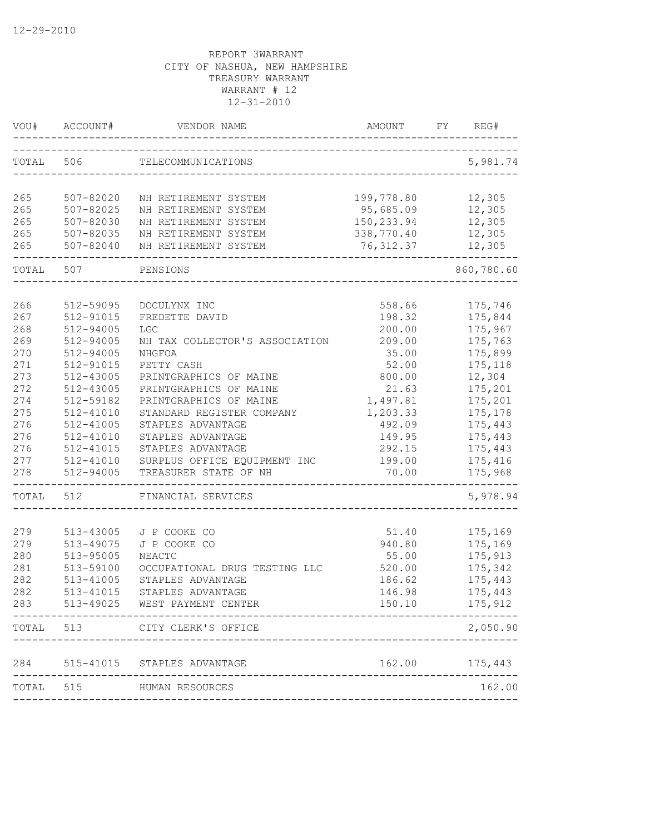|       | ACCOUNT#      | VENDOR NAME                                 | AMOUNT      | FY | REG#       |
|-------|---------------|---------------------------------------------|-------------|----|------------|
| TOTAL | 506           | TELECOMMUNICATIONS                          |             |    | 5,981.74   |
| 265   | 507-82020     | NH RETIREMENT SYSTEM                        | 199,778.80  |    | 12,305     |
| 265   | 507-82025     | NH RETIREMENT SYSTEM                        | 95,685.09   |    | 12,305     |
| 265   | 507-82030     | NH RETIREMENT SYSTEM                        | 150, 233.94 |    | 12,305     |
| 265   | 507-82035     | NH RETIREMENT SYSTEM                        | 338,770.40  |    | 12,305     |
| 265   | 507-82040     | NH RETIREMENT SYSTEM<br>___________________ | 76, 312.37  |    | 12,305     |
| TOTAL | 507           | PENSIONS                                    |             |    | 860,780.60 |
| 266   | 512-59095     | DOCULYNX INC                                | 558.66      |    | 175,746    |
| 267   | 512-91015     | FREDETTE DAVID                              | 198.32      |    | 175,844    |
| 268   | 512-94005     | <b>LGC</b>                                  | 200.00      |    | 175,967    |
| 269   | 512-94005     | NH TAX COLLECTOR'S ASSOCIATION              | 209.00      |    | 175,763    |
| 270   | 512-94005     | NHGFOA                                      | 35.00       |    | 175,899    |
| 271   | 512-91015     | PETTY CASH                                  | 52.00       |    | 175,118    |
| 273   | 512-43005     | PRINTGRAPHICS OF MAINE                      | 800.00      |    | 12,304     |
| 272   | 512-43005     | PRINTGRAPHICS OF MAINE                      | 21.63       |    | 175,201    |
| 274   | 512-59182     | PRINTGRAPHICS OF MAINE                      | 1,497.81    |    | 175,201    |
| 275   | 512-41010     | STANDARD REGISTER COMPANY                   | 1,203.33    |    | 175,178    |
| 276   | 512-41005     | STAPLES ADVANTAGE                           | 492.09      |    | 175,443    |
| 276   | 512-41010     | STAPLES ADVANTAGE                           | 149.95      |    | 175,443    |
| 276   | 512-41015     | STAPLES ADVANTAGE                           | 292.15      |    | 175,443    |
| 277   | 512-41010     | SURPLUS OFFICE EQUIPMENT INC                | 199.00      |    | 175,416    |
| 278   | 512-94005     | TREASURER STATE OF NH                       | 70.00       |    | 175,968    |
| TOTAL | 512           | FINANCIAL SERVICES                          |             |    | 5,978.94   |
| 279   | 513-43005     | J P COOKE CO                                | 51.40       |    | 175,169    |
| 279   | 513-49075     | J P COOKE CO                                | 940.80      |    | 175,169    |
| 280   | 513-95005     | NEACTC                                      | 55.00       |    | 175,913    |
| 281   | 513-59100     | OCCUPATIONAL DRUG TESTING LLC               | 520.00      |    | 175,342    |
| 282   | $513 - 41005$ | STAPLES ADVANTAGE                           | 186.62      |    | 175,443    |
| 282   | 513-41015     | STAPLES ADVANTAGE                           | 146.98      |    | 175,443    |
| 283   |               | 513-49025 WEST PAYMENT CENTER               | 150.10      |    | 175,912    |
| TOTAL | 513           | CITY CLERK'S OFFICE                         |             |    | 2,050.90   |
| 284   |               | 515-41015 STAPLES ADVANTAGE                 | 162.00      |    | 175,443    |
| TOTAL | 515           | HUMAN RESOURCES                             |             |    | 162.00     |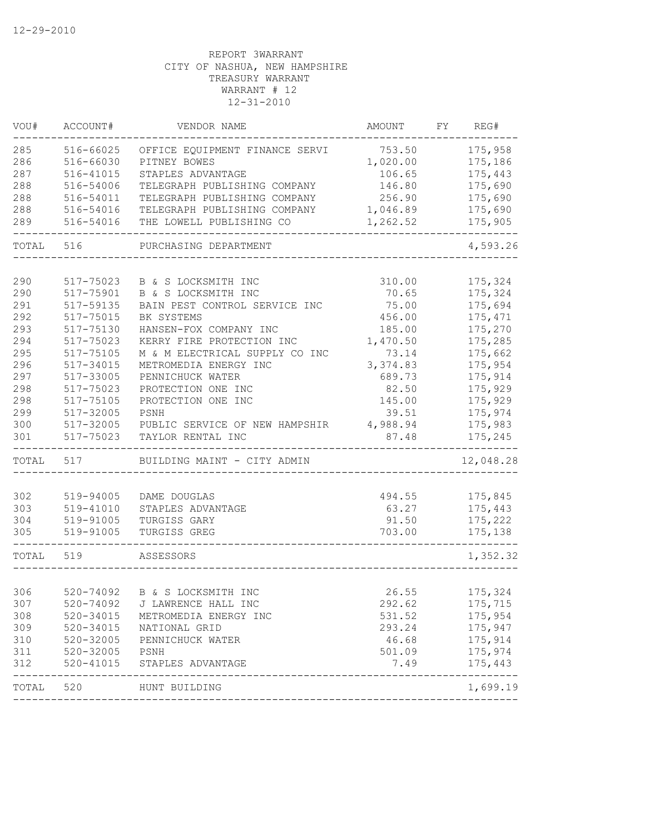| VOU#  | ACCOUNT#      | VENDOR NAME                    | AMOUNT   | FY | REG#                  |
|-------|---------------|--------------------------------|----------|----|-----------------------|
| 285   | 516-66025     | OFFICE EQUIPMENT FINANCE SERVI | 753.50   |    | 175,958               |
| 286   | 516-66030     | PITNEY BOWES                   | 1,020.00 |    | 175,186               |
| 287   | 516-41015     | STAPLES ADVANTAGE              | 106.65   |    | 175,443               |
| 288   | 516-54006     | TELEGRAPH PUBLISHING COMPANY   | 146.80   |    | 175,690               |
| 288   | 516-54011     | TELEGRAPH PUBLISHING COMPANY   | 256.90   |    | 175,690               |
| 288   | 516-54016     | TELEGRAPH PUBLISHING COMPANY   | 1,046.89 |    | 175,690               |
| 289   | 516-54016     | THE LOWELL PUBLISHING CO       | 1,262.52 |    | 175,905               |
| TOTAL | 516           | PURCHASING DEPARTMENT          |          |    | 4,593.26              |
| 290   | 517-75023     | B & S LOCKSMITH INC            | 310.00   |    | 175,324               |
| 290   | 517-75901     | B & S LOCKSMITH INC            | 70.65    |    | 175,324               |
| 291   | 517-59135     | BAIN PEST CONTROL SERVICE INC  | 75.00    |    | 175,694               |
| 292   | 517-75015     | BK SYSTEMS                     | 456.00   |    | 175, 471              |
| 293   | 517-75130     | HANSEN-FOX COMPANY INC         | 185.00   |    | 175,270               |
| 294   | 517-75023     | KERRY FIRE PROTECTION INC      | 1,470.50 |    | 175,285               |
| 295   | 517-75105     | M & M ELECTRICAL SUPPLY CO INC | 73.14    |    | 175,662               |
| 296   | 517-34015     | METROMEDIA ENERGY INC          | 3,374.83 |    | 175,954               |
| 297   | 517-33005     | PENNICHUCK WATER               | 689.73   |    | 175,914               |
| 298   | 517-75023     | PROTECTION ONE INC             | 82.50    |    | 175,929               |
| 298   | 517-75105     | PROTECTION ONE INC             | 145.00   |    | 175,929               |
| 299   | 517-32005     | PSNH                           | 39.51    |    | 175,974               |
| 300   | 517-32005     | PUBLIC SERVICE OF NEW HAMPSHIR | 4,988.94 |    | 175,983               |
| 301   | 517-75023     | TAYLOR RENTAL INC              | 87.48    |    | 175,245               |
| TOTAL | 517           | BUILDING MAINT - CITY ADMIN    |          |    | 12,048.28             |
|       |               |                                |          |    |                       |
| 302   | 519-94005     | DAME DOUGLAS                   | 494.55   |    | 175,845               |
| 303   | 519-41010     | STAPLES ADVANTAGE              | 63.27    |    | 175,443               |
| 304   | 519-91005     | TURGISS GARY                   | 91.50    |    | 175,222               |
| 305   | 519-91005     | TURGISS GREG                   | 703.00   |    | 175,138               |
| TOTAL | 519           | ASSESSORS                      |          |    | 1,352.32              |
|       |               |                                |          |    |                       |
| 306   |               | 520-74092 B & S LOCKSMITH INC  | 26.55    |    | 175,324               |
| 307   | 520-74092     | J LAWRENCE HALL INC            | 292.62   |    | 175,715               |
| 308   | 520-34015     | METROMEDIA ENERGY INC          | 531.52   |    | 175,954               |
| 309   | 520-34015     | NATIONAL GRID                  | 293.24   |    | 175,947               |
| 310   | $520 - 32005$ | PENNICHUCK WATER               | 46.68    |    | 175,914               |
| 311   | 520-32005     | PSNH                           | 501.09   |    | 175,974               |
| 312   | $520 - 41015$ | STAPLES ADVANTAGE              | 7.49     |    | 175,443<br>---------- |
| TOTAL | 520           | HUNT BUILDING                  |          |    | 1,699.19              |
|       |               |                                |          |    |                       |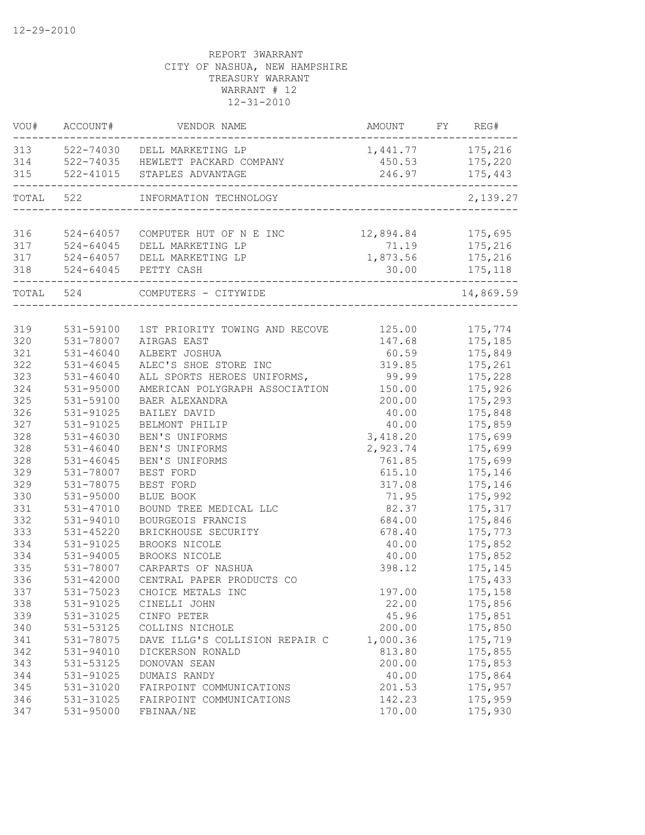|     | VOU# ACCOUNT# | VENDOR NAME                                                              | AMOUNT FY REG#               |               |
|-----|---------------|--------------------------------------------------------------------------|------------------------------|---------------|
|     |               | 313 522-74030 DELL MARKETING LP<br>314 522-74035 HEWLETT PACKARD COMPANY | 1, 441.77 175, 216<br>450.53 | 175,220       |
| 315 | 522-41015     | STAPLES ADVANTAGE                                                        | 246.97                       | 175,443       |
|     |               | TOTAL 522 INFORMATION TECHNOLOGY                                         |                              | 2,139.27      |
|     |               |                                                                          |                              |               |
| 316 | 524-64057     | COMPUTER HUT OF N E INC                                                  | 12,894.84 175,695            |               |
| 317 | $524 - 64045$ | DELL MARKETING LP                                                        |                              | 71.19 175,216 |
| 317 |               | 524-64057 DELL MARKETING LP                                              | 1,873.56 175,216             |               |
|     |               | 318 524-64045 PETTY CASH                                                 |                              | 30.00 175,118 |
|     |               | TOTAL 524 COMPUTERS - CITYWIDE                                           |                              | 14,869.59     |
|     |               |                                                                          |                              |               |
| 319 | 531-59100     | 1ST PRIORITY TOWING AND RECOVE 125.00                                    |                              | 175,774       |
| 320 | 531-78007     | AIRGAS EAST                                                              | 147.68                       | 175,185       |
| 321 | $531 - 46040$ | ALBERT JOSHUA                                                            | 60.59                        | 175,849       |
| 322 | $531 - 46045$ | ALEC'S SHOE STORE INC                                                    | 319.85                       | 175,261       |
| 323 | $531 - 46040$ | ALL SPORTS HEROES UNIFORMS,                                              | 99.99                        | 175,228       |
| 324 | $531 - 95000$ | AMERICAN POLYGRAPH ASSOCIATION                                           | 150.00                       | 175,926       |
| 325 | 531-59100     | BAER ALEXANDRA                                                           | 200.00                       | 175,293       |
| 326 | 531-91025     | BAILEY DAVID                                                             | 40.00                        | 175,848       |
| 327 | 531-91025     | BELMONT PHILIP                                                           | 40.00                        | 175,859       |
| 328 | 531-46030     | BEN'S UNIFORMS                                                           | 3,418.20                     | 175,699       |
| 328 | 531-46040     | BEN'S UNIFORMS                                                           | 2,923.74                     | 175,699       |
| 328 | $531 - 46045$ | BEN'S UNIFORMS                                                           | 761.85                       | 175,699       |
| 329 | 531-78007     | BEST FORD                                                                | 615.10                       | 175,146       |
| 329 | 531-78075     | BEST FORD                                                                | 317.08                       | 175,146       |
| 330 | 531-95000     | BLUE BOOK                                                                | 71.95                        | 175,992       |
| 331 | 531-47010     | BOUND TREE MEDICAL LLC                                                   | 82.37                        | 175,317       |
| 332 | 531-94010     | BOURGEOIS FRANCIS                                                        | 684.00                       | 175,846       |
| 333 | 531-45220     | BRICKHOUSE SECURITY                                                      | 678.40                       | 175,773       |
| 334 | 531-91025     | BROOKS NICOLE                                                            | 40.00                        | 175,852       |
| 334 | 531-94005     | BROOKS NICOLE                                                            | 40.00                        | 175,852       |
| 335 | 531-78007     | CARPARTS OF NASHUA                                                       | 398.12                       | 175,145       |
| 336 | 531-42000     | CENTRAL PAPER PRODUCTS CO                                                |                              | 175,433       |
| 337 | 531-75023     | CHOICE METALS INC                                                        | 197.00                       | 175,158       |
| 338 | 531-91025     | CINELLI JOHN                                                             | 22.00                        | 175,856       |
| 339 | 531-31025     | CINFO PETER                                                              | 45.96                        | 175,851       |
| 340 | 531-53125     | COLLINS NICHOLE                                                          | 200.00                       | 175,850       |
| 341 | 531-78075     | DAVE ILLG'S COLLISION REPAIR C                                           | 1,000.36                     | 175,719       |
| 342 | 531-94010     | DICKERSON RONALD                                                         | 813.80                       | 175,855       |
| 343 | 531-53125     | DONOVAN SEAN                                                             | 200.00                       | 175,853       |
| 344 | 531-91025     | DUMAIS RANDY                                                             | 40.00                        | 175,864       |
| 345 | 531-31020     | FAIRPOINT COMMUNICATIONS                                                 | 201.53                       | 175,957       |
| 346 | 531-31025     | FAIRPOINT COMMUNICATIONS                                                 | 142.23                       | 175,959       |
| 347 | 531-95000     | FBINAA/NE                                                                | 170.00                       | 175,930       |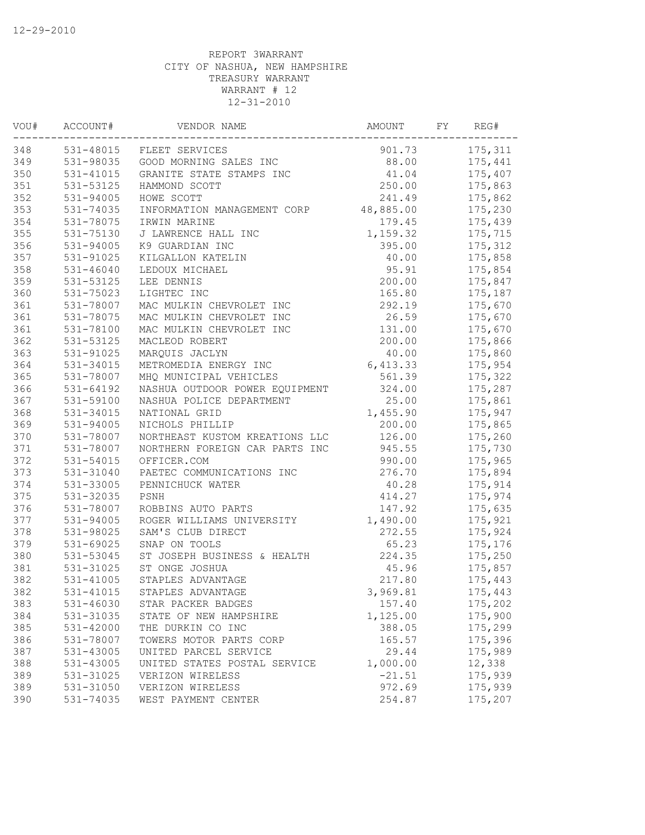| VOU# | ACCOUNT#      | VENDOR NAME                    | AMOUNT    | FY | REG#     |
|------|---------------|--------------------------------|-----------|----|----------|
| 348  | 531-48015     | FLEET SERVICES                 | 901.73    |    | 175,311  |
| 349  | 531-98035     | GOOD MORNING SALES INC         | 88.00     |    | 175,441  |
| 350  | 531-41015     | GRANITE STATE STAMPS INC       | 41.04     |    | 175,407  |
| 351  | 531-53125     | HAMMOND SCOTT                  | 250.00    |    | 175,863  |
| 352  | 531-94005     | HOWE SCOTT                     | 241.49    |    | 175,862  |
| 353  | 531-74035     | INFORMATION MANAGEMENT CORP    | 48,885.00 |    | 175,230  |
| 354  | 531-78075     | IRWIN MARINE                   | 179.45    |    | 175,439  |
| 355  | 531-75130     | J LAWRENCE HALL INC            | 1,159.32  |    | 175,715  |
| 356  | 531-94005     | K9 GUARDIAN INC                | 395.00    |    | 175, 312 |
| 357  | 531-91025     | KILGALLON KATELIN              | 40.00     |    | 175,858  |
| 358  | 531-46040     | LEDOUX MICHAEL                 | 95.91     |    | 175,854  |
| 359  | 531-53125     | LEE DENNIS                     | 200.00    |    | 175,847  |
| 360  | 531-75023     | LIGHTEC INC                    | 165.80    |    | 175,187  |
| 361  | 531-78007     | MAC MULKIN CHEVROLET INC       | 292.19    |    | 175,670  |
| 361  | 531-78075     | MAC MULKIN CHEVROLET INC       | 26.59     |    | 175,670  |
| 361  | 531-78100     | MAC MULKIN CHEVROLET INC       | 131.00    |    | 175,670  |
| 362  | 531-53125     | MACLEOD ROBERT                 | 200.00    |    | 175,866  |
| 363  | 531-91025     | MARQUIS JACLYN                 | 40.00     |    | 175,860  |
| 364  | 531-34015     | METROMEDIA ENERGY INC          | 6,413.33  |    | 175,954  |
| 365  | 531-78007     | MHQ MUNICIPAL VEHICLES         | 561.39    |    | 175,322  |
| 366  | 531-64192     | NASHUA OUTDOOR POWER EQUIPMENT | 324.00    |    | 175,287  |
| 367  | 531-59100     | NASHUA POLICE DEPARTMENT       | 25.00     |    | 175,861  |
| 368  | 531-34015     | NATIONAL GRID                  | 1,455.90  |    | 175,947  |
| 369  | 531-94005     | NICHOLS PHILLIP                | 200.00    |    | 175,865  |
| 370  | 531-78007     | NORTHEAST KUSTOM KREATIONS LLC | 126.00    |    | 175,260  |
| 371  | 531-78007     | NORTHERN FOREIGN CAR PARTS INC | 945.55    |    | 175,730  |
| 372  | 531-54015     | OFFICER.COM                    | 990.00    |    | 175,965  |
| 373  | $531 - 31040$ | PAETEC COMMUNICATIONS INC      | 276.70    |    | 175,894  |
| 374  | 531-33005     | PENNICHUCK WATER               | 40.28     |    | 175,914  |
| 375  | 531-32035     | PSNH                           | 414.27    |    | 175,974  |
| 376  | 531-78007     | ROBBINS AUTO PARTS             | 147.92    |    | 175,635  |
| 377  | 531-94005     | ROGER WILLIAMS UNIVERSITY      | 1,490.00  |    | 175,921  |
| 378  | 531-98025     | SAM'S CLUB DIRECT              | 272.55    |    | 175,924  |
| 379  | 531-69025     | SNAP ON TOOLS                  | 65.23     |    | 175,176  |
| 380  | 531-53045     | ST JOSEPH BUSINESS & HEALTH    | 224.35    |    | 175,250  |
| 381  | 531-31025     | ST ONGE JOSHUA                 | 45.96     |    | 175,857  |
| 382  | 531-41005     | STAPLES ADVANTAGE              | 217.80    |    | 175,443  |
| 382  | 531-41015     | STAPLES ADVANTAGE              | 3,969.81  |    | 175,443  |
| 383  | 531-46030     | STAR PACKER BADGES             | 157.40    |    | 175,202  |
| 384  | 531-31035     | STATE OF NEW HAMPSHIRE         | 1,125.00  |    | 175,900  |
| 385  | 531-42000     | THE DURKIN CO INC              | 388.05    |    | 175,299  |
| 386  | 531-78007     | TOWERS MOTOR PARTS CORP        | 165.57    |    | 175,396  |
| 387  | 531-43005     | UNITED PARCEL SERVICE          | 29.44     |    | 175,989  |
| 388  | 531-43005     | UNITED STATES POSTAL SERVICE   | 1,000.00  |    | 12,338   |
| 389  | 531-31025     | VERIZON WIRELESS               | $-21.51$  |    | 175,939  |
| 389  | 531-31050     | VERIZON WIRELESS               | 972.69    |    | 175,939  |
| 390  | 531-74035     | WEST PAYMENT CENTER            | 254.87    |    | 175,207  |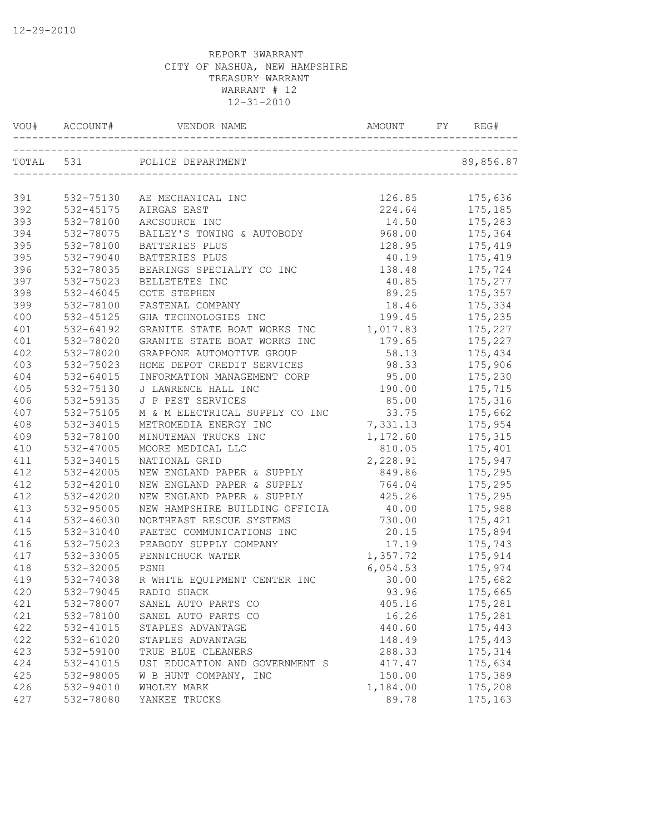| TOTAL 531<br>POLICE DEPARTMENT<br>89,856.87<br>126.85<br>175,636<br>532-75130<br>AE MECHANICAL INC<br>532-45175<br>224.64<br>175,185<br>AIRGAS EAST<br>532-78100<br>ARCSOURCE INC<br>14.50<br>175,283<br>BAILEY'S TOWING & AUTOBODY<br>968.00<br>532-78075<br>175,364<br>532-78100<br>128.95<br>175,419<br>BATTERIES PLUS<br>532-79040<br>40.19<br>175,419<br>BATTERIES PLUS<br>532-78035<br>BEARINGS SPECIALTY CO INC<br>138.48<br>175,724<br>532-75023<br>BELLETETES INC<br>175,277<br>40.85<br>532-46045<br>COTE STEPHEN<br>89.25<br>175,357<br>532-78100<br>FASTENAL COMPANY<br>18.46<br>175,334<br>175,235<br>532-45125<br>GHA TECHNOLOGIES INC<br>199.45<br>532-64192<br>GRANITE STATE BOAT WORKS INC<br>1,017.83<br>175,227<br>179.65<br>532-78020<br>GRANITE STATE BOAT WORKS INC<br>175,227<br>532-78020<br>58.13<br>GRAPPONE AUTOMOTIVE GROUP<br>175,434<br>403<br>98.33<br>532-75023<br>HOME DEPOT CREDIT SERVICES<br>175,906<br>404<br>532-64015<br>INFORMATION MANAGEMENT CORP 95.00<br>175,230<br>405<br>532-75130<br>J LAWRENCE HALL INC<br>190.00<br>175,715<br>406<br>532-59135<br>J P PEST SERVICES<br>85.00<br>175,316<br>M & M ELECTRICAL SUPPLY CO INC<br>407<br>33.75<br>175,662<br>532-75105<br>408<br>532-34015<br>7,331.13<br>175,954<br>METROMEDIA ENERGY INC<br>409<br>532-78100<br>MINUTEMAN TRUCKS INC<br>1,172.60<br>175,315<br>410<br>532-47005<br>810.05<br>175,401<br>MOORE MEDICAL LLC<br>2,228.91<br>411<br>532-34015<br>175,947<br>NATIONAL GRID<br>NEW ENGLAND PAPER & SUPPLY<br>412<br>532-42005<br>849.86<br>175,295<br>532-42010<br>NEW ENGLAND PAPER & SUPPLY<br>764.04<br>175,295<br>412<br>532-42020<br>NEW ENGLAND PAPER & SUPPLY<br>425.26<br>175,295<br>413<br>532-95005<br>NEW HAMPSHIRE BUILDING OFFICIA<br>40.00<br>175,988<br>414<br>532-46030<br>NORTHEAST RESCUE SYSTEMS<br>730.00<br>175,421<br>532-31040<br>PAETEC COMMUNICATIONS INC<br>20.15<br>175,894<br>532-75023<br>17.19<br>175,743<br>416<br>PEABODY SUPPLY COMPANY<br>1,357.72<br>175,914<br>417<br>532-33005<br>PENNICHUCK WATER<br>6,054.53<br>418<br>532-32005<br>175,974<br>PSNH<br>419<br>532-74038<br>R WHITE EQUIPMENT CENTER INC<br>30.00<br>175,682<br>420<br>532-79045<br>RADIO SHACK<br>93.96<br>175,665<br>175,281<br>421<br>532-78007<br>SANEL AUTO PARTS CO<br>405.16<br>421<br>532-78100<br>16.26<br>175,281<br>SANEL AUTO PARTS CO<br>422<br>532-41015<br>STAPLES ADVANTAGE<br>440.60<br>175,443<br>422<br>532-61020<br>STAPLES ADVANTAGE<br>148.49<br>175,443<br>423<br>532-59100<br>TRUE BLUE CLEANERS<br>288.33<br>175,314<br>175,634<br>424<br>532-41015<br>USI EDUCATION AND GOVERNMENT S<br>417.47<br>425<br>532-98005<br>W B HUNT COMPANY, INC<br>150.00<br>175,389<br>426<br>532-94010<br>WHOLEY MARK<br>1,184.00<br>175,208<br>427<br>532-78080<br>YANKEE TRUCKS<br>89.78<br>175,163 |     | VOU# ACCOUNT# |  |  |
|------------------------------------------------------------------------------------------------------------------------------------------------------------------------------------------------------------------------------------------------------------------------------------------------------------------------------------------------------------------------------------------------------------------------------------------------------------------------------------------------------------------------------------------------------------------------------------------------------------------------------------------------------------------------------------------------------------------------------------------------------------------------------------------------------------------------------------------------------------------------------------------------------------------------------------------------------------------------------------------------------------------------------------------------------------------------------------------------------------------------------------------------------------------------------------------------------------------------------------------------------------------------------------------------------------------------------------------------------------------------------------------------------------------------------------------------------------------------------------------------------------------------------------------------------------------------------------------------------------------------------------------------------------------------------------------------------------------------------------------------------------------------------------------------------------------------------------------------------------------------------------------------------------------------------------------------------------------------------------------------------------------------------------------------------------------------------------------------------------------------------------------------------------------------------------------------------------------------------------------------------------------------------------------------------------------------------------------------------------------------------------------------------------------------------------------------------------------------------------------------------------------------------------------------------------------------------------------------------------------------------------------------------------------------------------------------------------------------------------------------------------------------------------------------------------------------------|-----|---------------|--|--|
|                                                                                                                                                                                                                                                                                                                                                                                                                                                                                                                                                                                                                                                                                                                                                                                                                                                                                                                                                                                                                                                                                                                                                                                                                                                                                                                                                                                                                                                                                                                                                                                                                                                                                                                                                                                                                                                                                                                                                                                                                                                                                                                                                                                                                                                                                                                                                                                                                                                                                                                                                                                                                                                                                                                                                                                                                              |     |               |  |  |
|                                                                                                                                                                                                                                                                                                                                                                                                                                                                                                                                                                                                                                                                                                                                                                                                                                                                                                                                                                                                                                                                                                                                                                                                                                                                                                                                                                                                                                                                                                                                                                                                                                                                                                                                                                                                                                                                                                                                                                                                                                                                                                                                                                                                                                                                                                                                                                                                                                                                                                                                                                                                                                                                                                                                                                                                                              |     |               |  |  |
|                                                                                                                                                                                                                                                                                                                                                                                                                                                                                                                                                                                                                                                                                                                                                                                                                                                                                                                                                                                                                                                                                                                                                                                                                                                                                                                                                                                                                                                                                                                                                                                                                                                                                                                                                                                                                                                                                                                                                                                                                                                                                                                                                                                                                                                                                                                                                                                                                                                                                                                                                                                                                                                                                                                                                                                                                              | 391 |               |  |  |
|                                                                                                                                                                                                                                                                                                                                                                                                                                                                                                                                                                                                                                                                                                                                                                                                                                                                                                                                                                                                                                                                                                                                                                                                                                                                                                                                                                                                                                                                                                                                                                                                                                                                                                                                                                                                                                                                                                                                                                                                                                                                                                                                                                                                                                                                                                                                                                                                                                                                                                                                                                                                                                                                                                                                                                                                                              | 392 |               |  |  |
|                                                                                                                                                                                                                                                                                                                                                                                                                                                                                                                                                                                                                                                                                                                                                                                                                                                                                                                                                                                                                                                                                                                                                                                                                                                                                                                                                                                                                                                                                                                                                                                                                                                                                                                                                                                                                                                                                                                                                                                                                                                                                                                                                                                                                                                                                                                                                                                                                                                                                                                                                                                                                                                                                                                                                                                                                              | 393 |               |  |  |
|                                                                                                                                                                                                                                                                                                                                                                                                                                                                                                                                                                                                                                                                                                                                                                                                                                                                                                                                                                                                                                                                                                                                                                                                                                                                                                                                                                                                                                                                                                                                                                                                                                                                                                                                                                                                                                                                                                                                                                                                                                                                                                                                                                                                                                                                                                                                                                                                                                                                                                                                                                                                                                                                                                                                                                                                                              | 394 |               |  |  |
|                                                                                                                                                                                                                                                                                                                                                                                                                                                                                                                                                                                                                                                                                                                                                                                                                                                                                                                                                                                                                                                                                                                                                                                                                                                                                                                                                                                                                                                                                                                                                                                                                                                                                                                                                                                                                                                                                                                                                                                                                                                                                                                                                                                                                                                                                                                                                                                                                                                                                                                                                                                                                                                                                                                                                                                                                              | 395 |               |  |  |
|                                                                                                                                                                                                                                                                                                                                                                                                                                                                                                                                                                                                                                                                                                                                                                                                                                                                                                                                                                                                                                                                                                                                                                                                                                                                                                                                                                                                                                                                                                                                                                                                                                                                                                                                                                                                                                                                                                                                                                                                                                                                                                                                                                                                                                                                                                                                                                                                                                                                                                                                                                                                                                                                                                                                                                                                                              | 395 |               |  |  |
|                                                                                                                                                                                                                                                                                                                                                                                                                                                                                                                                                                                                                                                                                                                                                                                                                                                                                                                                                                                                                                                                                                                                                                                                                                                                                                                                                                                                                                                                                                                                                                                                                                                                                                                                                                                                                                                                                                                                                                                                                                                                                                                                                                                                                                                                                                                                                                                                                                                                                                                                                                                                                                                                                                                                                                                                                              | 396 |               |  |  |
|                                                                                                                                                                                                                                                                                                                                                                                                                                                                                                                                                                                                                                                                                                                                                                                                                                                                                                                                                                                                                                                                                                                                                                                                                                                                                                                                                                                                                                                                                                                                                                                                                                                                                                                                                                                                                                                                                                                                                                                                                                                                                                                                                                                                                                                                                                                                                                                                                                                                                                                                                                                                                                                                                                                                                                                                                              | 397 |               |  |  |
|                                                                                                                                                                                                                                                                                                                                                                                                                                                                                                                                                                                                                                                                                                                                                                                                                                                                                                                                                                                                                                                                                                                                                                                                                                                                                                                                                                                                                                                                                                                                                                                                                                                                                                                                                                                                                                                                                                                                                                                                                                                                                                                                                                                                                                                                                                                                                                                                                                                                                                                                                                                                                                                                                                                                                                                                                              | 398 |               |  |  |
|                                                                                                                                                                                                                                                                                                                                                                                                                                                                                                                                                                                                                                                                                                                                                                                                                                                                                                                                                                                                                                                                                                                                                                                                                                                                                                                                                                                                                                                                                                                                                                                                                                                                                                                                                                                                                                                                                                                                                                                                                                                                                                                                                                                                                                                                                                                                                                                                                                                                                                                                                                                                                                                                                                                                                                                                                              | 399 |               |  |  |
|                                                                                                                                                                                                                                                                                                                                                                                                                                                                                                                                                                                                                                                                                                                                                                                                                                                                                                                                                                                                                                                                                                                                                                                                                                                                                                                                                                                                                                                                                                                                                                                                                                                                                                                                                                                                                                                                                                                                                                                                                                                                                                                                                                                                                                                                                                                                                                                                                                                                                                                                                                                                                                                                                                                                                                                                                              | 400 |               |  |  |
|                                                                                                                                                                                                                                                                                                                                                                                                                                                                                                                                                                                                                                                                                                                                                                                                                                                                                                                                                                                                                                                                                                                                                                                                                                                                                                                                                                                                                                                                                                                                                                                                                                                                                                                                                                                                                                                                                                                                                                                                                                                                                                                                                                                                                                                                                                                                                                                                                                                                                                                                                                                                                                                                                                                                                                                                                              | 401 |               |  |  |
|                                                                                                                                                                                                                                                                                                                                                                                                                                                                                                                                                                                                                                                                                                                                                                                                                                                                                                                                                                                                                                                                                                                                                                                                                                                                                                                                                                                                                                                                                                                                                                                                                                                                                                                                                                                                                                                                                                                                                                                                                                                                                                                                                                                                                                                                                                                                                                                                                                                                                                                                                                                                                                                                                                                                                                                                                              | 401 |               |  |  |
|                                                                                                                                                                                                                                                                                                                                                                                                                                                                                                                                                                                                                                                                                                                                                                                                                                                                                                                                                                                                                                                                                                                                                                                                                                                                                                                                                                                                                                                                                                                                                                                                                                                                                                                                                                                                                                                                                                                                                                                                                                                                                                                                                                                                                                                                                                                                                                                                                                                                                                                                                                                                                                                                                                                                                                                                                              | 402 |               |  |  |
|                                                                                                                                                                                                                                                                                                                                                                                                                                                                                                                                                                                                                                                                                                                                                                                                                                                                                                                                                                                                                                                                                                                                                                                                                                                                                                                                                                                                                                                                                                                                                                                                                                                                                                                                                                                                                                                                                                                                                                                                                                                                                                                                                                                                                                                                                                                                                                                                                                                                                                                                                                                                                                                                                                                                                                                                                              |     |               |  |  |
|                                                                                                                                                                                                                                                                                                                                                                                                                                                                                                                                                                                                                                                                                                                                                                                                                                                                                                                                                                                                                                                                                                                                                                                                                                                                                                                                                                                                                                                                                                                                                                                                                                                                                                                                                                                                                                                                                                                                                                                                                                                                                                                                                                                                                                                                                                                                                                                                                                                                                                                                                                                                                                                                                                                                                                                                                              |     |               |  |  |
|                                                                                                                                                                                                                                                                                                                                                                                                                                                                                                                                                                                                                                                                                                                                                                                                                                                                                                                                                                                                                                                                                                                                                                                                                                                                                                                                                                                                                                                                                                                                                                                                                                                                                                                                                                                                                                                                                                                                                                                                                                                                                                                                                                                                                                                                                                                                                                                                                                                                                                                                                                                                                                                                                                                                                                                                                              |     |               |  |  |
|                                                                                                                                                                                                                                                                                                                                                                                                                                                                                                                                                                                                                                                                                                                                                                                                                                                                                                                                                                                                                                                                                                                                                                                                                                                                                                                                                                                                                                                                                                                                                                                                                                                                                                                                                                                                                                                                                                                                                                                                                                                                                                                                                                                                                                                                                                                                                                                                                                                                                                                                                                                                                                                                                                                                                                                                                              |     |               |  |  |
|                                                                                                                                                                                                                                                                                                                                                                                                                                                                                                                                                                                                                                                                                                                                                                                                                                                                                                                                                                                                                                                                                                                                                                                                                                                                                                                                                                                                                                                                                                                                                                                                                                                                                                                                                                                                                                                                                                                                                                                                                                                                                                                                                                                                                                                                                                                                                                                                                                                                                                                                                                                                                                                                                                                                                                                                                              |     |               |  |  |
|                                                                                                                                                                                                                                                                                                                                                                                                                                                                                                                                                                                                                                                                                                                                                                                                                                                                                                                                                                                                                                                                                                                                                                                                                                                                                                                                                                                                                                                                                                                                                                                                                                                                                                                                                                                                                                                                                                                                                                                                                                                                                                                                                                                                                                                                                                                                                                                                                                                                                                                                                                                                                                                                                                                                                                                                                              |     |               |  |  |
|                                                                                                                                                                                                                                                                                                                                                                                                                                                                                                                                                                                                                                                                                                                                                                                                                                                                                                                                                                                                                                                                                                                                                                                                                                                                                                                                                                                                                                                                                                                                                                                                                                                                                                                                                                                                                                                                                                                                                                                                                                                                                                                                                                                                                                                                                                                                                                                                                                                                                                                                                                                                                                                                                                                                                                                                                              |     |               |  |  |
|                                                                                                                                                                                                                                                                                                                                                                                                                                                                                                                                                                                                                                                                                                                                                                                                                                                                                                                                                                                                                                                                                                                                                                                                                                                                                                                                                                                                                                                                                                                                                                                                                                                                                                                                                                                                                                                                                                                                                                                                                                                                                                                                                                                                                                                                                                                                                                                                                                                                                                                                                                                                                                                                                                                                                                                                                              |     |               |  |  |
|                                                                                                                                                                                                                                                                                                                                                                                                                                                                                                                                                                                                                                                                                                                                                                                                                                                                                                                                                                                                                                                                                                                                                                                                                                                                                                                                                                                                                                                                                                                                                                                                                                                                                                                                                                                                                                                                                                                                                                                                                                                                                                                                                                                                                                                                                                                                                                                                                                                                                                                                                                                                                                                                                                                                                                                                                              |     |               |  |  |
|                                                                                                                                                                                                                                                                                                                                                                                                                                                                                                                                                                                                                                                                                                                                                                                                                                                                                                                                                                                                                                                                                                                                                                                                                                                                                                                                                                                                                                                                                                                                                                                                                                                                                                                                                                                                                                                                                                                                                                                                                                                                                                                                                                                                                                                                                                                                                                                                                                                                                                                                                                                                                                                                                                                                                                                                                              |     |               |  |  |
|                                                                                                                                                                                                                                                                                                                                                                                                                                                                                                                                                                                                                                                                                                                                                                                                                                                                                                                                                                                                                                                                                                                                                                                                                                                                                                                                                                                                                                                                                                                                                                                                                                                                                                                                                                                                                                                                                                                                                                                                                                                                                                                                                                                                                                                                                                                                                                                                                                                                                                                                                                                                                                                                                                                                                                                                                              | 412 |               |  |  |
|                                                                                                                                                                                                                                                                                                                                                                                                                                                                                                                                                                                                                                                                                                                                                                                                                                                                                                                                                                                                                                                                                                                                                                                                                                                                                                                                                                                                                                                                                                                                                                                                                                                                                                                                                                                                                                                                                                                                                                                                                                                                                                                                                                                                                                                                                                                                                                                                                                                                                                                                                                                                                                                                                                                                                                                                                              |     |               |  |  |
|                                                                                                                                                                                                                                                                                                                                                                                                                                                                                                                                                                                                                                                                                                                                                                                                                                                                                                                                                                                                                                                                                                                                                                                                                                                                                                                                                                                                                                                                                                                                                                                                                                                                                                                                                                                                                                                                                                                                                                                                                                                                                                                                                                                                                                                                                                                                                                                                                                                                                                                                                                                                                                                                                                                                                                                                                              |     |               |  |  |
|                                                                                                                                                                                                                                                                                                                                                                                                                                                                                                                                                                                                                                                                                                                                                                                                                                                                                                                                                                                                                                                                                                                                                                                                                                                                                                                                                                                                                                                                                                                                                                                                                                                                                                                                                                                                                                                                                                                                                                                                                                                                                                                                                                                                                                                                                                                                                                                                                                                                                                                                                                                                                                                                                                                                                                                                                              |     |               |  |  |
|                                                                                                                                                                                                                                                                                                                                                                                                                                                                                                                                                                                                                                                                                                                                                                                                                                                                                                                                                                                                                                                                                                                                                                                                                                                                                                                                                                                                                                                                                                                                                                                                                                                                                                                                                                                                                                                                                                                                                                                                                                                                                                                                                                                                                                                                                                                                                                                                                                                                                                                                                                                                                                                                                                                                                                                                                              | 415 |               |  |  |
|                                                                                                                                                                                                                                                                                                                                                                                                                                                                                                                                                                                                                                                                                                                                                                                                                                                                                                                                                                                                                                                                                                                                                                                                                                                                                                                                                                                                                                                                                                                                                                                                                                                                                                                                                                                                                                                                                                                                                                                                                                                                                                                                                                                                                                                                                                                                                                                                                                                                                                                                                                                                                                                                                                                                                                                                                              |     |               |  |  |
|                                                                                                                                                                                                                                                                                                                                                                                                                                                                                                                                                                                                                                                                                                                                                                                                                                                                                                                                                                                                                                                                                                                                                                                                                                                                                                                                                                                                                                                                                                                                                                                                                                                                                                                                                                                                                                                                                                                                                                                                                                                                                                                                                                                                                                                                                                                                                                                                                                                                                                                                                                                                                                                                                                                                                                                                                              |     |               |  |  |
|                                                                                                                                                                                                                                                                                                                                                                                                                                                                                                                                                                                                                                                                                                                                                                                                                                                                                                                                                                                                                                                                                                                                                                                                                                                                                                                                                                                                                                                                                                                                                                                                                                                                                                                                                                                                                                                                                                                                                                                                                                                                                                                                                                                                                                                                                                                                                                                                                                                                                                                                                                                                                                                                                                                                                                                                                              |     |               |  |  |
|                                                                                                                                                                                                                                                                                                                                                                                                                                                                                                                                                                                                                                                                                                                                                                                                                                                                                                                                                                                                                                                                                                                                                                                                                                                                                                                                                                                                                                                                                                                                                                                                                                                                                                                                                                                                                                                                                                                                                                                                                                                                                                                                                                                                                                                                                                                                                                                                                                                                                                                                                                                                                                                                                                                                                                                                                              |     |               |  |  |
|                                                                                                                                                                                                                                                                                                                                                                                                                                                                                                                                                                                                                                                                                                                                                                                                                                                                                                                                                                                                                                                                                                                                                                                                                                                                                                                                                                                                                                                                                                                                                                                                                                                                                                                                                                                                                                                                                                                                                                                                                                                                                                                                                                                                                                                                                                                                                                                                                                                                                                                                                                                                                                                                                                                                                                                                                              |     |               |  |  |
|                                                                                                                                                                                                                                                                                                                                                                                                                                                                                                                                                                                                                                                                                                                                                                                                                                                                                                                                                                                                                                                                                                                                                                                                                                                                                                                                                                                                                                                                                                                                                                                                                                                                                                                                                                                                                                                                                                                                                                                                                                                                                                                                                                                                                                                                                                                                                                                                                                                                                                                                                                                                                                                                                                                                                                                                                              |     |               |  |  |
|                                                                                                                                                                                                                                                                                                                                                                                                                                                                                                                                                                                                                                                                                                                                                                                                                                                                                                                                                                                                                                                                                                                                                                                                                                                                                                                                                                                                                                                                                                                                                                                                                                                                                                                                                                                                                                                                                                                                                                                                                                                                                                                                                                                                                                                                                                                                                                                                                                                                                                                                                                                                                                                                                                                                                                                                                              |     |               |  |  |
|                                                                                                                                                                                                                                                                                                                                                                                                                                                                                                                                                                                                                                                                                                                                                                                                                                                                                                                                                                                                                                                                                                                                                                                                                                                                                                                                                                                                                                                                                                                                                                                                                                                                                                                                                                                                                                                                                                                                                                                                                                                                                                                                                                                                                                                                                                                                                                                                                                                                                                                                                                                                                                                                                                                                                                                                                              |     |               |  |  |
|                                                                                                                                                                                                                                                                                                                                                                                                                                                                                                                                                                                                                                                                                                                                                                                                                                                                                                                                                                                                                                                                                                                                                                                                                                                                                                                                                                                                                                                                                                                                                                                                                                                                                                                                                                                                                                                                                                                                                                                                                                                                                                                                                                                                                                                                                                                                                                                                                                                                                                                                                                                                                                                                                                                                                                                                                              |     |               |  |  |
|                                                                                                                                                                                                                                                                                                                                                                                                                                                                                                                                                                                                                                                                                                                                                                                                                                                                                                                                                                                                                                                                                                                                                                                                                                                                                                                                                                                                                                                                                                                                                                                                                                                                                                                                                                                                                                                                                                                                                                                                                                                                                                                                                                                                                                                                                                                                                                                                                                                                                                                                                                                                                                                                                                                                                                                                                              |     |               |  |  |
|                                                                                                                                                                                                                                                                                                                                                                                                                                                                                                                                                                                                                                                                                                                                                                                                                                                                                                                                                                                                                                                                                                                                                                                                                                                                                                                                                                                                                                                                                                                                                                                                                                                                                                                                                                                                                                                                                                                                                                                                                                                                                                                                                                                                                                                                                                                                                                                                                                                                                                                                                                                                                                                                                                                                                                                                                              |     |               |  |  |
|                                                                                                                                                                                                                                                                                                                                                                                                                                                                                                                                                                                                                                                                                                                                                                                                                                                                                                                                                                                                                                                                                                                                                                                                                                                                                                                                                                                                                                                                                                                                                                                                                                                                                                                                                                                                                                                                                                                                                                                                                                                                                                                                                                                                                                                                                                                                                                                                                                                                                                                                                                                                                                                                                                                                                                                                                              |     |               |  |  |
|                                                                                                                                                                                                                                                                                                                                                                                                                                                                                                                                                                                                                                                                                                                                                                                                                                                                                                                                                                                                                                                                                                                                                                                                                                                                                                                                                                                                                                                                                                                                                                                                                                                                                                                                                                                                                                                                                                                                                                                                                                                                                                                                                                                                                                                                                                                                                                                                                                                                                                                                                                                                                                                                                                                                                                                                                              |     |               |  |  |
|                                                                                                                                                                                                                                                                                                                                                                                                                                                                                                                                                                                                                                                                                                                                                                                                                                                                                                                                                                                                                                                                                                                                                                                                                                                                                                                                                                                                                                                                                                                                                                                                                                                                                                                                                                                                                                                                                                                                                                                                                                                                                                                                                                                                                                                                                                                                                                                                                                                                                                                                                                                                                                                                                                                                                                                                                              |     |               |  |  |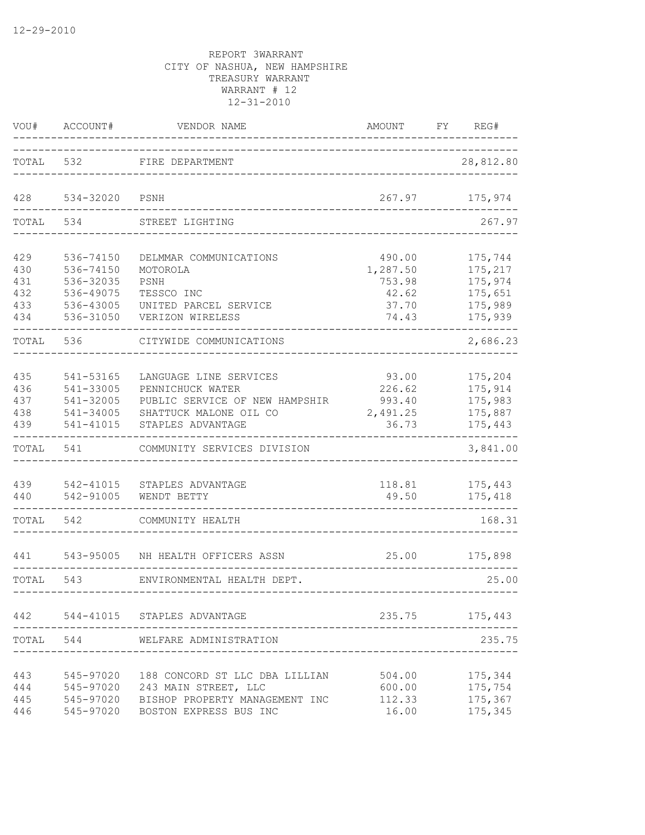| VOU#                                   | ACCOUNT#                                                                   | VENDOR NAME                                                                                                                 | AMOUNT                                                  | FY. | REG#                                                           |
|----------------------------------------|----------------------------------------------------------------------------|-----------------------------------------------------------------------------------------------------------------------------|---------------------------------------------------------|-----|----------------------------------------------------------------|
| TOTAL                                  | 532                                                                        | FIRE DEPARTMENT                                                                                                             |                                                         |     | 28,812.80                                                      |
| 428                                    | 534-32020                                                                  | PSNH                                                                                                                        | 267.97                                                  |     | 175,974                                                        |
| TOTAL                                  | 534                                                                        | STREET LIGHTING                                                                                                             |                                                         |     | 267.97                                                         |
| 429<br>430<br>431<br>432<br>433<br>434 | 536-74150<br>536-74150<br>536-32035<br>536-49075<br>536-43005<br>536-31050 | DELMMAR COMMUNICATIONS<br>MOTOROLA<br>PSNH<br>TESSCO INC<br>UNITED PARCEL SERVICE<br>VERIZON WIRELESS                       | 490.00<br>1,287.50<br>753.98<br>42.62<br>37.70<br>74.43 |     | 175,744<br>175,217<br>175,974<br>175,651<br>175,989<br>175,939 |
| TOTAL                                  | 536                                                                        | CITYWIDE COMMUNICATIONS                                                                                                     |                                                         |     | 2,686.23                                                       |
| 435<br>436<br>437<br>438<br>439        | 541-53165<br>541-33005<br>541-32005<br>541-34005<br>541-41015              | LANGUAGE LINE SERVICES<br>PENNICHUCK WATER<br>PUBLIC SERVICE OF NEW HAMPSHIR<br>SHATTUCK MALONE OIL CO<br>STAPLES ADVANTAGE | 93.00<br>226.62<br>993.40<br>2,491.25<br>36.73          |     | 175,204<br>175,914<br>175,983<br>175,887<br>175,443            |
| TOTAL                                  | 541                                                                        | COMMUNITY SERVICES DIVISION                                                                                                 |                                                         |     | 3,841.00                                                       |
| 439<br>440                             | 542-41015<br>542-91005                                                     | STAPLES ADVANTAGE<br>WENDT BETTY                                                                                            | 118.81<br>49.50                                         |     | 175,443<br>175,418                                             |
| TOTAL                                  | 542                                                                        | COMMUNITY HEALTH                                                                                                            |                                                         |     | 168.31                                                         |
| 441                                    | 543-95005                                                                  | NH HEALTH OFFICERS ASSN                                                                                                     | 25.00                                                   |     | 175,898                                                        |
| TOTAL                                  | 543                                                                        | ENVIRONMENTAL HEALTH DEPT.                                                                                                  |                                                         |     | 25.00<br>-----------                                           |
|                                        |                                                                            | 442 544-41015 STAPLES ADVANTAGE                                                                                             | 235.75                                                  |     | 175,443                                                        |
| TOTAL 544                              |                                                                            | WELFARE ADMINISTRATION                                                                                                      |                                                         |     | 235.75                                                         |
| 443<br>444<br>445<br>446               | 545-97020<br>545-97020<br>545-97020<br>545-97020                           | 188 CONCORD ST LLC DBA LILLIAN<br>243 MAIN STREET, LLC<br>BISHOP PROPERTY MANAGEMENT INC<br>BOSTON EXPRESS BUS INC          | 504.00<br>600.00<br>112.33<br>16.00                     |     | 175,344<br>175,754<br>175,367<br>175,345                       |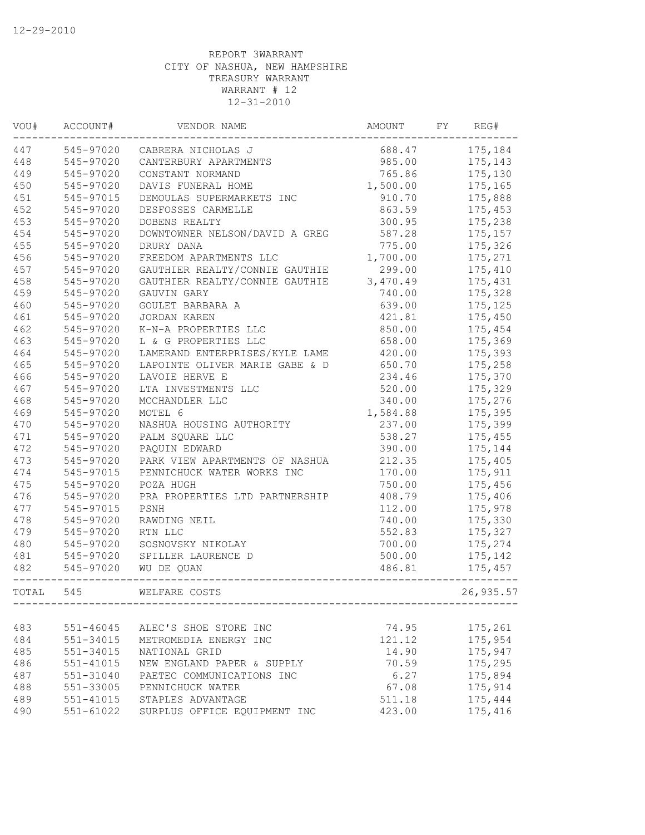| VOU#  | ACCOUNT#  | VENDOR NAME                    | AMOUNT   | FY | REG#      |
|-------|-----------|--------------------------------|----------|----|-----------|
| 447   | 545-97020 | CABRERA NICHOLAS J             | 688.47   |    | 175,184   |
| 448   | 545-97020 | CANTERBURY APARTMENTS          | 985.00   |    | 175,143   |
| 449   | 545-97020 | CONSTANT NORMAND               | 765.86   |    | 175,130   |
| 450   | 545-97020 | DAVIS FUNERAL HOME             | 1,500.00 |    | 175,165   |
| 451   | 545-97015 | DEMOULAS SUPERMARKETS INC      | 910.70   |    | 175,888   |
| 452   | 545-97020 | DESFOSSES CARMELLE             | 863.59   |    | 175,453   |
| 453   | 545-97020 | DOBENS REALTY                  | 300.95   |    | 175,238   |
| 454   | 545-97020 | DOWNTOWNER NELSON/DAVID A GREG | 587.28   |    | 175,157   |
| 455   | 545-97020 | DRURY DANA                     | 775.00   |    | 175,326   |
| 456   | 545-97020 | FREEDOM APARTMENTS LLC         | 1,700.00 |    | 175,271   |
| 457   | 545-97020 | GAUTHIER REALTY/CONNIE GAUTHIE | 299.00   |    | 175,410   |
| 458   | 545-97020 | GAUTHIER REALTY/CONNIE GAUTHIE | 3,470.49 |    | 175,431   |
| 459   | 545-97020 | GAUVIN GARY                    | 740.00   |    | 175,328   |
| 460   | 545-97020 | GOULET BARBARA A               | 639.00   |    | 175, 125  |
| 461   | 545-97020 | <b>JORDAN KAREN</b>            | 421.81   |    | 175,450   |
| 462   | 545-97020 | K-N-A PROPERTIES LLC           | 850.00   |    | 175,454   |
| 463   | 545-97020 | L & G PROPERTIES LLC           | 658.00   |    | 175,369   |
| 464   | 545-97020 | LAMERAND ENTERPRISES/KYLE LAME | 420.00   |    | 175,393   |
| 465   | 545-97020 | LAPOINTE OLIVER MARIE GABE & D | 650.70   |    | 175,258   |
| 466   | 545-97020 | LAVOIE HERVE E                 | 234.46   |    | 175,370   |
| 467   | 545-97020 | LTA INVESTMENTS LLC            | 520.00   |    | 175,329   |
| 468   | 545-97020 | MCCHANDLER LLC                 | 340.00   |    | 175,276   |
| 469   | 545-97020 | MOTEL 6                        | 1,584.88 |    | 175,395   |
| 470   | 545-97020 | NASHUA HOUSING AUTHORITY       | 237.00   |    | 175,399   |
| 471   | 545-97020 | PALM SQUARE LLC                | 538.27   |    | 175,455   |
| 472   | 545-97020 | PAQUIN EDWARD                  | 390.00   |    | 175,144   |
| 473   | 545-97020 | PARK VIEW APARTMENTS OF NASHUA | 212.35   |    | 175,405   |
| 474   | 545-97015 | PENNICHUCK WATER WORKS INC     | 170.00   |    | 175,911   |
| 475   | 545-97020 | POZA HUGH                      | 750.00   |    | 175,456   |
| 476   | 545-97020 | PRA PROPERTIES LTD PARTNERSHIP | 408.79   |    | 175,406   |
| 477   | 545-97015 | PSNH                           | 112.00   |    | 175,978   |
| 478   | 545-97020 | RAWDING NEIL                   | 740.00   |    | 175,330   |
| 479   | 545-97020 | RTN LLC                        | 552.83   |    | 175,327   |
| 480   | 545-97020 | SOSNOVSKY NIKOLAY              | 700.00   |    | 175,274   |
| 481   | 545-97020 | SPILLER LAURENCE D             | 500.00   |    | 175,142   |
| 482   | 545-97020 | WU DE QUAN                     | 486.81   |    | 175,457   |
| TOTAL | 545       | WELFARE COSTS                  |          |    | 26,935.57 |
|       |           |                                |          |    |           |
| 483   | 551-46045 | ALEC'S SHOE STORE INC          | 74.95    |    | 175,261   |
| 484   | 551-34015 | METROMEDIA ENERGY INC          | 121.12   |    | 175,954   |
| 485   | 551-34015 | NATIONAL GRID                  | 14.90    |    | 175,947   |
| 486   | 551-41015 | NEW ENGLAND PAPER & SUPPLY     | 70.59    |    | 175,295   |
| 487   | 551-31040 | PAETEC COMMUNICATIONS INC      | 6.27     |    | 175,894   |
| 488   | 551-33005 | PENNICHUCK WATER               | 67.08    |    | 175,914   |
| 489   | 551-41015 | STAPLES ADVANTAGE              | 511.18   |    | 175,444   |
| 490   | 551-61022 | SURPLUS OFFICE EQUIPMENT INC   | 423.00   |    | 175,416   |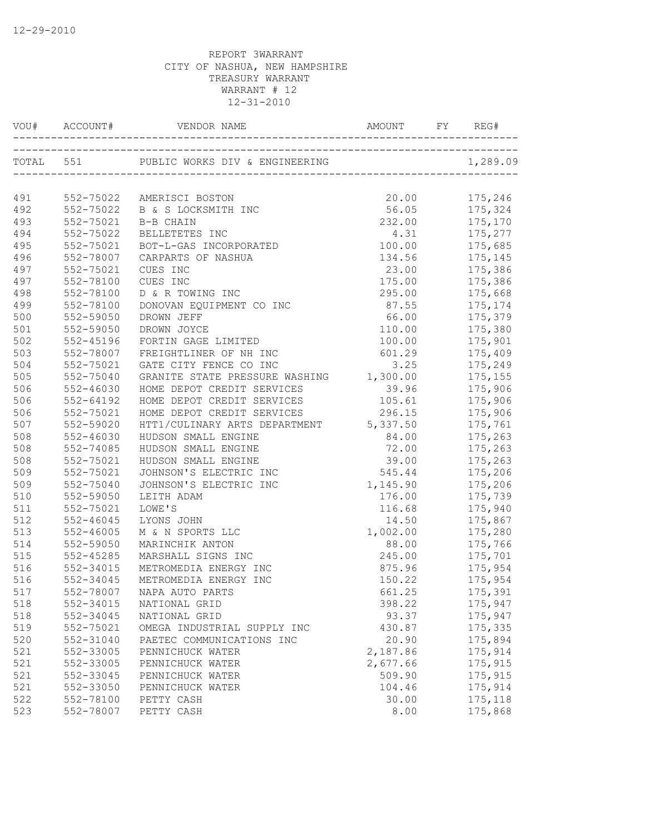| TOTAL 551<br>1,289.09<br>491<br>20.00<br>175,246<br>552-75022 AMERISCI BOSTON<br>56.05 175,324<br>492<br>552-75022<br>B & S LOCKSMITH INC<br>493<br>552-75021<br>232.00<br>175,170<br>B-B CHAIN<br>494<br>552-75022<br>4.31<br>BELLETETES INC<br>$1/5, 2/3$<br>175,685<br>495<br>552-75021<br>BOT-L-GAS INCORPORATED<br>100.00<br>175,145<br>496<br>552-78007<br>134.56<br>CARPARTS OF NASHUA<br>23.00 175,386<br>497<br>552-75021<br>CUES INC<br>497<br>552-78100<br>CUES INC<br>175.00<br>175,386<br>498<br>552-78100<br>D & R TOWING INC<br>295.00<br>175,668<br>499<br>552-78100<br>DONOVAN EQUIPMENT CO INC<br>87.55<br>175,174<br>500<br>66.00<br>552-59050<br>DROWN JEFF<br>175,379<br>501<br>552-59050<br>DROWN JOYCE<br>110.00<br>175,380<br>502<br>552-45196<br>FORTIN GAGE LIMITED<br>100.00<br>175,901<br>503<br>552-78007<br>FREIGHTLINER OF NH INC<br>601.29<br>175,409<br>504<br>552-75021<br>GATE CITY FENCE CO INC<br>3.25<br>175,249<br>1,300.00<br>505<br>GRANITE STATE PRESSURE WASHING<br>552-75040<br>175,155<br>506<br>552-46030<br>HOME DEPOT CREDIT SERVICES<br>39.96<br>175,906<br>506<br>552-64192<br>HOME DEPOT CREDIT SERVICES<br>105.61<br>175,906<br>506<br>552-75021<br>HOME DEPOT CREDIT SERVICES<br>296.15<br>175,906<br>507<br>552-59020<br>HTT1/CULINARY ARTS DEPARTMENT 5,337.50<br>175,761<br>508<br>$552 - 46030$<br>84.00<br>175,263<br>HUDSON SMALL ENGINE<br>508<br>552-74085<br>HUDSON SMALL ENGINE<br>72.00<br>175,263<br>508<br>552-75021<br>HUDSON SMALL ENGINE<br>39.00<br>175,263<br>JOHNSON'S ELECTRIC INC<br>545.44<br>509<br>552-75021<br>175,206<br>1,145.90<br>509<br>552-75040<br>JOHNSON'S ELECTRIC INC<br>175,206<br>510<br>552-59050<br>176.00<br>175,739<br>LEITH ADAM<br>511<br>552-75021<br>LOWE'S<br>175,940<br>116.68<br>512<br>$552 - 46045$<br>LYONS JOHN<br>14.50<br>175,867<br>513<br>1,002.00<br>$552 - 46005$<br>M & N SPORTS LLC<br>175,280<br>514<br>552-59050<br>MARINCHIK ANTON<br>88.00<br>175,766<br>175,701<br>175,954<br>515<br>$552 - 45285$<br>MARSHALL SIGNS INC<br>245.00<br>516<br>552-34015<br>METROMEDIA ENERGY INC<br>875.96<br>175,954<br>516<br>552-34045<br>METROMEDIA ENERGY INC<br>150.22<br>661.25<br>517<br>552-78007 NAPA AUTO PARTS<br>175,391<br>552-34015<br>175,947<br>518<br>398.22<br>NATIONAL GRID<br>518<br>552-34045<br>93.37<br>175,947<br>NATIONAL GRID<br>519<br>552-75021<br>430.87<br>175,335<br>OMEGA INDUSTRIAL SUPPLY INC<br>520<br>552-31040<br>PAETEC COMMUNICATIONS INC<br>20.90<br>175,894<br>521<br>552-33005<br>2,187.86<br>175,914<br>PENNICHUCK WATER<br>521<br>2,677.66<br>175,915<br>552-33005<br>PENNICHUCK WATER<br>521<br>509.90<br>175,915<br>552-33045<br>PENNICHUCK WATER<br>521<br>552-33050<br>104.46<br>175,914<br>PENNICHUCK WATER<br>522<br>552-78100<br>30.00<br>175,118<br>PETTY CASH<br>523<br>552-78007<br>PETTY CASH<br>8.00<br>175,868 | VOU# ACCOUNT# |  | REG# |
|--------------------------------------------------------------------------------------------------------------------------------------------------------------------------------------------------------------------------------------------------------------------------------------------------------------------------------------------------------------------------------------------------------------------------------------------------------------------------------------------------------------------------------------------------------------------------------------------------------------------------------------------------------------------------------------------------------------------------------------------------------------------------------------------------------------------------------------------------------------------------------------------------------------------------------------------------------------------------------------------------------------------------------------------------------------------------------------------------------------------------------------------------------------------------------------------------------------------------------------------------------------------------------------------------------------------------------------------------------------------------------------------------------------------------------------------------------------------------------------------------------------------------------------------------------------------------------------------------------------------------------------------------------------------------------------------------------------------------------------------------------------------------------------------------------------------------------------------------------------------------------------------------------------------------------------------------------------------------------------------------------------------------------------------------------------------------------------------------------------------------------------------------------------------------------------------------------------------------------------------------------------------------------------------------------------------------------------------------------------------------------------------------------------------------------------------------------------------------------------------------------------------------------------------------------------------------------------------------------------------------------------------------------------------------------------------------------------------------------------------------------------------------------------------------------------------------------------------------------------------------------|---------------|--|------|
|                                                                                                                                                                                                                                                                                                                                                                                                                                                                                                                                                                                                                                                                                                                                                                                                                                                                                                                                                                                                                                                                                                                                                                                                                                                                                                                                                                                                                                                                                                                                                                                                                                                                                                                                                                                                                                                                                                                                                                                                                                                                                                                                                                                                                                                                                                                                                                                                                                                                                                                                                                                                                                                                                                                                                                                                                                                                                |               |  |      |
|                                                                                                                                                                                                                                                                                                                                                                                                                                                                                                                                                                                                                                                                                                                                                                                                                                                                                                                                                                                                                                                                                                                                                                                                                                                                                                                                                                                                                                                                                                                                                                                                                                                                                                                                                                                                                                                                                                                                                                                                                                                                                                                                                                                                                                                                                                                                                                                                                                                                                                                                                                                                                                                                                                                                                                                                                                                                                |               |  |      |
|                                                                                                                                                                                                                                                                                                                                                                                                                                                                                                                                                                                                                                                                                                                                                                                                                                                                                                                                                                                                                                                                                                                                                                                                                                                                                                                                                                                                                                                                                                                                                                                                                                                                                                                                                                                                                                                                                                                                                                                                                                                                                                                                                                                                                                                                                                                                                                                                                                                                                                                                                                                                                                                                                                                                                                                                                                                                                |               |  |      |
|                                                                                                                                                                                                                                                                                                                                                                                                                                                                                                                                                                                                                                                                                                                                                                                                                                                                                                                                                                                                                                                                                                                                                                                                                                                                                                                                                                                                                                                                                                                                                                                                                                                                                                                                                                                                                                                                                                                                                                                                                                                                                                                                                                                                                                                                                                                                                                                                                                                                                                                                                                                                                                                                                                                                                                                                                                                                                |               |  |      |
|                                                                                                                                                                                                                                                                                                                                                                                                                                                                                                                                                                                                                                                                                                                                                                                                                                                                                                                                                                                                                                                                                                                                                                                                                                                                                                                                                                                                                                                                                                                                                                                                                                                                                                                                                                                                                                                                                                                                                                                                                                                                                                                                                                                                                                                                                                                                                                                                                                                                                                                                                                                                                                                                                                                                                                                                                                                                                |               |  |      |
|                                                                                                                                                                                                                                                                                                                                                                                                                                                                                                                                                                                                                                                                                                                                                                                                                                                                                                                                                                                                                                                                                                                                                                                                                                                                                                                                                                                                                                                                                                                                                                                                                                                                                                                                                                                                                                                                                                                                                                                                                                                                                                                                                                                                                                                                                                                                                                                                                                                                                                                                                                                                                                                                                                                                                                                                                                                                                |               |  |      |
|                                                                                                                                                                                                                                                                                                                                                                                                                                                                                                                                                                                                                                                                                                                                                                                                                                                                                                                                                                                                                                                                                                                                                                                                                                                                                                                                                                                                                                                                                                                                                                                                                                                                                                                                                                                                                                                                                                                                                                                                                                                                                                                                                                                                                                                                                                                                                                                                                                                                                                                                                                                                                                                                                                                                                                                                                                                                                |               |  |      |
|                                                                                                                                                                                                                                                                                                                                                                                                                                                                                                                                                                                                                                                                                                                                                                                                                                                                                                                                                                                                                                                                                                                                                                                                                                                                                                                                                                                                                                                                                                                                                                                                                                                                                                                                                                                                                                                                                                                                                                                                                                                                                                                                                                                                                                                                                                                                                                                                                                                                                                                                                                                                                                                                                                                                                                                                                                                                                |               |  |      |
|                                                                                                                                                                                                                                                                                                                                                                                                                                                                                                                                                                                                                                                                                                                                                                                                                                                                                                                                                                                                                                                                                                                                                                                                                                                                                                                                                                                                                                                                                                                                                                                                                                                                                                                                                                                                                                                                                                                                                                                                                                                                                                                                                                                                                                                                                                                                                                                                                                                                                                                                                                                                                                                                                                                                                                                                                                                                                |               |  |      |
|                                                                                                                                                                                                                                                                                                                                                                                                                                                                                                                                                                                                                                                                                                                                                                                                                                                                                                                                                                                                                                                                                                                                                                                                                                                                                                                                                                                                                                                                                                                                                                                                                                                                                                                                                                                                                                                                                                                                                                                                                                                                                                                                                                                                                                                                                                                                                                                                                                                                                                                                                                                                                                                                                                                                                                                                                                                                                |               |  |      |
|                                                                                                                                                                                                                                                                                                                                                                                                                                                                                                                                                                                                                                                                                                                                                                                                                                                                                                                                                                                                                                                                                                                                                                                                                                                                                                                                                                                                                                                                                                                                                                                                                                                                                                                                                                                                                                                                                                                                                                                                                                                                                                                                                                                                                                                                                                                                                                                                                                                                                                                                                                                                                                                                                                                                                                                                                                                                                |               |  |      |
|                                                                                                                                                                                                                                                                                                                                                                                                                                                                                                                                                                                                                                                                                                                                                                                                                                                                                                                                                                                                                                                                                                                                                                                                                                                                                                                                                                                                                                                                                                                                                                                                                                                                                                                                                                                                                                                                                                                                                                                                                                                                                                                                                                                                                                                                                                                                                                                                                                                                                                                                                                                                                                                                                                                                                                                                                                                                                |               |  |      |
|                                                                                                                                                                                                                                                                                                                                                                                                                                                                                                                                                                                                                                                                                                                                                                                                                                                                                                                                                                                                                                                                                                                                                                                                                                                                                                                                                                                                                                                                                                                                                                                                                                                                                                                                                                                                                                                                                                                                                                                                                                                                                                                                                                                                                                                                                                                                                                                                                                                                                                                                                                                                                                                                                                                                                                                                                                                                                |               |  |      |
|                                                                                                                                                                                                                                                                                                                                                                                                                                                                                                                                                                                                                                                                                                                                                                                                                                                                                                                                                                                                                                                                                                                                                                                                                                                                                                                                                                                                                                                                                                                                                                                                                                                                                                                                                                                                                                                                                                                                                                                                                                                                                                                                                                                                                                                                                                                                                                                                                                                                                                                                                                                                                                                                                                                                                                                                                                                                                |               |  |      |
|                                                                                                                                                                                                                                                                                                                                                                                                                                                                                                                                                                                                                                                                                                                                                                                                                                                                                                                                                                                                                                                                                                                                                                                                                                                                                                                                                                                                                                                                                                                                                                                                                                                                                                                                                                                                                                                                                                                                                                                                                                                                                                                                                                                                                                                                                                                                                                                                                                                                                                                                                                                                                                                                                                                                                                                                                                                                                |               |  |      |
|                                                                                                                                                                                                                                                                                                                                                                                                                                                                                                                                                                                                                                                                                                                                                                                                                                                                                                                                                                                                                                                                                                                                                                                                                                                                                                                                                                                                                                                                                                                                                                                                                                                                                                                                                                                                                                                                                                                                                                                                                                                                                                                                                                                                                                                                                                                                                                                                                                                                                                                                                                                                                                                                                                                                                                                                                                                                                |               |  |      |
|                                                                                                                                                                                                                                                                                                                                                                                                                                                                                                                                                                                                                                                                                                                                                                                                                                                                                                                                                                                                                                                                                                                                                                                                                                                                                                                                                                                                                                                                                                                                                                                                                                                                                                                                                                                                                                                                                                                                                                                                                                                                                                                                                                                                                                                                                                                                                                                                                                                                                                                                                                                                                                                                                                                                                                                                                                                                                |               |  |      |
|                                                                                                                                                                                                                                                                                                                                                                                                                                                                                                                                                                                                                                                                                                                                                                                                                                                                                                                                                                                                                                                                                                                                                                                                                                                                                                                                                                                                                                                                                                                                                                                                                                                                                                                                                                                                                                                                                                                                                                                                                                                                                                                                                                                                                                                                                                                                                                                                                                                                                                                                                                                                                                                                                                                                                                                                                                                                                |               |  |      |
|                                                                                                                                                                                                                                                                                                                                                                                                                                                                                                                                                                                                                                                                                                                                                                                                                                                                                                                                                                                                                                                                                                                                                                                                                                                                                                                                                                                                                                                                                                                                                                                                                                                                                                                                                                                                                                                                                                                                                                                                                                                                                                                                                                                                                                                                                                                                                                                                                                                                                                                                                                                                                                                                                                                                                                                                                                                                                |               |  |      |
|                                                                                                                                                                                                                                                                                                                                                                                                                                                                                                                                                                                                                                                                                                                                                                                                                                                                                                                                                                                                                                                                                                                                                                                                                                                                                                                                                                                                                                                                                                                                                                                                                                                                                                                                                                                                                                                                                                                                                                                                                                                                                                                                                                                                                                                                                                                                                                                                                                                                                                                                                                                                                                                                                                                                                                                                                                                                                |               |  |      |
|                                                                                                                                                                                                                                                                                                                                                                                                                                                                                                                                                                                                                                                                                                                                                                                                                                                                                                                                                                                                                                                                                                                                                                                                                                                                                                                                                                                                                                                                                                                                                                                                                                                                                                                                                                                                                                                                                                                                                                                                                                                                                                                                                                                                                                                                                                                                                                                                                                                                                                                                                                                                                                                                                                                                                                                                                                                                                |               |  |      |
|                                                                                                                                                                                                                                                                                                                                                                                                                                                                                                                                                                                                                                                                                                                                                                                                                                                                                                                                                                                                                                                                                                                                                                                                                                                                                                                                                                                                                                                                                                                                                                                                                                                                                                                                                                                                                                                                                                                                                                                                                                                                                                                                                                                                                                                                                                                                                                                                                                                                                                                                                                                                                                                                                                                                                                                                                                                                                |               |  |      |
|                                                                                                                                                                                                                                                                                                                                                                                                                                                                                                                                                                                                                                                                                                                                                                                                                                                                                                                                                                                                                                                                                                                                                                                                                                                                                                                                                                                                                                                                                                                                                                                                                                                                                                                                                                                                                                                                                                                                                                                                                                                                                                                                                                                                                                                                                                                                                                                                                                                                                                                                                                                                                                                                                                                                                                                                                                                                                |               |  |      |
|                                                                                                                                                                                                                                                                                                                                                                                                                                                                                                                                                                                                                                                                                                                                                                                                                                                                                                                                                                                                                                                                                                                                                                                                                                                                                                                                                                                                                                                                                                                                                                                                                                                                                                                                                                                                                                                                                                                                                                                                                                                                                                                                                                                                                                                                                                                                                                                                                                                                                                                                                                                                                                                                                                                                                                                                                                                                                |               |  |      |
|                                                                                                                                                                                                                                                                                                                                                                                                                                                                                                                                                                                                                                                                                                                                                                                                                                                                                                                                                                                                                                                                                                                                                                                                                                                                                                                                                                                                                                                                                                                                                                                                                                                                                                                                                                                                                                                                                                                                                                                                                                                                                                                                                                                                                                                                                                                                                                                                                                                                                                                                                                                                                                                                                                                                                                                                                                                                                |               |  |      |
|                                                                                                                                                                                                                                                                                                                                                                                                                                                                                                                                                                                                                                                                                                                                                                                                                                                                                                                                                                                                                                                                                                                                                                                                                                                                                                                                                                                                                                                                                                                                                                                                                                                                                                                                                                                                                                                                                                                                                                                                                                                                                                                                                                                                                                                                                                                                                                                                                                                                                                                                                                                                                                                                                                                                                                                                                                                                                |               |  |      |
|                                                                                                                                                                                                                                                                                                                                                                                                                                                                                                                                                                                                                                                                                                                                                                                                                                                                                                                                                                                                                                                                                                                                                                                                                                                                                                                                                                                                                                                                                                                                                                                                                                                                                                                                                                                                                                                                                                                                                                                                                                                                                                                                                                                                                                                                                                                                                                                                                                                                                                                                                                                                                                                                                                                                                                                                                                                                                |               |  |      |
|                                                                                                                                                                                                                                                                                                                                                                                                                                                                                                                                                                                                                                                                                                                                                                                                                                                                                                                                                                                                                                                                                                                                                                                                                                                                                                                                                                                                                                                                                                                                                                                                                                                                                                                                                                                                                                                                                                                                                                                                                                                                                                                                                                                                                                                                                                                                                                                                                                                                                                                                                                                                                                                                                                                                                                                                                                                                                |               |  |      |
|                                                                                                                                                                                                                                                                                                                                                                                                                                                                                                                                                                                                                                                                                                                                                                                                                                                                                                                                                                                                                                                                                                                                                                                                                                                                                                                                                                                                                                                                                                                                                                                                                                                                                                                                                                                                                                                                                                                                                                                                                                                                                                                                                                                                                                                                                                                                                                                                                                                                                                                                                                                                                                                                                                                                                                                                                                                                                |               |  |      |
|                                                                                                                                                                                                                                                                                                                                                                                                                                                                                                                                                                                                                                                                                                                                                                                                                                                                                                                                                                                                                                                                                                                                                                                                                                                                                                                                                                                                                                                                                                                                                                                                                                                                                                                                                                                                                                                                                                                                                                                                                                                                                                                                                                                                                                                                                                                                                                                                                                                                                                                                                                                                                                                                                                                                                                                                                                                                                |               |  |      |
|                                                                                                                                                                                                                                                                                                                                                                                                                                                                                                                                                                                                                                                                                                                                                                                                                                                                                                                                                                                                                                                                                                                                                                                                                                                                                                                                                                                                                                                                                                                                                                                                                                                                                                                                                                                                                                                                                                                                                                                                                                                                                                                                                                                                                                                                                                                                                                                                                                                                                                                                                                                                                                                                                                                                                                                                                                                                                |               |  |      |
|                                                                                                                                                                                                                                                                                                                                                                                                                                                                                                                                                                                                                                                                                                                                                                                                                                                                                                                                                                                                                                                                                                                                                                                                                                                                                                                                                                                                                                                                                                                                                                                                                                                                                                                                                                                                                                                                                                                                                                                                                                                                                                                                                                                                                                                                                                                                                                                                                                                                                                                                                                                                                                                                                                                                                                                                                                                                                |               |  |      |
|                                                                                                                                                                                                                                                                                                                                                                                                                                                                                                                                                                                                                                                                                                                                                                                                                                                                                                                                                                                                                                                                                                                                                                                                                                                                                                                                                                                                                                                                                                                                                                                                                                                                                                                                                                                                                                                                                                                                                                                                                                                                                                                                                                                                                                                                                                                                                                                                                                                                                                                                                                                                                                                                                                                                                                                                                                                                                |               |  |      |
|                                                                                                                                                                                                                                                                                                                                                                                                                                                                                                                                                                                                                                                                                                                                                                                                                                                                                                                                                                                                                                                                                                                                                                                                                                                                                                                                                                                                                                                                                                                                                                                                                                                                                                                                                                                                                                                                                                                                                                                                                                                                                                                                                                                                                                                                                                                                                                                                                                                                                                                                                                                                                                                                                                                                                                                                                                                                                |               |  |      |
|                                                                                                                                                                                                                                                                                                                                                                                                                                                                                                                                                                                                                                                                                                                                                                                                                                                                                                                                                                                                                                                                                                                                                                                                                                                                                                                                                                                                                                                                                                                                                                                                                                                                                                                                                                                                                                                                                                                                                                                                                                                                                                                                                                                                                                                                                                                                                                                                                                                                                                                                                                                                                                                                                                                                                                                                                                                                                |               |  |      |
|                                                                                                                                                                                                                                                                                                                                                                                                                                                                                                                                                                                                                                                                                                                                                                                                                                                                                                                                                                                                                                                                                                                                                                                                                                                                                                                                                                                                                                                                                                                                                                                                                                                                                                                                                                                                                                                                                                                                                                                                                                                                                                                                                                                                                                                                                                                                                                                                                                                                                                                                                                                                                                                                                                                                                                                                                                                                                |               |  |      |
|                                                                                                                                                                                                                                                                                                                                                                                                                                                                                                                                                                                                                                                                                                                                                                                                                                                                                                                                                                                                                                                                                                                                                                                                                                                                                                                                                                                                                                                                                                                                                                                                                                                                                                                                                                                                                                                                                                                                                                                                                                                                                                                                                                                                                                                                                                                                                                                                                                                                                                                                                                                                                                                                                                                                                                                                                                                                                |               |  |      |
|                                                                                                                                                                                                                                                                                                                                                                                                                                                                                                                                                                                                                                                                                                                                                                                                                                                                                                                                                                                                                                                                                                                                                                                                                                                                                                                                                                                                                                                                                                                                                                                                                                                                                                                                                                                                                                                                                                                                                                                                                                                                                                                                                                                                                                                                                                                                                                                                                                                                                                                                                                                                                                                                                                                                                                                                                                                                                |               |  |      |
|                                                                                                                                                                                                                                                                                                                                                                                                                                                                                                                                                                                                                                                                                                                                                                                                                                                                                                                                                                                                                                                                                                                                                                                                                                                                                                                                                                                                                                                                                                                                                                                                                                                                                                                                                                                                                                                                                                                                                                                                                                                                                                                                                                                                                                                                                                                                                                                                                                                                                                                                                                                                                                                                                                                                                                                                                                                                                |               |  |      |
|                                                                                                                                                                                                                                                                                                                                                                                                                                                                                                                                                                                                                                                                                                                                                                                                                                                                                                                                                                                                                                                                                                                                                                                                                                                                                                                                                                                                                                                                                                                                                                                                                                                                                                                                                                                                                                                                                                                                                                                                                                                                                                                                                                                                                                                                                                                                                                                                                                                                                                                                                                                                                                                                                                                                                                                                                                                                                |               |  |      |
|                                                                                                                                                                                                                                                                                                                                                                                                                                                                                                                                                                                                                                                                                                                                                                                                                                                                                                                                                                                                                                                                                                                                                                                                                                                                                                                                                                                                                                                                                                                                                                                                                                                                                                                                                                                                                                                                                                                                                                                                                                                                                                                                                                                                                                                                                                                                                                                                                                                                                                                                                                                                                                                                                                                                                                                                                                                                                |               |  |      |
|                                                                                                                                                                                                                                                                                                                                                                                                                                                                                                                                                                                                                                                                                                                                                                                                                                                                                                                                                                                                                                                                                                                                                                                                                                                                                                                                                                                                                                                                                                                                                                                                                                                                                                                                                                                                                                                                                                                                                                                                                                                                                                                                                                                                                                                                                                                                                                                                                                                                                                                                                                                                                                                                                                                                                                                                                                                                                |               |  |      |
|                                                                                                                                                                                                                                                                                                                                                                                                                                                                                                                                                                                                                                                                                                                                                                                                                                                                                                                                                                                                                                                                                                                                                                                                                                                                                                                                                                                                                                                                                                                                                                                                                                                                                                                                                                                                                                                                                                                                                                                                                                                                                                                                                                                                                                                                                                                                                                                                                                                                                                                                                                                                                                                                                                                                                                                                                                                                                |               |  |      |
|                                                                                                                                                                                                                                                                                                                                                                                                                                                                                                                                                                                                                                                                                                                                                                                                                                                                                                                                                                                                                                                                                                                                                                                                                                                                                                                                                                                                                                                                                                                                                                                                                                                                                                                                                                                                                                                                                                                                                                                                                                                                                                                                                                                                                                                                                                                                                                                                                                                                                                                                                                                                                                                                                                                                                                                                                                                                                |               |  |      |
|                                                                                                                                                                                                                                                                                                                                                                                                                                                                                                                                                                                                                                                                                                                                                                                                                                                                                                                                                                                                                                                                                                                                                                                                                                                                                                                                                                                                                                                                                                                                                                                                                                                                                                                                                                                                                                                                                                                                                                                                                                                                                                                                                                                                                                                                                                                                                                                                                                                                                                                                                                                                                                                                                                                                                                                                                                                                                |               |  |      |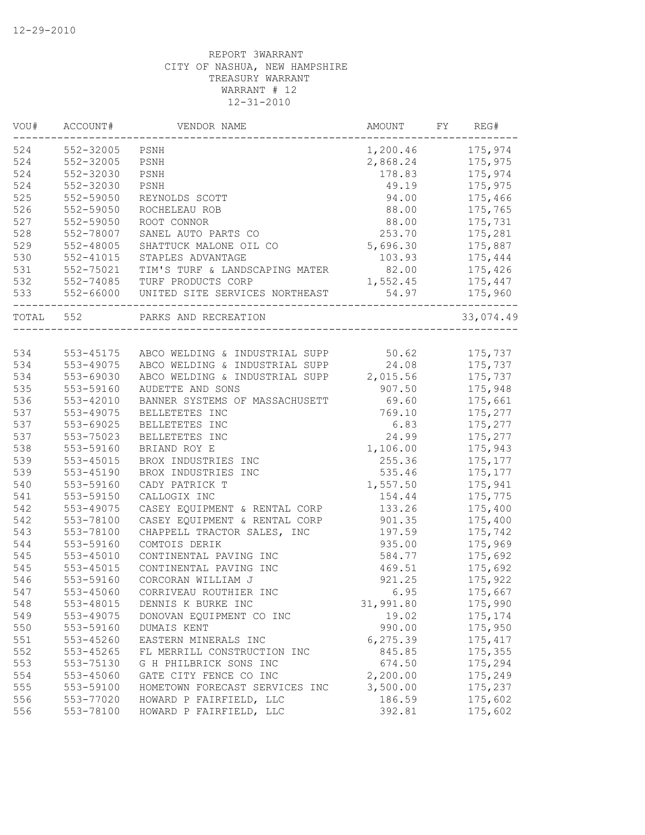| VOU#  | ACCOUNT#      | VENDOR NAME                                    | AMOUNT    | FY | REG#      |
|-------|---------------|------------------------------------------------|-----------|----|-----------|
| 524   | 552-32005     | PSNH                                           | 1,200.46  |    | 175,974   |
| 524   | 552-32005     | PSNH                                           | 2,868.24  |    | 175,975   |
| 524   | 552-32030     | PSNH                                           | 178.83    |    | 175,974   |
| 524   | 552-32030     | PSNH                                           | 49.19     |    | 175,975   |
| 525   | 552-59050     | REYNOLDS SCOTT                                 | 94.00     |    | 175,466   |
| 526   | 552-59050     | ROCHELEAU ROB                                  | 88.00     |    | 175,765   |
| 527   | 552-59050     | ROOT CONNOR                                    | 88.00     |    | 175,731   |
| 528   | 552-78007     | SANEL AUTO PARTS CO                            | 253.70    |    | 175,281   |
| 529   | 552-48005     | SHATTUCK MALONE OIL CO                         | 5,696.30  |    | 175,887   |
| 530   | $552 - 41015$ | STAPLES ADVANTAGE                              | 103.93    |    | 175,444   |
| 531   | 552-75021     | TIM'S TURF & LANDSCAPING MATER                 | 82.00     |    | 175,426   |
| 532   | 552-74085     | TURF PRODUCTS CORP                             | 1,552.45  |    | 175,447   |
| 533   | 552-66000     | UNITED SITE SERVICES NORTHEAST                 | 54.97     |    | 175,960   |
| TOTAL | 552           | PARKS AND RECREATION                           |           |    | 33,074.49 |
|       |               |                                                |           |    |           |
| 534   |               | 553-45175 ABCO WELDING & INDUSTRIAL SUPP 50.62 |           |    | 175,737   |
| 534   | 553-49075     | ABCO WELDING & INDUSTRIAL SUPP                 | 24.08     |    | 175,737   |
| 534   | 553-69030     | ABCO WELDING & INDUSTRIAL SUPP 2,015.56        |           |    | 175,737   |
| 535   | 553-59160     | AUDETTE AND SONS                               | 907.50    |    | 175,948   |
| 536   | 553-42010     | BANNER SYSTEMS OF MASSACHUSETT                 | 69.60     |    | 175,661   |
| 537   | 553-49075     | BELLETETES INC                                 | 769.10    |    | 175,277   |
| 537   | 553-69025     | BELLETETES INC                                 | 6.83      |    | 175,277   |
| 537   | 553-75023     | BELLETETES INC                                 | 24.99     |    | 175,277   |
| 538   | 553-59160     | BRIAND ROY E                                   | 1,106.00  |    | 175,943   |
| 539   | 553-45015     | BROX INDUSTRIES INC                            | 255.36    |    | 175, 177  |
| 539   | 553-45190     | BROX INDUSTRIES INC                            | 535.46    |    | 175,177   |
| 540   | 553-59160     | CADY PATRICK T                                 | 1,557.50  |    | 175,941   |
| 541   | 553-59150     | CALLOGIX INC                                   | 154.44    |    | 175,775   |
| 542   | 553-49075     | CASEY EQUIPMENT & RENTAL CORP                  | 133.26    |    | 175,400   |
| 542   | 553-78100     | CASEY EQUIPMENT & RENTAL CORP                  | 901.35    |    | 175,400   |
| 543   | 553-78100     | CHAPPELL TRACTOR SALES, INC                    | 197.59    |    | 175,742   |
| 544   | 553-59160     | COMTOIS DERIK                                  | 935.00    |    | 175,969   |
| 545   | 553-45010     | CONTINENTAL PAVING INC                         | 584.77    |    | 175,692   |
| 545   | 553-45015     | CONTINENTAL PAVING INC                         | 469.51    |    | 175,692   |
| 546   | 553-59160     | CORCORAN WILLIAM J                             | 921.25    |    | 175,922   |
| 547   | 553-45060     | CORRIVEAU ROUTHIER INC                         | 6.95      |    | 175,667   |
| 548   | 553-48015     | DENNIS K BURKE INC                             | 31,991.80 |    | 175,990   |
| 549   | 553-49075     | DONOVAN EQUIPMENT CO INC                       | 19.02     |    |           |
| 550   |               |                                                |           |    | 175, 174  |
|       | 553-59160     | DUMAIS KENT                                    | 990.00    |    | 175,950   |
| 551   | 553-45260     | EASTERN MINERALS INC                           | 6,275.39  |    | 175, 417  |
| 552   | 553-45265     | FL MERRILL CONSTRUCTION INC                    | 845.85    |    | 175,355   |
| 553   | 553-75130     | G H PHILBRICK SONS INC                         | 674.50    |    | 175,294   |
| 554   | 553-45060     | GATE CITY FENCE CO INC                         | 2,200.00  |    | 175,249   |
| 555   | 553-59100     | HOMETOWN FORECAST SERVICES INC                 | 3,500.00  |    | 175,237   |
| 556   | 553-77020     | HOWARD P FAIRFIELD, LLC                        | 186.59    |    | 175,602   |
| 556   | 553-78100     | HOWARD P FAIRFIELD, LLC                        | 392.81    |    | 175,602   |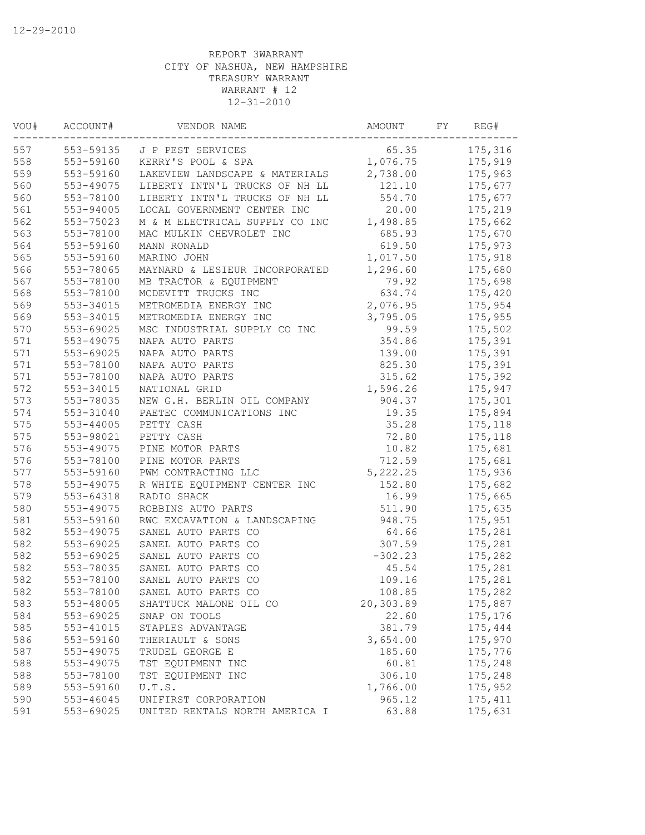| VOU# | ACCOUNT#  | VENDOR NAME                    | AMOUNT    | FY | REG#     |
|------|-----------|--------------------------------|-----------|----|----------|
| 557  | 553-59135 | J P PEST SERVICES              | 65.35     |    | 175,316  |
| 558  | 553-59160 | KERRY'S POOL & SPA             | 1,076.75  |    | 175,919  |
| 559  | 553-59160 | LAKEVIEW LANDSCAPE & MATERIALS | 2,738.00  |    | 175,963  |
| 560  | 553-49075 | LIBERTY INTN'L TRUCKS OF NH LL | 121.10    |    | 175,677  |
| 560  | 553-78100 | LIBERTY INTN'L TRUCKS OF NH LL | 554.70    |    | 175,677  |
| 561  | 553-94005 | LOCAL GOVERNMENT CENTER INC    | 20.00     |    | 175,219  |
| 562  | 553-75023 | M & M ELECTRICAL SUPPLY CO INC | 1,498.85  |    | 175,662  |
| 563  | 553-78100 | MAC MULKIN CHEVROLET INC       | 685.93    |    | 175,670  |
| 564  | 553-59160 | MANN RONALD                    | 619.50    |    | 175,973  |
| 565  | 553-59160 | MARINO JOHN                    | 1,017.50  |    | 175,918  |
| 566  | 553-78065 | MAYNARD & LESIEUR INCORPORATED | 1,296.60  |    | 175,680  |
| 567  | 553-78100 | MB TRACTOR & EQUIPMENT         | 79.92     |    | 175,698  |
| 568  | 553-78100 | MCDEVITT TRUCKS INC            | 634.74    |    | 175,420  |
| 569  | 553-34015 | METROMEDIA ENERGY INC          | 2,076.95  |    | 175,954  |
| 569  | 553-34015 | METROMEDIA ENERGY INC          | 3,795.05  |    | 175,955  |
| 570  | 553-69025 | MSC INDUSTRIAL SUPPLY CO INC   | 99.59     |    | 175,502  |
| 571  | 553-49075 | NAPA AUTO PARTS                | 354.86    |    | 175,391  |
| 571  | 553-69025 | NAPA AUTO PARTS                | 139.00    |    | 175,391  |
| 571  | 553-78100 | NAPA AUTO PARTS                | 825.30    |    | 175,391  |
| 571  | 553-78100 | NAPA AUTO PARTS                | 315.62    |    | 175,392  |
| 572  | 553-34015 | NATIONAL GRID                  | 1,596.26  |    | 175,947  |
| 573  | 553-78035 | NEW G.H. BERLIN OIL COMPANY    | 904.37    |    | 175,301  |
| 574  | 553-31040 | PAETEC COMMUNICATIONS INC      | 19.35     |    | 175,894  |
| 575  | 553-44005 | PETTY CASH                     | 35.28     |    | 175,118  |
| 575  | 553-98021 | PETTY CASH                     | 72.80     |    | 175,118  |
| 576  | 553-49075 | PINE MOTOR PARTS               | 10.82     |    | 175,681  |
| 576  | 553-78100 | PINE MOTOR PARTS               | 712.59    |    | 175,681  |
| 577  | 553-59160 | PWM CONTRACTING LLC            | 5,222.25  |    | 175,936  |
| 578  | 553-49075 | R WHITE EQUIPMENT CENTER INC   | 152.80    |    | 175,682  |
| 579  | 553-64318 | RADIO SHACK                    | 16.99     |    | 175,665  |
| 580  | 553-49075 | ROBBINS AUTO PARTS             | 511.90    |    | 175,635  |
| 581  | 553-59160 | RWC EXCAVATION & LANDSCAPING   | 948.75    |    | 175,951  |
| 582  | 553-49075 | SANEL AUTO PARTS CO            | 64.66     |    | 175,281  |
| 582  | 553-69025 | SANEL AUTO PARTS CO            | 307.59    |    | 175,281  |
| 582  | 553-69025 | SANEL AUTO PARTS CO            | $-302.23$ |    | 175,282  |
| 582  | 553-78035 | SANEL AUTO PARTS CO            | 45.54     |    | 175,281  |
| 582  | 553-78100 | SANEL AUTO PARTS CO            | 109.16    |    | 175,281  |
| 582  | 553-78100 | SANEL AUTO PARTS CO            | 108.85    |    | 175,282  |
| 583  | 553-48005 | SHATTUCK MALONE OIL CO         | 20,303.89 |    | 175,887  |
| 584  | 553-69025 | SNAP ON TOOLS                  | 22.60     |    | 175,176  |
| 585  | 553-41015 | STAPLES ADVANTAGE              | 381.79    |    | 175,444  |
| 586  | 553-59160 | THERIAULT & SONS               | 3,654.00  |    | 175,970  |
| 587  | 553-49075 | TRUDEL GEORGE E                | 185.60    |    | 175,776  |
| 588  | 553-49075 | TST EQUIPMENT INC              | 60.81     |    | 175,248  |
| 588  | 553-78100 | TST EQUIPMENT INC              | 306.10    |    | 175,248  |
| 589  | 553-59160 | U.T.S.                         | 1,766.00  |    | 175,952  |
| 590  | 553-46045 | UNIFIRST CORPORATION           | 965.12    |    | 175, 411 |
| 591  | 553-69025 | UNITED RENTALS NORTH AMERICA I | 63.88     |    | 175,631  |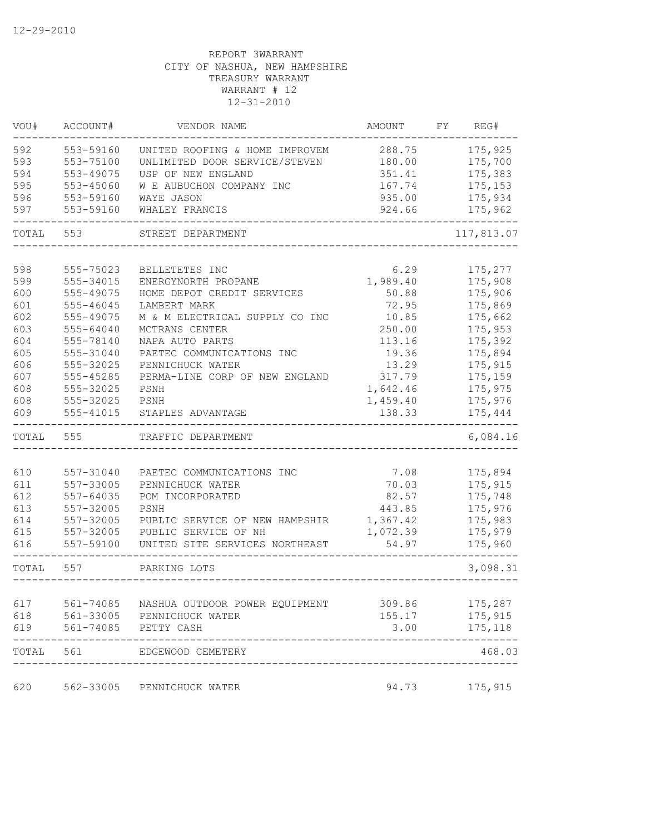| VOU#  | ACCOUNT#      | VENDOR NAME                    | AMOUNT   | FY | REG#       |
|-------|---------------|--------------------------------|----------|----|------------|
| 592   | 553-59160     | UNITED ROOFING & HOME IMPROVEM | 288.75   |    | 175,925    |
| 593   | 553-75100     | UNLIMITED DOOR SERVICE/STEVEN  | 180.00   |    | 175,700    |
| 594   | 553-49075     | USP OF NEW ENGLAND             | 351.41   |    | 175,383    |
| 595   | 553-45060     | W E AUBUCHON COMPANY INC       | 167.74   |    | 175,153    |
| 596   | 553-59160     | WAYE JASON                     | 935.00   |    | 175,934    |
| 597   | 553-59160     | WHALEY FRANCIS                 | 924.66   |    | 175,962    |
| TOTAL | 553           | STREET DEPARTMENT              |          |    | 117,813.07 |
|       |               |                                |          |    |            |
| 598   | 555-75023     | BELLETETES INC                 | 6.29     |    | 175,277    |
| 599   | 555-34015     | ENERGYNORTH PROPANE            | 1,989.40 |    | 175,908    |
| 600   | 555-49075     | HOME DEPOT CREDIT SERVICES     | 50.88    |    | 175,906    |
| 601   | 555-46045     | LAMBERT MARK                   | 72.95    |    | 175,869    |
| 602   | 555-49075     | M & M ELECTRICAL SUPPLY CO INC | 10.85    |    | 175,662    |
| 603   | 555-64040     | MCTRANS CENTER                 | 250.00   |    | 175,953    |
| 604   | 555-78140     | NAPA AUTO PARTS                | 113.16   |    | 175,392    |
| 605   | 555-31040     | PAETEC COMMUNICATIONS INC      | 19.36    |    | 175,894    |
| 606   | 555-32025     | PENNICHUCK WATER               | 13.29    |    | 175,915    |
| 607   | 555-45285     | PERMA-LINE CORP OF NEW ENGLAND | 317.79   |    | 175,159    |
| 608   | 555-32025     | PSNH                           | 1,642.46 |    | 175,975    |
| 608   | 555-32025     | PSNH                           | 1,459.40 |    | 175,976    |
| 609   | 555-41015     | STAPLES ADVANTAGE              | 138.33   |    | 175,444    |
| TOTAL | 555           | TRAFFIC DEPARTMENT             |          |    | 6,084.16   |
|       |               |                                |          |    |            |
| 610   | 557-31040     | PAETEC COMMUNICATIONS INC      | 7.08     |    | 175,894    |
| 611   | 557-33005     | PENNICHUCK WATER               | 70.03    |    | 175,915    |
| 612   | $557 - 64035$ | POM INCORPORATED               | 82.57    |    | 175,748    |
| 613   | 557-32005     | PSNH                           | 443.85   |    | 175,976    |
| 614   | 557-32005     | PUBLIC SERVICE OF NEW HAMPSHIR | 1,367.42 |    | 175,983    |
| 615   | 557-32005     | PUBLIC SERVICE OF NH           | 1,072.39 |    | 175,979    |
| 616   | 557-59100     | UNITED SITE SERVICES NORTHEAST | 54.97    |    | 175,960    |
| TOTAL | 557           | PARKING LOTS                   |          |    | 3,098.31   |
|       |               |                                |          |    |            |
| 617   | $561 - 74085$ | NASHUA OUTDOOR POWER EQUIPMENT | 309.86   |    | 175,287    |
| 618   | 561-33005     | PENNICHUCK WATER               | 155.17   |    | 175,915    |
| 619   | 561-74085     | PETTY CASH                     | 3.00     |    | 175,118    |
| TOTAL | 561           | EDGEWOOD CEMETERY              |          |    | 468.03     |
| 620   | 562-33005     | PENNICHUCK WATER               | 94.73    |    | 175,915    |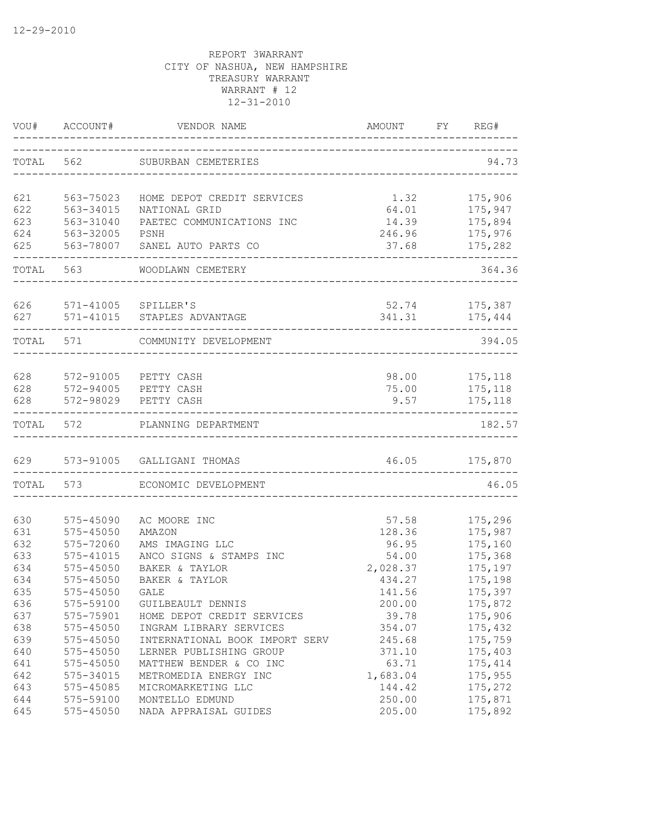|            |                         | VOU# ACCOUNT# VENDOR NAME                                 | AMOUNT FY REG#<br>___________________________ |                                 |
|------------|-------------------------|-----------------------------------------------------------|-----------------------------------------------|---------------------------------|
|            |                         | TOTAL 562 SUBURBAN CEMETERIES                             |                                               | 94.73                           |
|            |                         |                                                           |                                               |                                 |
| 621        | 563-75023               | HOME DEPOT CREDIT SERVICES                                | 1.32                                          | 175,906                         |
| 622        | 563-34015               | NATIONAL GRID                                             |                                               | $64.01$ 175,947                 |
| 623        | 563-31040               | PAETEC COMMUNICATIONS INC                                 |                                               | 14.39 175,894<br>246.96 175,976 |
| 624<br>625 | 563-32005               | PSNH<br>563-78007 SANEL AUTO PARTS CO                     | 37.68                                         | 175,282                         |
|            |                         |                                                           | ___________________________                   |                                 |
|            | TOTAL 563               | WOODLAWN CEMETERY                                         |                                               | 364.36                          |
|            |                         |                                                           |                                               |                                 |
|            | 626 571-41005 SPILLER'S |                                                           |                                               | 52.74 175,387                   |
| 627        |                         | 571-41015 STAPLES ADVANTAGE                               |                                               | 341.31 175,444                  |
|            | TOTAL 571               | COMMUNITY DEVELOPMENT                                     |                                               | 394.05                          |
|            |                         |                                                           |                                               |                                 |
|            |                         | 628 572-91005 PETTY CASH                                  |                                               | 98.00 175,118                   |
|            |                         | 628 572-94005 PETTY CASH                                  |                                               | 75.00 175,118                   |
| 628        |                         | 572-98029 PETTY CASH                                      | 9.57                                          | 175,118                         |
|            | TOTAL 572               | PLANNING DEPARTMENT                                       |                                               | 182.57                          |
|            |                         | 629 573-91005 GALLIGANI THOMAS                            | 46.05 175,870                                 |                                 |
|            |                         | -----------------------<br>TOTAL 573 ECONOMIC DEVELOPMENT |                                               | 46.05                           |
|            |                         |                                                           |                                               |                                 |
| 630        | 575-45090               | AC MOORE INC                                              | 57.58                                         | 175,296                         |
| 631        | 575-45050               | AMAZON                                                    | 128.36                                        | 175,987                         |
| 632        | 575-72060               | AMS IMAGING LLC                                           | 96.95                                         | 175,160                         |
| 633        | 575-41015               | ANCO SIGNS & STAMPS INC                                   | 54.00                                         | 175,368                         |
| 634        | 575-45050               | BAKER & TAYLOR                                            | 2,028.37                                      | 175,197                         |
| 634        | 575-45050               | BAKER & TAYLOR                                            | 434.27                                        | 175,198                         |
| 635        | 575-45050               | GALE                                                      | 141.56                                        | 175,397                         |
| 636        | 575-59100               | GUILBEAULT DENNIS                                         | 200.00                                        | 175,872                         |
| 637        | 575-75901               | HOME DEPOT CREDIT SERVICES                                | 39.78                                         | 175,906                         |
| 638        | 575-45050               | INGRAM LIBRARY SERVICES                                   | 354.07                                        | 175,432                         |
| 639        | $575 - 45050$           | INTERNATIONAL BOOK IMPORT SERV                            | 245.68                                        | 175,759                         |
| 640        | 575-45050               | LERNER PUBLISHING GROUP                                   | 371.10                                        | 175,403                         |
| 641        | 575-45050               | MATTHEW BENDER & CO INC                                   | 63.71                                         | 175, 414                        |
| 642        | 575-34015               | METROMEDIA ENERGY INC                                     | 1,683.04                                      | 175,955                         |
| 643        | 575-45085               | MICROMARKETING LLC                                        | 144.42                                        | 175,272                         |
| 644        | 575-59100               | MONTELLO EDMUND                                           | 250.00                                        | 175,871                         |
| 645        | 575-45050               | NADA APPRAISAL GUIDES                                     | 205.00                                        | 175,892                         |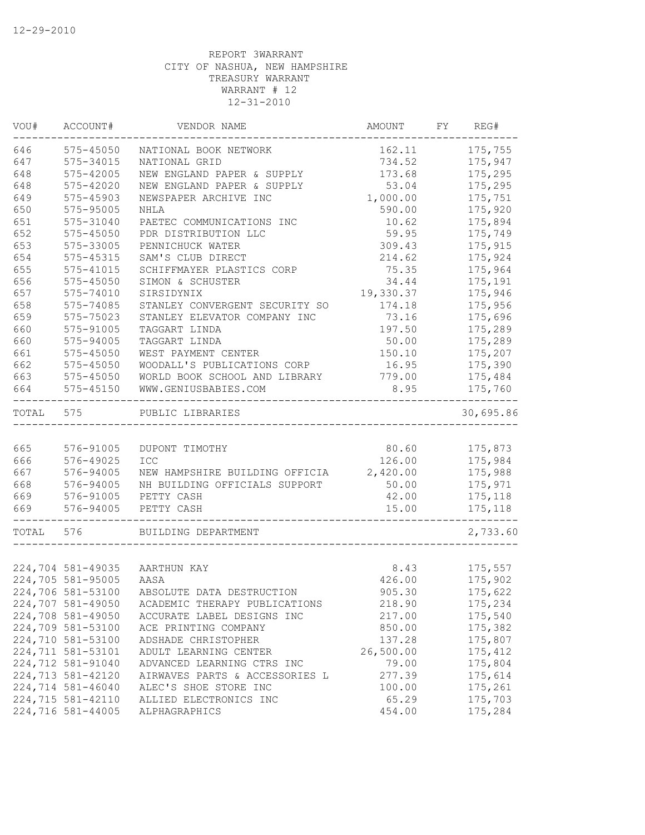| VOU#  | ACCOUNT#          | VENDOR NAME                    | AMOUNT    | FY | REG#      |
|-------|-------------------|--------------------------------|-----------|----|-----------|
| 646   | 575-45050         | NATIONAL BOOK NETWORK          | 162.11    |    | 175,755   |
| 647   | 575-34015         | NATIONAL GRID                  | 734.52    |    | 175,947   |
| 648   | 575-42005         | NEW ENGLAND PAPER & SUPPLY     | 173.68    |    | 175,295   |
| 648   | 575-42020         | NEW ENGLAND PAPER & SUPPLY     | 53.04     |    | 175,295   |
| 649   | 575-45903         | NEWSPAPER ARCHIVE INC          | 1,000.00  |    | 175,751   |
| 650   | 575-95005         | NHLA                           | 590.00    |    | 175,920   |
| 651   | 575-31040         | PAETEC COMMUNICATIONS INC      | 10.62     |    | 175,894   |
| 652   | 575-45050         | PDR DISTRIBUTION LLC           | 59.95     |    | 175,749   |
| 653   | 575-33005         | PENNICHUCK WATER               | 309.43    |    | 175,915   |
| 654   | 575-45315         | SAM'S CLUB DIRECT              | 214.62    |    | 175,924   |
| 655   | 575-41015         | SCHIFFMAYER PLASTICS CORP      | 75.35     |    | 175,964   |
| 656   | 575-45050         | SIMON & SCHUSTER               | 34.44     |    | 175,191   |
| 657   | 575-74010         | SIRSIDYNIX                     | 19,330.37 |    | 175,946   |
| 658   | 575-74085         | STANLEY CONVERGENT SECURITY SO | 174.18    |    | 175,956   |
| 659   | 575-75023         | STANLEY ELEVATOR COMPANY INC   | 73.16     |    | 175,696   |
| 660   | 575-91005         | TAGGART LINDA                  | 197.50    |    | 175,289   |
| 660   | 575-94005         | TAGGART LINDA                  | 50.00     |    | 175,289   |
| 661   | 575-45050         | WEST PAYMENT CENTER            | 150.10    |    | 175,207   |
| 662   | $575 - 45050$     | WOODALL'S PUBLICATIONS CORP    | 16.95     |    | 175,390   |
| 663   | 575-45050         | WORLD BOOK SCHOOL AND LIBRARY  | 779.00    |    | 175,484   |
| 664   | $575 - 45150$     | WWW.GENIUSBABIES.COM           | 8.95      |    | 175,760   |
| TOTAL | 575               | PUBLIC LIBRARIES               |           |    | 30,695.86 |
|       |                   |                                |           |    |           |
| 665   | 576-91005         | DUPONT TIMOTHY                 | 80.60     |    | 175,873   |
| 666   | 576-49025         | ICC                            | 126.00    |    | 175,984   |
| 667   | 576-94005         | NEW HAMPSHIRE BUILDING OFFICIA | 2,420.00  |    | 175,988   |
| 668   | 576-94005         | NH BUILDING OFFICIALS SUPPORT  | 50.00     |    | 175,971   |
| 669   | 576-91005         | PETTY CASH                     | 42.00     |    | 175,118   |
| 669   | 576-94005         | PETTY CASH                     | 15.00     |    | 175,118   |
| TOTAL | 576               | BUILDING DEPARTMENT            |           |    | 2,733.60  |
|       |                   |                                |           |    |           |
|       |                   | 224,704 581-49035 AARTHUN KAY  | 8.43      |    | 175,557   |
|       | 224,705 581-95005 | AASA                           | 426.00    |    | 175,902   |
|       | 224,706 581-53100 | ABSOLUTE DATA DESTRUCTION      | 905.30    |    | 175,622   |
|       | 224,707 581-49050 | ACADEMIC THERAPY PUBLICATIONS  | 218.90    |    | 175,234   |
|       | 224,708 581-49050 | ACCURATE LABEL DESIGNS INC     | 217.00    |    | 175,540   |
|       | 224,709 581-53100 | ACE PRINTING COMPANY           | 850.00    |    | 175,382   |
|       | 224,710 581-53100 | ADSHADE CHRISTOPHER            | 137.28    |    | 175,807   |
|       | 224,711 581-53101 | ADULT LEARNING CENTER          | 26,500.00 |    | 175,412   |
|       | 224,712 581-91040 | ADVANCED LEARNING CTRS INC     | 79.00     |    | 175,804   |
|       | 224,713 581-42120 | AIRWAVES PARTS & ACCESSORIES L | 277.39    |    | 175,614   |
|       | 224,714 581-46040 | ALEC'S SHOE STORE INC          | 100.00    |    | 175,261   |
|       | 224,715 581-42110 | ALLIED ELECTRONICS INC         | 65.29     |    | 175,703   |
|       | 224,716 581-44005 | ALPHAGRAPHICS                  | 454.00    |    | 175,284   |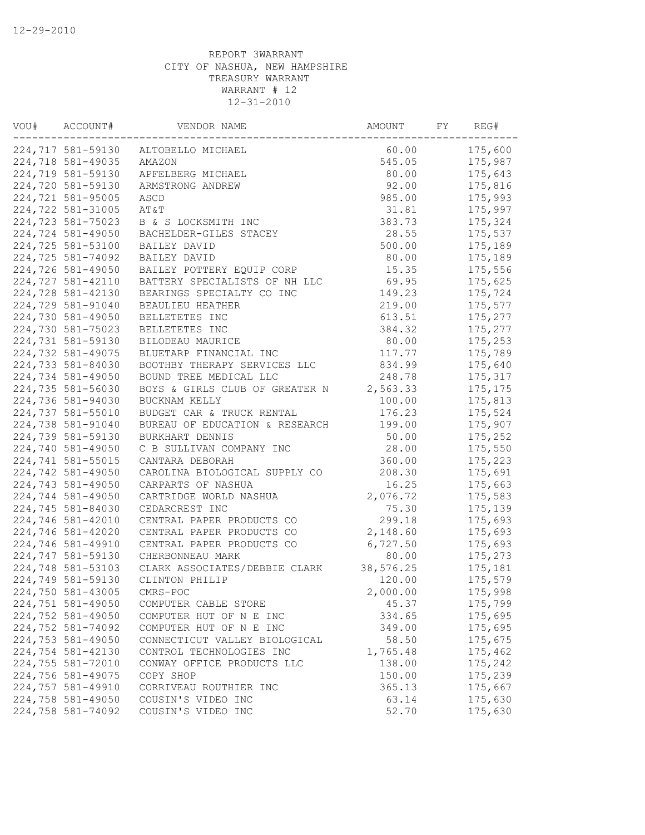| VOU# | ACCOUNT#          | VENDOR NAME                    | AMOUNT    | FY | REG#     |
|------|-------------------|--------------------------------|-----------|----|----------|
|      | 224,717 581-59130 | ALTOBELLO MICHAEL              | 60.00     |    | 175,600  |
|      | 224,718 581-49035 | AMAZON                         | 545.05    |    | 175,987  |
|      | 224,719 581-59130 | APFELBERG MICHAEL              | 80.00     |    | 175,643  |
|      | 224,720 581-59130 | ARMSTRONG ANDREW               | 92.00     |    | 175,816  |
|      | 224,721 581-95005 | ASCD                           | 985.00    |    | 175,993  |
|      | 224,722 581-31005 | AT&T                           | 31.81     |    | 175,997  |
|      | 224,723 581-75023 | B & S LOCKSMITH INC            | 383.73    |    | 175,324  |
|      | 224,724 581-49050 | BACHELDER-GILES STACEY         | 28.55     |    | 175,537  |
|      | 224,725 581-53100 | BAILEY DAVID                   | 500.00    |    | 175,189  |
|      | 224,725 581-74092 | BAILEY DAVID                   | 80.00     |    | 175,189  |
|      | 224,726 581-49050 | BAILEY POTTERY EQUIP CORP      | 15.35     |    | 175,556  |
|      | 224,727 581-42110 | BATTERY SPECIALISTS OF NH LLC  | 69.95     |    | 175,625  |
|      | 224,728 581-42130 | BEARINGS SPECIALTY CO INC      | 149.23    |    | 175,724  |
|      | 224,729 581-91040 | BEAULIEU HEATHER               | 219.00    |    | 175,577  |
|      | 224,730 581-49050 | BELLETETES INC                 | 613.51    |    | 175,277  |
|      | 224,730 581-75023 | BELLETETES INC                 | 384.32    |    | 175,277  |
|      | 224,731 581-59130 | BILODEAU MAURICE               | 80.00     |    | 175,253  |
|      | 224,732 581-49075 | BLUETARP FINANCIAL INC         | 117.77    |    | 175,789  |
|      | 224,733 581-84030 | BOOTHBY THERAPY SERVICES LLC   | 834.99    |    | 175,640  |
|      | 224,734 581-49050 | BOUND TREE MEDICAL LLC         | 248.78    |    | 175, 317 |
|      | 224,735 581-56030 | BOYS & GIRLS CLUB OF GREATER N | 2,563.33  |    | 175, 175 |
|      | 224,736 581-94030 | BUCKNAM KELLY                  | 100.00    |    | 175,813  |
|      | 224,737 581-55010 | BUDGET CAR & TRUCK RENTAL      | 176.23    |    | 175,524  |
|      | 224,738 581-91040 | BUREAU OF EDUCATION & RESEARCH | 199.00    |    | 175,907  |
|      | 224,739 581-59130 | BURKHART DENNIS                | 50.00     |    | 175,252  |
|      | 224,740 581-49050 | C B SULLIVAN COMPANY INC       | 28.00     |    | 175,550  |
|      | 224,741 581-55015 | CANTARA DEBORAH                | 360.00    |    | 175,223  |
|      | 224,742 581-49050 | CAROLINA BIOLOGICAL SUPPLY CO  | 208.30    |    | 175,691  |
|      | 224,743 581-49050 | CARPARTS OF NASHUA             | 16.25     |    | 175,663  |
|      | 224,744 581-49050 | CARTRIDGE WORLD NASHUA         | 2,076.72  |    | 175,583  |
|      | 224,745 581-84030 | CEDARCREST INC                 | 75.30     |    | 175,139  |
|      | 224,746 581-42010 | CENTRAL PAPER PRODUCTS CO      | 299.18    |    | 175,693  |
|      | 224,746 581-42020 | CENTRAL PAPER PRODUCTS CO      | 2,148.60  |    | 175,693  |
|      | 224,746 581-49910 | CENTRAL PAPER PRODUCTS CO      | 6,727.50  |    | 175,693  |
|      | 224,747 581-59130 | CHERBONNEAU MARK               | 80.00     |    | 175,273  |
|      | 224,748 581-53103 | CLARK ASSOCIATES/DEBBIE CLARK  | 38,576.25 |    | 175,181  |
|      | 224,749 581-59130 | CLINTON PHILIP                 | 120.00    |    | 175,579  |
|      | 224,750 581-43005 | CMRS-POC                       | 2,000.00  |    | 175,998  |
|      | 224,751 581-49050 | COMPUTER CABLE STORE           | 45.37     |    | 175,799  |
|      | 224,752 581-49050 | COMPUTER HUT OF N E INC        | 334.65    |    | 175,695  |
|      | 224,752 581-74092 | COMPUTER HUT OF N E INC        | 349.00    |    | 175,695  |
|      | 224,753 581-49050 | CONNECTICUT VALLEY BIOLOGICAL  | 58.50     |    | 175,675  |
|      | 224,754 581-42130 | CONTROL TECHNOLOGIES INC       | 1,765.48  |    | 175,462  |
|      | 224,755 581-72010 | CONWAY OFFICE PRODUCTS LLC     | 138.00    |    | 175,242  |
|      | 224,756 581-49075 | COPY SHOP                      | 150.00    |    | 175,239  |
|      | 224,757 581-49910 | CORRIVEAU ROUTHIER INC         | 365.13    |    | 175,667  |
|      | 224,758 581-49050 | COUSIN'S VIDEO INC             | 63.14     |    | 175,630  |
|      | 224,758 581-74092 | COUSIN'S VIDEO INC             | 52.70     |    | 175,630  |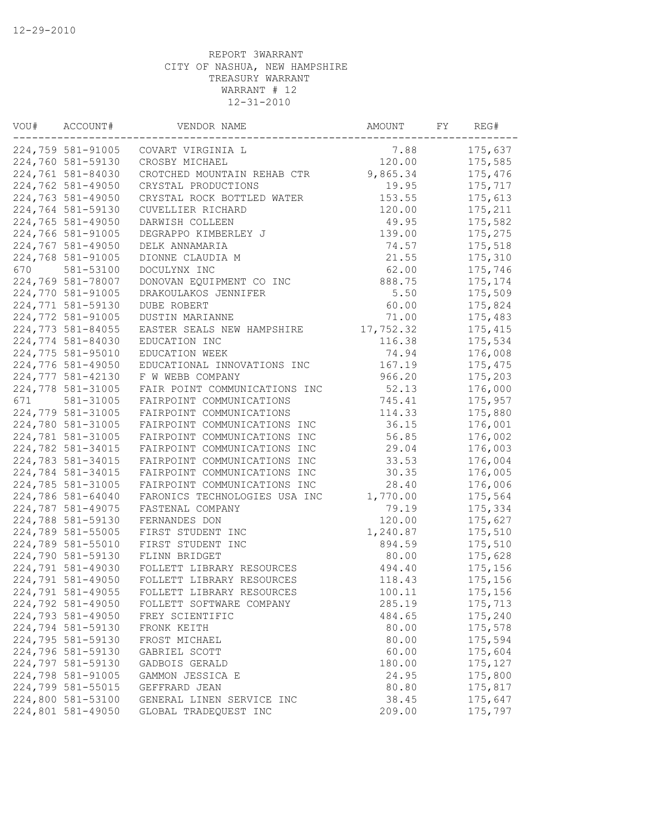| VOU# | ACCOUNT#          | VENDOR NAME                   | AMOUNT    | FY | REG#     |
|------|-------------------|-------------------------------|-----------|----|----------|
|      | 224,759 581-91005 | COVART VIRGINIA L             | 7.88      |    | 175,637  |
|      | 224,760 581-59130 | CROSBY MICHAEL                | 120.00    |    | 175,585  |
|      | 224,761 581-84030 | CROTCHED MOUNTAIN REHAB CTR   | 9,865.34  |    | 175,476  |
|      | 224,762 581-49050 | CRYSTAL PRODUCTIONS           | 19.95     |    | 175,717  |
|      | 224,763 581-49050 | CRYSTAL ROCK BOTTLED WATER    | 153.55    |    | 175,613  |
|      | 224,764 581-59130 | CUVELLIER RICHARD             | 120.00    |    | 175,211  |
|      | 224,765 581-49050 | DARWISH COLLEEN               | 49.95     |    | 175,582  |
|      | 224,766 581-91005 | DEGRAPPO KIMBERLEY J          | 139.00    |    | 175,275  |
|      | 224,767 581-49050 | DELK ANNAMARIA                | 74.57     |    | 175,518  |
|      | 224,768 581-91005 | DIONNE CLAUDIA M              | 21.55     |    | 175,310  |
| 670  | 581-53100         | DOCULYNX INC                  | 62.00     |    | 175,746  |
|      | 224,769 581-78007 | DONOVAN EQUIPMENT CO INC      | 888.75    |    | 175, 174 |
|      | 224,770 581-91005 | DRAKOULAKOS JENNIFER          | 5.50      |    | 175,509  |
|      | 224,771 581-59130 | DUBE ROBERT                   | 60.00     |    | 175,824  |
|      | 224,772 581-91005 | DUSTIN MARIANNE               | 71.00     |    | 175,483  |
|      | 224,773 581-84055 | EASTER SEALS NEW HAMPSHIRE    | 17,752.32 |    | 175,415  |
|      | 224,774 581-84030 | EDUCATION INC                 | 116.38    |    | 175,534  |
|      | 224,775 581-95010 | EDUCATION WEEK                | 74.94     |    | 176,008  |
|      | 224,776 581-49050 | EDUCATIONAL INNOVATIONS INC   | 167.19    |    | 175, 475 |
|      | 224,777 581-42130 | F W WEBB COMPANY              | 966.20    |    | 175,203  |
|      | 224,778 581-31005 | FAIR POINT COMMUNICATIONS INC | 52.13     |    | 176,000  |
| 671  | 581-31005         | FAIRPOINT COMMUNICATIONS      | 745.41    |    | 175,957  |
|      | 224,779 581-31005 | FAIRPOINT COMMUNICATIONS      | 114.33    |    | 175,880  |
|      | 224,780 581-31005 | FAIRPOINT COMMUNICATIONS INC  | 36.15     |    | 176,001  |
|      | 224,781 581-31005 | FAIRPOINT COMMUNICATIONS INC  | 56.85     |    | 176,002  |
|      | 224,782 581-34015 | FAIRPOINT COMMUNICATIONS INC  | 29.04     |    | 176,003  |
|      | 224,783 581-34015 | FAIRPOINT COMMUNICATIONS INC  | 33.53     |    | 176,004  |
|      | 224,784 581-34015 | FAIRPOINT COMMUNICATIONS INC  | 30.35     |    | 176,005  |
|      | 224,785 581-31005 | FAIRPOINT COMMUNICATIONS INC  | 28.40     |    | 176,006  |
|      | 224,786 581-64040 | FARONICS TECHNOLOGIES USA INC | 1,770.00  |    | 175,564  |
|      | 224,787 581-49075 | FASTENAL COMPANY              | 79.19     |    | 175,334  |
|      | 224,788 581-59130 | FERNANDES DON                 | 120.00    |    | 175,627  |
|      | 224,789 581-55005 | FIRST STUDENT INC             | 1,240.87  |    | 175,510  |
|      | 224,789 581-55010 | FIRST STUDENT INC             | 894.59    |    | 175,510  |
|      | 224,790 581-59130 | FLINN BRIDGET                 | 80.00     |    | 175,628  |
|      | 224,791 581-49030 | FOLLETT LIBRARY RESOURCES     | 494.40    |    | 175,156  |
|      | 224,791 581-49050 | FOLLETT LIBRARY RESOURCES     | 118.43    |    | 175,156  |
|      | 224,791 581-49055 | FOLLETT LIBRARY RESOURCES     | 100.11    |    | 175,156  |
|      | 224,792 581-49050 | FOLLETT SOFTWARE COMPANY      | 285.19    |    | 175,713  |
|      | 224,793 581-49050 | FREY SCIENTIFIC               | 484.65    |    | 175,240  |
|      | 224,794 581-59130 | FRONK KEITH                   | 80.00     |    | 175,578  |
|      | 224,795 581-59130 | FROST MICHAEL                 | 80.00     |    | 175,594  |
|      | 224,796 581-59130 | GABRIEL SCOTT                 | 60.00     |    | 175,604  |
|      | 224,797 581-59130 | GADBOIS GERALD                | 180.00    |    | 175, 127 |
|      | 224,798 581-91005 | GAMMON JESSICA E              | 24.95     |    | 175,800  |
|      | 224,799 581-55015 | GEFFRARD JEAN                 | 80.80     |    | 175,817  |
|      | 224,800 581-53100 | GENERAL LINEN SERVICE INC     | 38.45     |    | 175,647  |
|      | 224,801 581-49050 | GLOBAL TRADEQUEST INC         | 209.00    |    | 175,797  |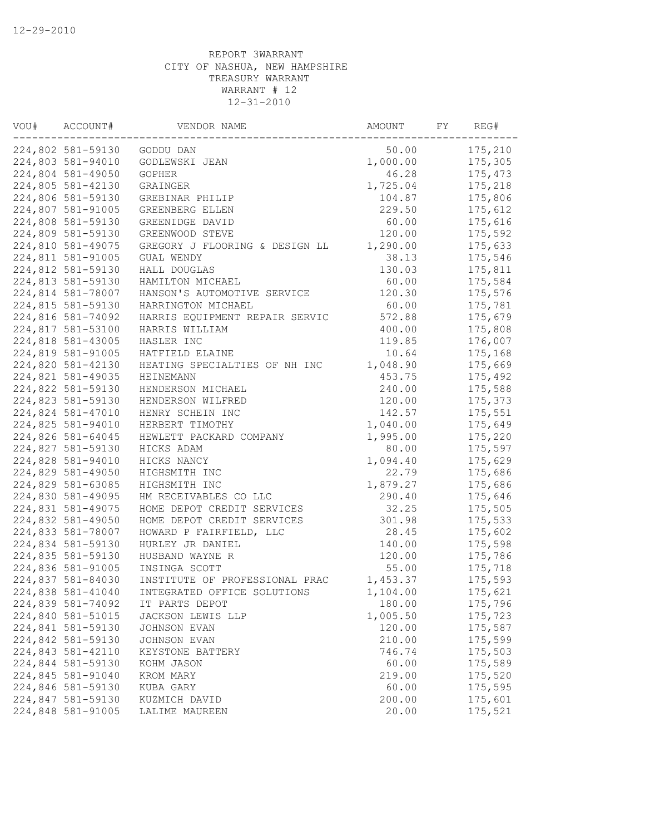| VOU# | ACCOUNT#          | VENDOR NAME                    | AMOUNT   | FY | REG#    |
|------|-------------------|--------------------------------|----------|----|---------|
|      | 224,802 581-59130 | GODDU DAN                      | 50.00    |    | 175,210 |
|      | 224,803 581-94010 | GODLEWSKI JEAN                 | 1,000.00 |    | 175,305 |
|      | 224,804 581-49050 | <b>GOPHER</b>                  | 46.28    |    | 175,473 |
|      | 224,805 581-42130 | GRAINGER                       | 1,725.04 |    | 175,218 |
|      | 224,806 581-59130 | GREBINAR PHILIP                | 104.87   |    | 175,806 |
|      | 224,807 581-91005 | GREENBERG ELLEN                | 229.50   |    | 175,612 |
|      | 224,808 581-59130 | GREENIDGE DAVID                | 60.00    |    | 175,616 |
|      | 224,809 581-59130 | GREENWOOD STEVE                | 120.00   |    | 175,592 |
|      | 224,810 581-49075 | GREGORY J FLOORING & DESIGN LL | 1,290.00 |    | 175,633 |
|      | 224,811 581-91005 | GUAL WENDY                     | 38.13    |    | 175,546 |
|      | 224,812 581-59130 | HALL DOUGLAS                   | 130.03   |    | 175,811 |
|      | 224,813 581-59130 | HAMILTON MICHAEL               | 60.00    |    | 175,584 |
|      | 224,814 581-78007 | HANSON'S AUTOMOTIVE SERVICE    | 120.30   |    | 175,576 |
|      | 224,815 581-59130 | HARRINGTON MICHAEL             | 60.00    |    | 175,781 |
|      | 224,816 581-74092 | HARRIS EQUIPMENT REPAIR SERVIC | 572.88   |    | 175,679 |
|      | 224,817 581-53100 | HARRIS WILLIAM                 | 400.00   |    | 175,808 |
|      | 224,818 581-43005 | HASLER INC                     | 119.85   |    | 176,007 |
|      | 224,819 581-91005 | HATFIELD ELAINE                | 10.64    |    | 175,168 |
|      | 224,820 581-42130 | HEATING SPECIALTIES OF NH INC  | 1,048.90 |    | 175,669 |
|      | 224,821 581-49035 | HEINEMANN                      | 453.75   |    | 175,492 |
|      | 224,822 581-59130 | HENDERSON MICHAEL              | 240.00   |    | 175,588 |
|      | 224,823 581-59130 | HENDERSON WILFRED              | 120.00   |    | 175,373 |
|      | 224,824 581-47010 | HENRY SCHEIN INC               | 142.57   |    | 175,551 |
|      | 224,825 581-94010 | HERBERT TIMOTHY                | 1,040.00 |    | 175,649 |
|      | 224,826 581-64045 | HEWLETT PACKARD COMPANY        | 1,995.00 |    | 175,220 |
|      | 224,827 581-59130 | HICKS ADAM                     | 80.00    |    | 175,597 |
|      | 224,828 581-94010 | HICKS NANCY                    | 1,094.40 |    | 175,629 |
|      | 224,829 581-49050 | HIGHSMITH INC                  | 22.79    |    | 175,686 |
|      | 224,829 581-63085 | HIGHSMITH INC                  | 1,879.27 |    | 175,686 |
|      | 224,830 581-49095 | HM RECEIVABLES CO LLC          | 290.40   |    | 175,646 |
|      | 224,831 581-49075 | HOME DEPOT CREDIT SERVICES     | 32.25    |    | 175,505 |
|      | 224,832 581-49050 | HOME DEPOT CREDIT SERVICES     | 301.98   |    | 175,533 |
|      | 224,833 581-78007 | HOWARD P FAIRFIELD, LLC        | 28.45    |    | 175,602 |
|      | 224,834 581-59130 | HURLEY JR DANIEL               | 140.00   |    | 175,598 |
|      | 224,835 581-59130 | HUSBAND WAYNE R                | 120.00   |    | 175,786 |
|      | 224,836 581-91005 | INSINGA SCOTT                  | 55.00    |    | 175,718 |
|      | 224,837 581-84030 | INSTITUTE OF PROFESSIONAL PRAC | 1,453.37 |    | 175,593 |
|      | 224,838 581-41040 | INTEGRATED OFFICE SOLUTIONS    | 1,104.00 |    | 175,621 |
|      | 224,839 581-74092 | IT PARTS DEPOT                 | 180.00   |    | 175,796 |
|      | 224,840 581-51015 | JACKSON LEWIS LLP              | 1,005.50 |    | 175,723 |
|      | 224,841 581-59130 | JOHNSON EVAN                   | 120.00   |    | 175,587 |
|      | 224,842 581-59130 | JOHNSON EVAN                   | 210.00   |    | 175,599 |
|      | 224,843 581-42110 | KEYSTONE BATTERY               | 746.74   |    | 175,503 |
|      | 224,844 581-59130 | KOHM JASON                     | 60.00    |    | 175,589 |
|      | 224,845 581-91040 | KROM MARY                      | 219.00   |    | 175,520 |
|      | 224,846 581-59130 | KUBA GARY                      | 60.00    |    | 175,595 |
|      | 224,847 581-59130 | KUZMICH DAVID                  | 200.00   |    | 175,601 |
|      | 224,848 581-91005 | LALIME MAUREEN                 | 20.00    |    | 175,521 |
|      |                   |                                |          |    |         |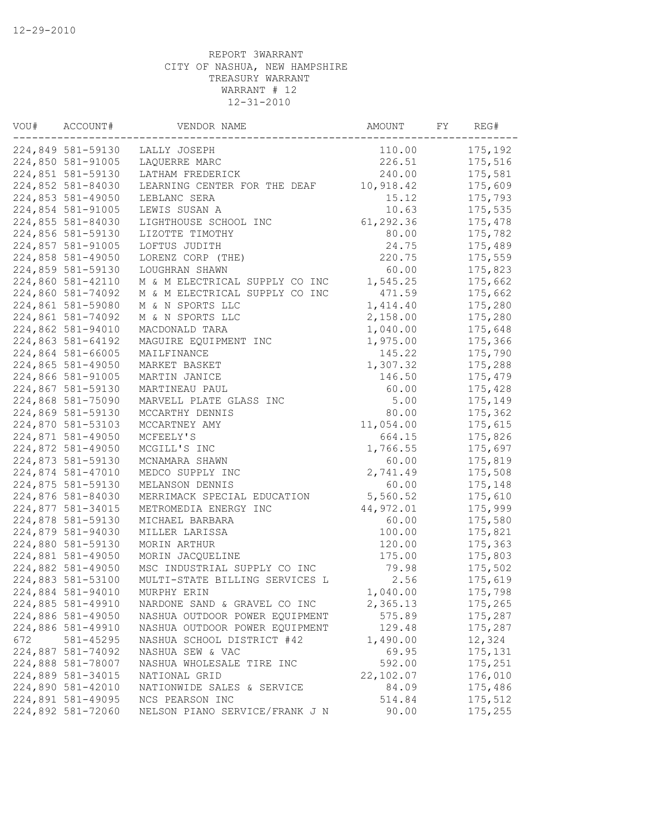| VOU# | ACCOUNT#          | VENDOR NAME                    | AMOUNT    | FY | REG#    |
|------|-------------------|--------------------------------|-----------|----|---------|
|      | 224,849 581-59130 | LALLY JOSEPH                   | 110.00    |    | 175,192 |
|      | 224,850 581-91005 | LAOUERRE MARC                  | 226.51    |    | 175,516 |
|      | 224,851 581-59130 | LATHAM FREDERICK               | 240.00    |    | 175,581 |
|      | 224,852 581-84030 | LEARNING CENTER FOR THE DEAF   | 10,918.42 |    | 175,609 |
|      | 224,853 581-49050 | LEBLANC SERA                   | 15.12     |    | 175,793 |
|      | 224,854 581-91005 | LEWIS SUSAN A                  | 10.63     |    | 175,535 |
|      | 224,855 581-84030 | LIGHTHOUSE SCHOOL INC          | 61,292.36 |    | 175,478 |
|      | 224,856 581-59130 | LIZOTTE TIMOTHY                | 80.00     |    | 175,782 |
|      | 224,857 581-91005 | LOFTUS JUDITH                  | 24.75     |    | 175,489 |
|      | 224,858 581-49050 | LORENZ CORP (THE)              | 220.75    |    | 175,559 |
|      | 224,859 581-59130 | LOUGHRAN SHAWN                 | 60.00     |    | 175,823 |
|      | 224,860 581-42110 | M & M ELECTRICAL SUPPLY CO INC | 1,545.25  |    | 175,662 |
|      | 224,860 581-74092 | M & M ELECTRICAL SUPPLY CO INC | 471.59    |    | 175,662 |
|      | 224,861 581-59080 | M & N SPORTS LLC               | 1,414.40  |    | 175,280 |
|      | 224,861 581-74092 | M & N SPORTS LLC               | 2,158.00  |    | 175,280 |
|      | 224,862 581-94010 | MACDONALD TARA                 | 1,040.00  |    | 175,648 |
|      | 224,863 581-64192 | MAGUIRE EQUIPMENT INC          | 1,975.00  |    | 175,366 |
|      | 224,864 581-66005 | MAILFINANCE                    | 145.22    |    | 175,790 |
|      | 224,865 581-49050 | MARKET BASKET                  | 1,307.32  |    | 175,288 |
|      | 224,866 581-91005 | MARTIN JANICE                  | 146.50    |    | 175,479 |
|      | 224,867 581-59130 | MARTINEAU PAUL                 | 60.00     |    | 175,428 |
|      | 224,868 581-75090 | MARVELL PLATE GLASS INC        | 5.00      |    | 175,149 |
|      | 224,869 581-59130 | MCCARTHY DENNIS                | 80.00     |    | 175,362 |
|      | 224,870 581-53103 | MCCARTNEY AMY                  | 11,054.00 |    | 175,615 |
|      | 224,871 581-49050 | MCFEELY'S                      | 664.15    |    | 175,826 |
|      | 224,872 581-49050 | MCGILL'S INC                   | 1,766.55  |    | 175,697 |
|      | 224,873 581-59130 | MCNAMARA SHAWN                 | 60.00     |    | 175,819 |
|      | 224,874 581-47010 | MEDCO SUPPLY INC               | 2,741.49  |    | 175,508 |
|      | 224,875 581-59130 | MELANSON DENNIS                | 60.00     |    | 175,148 |
|      | 224,876 581-84030 | MERRIMACK SPECIAL EDUCATION    | 5,560.52  |    | 175,610 |
|      | 224,877 581-34015 | METROMEDIA ENERGY INC          | 44,972.01 |    | 175,999 |
|      | 224,878 581-59130 | MICHAEL BARBARA                | 60.00     |    | 175,580 |
|      | 224,879 581-94030 | MILLER LARISSA                 | 100.00    |    | 175,821 |
|      | 224,880 581-59130 | MORIN ARTHUR                   | 120.00    |    | 175,363 |
|      | 224,881 581-49050 | MORIN JACQUELINE               | 175.00    |    | 175,803 |
|      | 224,882 581-49050 | MSC INDUSTRIAL SUPPLY CO INC   | 79.98     |    | 175,502 |
|      | 224,883 581-53100 | MULTI-STATE BILLING SERVICES L | 2.56      |    | 175,619 |
|      | 224,884 581-94010 | MURPHY ERIN                    | 1,040.00  |    | 175,798 |
|      | 224,885 581-49910 | NARDONE SAND & GRAVEL CO INC   | 2,365.13  |    | 175,265 |
|      | 224,886 581-49050 | NASHUA OUTDOOR POWER EQUIPMENT | 575.89    |    | 175,287 |
|      | 224,886 581-49910 | NASHUA OUTDOOR POWER EQUIPMENT | 129.48    |    | 175,287 |
| 672  | 581-45295         | NASHUA SCHOOL DISTRICT #42     | 1,490.00  |    | 12,324  |
|      | 224,887 581-74092 | NASHUA SEW & VAC               | 69.95     |    | 175,131 |
|      | 224,888 581-78007 | NASHUA WHOLESALE TIRE INC      | 592.00    |    | 175,251 |
|      | 224,889 581-34015 | NATIONAL GRID                  | 22,102.07 |    | 176,010 |
|      | 224,890 581-42010 | NATIONWIDE SALES & SERVICE     | 84.09     |    | 175,486 |
|      | 224,891 581-49095 | NCS PEARSON INC                | 514.84    |    | 175,512 |
|      | 224,892 581-72060 | NELSON PIANO SERVICE/FRANK J N | 90.00     |    | 175,255 |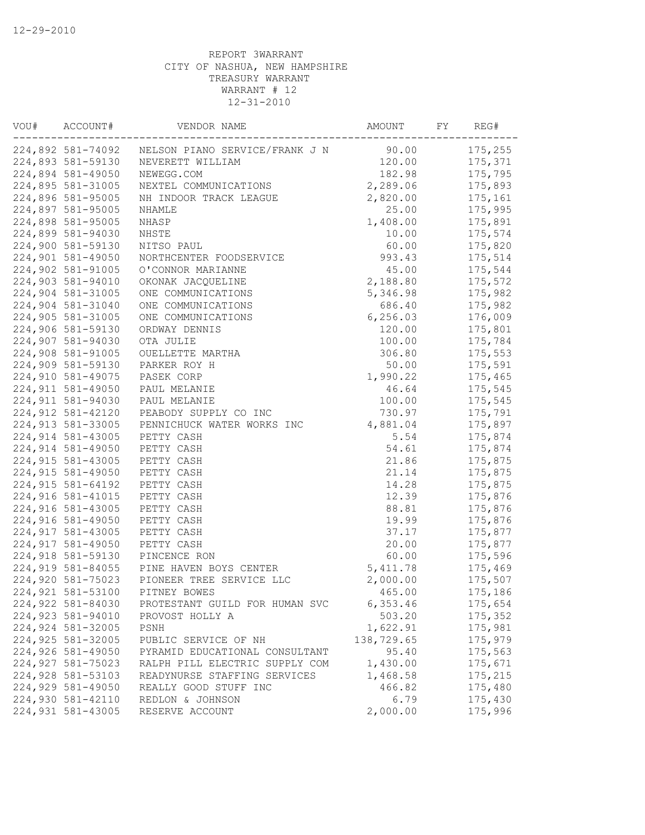| VOU# | ACCOUNT#           | VENDOR NAME                              | AMOUNT     | FY | REG#    |
|------|--------------------|------------------------------------------|------------|----|---------|
|      | 224,892 581-74092  | NELSON PIANO SERVICE/FRANK J N           | 90.00      |    | 175,255 |
|      | 224,893 581-59130  | NEVERETT WILLIAM                         | 120.00     |    | 175,371 |
|      | 224,894 581-49050  | NEWEGG.COM                               | 182.98     |    | 175,795 |
|      | 224,895 581-31005  | NEXTEL COMMUNICATIONS                    | 2,289.06   |    | 175,893 |
|      | 224,896 581-95005  | NH INDOOR TRACK LEAGUE                   | 2,820.00   |    | 175,161 |
|      | 224,897 581-95005  | NHAMLE                                   | 25.00      |    | 175,995 |
|      | 224,898 581-95005  | NHASP                                    | 1,408.00   |    | 175,891 |
|      | 224,899 581-94030  | NHSTE                                    | 10.00      |    | 175,574 |
|      | 224,900 581-59130  | NITSO PAUL                               | 60.00      |    | 175,820 |
|      | 224,901 581-49050  | NORTHCENTER FOODSERVICE                  | 993.43     |    | 175,514 |
|      | 224,902 581-91005  | O'CONNOR MARIANNE                        | 45.00      |    | 175,544 |
|      | 224,903 581-94010  | OKONAK JACQUELINE                        | 2,188.80   |    | 175,572 |
|      | 224,904 581-31005  | ONE COMMUNICATIONS                       | 5,346.98   |    | 175,982 |
|      | 224,904 581-31040  | ONE COMMUNICATIONS                       | 686.40     |    | 175,982 |
|      | 224,905 581-31005  | ONE COMMUNICATIONS                       | 6,256.03   |    | 176,009 |
|      | 224,906 581-59130  | ORDWAY DENNIS                            | 120.00     |    | 175,801 |
|      | 224,907 581-94030  | OTA JULIE                                | 100.00     |    | 175,784 |
|      | 224,908 581-91005  | OUELLETTE MARTHA                         | 306.80     |    | 175,553 |
|      | 224,909 581-59130  | PARKER ROY H                             | 50.00      |    | 175,591 |
|      | 224,910 581-49075  | PASEK CORP                               | 1,990.22   |    | 175,465 |
|      | 224, 911 581-49050 | PAUL MELANIE                             | 46.64      |    | 175,545 |
|      | 224,911 581-94030  | PAUL MELANIE                             | 100.00     |    | 175,545 |
|      | 224,912 581-42120  | PEABODY SUPPLY CO INC                    | 730.97     |    | 175,791 |
|      | 224,913 581-33005  | PENNICHUCK WATER WORKS INC               | 4,881.04   |    | 175,897 |
|      | 224,914 581-43005  | PETTY CASH                               | 5.54       |    | 175,874 |
|      | 224,914 581-49050  | PETTY CASH                               | 54.61      |    | 175,874 |
|      | 224,915 581-43005  | PETTY CASH                               | 21.86      |    | 175,875 |
|      | 224,915 581-49050  | PETTY CASH                               | 21.14      |    | 175,875 |
|      | 224, 915 581-64192 | PETTY CASH                               | 14.28      |    | 175,875 |
|      | 224,916 581-41015  | PETTY CASH                               | 12.39      |    | 175,876 |
|      | 224,916 581-43005  | PETTY CASH                               | 88.81      |    | 175,876 |
|      | 224,916 581-49050  | PETTY CASH                               | 19.99      |    | 175,876 |
|      | 224,917 581-43005  | PETTY CASH                               | 37.17      |    | 175,877 |
|      | 224,917 581-49050  | PETTY CASH                               | 20.00      |    | 175,877 |
|      | 224,918 581-59130  | PINCENCE RON                             | 60.00      |    | 175,596 |
|      |                    | 224,919 581-84055 PINE HAVEN BOYS CENTER | 5, 411.78  |    | 175,469 |
|      | 224,920 581-75023  | PIONEER TREE SERVICE LLC                 | 2,000.00   |    | 175,507 |
|      | 224,921 581-53100  | PITNEY BOWES                             | 465.00     |    | 175,186 |
|      | 224,922 581-84030  | PROTESTANT GUILD FOR HUMAN SVC           | 6,353.46   |    | 175,654 |
|      | 224,923 581-94010  | PROVOST HOLLY A                          | 503.20     |    | 175,352 |
|      | 224,924 581-32005  | PSNH                                     | 1,622.91   |    | 175,981 |
|      | 224,925 581-32005  | PUBLIC SERVICE OF NH                     | 138,729.65 |    | 175,979 |
|      | 224,926 581-49050  | PYRAMID EDUCATIONAL CONSULTANT           | 95.40      |    | 175,563 |
|      | 224,927 581-75023  | RALPH PILL ELECTRIC SUPPLY COM           | 1,430.00   |    | 175,671 |
|      | 224,928 581-53103  | READYNURSE STAFFING SERVICES             | 1,468.58   |    | 175,215 |
|      | 224,929 581-49050  | REALLY GOOD STUFF INC                    | 466.82     |    | 175,480 |
|      | 224,930 581-42110  | REDLON & JOHNSON                         | 6.79       |    | 175,430 |
|      | 224,931 581-43005  | RESERVE ACCOUNT                          | 2,000.00   |    | 175,996 |
|      |                    |                                          |            |    |         |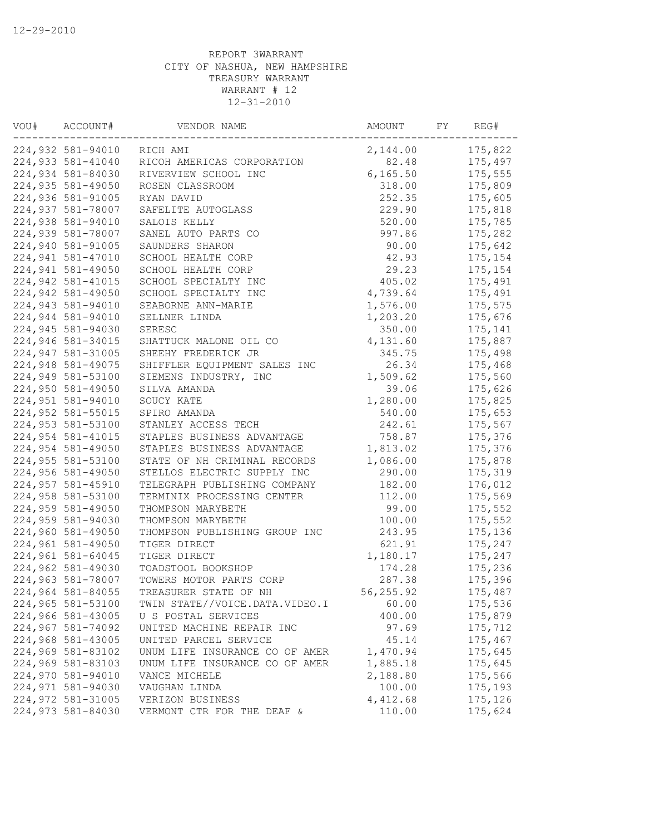| VOU# | ACCOUNT#          | VENDOR NAME                    | AMOUNT     | FY | REG#    |
|------|-------------------|--------------------------------|------------|----|---------|
|      | 224,932 581-94010 | RICH AMI                       | 2,144.00   |    | 175,822 |
|      | 224,933 581-41040 | RICOH AMERICAS CORPORATION     | 82.48      |    | 175,497 |
|      | 224,934 581-84030 | RIVERVIEW SCHOOL INC           | 6, 165.50  |    | 175,555 |
|      | 224,935 581-49050 | ROSEN CLASSROOM                | 318.00     |    | 175,809 |
|      | 224,936 581-91005 | RYAN DAVID                     | 252.35     |    | 175,605 |
|      | 224,937 581-78007 | SAFELITE AUTOGLASS             | 229.90     |    | 175,818 |
|      | 224,938 581-94010 | SALOIS KELLY                   | 520.00     |    | 175,785 |
|      | 224,939 581-78007 | SANEL AUTO PARTS CO            | 997.86     |    | 175,282 |
|      | 224,940 581-91005 | SAUNDERS SHARON                | 90.00      |    | 175,642 |
|      | 224,941 581-47010 | SCHOOL HEALTH CORP             | 42.93      |    | 175,154 |
|      | 224,941 581-49050 | SCHOOL HEALTH CORP             | 29.23      |    | 175,154 |
|      | 224,942 581-41015 | SCHOOL SPECIALTY INC           | 405.02     |    | 175,491 |
|      | 224,942 581-49050 | SCHOOL SPECIALTY INC           | 4,739.64   |    | 175,491 |
|      | 224,943 581-94010 | SEABORNE ANN-MARIE             | 1,576.00   |    | 175,575 |
|      | 224,944 581-94010 | SELLNER LINDA                  | 1,203.20   |    | 175,676 |
|      | 224,945 581-94030 | SERESC                         | 350.00     |    | 175,141 |
|      | 224,946 581-34015 | SHATTUCK MALONE OIL CO         | 4,131.60   |    | 175,887 |
|      | 224,947 581-31005 | SHEEHY FREDERICK JR            | 345.75     |    | 175,498 |
|      | 224,948 581-49075 | SHIFFLER EQUIPMENT SALES INC   | 26.34      |    | 175,468 |
|      | 224,949 581-53100 | SIEMENS INDUSTRY, INC          | 1,509.62   |    | 175,560 |
|      | 224,950 581-49050 | SILVA AMANDA                   | 39.06      |    | 175,626 |
|      | 224,951 581-94010 | SOUCY KATE                     | 1,280.00   |    | 175,825 |
|      | 224,952 581-55015 | SPIRO AMANDA                   | 540.00     |    | 175,653 |
|      | 224,953 581-53100 | STANLEY ACCESS TECH            | 242.61     |    | 175,567 |
|      | 224,954 581-41015 | STAPLES BUSINESS ADVANTAGE     | 758.87     |    | 175,376 |
|      | 224,954 581-49050 | STAPLES BUSINESS ADVANTAGE     | 1,813.02   |    | 175,376 |
|      | 224,955 581-53100 | STATE OF NH CRIMINAL RECORDS   | 1,086.00   |    | 175,878 |
|      | 224,956 581-49050 | STELLOS ELECTRIC SUPPLY INC    | 290.00     |    | 175,319 |
|      | 224,957 581-45910 | TELEGRAPH PUBLISHING COMPANY   | 182.00     |    | 176,012 |
|      | 224,958 581-53100 | TERMINIX PROCESSING CENTER     | 112.00     |    | 175,569 |
|      | 224,959 581-49050 | THOMPSON MARYBETH              | 99.00      |    | 175,552 |
|      | 224,959 581-94030 | THOMPSON MARYBETH              | 100.00     |    | 175,552 |
|      | 224,960 581-49050 | THOMPSON PUBLISHING GROUP INC  | 243.95     |    | 175,136 |
|      | 224,961 581-49050 | TIGER DIRECT                   | 621.91     |    | 175,247 |
|      | 224,961 581-64045 | TIGER DIRECT                   | 1,180.17   |    | 175,247 |
|      | 224,962 581-49030 | TOADSTOOL BOOKSHOP             | 174.28     |    | 175,236 |
|      | 224,963 581-78007 | TOWERS MOTOR PARTS CORP        | 287.38     |    | 175,396 |
|      | 224,964 581-84055 | TREASURER STATE OF NH          | 56, 255.92 |    | 175,487 |
|      | 224,965 581-53100 | TWIN STATE//VOICE.DATA.VIDEO.I | 60.00      |    | 175,536 |
|      | 224,966 581-43005 | U S POSTAL SERVICES            | 400.00     |    | 175,879 |
|      | 224,967 581-74092 | UNITED MACHINE REPAIR INC      | 97.69      |    | 175,712 |
|      | 224,968 581-43005 | UNITED PARCEL SERVICE          | 45.14      |    | 175,467 |
|      | 224,969 581-83102 | UNUM LIFE INSURANCE CO OF AMER | 1,470.94   |    | 175,645 |
|      | 224,969 581-83103 | UNUM LIFE INSURANCE CO OF AMER | 1,885.18   |    | 175,645 |
|      | 224,970 581-94010 | VANCE MICHELE                  | 2,188.80   |    | 175,566 |
|      | 224,971 581-94030 | VAUGHAN LINDA                  | 100.00     |    | 175,193 |
|      | 224,972 581-31005 | VERIZON BUSINESS               | 4,412.68   |    | 175,126 |
|      | 224,973 581-84030 | VERMONT CTR FOR THE DEAF &     | 110.00     |    | 175,624 |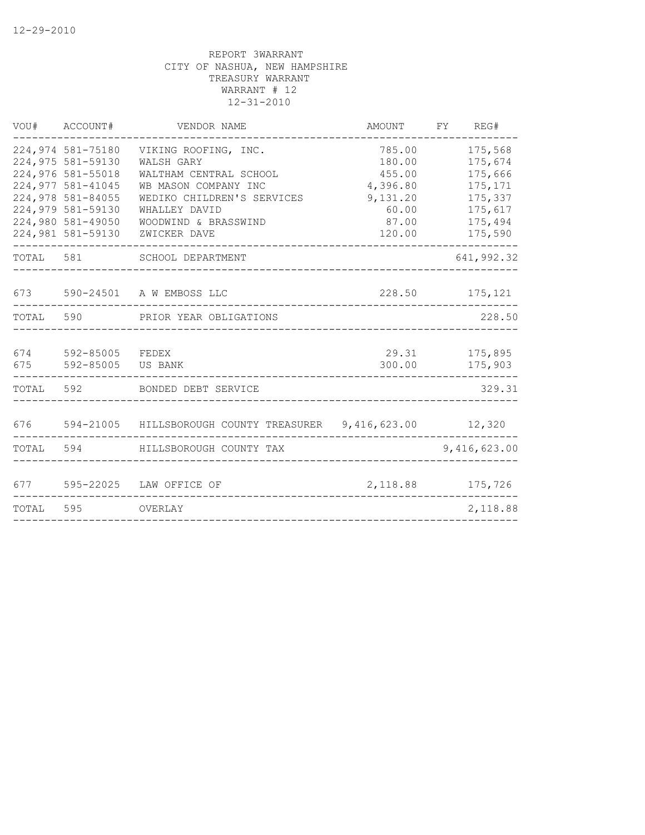|            | VOU# ACCOUNT#                                                                                                                                                        | VENDOR NAME                                                                                                                                                                 | AMOUNT                                                                         | FY<br>REG#                                                                           |
|------------|----------------------------------------------------------------------------------------------------------------------------------------------------------------------|-----------------------------------------------------------------------------------------------------------------------------------------------------------------------------|--------------------------------------------------------------------------------|--------------------------------------------------------------------------------------|
|            | 224,974 581-75180<br>224,975 581-59130<br>224,976 581-55018<br>224,977 581-41045<br>224,978 581-84055<br>224,979 581-59130<br>224,980 581-49050<br>224,981 581-59130 | VIKING ROOFING, INC.<br>WALSH GARY<br>WALTHAM CENTRAL SCHOOL<br>WB MASON COMPANY INC<br>WEDIKO CHILDREN'S SERVICES<br>WHALLEY DAVID<br>WOODWIND & BRASSWIND<br>ZWICKER DAVE | 785.00<br>180.00<br>455.00<br>4,396.80<br>9,131.20<br>60.00<br>87.00<br>120.00 | 175,568<br>175,674<br>175,666<br>175,171<br>175,337<br>175,617<br>175,494<br>175,590 |
|            | TOTAL 581                                                                                                                                                            | SCHOOL DEPARTMENT                                                                                                                                                           |                                                                                | 641,992.32                                                                           |
|            |                                                                                                                                                                      | 673 590-24501 A W EMBOSS LLC                                                                                                                                                |                                                                                | 228.50 175,121                                                                       |
| TOTAL      |                                                                                                                                                                      | 590 PRIOR YEAR OBLIGATIONS                                                                                                                                                  |                                                                                | 228.50                                                                               |
| 674<br>675 | 592-85005 FEDEX<br>592-85005 US BANK                                                                                                                                 |                                                                                                                                                                             | 300.00                                                                         | 29.31 175,895<br>175,903                                                             |
| TOTAL      |                                                                                                                                                                      | 592 BONDED DEBT SERVICE                                                                                                                                                     |                                                                                | 329.31                                                                               |
|            |                                                                                                                                                                      | 676 594-21005 HILLSBOROUGH COUNTY TREASURER 9,416,623.00 12,320                                                                                                             |                                                                                |                                                                                      |
| TOTAL      |                                                                                                                                                                      | 594 HILLSBOROUGH COUNTY TAX                                                                                                                                                 |                                                                                | 9,416,623.00                                                                         |
|            |                                                                                                                                                                      | 677 595-22025 LAW OFFICE OF                                                                                                                                                 |                                                                                | 2, 118.88 175, 726                                                                   |
| TOTAL      | 595                                                                                                                                                                  | OVERLAY                                                                                                                                                                     |                                                                                | 2,118.88                                                                             |
|            |                                                                                                                                                                      |                                                                                                                                                                             |                                                                                |                                                                                      |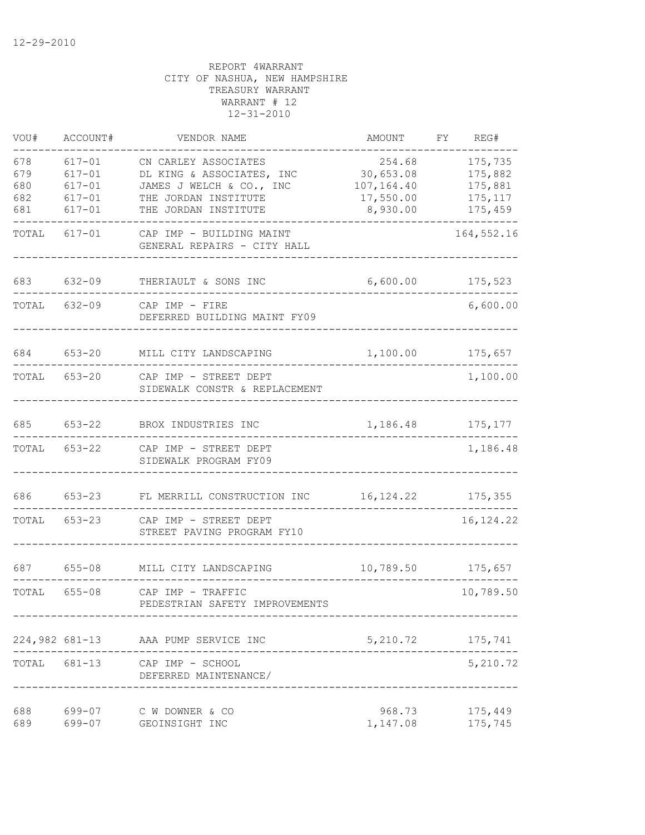| VOU#                            | ACCOUNT#                                                           | VENDOR NAME                                                                                                                   | AMOUNT                                                     | FY. | REG#                                                 |
|---------------------------------|--------------------------------------------------------------------|-------------------------------------------------------------------------------------------------------------------------------|------------------------------------------------------------|-----|------------------------------------------------------|
| 678<br>679<br>680<br>682<br>681 | $617 - 01$<br>$617 - 01$<br>$617 - 01$<br>$617 - 01$<br>$617 - 01$ | CN CARLEY ASSOCIATES<br>DL KING & ASSOCIATES, INC<br>JAMES J WELCH & CO., INC<br>THE JORDAN INSTITUTE<br>THE JORDAN INSTITUTE | 254.68<br>30,653.08<br>107,164.40<br>17,550.00<br>8,930.00 |     | 175,735<br>175,882<br>175,881<br>175, 117<br>175,459 |
| TOTAL                           | $617 - 01$                                                         | CAP IMP - BUILDING MAINT<br>GENERAL REPAIRS - CITY HALL                                                                       |                                                            |     | 164, 552.16                                          |
| 683                             | $632 - 09$                                                         | THERIAULT & SONS INC                                                                                                          | 6,600.00                                                   |     | 175,523                                              |
| TOTAL                           | $632 - 09$                                                         | $CAP$ IMP - FIRE<br>DEFERRED BUILDING MAINT FY09                                                                              |                                                            |     | 6,600.00                                             |
| 684                             | $653 - 20$                                                         | MILL CITY LANDSCAPING                                                                                                         | 1,100.00                                                   |     | 175,657                                              |
| TOTAL                           | $653 - 20$                                                         | CAP IMP - STREET DEPT<br>SIDEWALK CONSTR & REPLACEMENT                                                                        |                                                            |     | 1,100.00                                             |
| 685                             | $653 - 22$                                                         | BROX INDUSTRIES INC                                                                                                           | 1,186.48                                                   |     | 175,177                                              |
| TOTAL                           | $653 - 22$                                                         | CAP IMP - STREET DEPT<br>SIDEWALK PROGRAM FY09                                                                                |                                                            |     | 1,186.48                                             |
| 686                             | $653 - 23$                                                         | FL MERRILL CONSTRUCTION INC                                                                                                   | 16, 124.22                                                 |     | 175,355                                              |
| TOTAL                           | $653 - 23$                                                         | CAP IMP - STREET DEPT<br>STREET PAVING PROGRAM FY10                                                                           |                                                            |     | 16, 124.22                                           |
| 687                             | $655 - 08$                                                         | MILL CITY LANDSCAPING                                                                                                         | 10,789.50                                                  |     | 175,657                                              |
| TOTAL                           | $655 - 08$                                                         | CAP IMP - TRAFFIC<br>PEDESTRIAN SAFETY IMPROVEMENTS                                                                           |                                                            |     | 10,789.50                                            |
|                                 |                                                                    | 224,982 681-13 AAA PUMP SERVICE INC                                                                                           | 5, 210.72 175, 741                                         |     |                                                      |
|                                 |                                                                    | TOTAL 681-13 CAP IMP - SCHOOL<br>DEFERRED MAINTENANCE/                                                                        |                                                            |     | 5,210.72                                             |
| 688<br>689                      | 699-07<br>699-07                                                   | C W DOWNER & CO<br>GEOINSIGHT INC                                                                                             | 968.73<br>1,147.08                                         |     | 175,449<br>175,745                                   |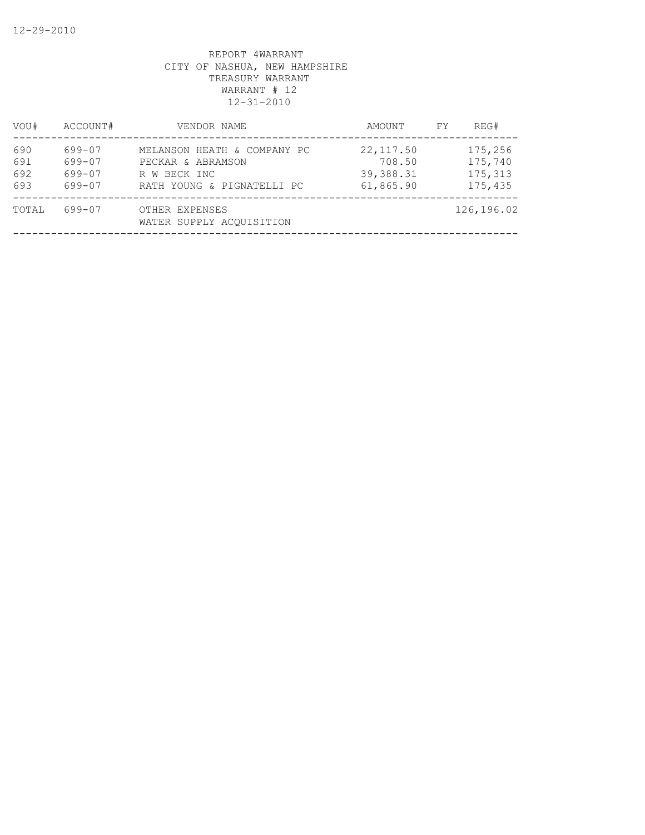| VOU#                     | ACCOUNT#                             | VENDOR NAME                                                                                    | AMOUNT                                         | FY | REG#                                     |
|--------------------------|--------------------------------------|------------------------------------------------------------------------------------------------|------------------------------------------------|----|------------------------------------------|
| 690<br>691<br>692<br>693 | 699-07<br>699-07<br>699-07<br>699-07 | MELANSON HEATH & COMPANY PC<br>PECKAR & ABRAMSON<br>R W BECK INC<br>RATH YOUNG & PIGNATELLI PC | 22, 117.50<br>708.50<br>39,388.31<br>61,865.90 |    | 175,256<br>175,740<br>175,313<br>175,435 |
| TOTAL                    | 699-07                               | OTHER EXPENSES<br>WATER SUPPLY ACOUISITION                                                     |                                                |    | 126,196.02                               |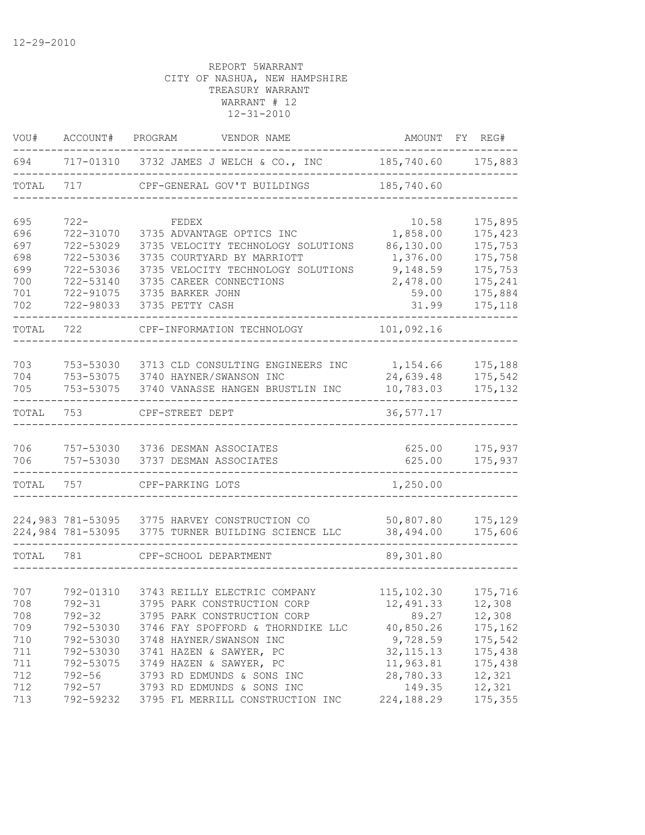| VOU#  | ACCOUNT#          | VENDOR NAME<br>PROGRAM                      | AMOUNT      | FY REG# |
|-------|-------------------|---------------------------------------------|-------------|---------|
| 694   |                   | 717-01310 3732 JAMES J WELCH & CO., INC     | 185,740.60  | 175,883 |
| TOTAL | 717               | CPF-GENERAL GOV'T BUILDINGS                 | 185,740.60  |         |
| 695   | $722 -$           | FEDEX                                       | 10.58       | 175,895 |
| 696   | 722-31070         | 3735 ADVANTAGE OPTICS INC                   | 1,858.00    | 175,423 |
| 697   | 722-53029         | 3735 VELOCITY TECHNOLOGY SOLUTIONS          | 86,130.00   | 175,753 |
| 698   | 722-53036         | 3735 COURTYARD BY MARRIOTT                  | 1,376.00    | 175,758 |
| 699   | 722-53036         | 3735 VELOCITY TECHNOLOGY SOLUTIONS          | 9,148.59    | 175,753 |
| 700   | 722-53140         | 3735 CAREER CONNECTIONS                     | 2,478.00    | 175,241 |
| 701   | 722-91075         | 3735 BARKER JOHN                            | 59.00       | 175,884 |
| 702   | 722-98033         | 3735 PETTY CASH                             | 31.99       | 175,118 |
| TOTAL | 722               | CPF-INFORMATION TECHNOLOGY                  | 101,092.16  |         |
|       |                   |                                             |             |         |
| 703   | 753-53030         | 3713 CLD CONSULTING ENGINEERS INC           | 1,154.66    | 175,188 |
| 704   | 753-53075         | 3740 HAYNER/SWANSON INC                     | 24,639.48   | 175,542 |
| 705   | 753-53075         | 3740 VANASSE HANGEN BRUSTLIN INC            | 10,783.03   | 175,132 |
| TOTAL | 753               | CPF-STREET DEPT                             | 36, 577.17  |         |
| 706   | 757-53030         | 3736 DESMAN ASSOCIATES                      | 625.00      | 175,937 |
| 706   | 757-53030         | 3737 DESMAN ASSOCIATES                      | 625.00      | 175,937 |
| TOTAL | 757               | CPF-PARKING LOTS                            | 1,250.00    |         |
|       | 224,983 781-53095 | 3775 HARVEY CONSTRUCTION CO                 | 50,807.80   | 175,129 |
|       | 224,984 781-53095 | 3775 TURNER BUILDING SCIENCE LLC            | 38,494.00   | 175,606 |
| TOTAL | 781               | CPF-SCHOOL DEPARTMENT                       | 89,301.80   |         |
|       |                   |                                             |             |         |
| 707   | 792-01310         | 3743 REILLY ELECTRIC COMPANY                | 115, 102.30 | 175,716 |
| 708   | $792 - 31$        | 3795 PARK CONSTRUCTION CORP                 | 12,491.33   | 12,308  |
| 708   | $792 - 32$        | 3795 PARK CONSTRUCTION CORP                 | 89.27       | 12,308  |
| 709   |                   | 792-53030 3746 FAY SPOFFORD & THORNDIKE LLC | 40,850.26   | 175,162 |
| 710   | 792-53030         | 3748 HAYNER/SWANSON INC                     | 9,728.59    | 175,542 |
| 711   | 792-53030         | 3741 HAZEN & SAWYER, PC                     | 32, 115.13  | 175,438 |
| 711   | 792-53075         | 3749 HAZEN & SAWYER, PC                     | 11,963.81   | 175,438 |
| 712   | $792 - 56$        | 3793 RD EDMUNDS & SONS INC                  | 28,780.33   | 12,321  |
| 712   | 792-57            | 3793 RD EDMUNDS & SONS INC                  | 149.35      | 12,321  |
| 713   |                   | 792-59232 3795 FL MERRILL CONSTRUCTION INC  | 224,188.29  | 175,355 |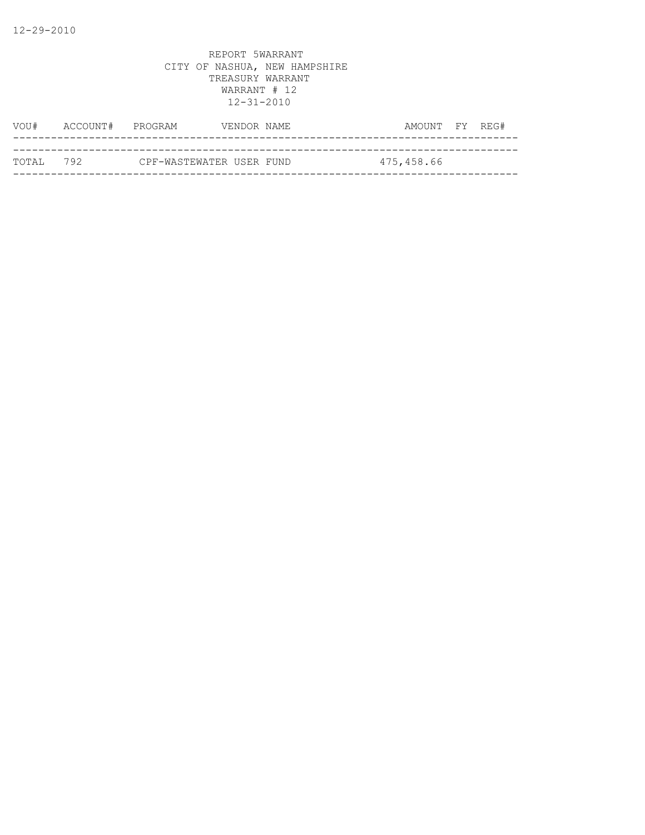| VOU#       | ACCOUNT# PROGRAM |                          | VENDOR NAME | AMOUNT FY REG# |  |
|------------|------------------|--------------------------|-------------|----------------|--|
|            |                  |                          |             |                |  |
| тотат. 792 |                  | CPF-WASTEWATER USER FUND |             | 475,458.66     |  |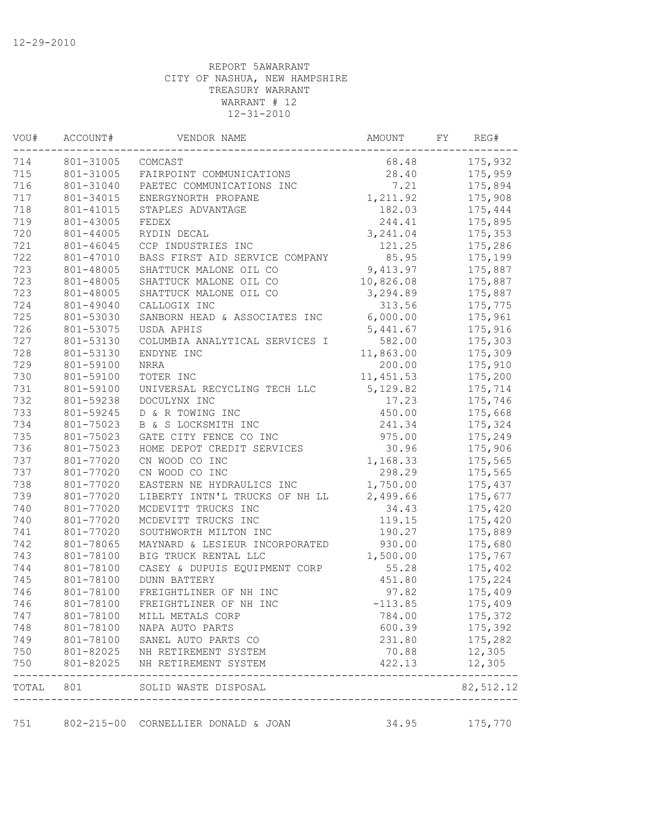| VOU#             | ACCOUNT#   | VENDOR NAME                         | AMOUNT     | FY | REG#      |  |
|------------------|------------|-------------------------------------|------------|----|-----------|--|
| 714<br>801-31005 |            | COMCAST                             | 68.48      |    | 175,932   |  |
| 715              | 801-31005  | FAIRPOINT COMMUNICATIONS            | 28.40      |    | 175,959   |  |
| 716              | 801-31040  | PAETEC COMMUNICATIONS INC           | 7.21       |    | 175,894   |  |
| 717              | 801-34015  | ENERGYNORTH PROPANE                 | 1,211.92   |    | 175,908   |  |
| 718              | 801-41015  | STAPLES ADVANTAGE                   | 182.03     |    | 175,444   |  |
| 719              | 801-43005  | FEDEX                               | 244.41     |    | 175,895   |  |
| 720              | 801-44005  | RYDIN DECAL                         | 3, 241.04  |    | 175,353   |  |
| 721              | 801-46045  | CCP INDUSTRIES INC                  | 121.25     |    | 175,286   |  |
| 722              | 801-47010  | BASS FIRST AID SERVICE COMPANY      | 85.95      |    | 175,199   |  |
| 723              | 801-48005  | SHATTUCK MALONE OIL CO              | 9,413.97   |    | 175,887   |  |
| 723              | 801-48005  | SHATTUCK MALONE OIL CO              | 10,826.08  |    | 175,887   |  |
| 723              | 801-48005  | SHATTUCK MALONE OIL CO              | 3,294.89   |    | 175,887   |  |
| 724              | 801-49040  | CALLOGIX INC                        | 313.56     |    | 175,775   |  |
| 725              | 801-53030  | SANBORN HEAD & ASSOCIATES INC       | 6,000.00   |    | 175,961   |  |
| 726              | 801-53075  | USDA APHIS                          | 5,441.67   |    | 175,916   |  |
| 727              | 801-53130  | COLUMBIA ANALYTICAL SERVICES I      | 582.00     |    | 175,303   |  |
| 728              | 801-53130  | ENDYNE INC                          | 11,863.00  |    | 175,309   |  |
| 729              | 801-59100  | <b>NRRA</b>                         | 200.00     |    | 175,910   |  |
| 730              | 801-59100  | TOTER INC                           | 11, 451.53 |    | 175,200   |  |
| 731              | 801-59100  | UNIVERSAL RECYCLING TECH LLC        | 5,129.82   |    | 175,714   |  |
| 732              | 801-59238  | DOCULYNX INC                        | 17.23      |    | 175,746   |  |
| 733              | 801-59245  | D & R TOWING INC                    | 450.00     |    | 175,668   |  |
| 734              | 801-75023  | B & S LOCKSMITH INC                 | 241.34     |    | 175,324   |  |
| 735              | 801-75023  | GATE CITY FENCE CO INC              | 975.00     |    | 175,249   |  |
| 736              | 801-75023  | HOME DEPOT CREDIT SERVICES          | 30.96      |    | 175,906   |  |
| 737              | 801-77020  | CN WOOD CO INC                      | 1,168.33   |    | 175,565   |  |
| 737              | 801-77020  | CN WOOD CO INC                      | 298.29     |    | 175,565   |  |
| 738              | 801-77020  | EASTERN NE HYDRAULICS INC           | 1,750.00   |    | 175,437   |  |
| 739              | 801-77020  | LIBERTY INTN'L TRUCKS OF NH LL      | 2,499.66   |    | 175,677   |  |
| 740              | 801-77020  | MCDEVITT TRUCKS INC                 | 34.43      |    | 175,420   |  |
| 740              | 801-77020  | MCDEVITT TRUCKS INC                 | 119.15     |    | 175,420   |  |
| 741              | 801-77020  | SOUTHWORTH MILTON INC               | 190.27     |    | 175,889   |  |
| 742              | 801-78065  | MAYNARD & LESIEUR INCORPORATED      | 930.00     |    | 175,680   |  |
| 743              | 801-78100  | BIG TRUCK RENTAL LLC                | 1,500.00   |    | 175,767   |  |
| 744              | 801-78100  | CASEY & DUPUIS EQUIPMENT CORP       | 55.28      |    | 175,402   |  |
| 745              | 801-78100  | <b>DUNN BATTERY</b>                 | 451.80     |    | 175,224   |  |
| 746              | 801-78100  | FREIGHTLINER OF NH INC              | 97.82      |    | 175,409   |  |
| 746              | 801-78100  | FREIGHTLINER OF NH INC              | $-113.85$  |    | 175,409   |  |
| 747              | 801-78100  | MILL METALS CORP                    | 784.00     |    | 175,372   |  |
| 748              | 801-78100  | NAPA AUTO PARTS                     | 600.39     |    | 175,392   |  |
| 749              | 801-78100  | SANEL AUTO PARTS CO                 | 231.80     |    | 175,282   |  |
| 750              |            | 801-82025 NH RETIREMENT SYSTEM      | 70.88      |    | 12,305    |  |
| 750              | 801-82025  | NH RETIREMENT SYSTEM                | 422.13     |    | 12,305    |  |
| TOTAL            | 801        | SOLID WASTE DISPOSAL                |            |    | 82,512.12 |  |
|                  | ---------- |                                     |            |    |           |  |
| 751              |            | 802-215-00 CORNELLIER DONALD & JOAN | 34.95      |    | 175,770   |  |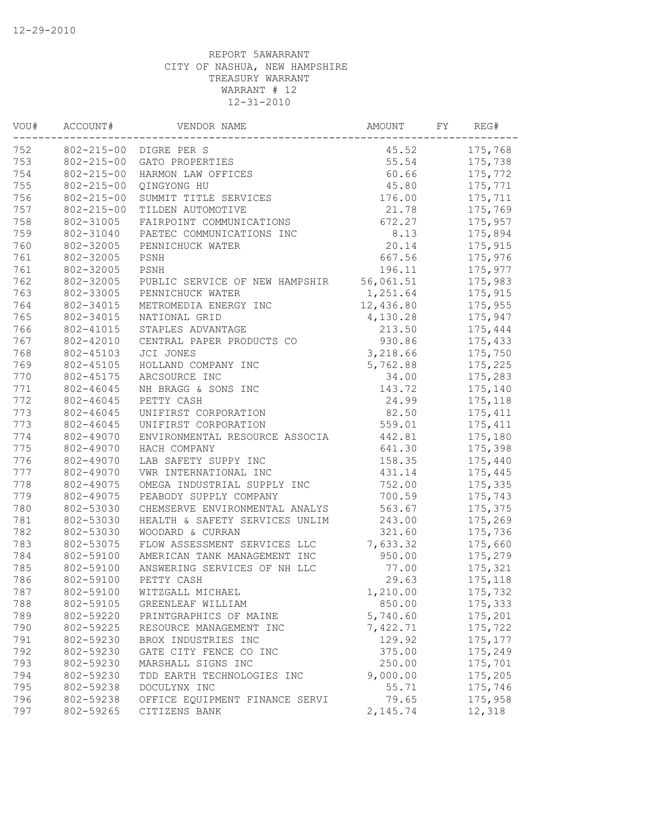| VOU#<br>ACCOUNT#<br>752 |                  | VENDOR NAME                                        | AMOUNT           | REG# |          |
|-------------------------|------------------|----------------------------------------------------|------------------|------|----------|
|                         |                  | 802-215-00 DIGRE PER S                             | 45.52            |      | 175,768  |
| 753                     | $802 - 215 - 00$ | GATO PROPERTIES                                    | 55.54            |      | 175,738  |
| 754                     | $802 - 215 - 00$ | HARMON LAW OFFICES                                 | 60.66            |      | 175,772  |
| 755                     | $802 - 215 - 00$ | QINGYONG HU                                        | 45.80            |      | 175,771  |
| 756                     | $802 - 215 - 00$ | SUMMIT TITLE SERVICES                              | 176.00           |      | 175,711  |
| 757                     | $802 - 215 - 00$ | TILDEN AUTOMOTIVE                                  | 21.78            |      | 175,769  |
| 758                     | 802-31005        | FAIRPOINT COMMUNICATIONS                           | 672.27           |      | 175,957  |
| 759                     | 802-31040        | PAETEC COMMUNICATIONS INC                          | 8.13             |      | 175,894  |
| 760                     | 802-32005        | PENNICHUCK WATER                                   | 20.14            |      | 175,915  |
| 761                     | 802-32005        | PSNH                                               | 667.56           |      | 175,976  |
| 761                     | 802-32005        | PSNH                                               | 196.11           |      | 175,977  |
| 762                     | 802-32005        | PUBLIC SERVICE OF NEW HAMPSHIR                     | 56,061.51        |      | 175,983  |
| 763                     | 802-33005        | PENNICHUCK WATER                                   | 1,251.64         |      | 175,915  |
| 764                     | 802-34015        | METROMEDIA ENERGY INC                              | 12,436.80        |      | 175,955  |
| 765                     | 802-34015        | NATIONAL GRID                                      | 4,130.28         |      | 175,947  |
| 766                     | 802-41015        | STAPLES ADVANTAGE                                  | 213.50           |      | 175,444  |
| 767                     | 802-42010        | CENTRAL PAPER PRODUCTS CO                          | 930.86           |      | 175,433  |
| 768                     | 802-45103        | JCI JONES                                          | 3,218.66         |      | 175,750  |
| 769                     | 802-45105        | HOLLAND COMPANY INC                                | 5,762.88         |      | 175,225  |
| 770                     | 802-45175        | ARCSOURCE INC                                      | 34.00            |      | 175,283  |
| 771                     | 802-46045        | NH BRAGG & SONS INC                                | 143.72           |      | 175,140  |
| 772                     | 802-46045        | PETTY CASH                                         | 24.99            |      | 175,118  |
| 773                     | 802-46045        | UNIFIRST CORPORATION                               | 82.50            |      | 175,411  |
| 773                     | 802-46045        | UNIFIRST CORPORATION                               | 559.01           |      | 175, 411 |
| 774                     | 802-49070        | ENVIRONMENTAL RESOURCE ASSOCIA                     | 442.81           |      | 175,180  |
| 775                     | 802-49070        | HACH COMPANY                                       | 641.30           |      | 175,398  |
| 776                     | 802-49070        | LAB SAFETY SUPPY INC                               | 158.35           |      | 175,440  |
| 777                     | 802-49070        | VWR INTERNATIONAL INC                              | 431.14           |      | 175,445  |
| 778                     | 802-49075        | OMEGA INDUSTRIAL SUPPLY INC                        | 752.00           |      | 175,335  |
| 779                     | 802-49075        | PEABODY SUPPLY COMPANY                             | 700.59           |      | 175,743  |
| 780                     | 802-53030        | CHEMSERVE ENVIRONMENTAL ANALYS                     | 563.67           |      | 175,375  |
| 781                     | 802-53030        |                                                    |                  |      |          |
|                         | 802-53030        | HEALTH & SAFETY SERVICES UNLIM<br>WOODARD & CURRAN | 243.00<br>321.60 |      | 175,269  |
| 782                     |                  |                                                    |                  |      | 175,736  |
| 783                     | 802-53075        | FLOW ASSESSMENT SERVICES LLC                       | 7,633.32         |      | 175,660  |
| 784                     | 802-59100        | AMERICAN TANK MANAGEMENT INC                       | 950.00           |      | 175,279  |
| 785                     | 802-59100        | ANSWERING SERVICES OF NH LLC                       | 77.00            |      | 175,321  |
| 786                     | 802-59100        | PETTY CASH                                         | 29.63            |      | 175,118  |
| 787                     | 802-59100        | WITZGALL MICHAEL                                   | 1,210.00         |      | 175,732  |
| 788                     | 802-59105        | GREENLEAF WILLIAM                                  | 850.00           |      | 175,333  |
| 789                     | 802-59220        | PRINTGRAPHICS OF MAINE                             | 5,740.60         |      | 175,201  |
| 790                     | 802-59225        | RESOURCE MANAGEMENT INC                            | 7,422.71         |      | 175,722  |
| 791                     | 802-59230        | BROX INDUSTRIES INC                                | 129.92           |      | 175, 177 |
| 792                     | 802-59230        | GATE CITY FENCE CO INC                             | 375.00           |      | 175,249  |
| 793                     | 802-59230        | MARSHALL SIGNS INC                                 | 250.00           |      | 175,701  |
| 794                     | 802-59230        | TDD EARTH TECHNOLOGIES INC                         | 9,000.00         |      | 175,205  |
| 795                     | 802-59238        | DOCULYNX INC                                       | 55.71            |      | 175,746  |
| 796                     | 802-59238        | OFFICE EQUIPMENT FINANCE SERVI                     | 79.65            |      | 175,958  |
| 797                     | 802-59265        | CITIZENS BANK                                      | 2,145.74         |      | 12,318   |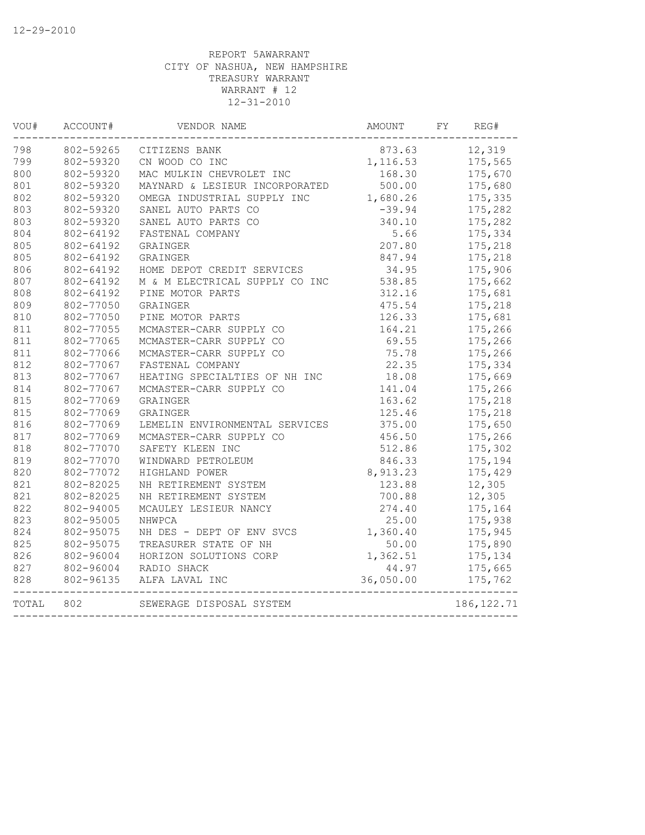| VOU#  | ACCOUNT#  | VENDOR NAME                    | AMOUNT    | FY | REG#        |
|-------|-----------|--------------------------------|-----------|----|-------------|
| 798   | 802-59265 | CITIZENS BANK                  | 873.63    |    | 12,319      |
| 799   | 802-59320 | CN WOOD CO INC                 | 1,116.53  |    | 175,565     |
| 800   | 802-59320 | MAC MULKIN CHEVROLET INC       | 168.30    |    | 175,670     |
| 801   | 802-59320 | MAYNARD & LESIEUR INCORPORATED | 500.00    |    | 175,680     |
| 802   | 802-59320 | OMEGA INDUSTRIAL SUPPLY INC    | 1,680.26  |    | 175,335     |
| 803   | 802-59320 | SANEL AUTO PARTS CO            | $-39.94$  |    | 175,282     |
| 803   | 802-59320 | SANEL AUTO PARTS CO            | 340.10    |    | 175,282     |
| 804   | 802-64192 | FASTENAL COMPANY               | 5.66      |    | 175,334     |
| 805   | 802-64192 | GRAINGER                       | 207.80    |    | 175,218     |
| 805   | 802-64192 | GRAINGER                       | 847.94    |    | 175,218     |
| 806   | 802-64192 | HOME DEPOT CREDIT SERVICES     | 34.95     |    | 175,906     |
| 807   | 802-64192 | M & M ELECTRICAL SUPPLY CO INC | 538.85    |    | 175,662     |
| 808   | 802-64192 | PINE MOTOR PARTS               | 312.16    |    | 175,681     |
| 809   | 802-77050 | GRAINGER                       | 475.54    |    | 175,218     |
| 810   | 802-77050 | PINE MOTOR PARTS               | 126.33    |    | 175,681     |
| 811   | 802-77055 | MCMASTER-CARR SUPPLY CO        | 164.21    |    | 175,266     |
| 811   | 802-77065 | MCMASTER-CARR SUPPLY CO        | 69.55     |    | 175,266     |
| 811   | 802-77066 | MCMASTER-CARR SUPPLY CO        | 75.78     |    | 175,266     |
| 812   | 802-77067 | FASTENAL COMPANY               | 22.35     |    | 175,334     |
| 813   | 802-77067 | HEATING SPECIALTIES OF NH INC  | 18.08     |    | 175,669     |
| 814   | 802-77067 | MCMASTER-CARR SUPPLY CO        | 141.04    |    | 175,266     |
| 815   | 802-77069 | GRAINGER                       | 163.62    |    | 175,218     |
| 815   | 802-77069 | GRAINGER                       | 125.46    |    | 175,218     |
| 816   | 802-77069 | LEMELIN ENVIRONMENTAL SERVICES | 375.00    |    | 175,650     |
| 817   | 802-77069 | MCMASTER-CARR SUPPLY CO        | 456.50    |    | 175,266     |
| 818   | 802-77070 | SAFETY KLEEN INC               | 512.86    |    | 175,302     |
| 819   | 802-77070 | WINDWARD PETROLEUM             | 846.33    |    | 175,194     |
| 820   | 802-77072 | HIGHLAND POWER                 | 8,913.23  |    | 175,429     |
| 821   | 802-82025 | NH RETIREMENT SYSTEM           | 123.88    |    | 12,305      |
| 821   | 802-82025 | NH RETIREMENT SYSTEM           | 700.88    |    | 12,305      |
| 822   | 802-94005 | MCAULEY LESIEUR NANCY          | 274.40    |    | 175,164     |
| 823   | 802-95005 | NHWPCA                         | 25.00     |    | 175,938     |
| 824   | 802-95075 | NH DES - DEPT OF ENV SVCS      | 1,360.40  |    | 175,945     |
| 825   | 802-95075 | TREASURER STATE OF NH          | 50.00     |    | 175,890     |
| 826   | 802-96004 | HORIZON SOLUTIONS CORP         | 1,362.51  |    | 175,134     |
| 827   | 802-96004 | RADIO SHACK                    | 44.97     |    | 175,665     |
| 828   | 802-96135 | ALFA LAVAL INC                 | 36,050.00 |    | 175,762     |
| TOTAL | 802       | SEWERAGE DISPOSAL SYSTEM       |           |    | 186, 122.71 |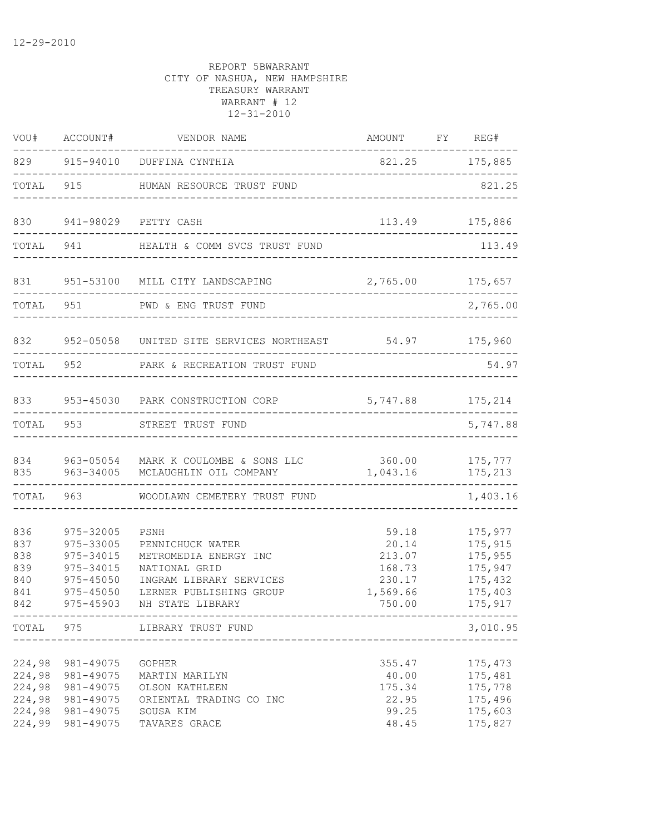|                                               | VOU# ACCOUNT#                                                                                   | VENDOR NAME                                                                                                                                  | AMOUNT FY REG#                                                     |  | $---$                                                                     |
|-----------------------------------------------|-------------------------------------------------------------------------------------------------|----------------------------------------------------------------------------------------------------------------------------------------------|--------------------------------------------------------------------|--|---------------------------------------------------------------------------|
|                                               |                                                                                                 | 829 915-94010 DUFFINA CYNTHIA                                                                                                                | 821.25 175,885                                                     |  |                                                                           |
| TOTAL                                         |                                                                                                 | 915 HUMAN RESOURCE TRUST FUND                                                                                                                |                                                                    |  | 821.25                                                                    |
| 830                                           |                                                                                                 | 941-98029 PETTY CASH                                                                                                                         |                                                                    |  | 113.49 175,886                                                            |
| TOTAL                                         | 941 — 10                                                                                        | HEALTH & COMM SVCS TRUST FUND                                                                                                                |                                                                    |  | 113.49                                                                    |
| 831                                           |                                                                                                 | 951-53100 MILL CITY LANDSCAPING                                                                                                              | 2,765.00 175,657                                                   |  |                                                                           |
| TOTAL                                         | 951                                                                                             | PWD & ENG TRUST FUND                                                                                                                         |                                                                    |  | 2,765.00                                                                  |
|                                               |                                                                                                 | 832 952-05058 UNITED SITE SERVICES NORTHEAST 54.97 175,960                                                                                   |                                                                    |  |                                                                           |
| TOTAL 952                                     |                                                                                                 | PARK & RECREATION TRUST FUND                                                                                                                 |                                                                    |  | 54.97                                                                     |
| 833                                           |                                                                                                 | 953-45030 PARK CONSTRUCTION CORP 5,747.88 175,214                                                                                            |                                                                    |  |                                                                           |
| TOTAL                                         |                                                                                                 | 953 STREET TRUST FUND                                                                                                                        |                                                                    |  | --------------<br>5,747.88                                                |
| 834<br>835                                    |                                                                                                 | 963-05054 MARK K COULOMBE & SONS LLC 360.00 175,777<br>963-34005 MCLAUGHLIN OIL COMPANY                                                      | 1,043.16                                                           |  | 175,213                                                                   |
| TOTAL                                         | 963 — 100                                                                                       | WOODLAWN CEMETERY TRUST FUND                                                                                                                 |                                                                    |  | 1,403.16                                                                  |
| 836<br>837<br>838<br>839<br>840<br>841<br>842 | 975-32005<br>975-33005<br>975-34015<br>975-34015<br>$975 - 45050$<br>$975 - 45050$<br>975-45903 | PSNH<br>PENNICHUCK WATER<br>METROMEDIA ENERGY INC<br>NATIONAL GRID<br>INGRAM LIBRARY SERVICES<br>LERNER PUBLISHING GROUP<br>NH STATE LIBRARY | 59.18<br>20.14<br>213.07<br>168.73<br>230.17<br>1,569.66<br>750.00 |  | 175,977<br>175,915<br>175,955<br>175,947<br>175,432<br>175,403<br>175,917 |
|                                               |                                                                                                 | -----------------------------------<br>TOTAL 975 LIBRARY TRUST FUND<br>-------------------------------------                                 |                                                                    |  | 3,010.95                                                                  |
| 224,98<br>224,98<br>224,98<br>224,98          | 981-49075<br>981-49075<br>981-49075<br>981-49075<br>224,98 981-49075<br>224,99 981-49075        | GOPHER<br>MARTIN MARILYN<br>OLSON KATHLEEN<br>ORIENTAL TRADING CO INC<br>SOUSA KIM<br>TAVARES GRACE                                          | 355.47<br>40.00<br>175.34<br>22.95<br>99.25<br>48.45               |  | 175,473<br>175,481<br>175,778<br>175,496<br>175,603<br>175,827            |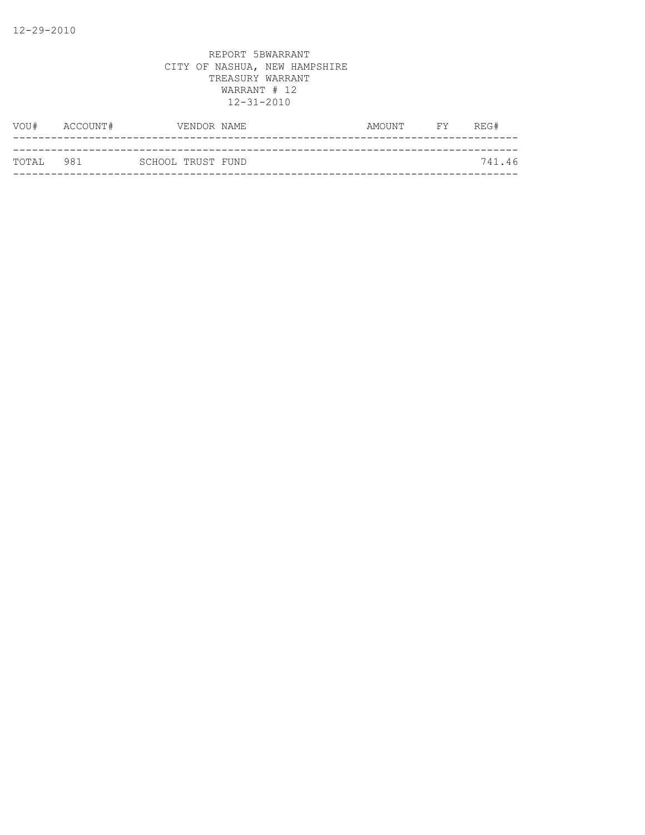| VOU#      | ACCOUNT# |                   | VENDOR NAME | AMOUNT | <b>FY</b> | REG#   |
|-----------|----------|-------------------|-------------|--------|-----------|--------|
|           |          |                   |             |        |           |        |
| TOTAL 981 |          | SCHOOL TRUST FUND |             |        |           | 741.46 |
|           |          |                   |             |        |           |        |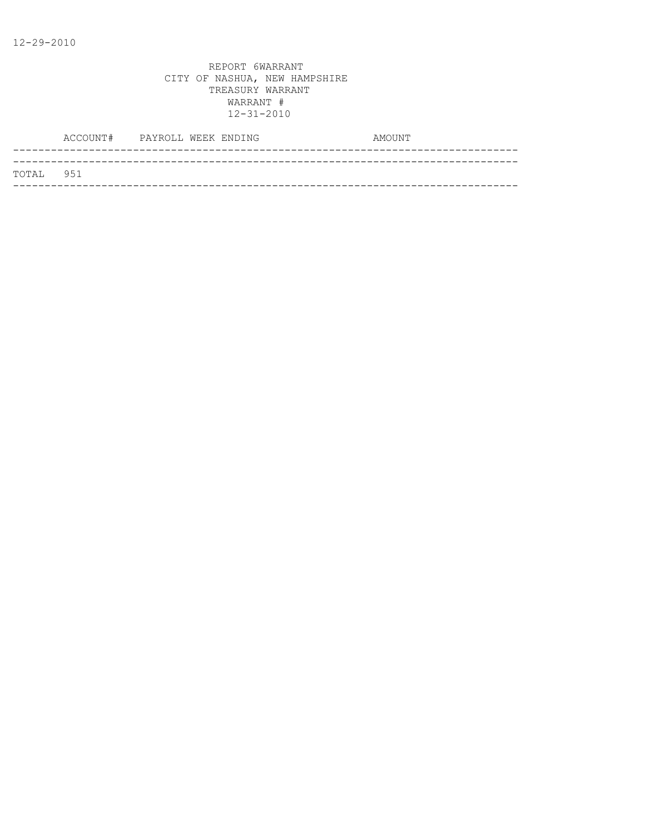|           | ACCOUNT# PAYROLL WEEK ENDING |  |  | AMOUNT |
|-----------|------------------------------|--|--|--------|
|           |                              |  |  |        |
| TOTAL 951 |                              |  |  |        |
|           |                              |  |  |        |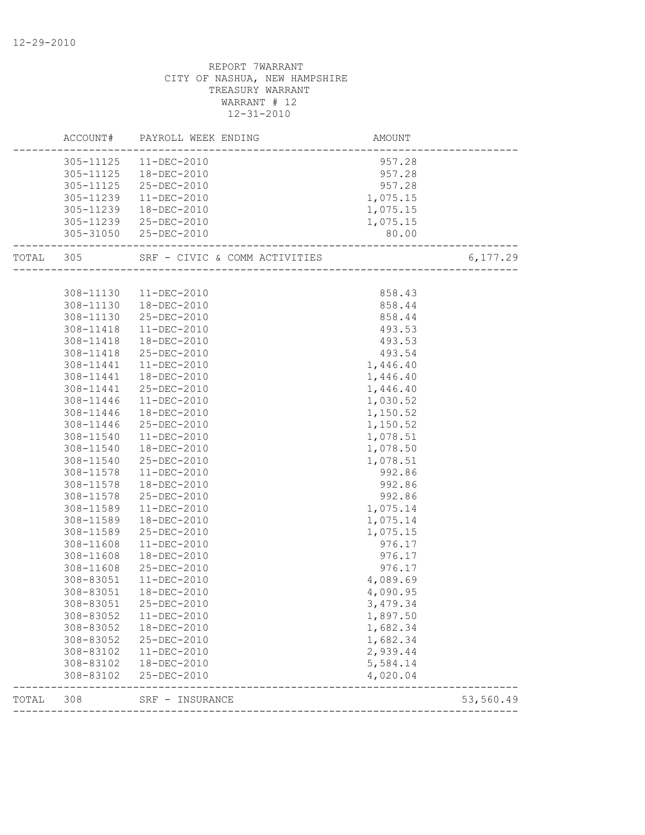|           |                        | ACCOUNT# PAYROLL WEEK ENDING     | AMOUNT               |           |
|-----------|------------------------|----------------------------------|----------------------|-----------|
|           |                        | 305-11125  11-DEC-2010           | 957.28               |           |
|           |                        | 305-11125  18-DEC-2010           | 957.28               |           |
|           |                        | 305-11125 25-DEC-2010            | 957.28               |           |
|           |                        | 305-11239 11-DEC-2010            | 1,075.15             |           |
|           |                        | 305-11239  18-DEC-2010           | 1,075.15             |           |
|           |                        | 305-11239 25-DEC-2010            | 1,075.15             |           |
|           |                        | 305-31050 25-DEC-2010            | 80.00                |           |
| TOTAL 305 |                        |                                  |                      | 6,177.29  |
|           |                        |                                  |                      |           |
|           |                        | 308-11130  11-DEC-2010           | 858.43               |           |
|           |                        | 308-11130  18-DEC-2010           | 858.44               |           |
|           |                        | 308-11130 25-DEC-2010            | 858.44               |           |
|           | 308-11418              | 11-DEC-2010                      | 493.53               |           |
|           | 308-11418              | 18-DEC-2010                      | 493.53               |           |
|           | 308-11418              | 25-DEC-2010                      | 493.54               |           |
|           | 308-11441              | 11-DEC-2010                      | 1,446.40             |           |
|           | 308-11441              | 18-DEC-2010                      | 1,446.40             |           |
|           | 308-11441              | 25-DEC-2010                      | 1,446.40             |           |
|           | 308-11446              | 11-DEC-2010                      | 1,030.52             |           |
|           | 308-11446              | 18-DEC-2010                      | 1,150.52             |           |
|           | 308-11446              | 25-DEC-2010<br>$11 - DEC - 2010$ | 1,150.52             |           |
|           | 308-11540              | 18-DEC-2010                      | 1,078.51             |           |
|           | 308-11540<br>308-11540 | 25-DEC-2010                      | 1,078.50<br>1,078.51 |           |
|           | 308-11578              | 11-DEC-2010                      | 992.86               |           |
|           | 308-11578              | 18-DEC-2010                      | 992.86               |           |
|           | 308-11578              | 25-DEC-2010                      | 992.86               |           |
|           | 308-11589              | 11-DEC-2010                      | 1,075.14             |           |
|           | 308-11589              | 18-DEC-2010                      | 1,075.14             |           |
|           | 308-11589              | 25-DEC-2010                      | 1,075.15             |           |
|           | 308-11608              | $11 - DEC - 2010$                | 976.17               |           |
|           | 308-11608              | 18-DEC-2010                      | 976.17               |           |
|           | 308-11608              | 25-DEC-2010                      | 976.17               |           |
|           | 308-83051              | 11-DEC-2010                      | 4,089.69             |           |
|           | 308-83051              | 18-DEC-2010                      | 4,090.95             |           |
|           | 308-83051              | 25-DEC-2010                      | 3,479.34             |           |
|           | 308-83052              | $11 - DEC - 2010$                | 1,897.50             |           |
|           |                        | 308-83052  18-DEC-2010           | 1,682.34             |           |
|           | 308-83052              | 25-DEC-2010                      | 1,682.34             |           |
|           | 308-83102              | 11-DEC-2010                      | 2,939.44             |           |
|           | 308-83102              | 18-DEC-2010                      | 5,584.14             |           |
|           | 308-83102              | 25-DEC-2010                      | 4,020.04             |           |
| TOTAL     | 308                    | SRF - INSURANCE                  |                      | 53,560.49 |
|           |                        |                                  |                      |           |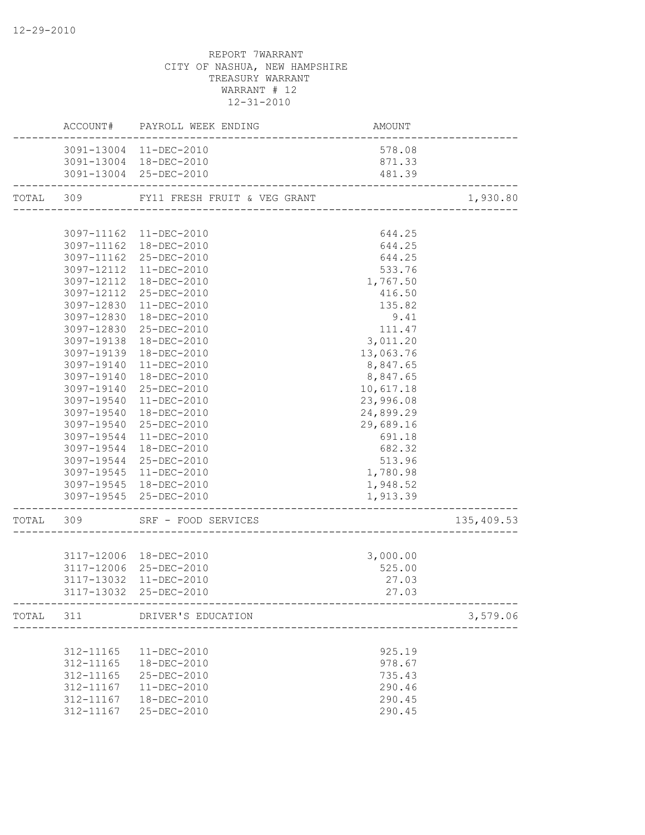|            | ACCOUNT# PAYROLL WEEK ENDING           | AMOUNT                                    |            |
|------------|----------------------------------------|-------------------------------------------|------------|
|            | 3091-13004 11-DEC-2010                 | 578.08                                    |            |
|            | 3091-13004 18-DEC-2010                 | 871.33                                    |            |
|            | 3091-13004 25-DEC-2010                 | 481.39                                    |            |
|            | TOTAL 309 FY11 FRESH FRUIT & VEG GRANT |                                           | 1,930.80   |
|            |                                        |                                           |            |
|            | 3097-11162 11-DEC-2010                 | 644.25                                    |            |
|            | 3097-11162  18-DEC-2010                | 644.25                                    |            |
|            | 3097-11162 25-DEC-2010                 | 644.25                                    |            |
|            | 3097-12112 11-DEC-2010                 | 533.76                                    |            |
|            | 3097-12112  18-DEC-2010                | 1,767.50                                  |            |
|            | 3097-12112 25-DEC-2010                 | 416.50                                    |            |
| 3097-12830 | 11-DEC-2010                            | 135.82                                    |            |
| 3097-12830 | 18-DEC-2010                            | 9.41                                      |            |
|            | 3097-12830 25-DEC-2010                 | 111.47                                    |            |
| 3097-19138 | 18-DEC-2010                            | 3,011.20                                  |            |
| 3097-19139 | 18-DEC-2010                            | 13,063.76                                 |            |
| 3097-19140 | $11 - DEC - 2010$                      | 8,847.65                                  |            |
| 3097-19140 | 18-DEC-2010                            | 8,847.65                                  |            |
| 3097-19140 | 25-DEC-2010                            | 10,617.18                                 |            |
| 3097-19540 | 11-DEC-2010                            | 23,996.08                                 |            |
|            | 3097-19540  18-DEC-2010                | 24,899.29                                 |            |
|            | 3097-19540 25-DEC-2010                 | 29,689.16                                 |            |
|            | 3097-19544 11-DEC-2010                 | 691.18                                    |            |
|            | 3097-19544  18-DEC-2010                | 682.32                                    |            |
|            | 3097-19544 25-DEC-2010                 | 513.96                                    |            |
|            | 3097-19545 11-DEC-2010                 | 1,780.98                                  |            |
|            | 3097-19545 18-DEC-2010                 | 1,948.52                                  |            |
|            | 3097-19545 25-DEC-2010                 | 1,913.39                                  |            |
|            | TOTAL 309 SRF - FOOD SERVICES          |                                           | 135,409.53 |
|            |                                        |                                           |            |
|            | 3117-12006 18-DEC-2010                 | 3,000.00                                  |            |
|            | 3117-12006 25-DEC-2010                 | 525.00                                    |            |
| 3117-13032 | 11-DEC-2010                            | 27.03                                     |            |
|            | 3117-13032 25-DEC-2010                 | 27.03<br>-------------------------------- |            |
|            | TOTAL 311 DRIVER'S EDUCATION           |                                           | 3,579.06   |
|            |                                        |                                           |            |
| 312-11165  | 11-DEC-2010                            | 925.19                                    |            |
| 312-11165  | 18-DEC-2010                            | 978.67                                    |            |
| 312-11165  | 25-DEC-2010                            | 735.43                                    |            |
| 312-11167  | $11 - DEC - 2010$                      | 290.46                                    |            |
| 312-11167  | 18-DEC-2010                            | 290.45                                    |            |
| 312-11167  | 25-DEC-2010                            | 290.45                                    |            |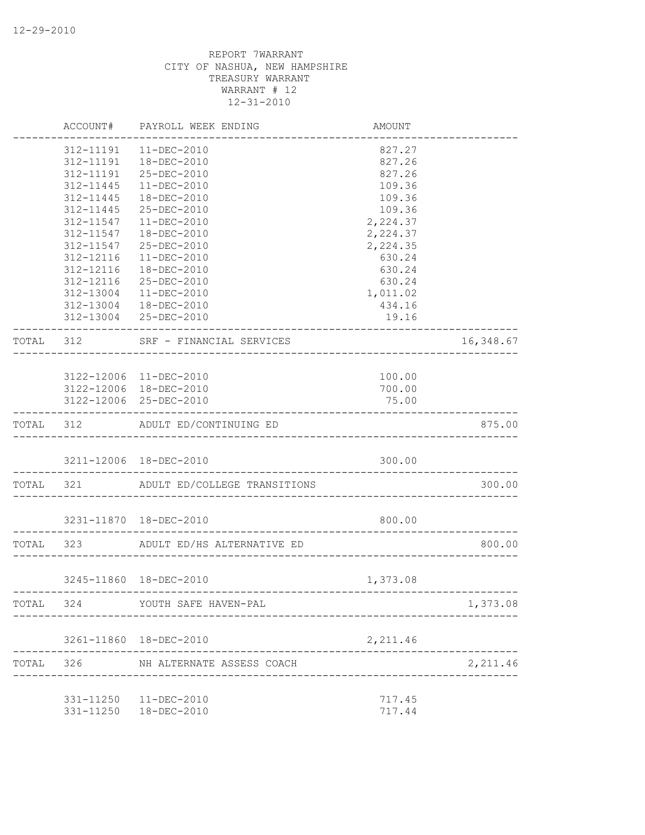|           | ACCOUNT#               | PAYROLL WEEK ENDING                                           | AMOUNT               |                 |
|-----------|------------------------|---------------------------------------------------------------|----------------------|-----------------|
|           | 312-11191              | $11 - DEC - 2010$                                             | 827.27               |                 |
|           | 312-11191              | 18-DEC-2010                                                   | 827.26               |                 |
|           | 312-11191              | 25-DEC-2010                                                   | 827.26               |                 |
|           | 312-11445              | $11-DEC-2010$                                                 | 109.36               |                 |
|           | 312-11445              | 18-DEC-2010                                                   | 109.36               |                 |
|           | 312-11445              | 25-DEC-2010                                                   | 109.36               |                 |
|           | 312-11547<br>312-11547 | 11-DEC-2010<br>18-DEC-2010                                    | 2,224.37<br>2,224.37 |                 |
|           | 312-11547              | 25-DEC-2010                                                   | 2,224.35             |                 |
|           | 312-12116              | $11 - DEC - 2010$                                             | 630.24               |                 |
|           | 312-12116              | 18-DEC-2010                                                   | 630.24               |                 |
|           | 312-12116              | 25-DEC-2010                                                   | 630.24               |                 |
|           | 312-13004              | 11-DEC-2010                                                   | 1,011.02             |                 |
|           |                        | 312-13004  18-DEC-2010                                        | 434.16               |                 |
|           |                        | 312-13004 25-DEC-2010                                         | 19.16                |                 |
| TOTAL 312 |                        | SRF - FINANCIAL SERVICES<br>_________________________________ |                      | 16,348.67       |
|           |                        |                                                               |                      |                 |
|           |                        | 3122-12006 11-DEC-2010                                        | 100.00               |                 |
|           |                        | 3122-12006 18-DEC-2010                                        | 700.00               |                 |
|           |                        | 3122-12006 25-DEC-2010                                        | 75.00                |                 |
|           |                        | TOTAL 312 ADULT ED/CONTINUING ED                              |                      | 875.00          |
|           |                        | 3211-12006 18-DEC-2010                                        | 300.00               |                 |
|           |                        | TOTAL 321 ADULT ED/COLLEGE TRANSITIONS                        |                      | 300.00          |
|           |                        | 3231-11870  18-DEC-2010                                       | 800.00               |                 |
|           |                        |                                                               |                      |                 |
|           | TOTAL 323              | ADULT ED/HS ALTERNATIVE ED                                    |                      | 800.00          |
|           |                        | 3245-11860 18-DEC-2010                                        | 1,373.08             | --------------- |
| TOTAL     | 324                    | YOUTH SAFE HAVEN-PAL                                          |                      | 1,373.08        |
|           |                        | 3261-11860 18-DEC-2010                                        | 2,211.46             |                 |
|           |                        |                                                               |                      |                 |
| TOTAL     | 326                    | NH ALTERNATE ASSESS COACH                                     |                      | 2,211.46        |
|           |                        | 331-11250  11-DEC-2010                                        | 717.45               |                 |
|           |                        | 331-11250  18-DEC-2010                                        | 717.44               |                 |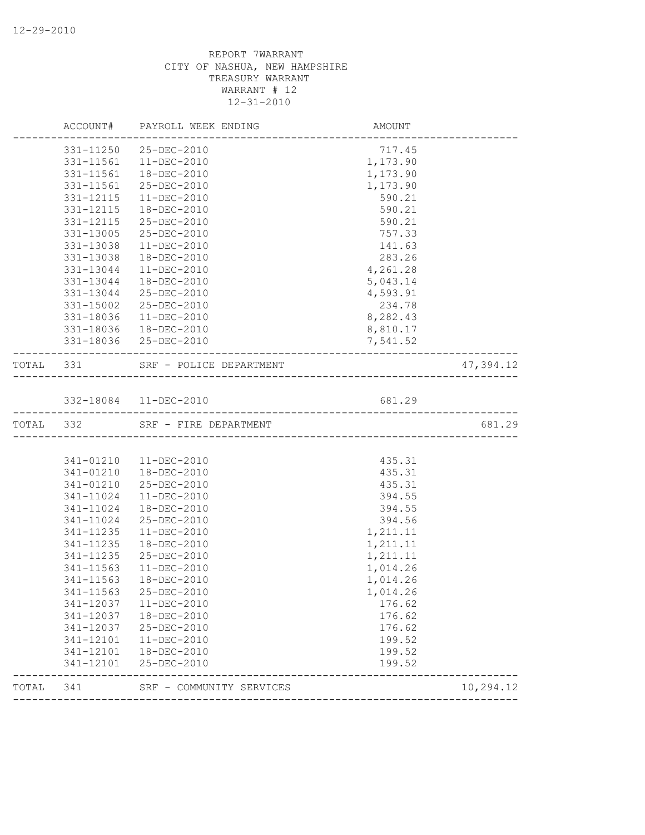| 47,394.12 |
|-----------|
|           |
|           |
|           |
| 681.29    |
|           |
|           |
|           |
|           |
|           |
|           |
|           |
|           |
|           |
|           |
|           |
|           |
|           |
|           |
|           |
|           |
|           |
|           |
|           |
|           |
|           |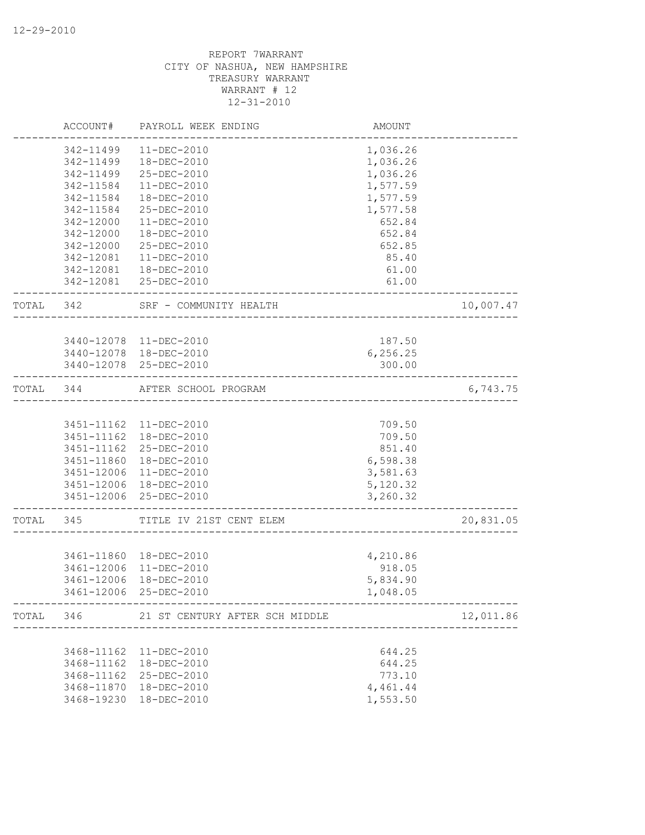|           | ACCOUNT#   | PAYROLL WEEK ENDING                      | <b>AMOUNT</b> |           |
|-----------|------------|------------------------------------------|---------------|-----------|
|           | 342-11499  | $11 - DEC - 2010$                        | 1,036.26      |           |
|           | 342-11499  | 18-DEC-2010                              | 1,036.26      |           |
|           | 342-11499  | 25-DEC-2010                              | 1,036.26      |           |
|           | 342-11584  | 11-DEC-2010                              | 1,577.59      |           |
|           | 342-11584  | 18-DEC-2010                              | 1,577.59      |           |
|           | 342-11584  | 25-DEC-2010                              | 1,577.58      |           |
|           | 342-12000  | $11 - DEC - 2010$                        | 652.84        |           |
|           | 342-12000  | 18-DEC-2010                              | 652.84        |           |
|           | 342-12000  | 25-DEC-2010                              | 652.85        |           |
|           | 342-12081  | 11-DEC-2010                              | 85.40         |           |
|           |            | 342-12081  18-DEC-2010                   | 61.00         |           |
|           |            | 342-12081 25-DEC-2010                    | 61.00         |           |
| TOTAL 342 |            | SRF - COMMUNITY HEALTH                   |               | 10,007.47 |
|           |            |                                          |               |           |
|           |            | 3440-12078 11-DEC-2010                   | 187.50        |           |
|           |            | 3440-12078  18-DEC-2010                  | 6,256.25      |           |
|           |            | 3440-12078 25-DEC-2010                   | 300.00        |           |
| TOTAL 344 |            | AFTER SCHOOL PROGRAM                     |               | 6,743.75  |
|           |            |                                          |               |           |
|           |            | 3451-11162  11-DEC-2010                  | 709.50        |           |
|           |            | 3451-11162  18-DEC-2010                  | 709.50        |           |
|           |            | 3451-11162 25-DEC-2010                   | 851.40        |           |
|           | 3451-11860 | 18-DEC-2010                              | 6,598.38      |           |
|           |            | 3451-12006 11-DEC-2010                   | 3,581.63      |           |
|           |            | 3451-12006 18-DEC-2010                   | 5,120.32      |           |
|           |            | 3451-12006 25-DEC-2010                   | 3,260.32      |           |
| TOTAL     | 345        | TITLE IV 21ST CENT ELEM                  |               | 20,831.05 |
|           |            |                                          |               |           |
|           |            | 3461-11860 18-DEC-2010                   | 4,210.86      |           |
|           |            | 3461-12006 11-DEC-2010                   | 918.05        |           |
|           | 3461-12006 | 18-DEC-2010                              | 5,834.90      |           |
|           |            | 3461-12006 25-DEC-2010                   | 1,048.05      |           |
|           |            | TOTAL 346 21 ST CENTURY AFTER SCH MIDDLE |               | 12,011.86 |
|           |            |                                          |               |           |
|           | 3468-11162 | 11-DEC-2010                              | 644.25        |           |
|           | 3468-11162 | 18-DEC-2010                              | 644.25        |           |
|           | 3468-11162 | 25-DEC-2010                              | 773.10        |           |
|           |            | 3468-11870  18-DEC-2010                  | 4,461.44      |           |
|           | 3468-19230 | 18-DEC-2010                              | 1,553.50      |           |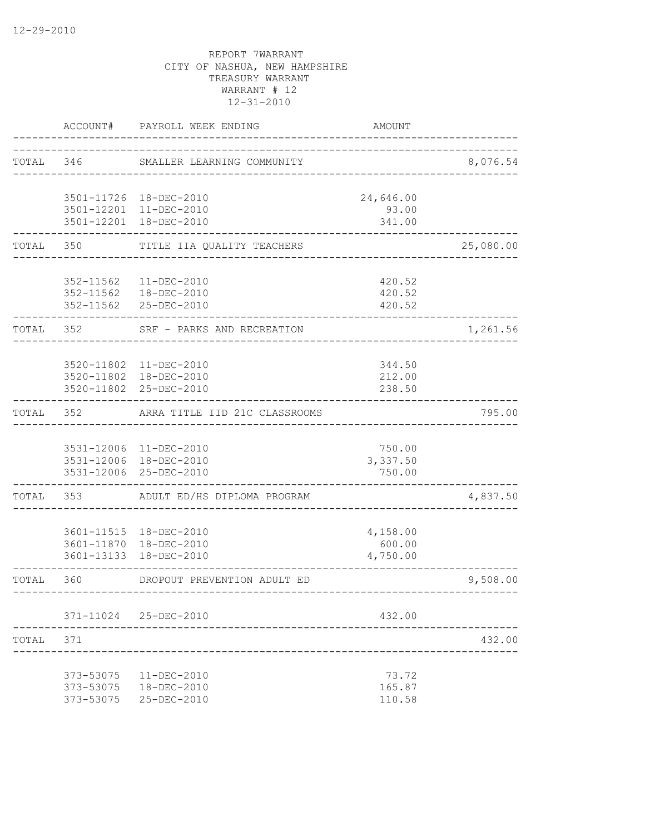|           | ACCOUNT#               | PAYROLL WEEK ENDING                                                         | AMOUNT                         |           |
|-----------|------------------------|-----------------------------------------------------------------------------|--------------------------------|-----------|
| TOTAL     | 346                    | SMALLER LEARNING COMMUNITY                                                  |                                | 8,076.54  |
|           |                        | 3501-11726 18-DEC-2010<br>3501-12201 11-DEC-2010                            | 24,646.00<br>93.00             |           |
|           |                        | 3501-12201 18-DEC-2010                                                      | 341.00                         |           |
| TOTAL     | 350                    | TITLE IIA QUALITY TEACHERS                                                  |                                | 25,080.00 |
|           | 352-11562              | 11-DEC-2010<br>352-11562  18-DEC-2010<br>352-11562 25-DEC-2010              | 420.52<br>420.52<br>420.52     |           |
| TOTAL 352 |                        | SRF - PARKS AND RECREATION                                                  |                                | 1,261.56  |
|           |                        | 3520-11802 11-DEC-2010<br>3520-11802  18-DEC-2010<br>3520-11802 25-DEC-2010 | 344.50<br>212.00<br>238.50     |           |
| TOTAL     | 352                    | ARRA TITLE IID 21C CLASSROOMS                                               |                                | 795.00    |
|           |                        | 3531-12006 11-DEC-2010<br>3531-12006 18-DEC-2010<br>3531-12006 25-DEC-2010  | 750.00<br>3,337.50<br>750.00   |           |
| TOTAL     | 353                    | ADULT ED/HS DIPLOMA PROGRAM                                                 |                                | 4,837.50  |
|           |                        | 3601-11515  18-DEC-2010<br>3601-11870 18-DEC-2010<br>3601-13133 18-DEC-2010 | 4,158.00<br>600.00<br>4,750.00 |           |
| TOTAL     | 360                    | DROPOUT PREVENTION ADULT ED                                                 |                                | 9,508.00  |
|           |                        | 371-11024 25-DEC-2010                                                       | 432.00                         |           |
| TOTAL     | 371                    |                                                                             |                                | 432.00    |
|           | 373-53075<br>373-53075 | $11 - DEC - 2010$<br>373-53075  18-DEC-2010<br>25-DEC-2010                  | 73.72<br>165.87<br>110.58      |           |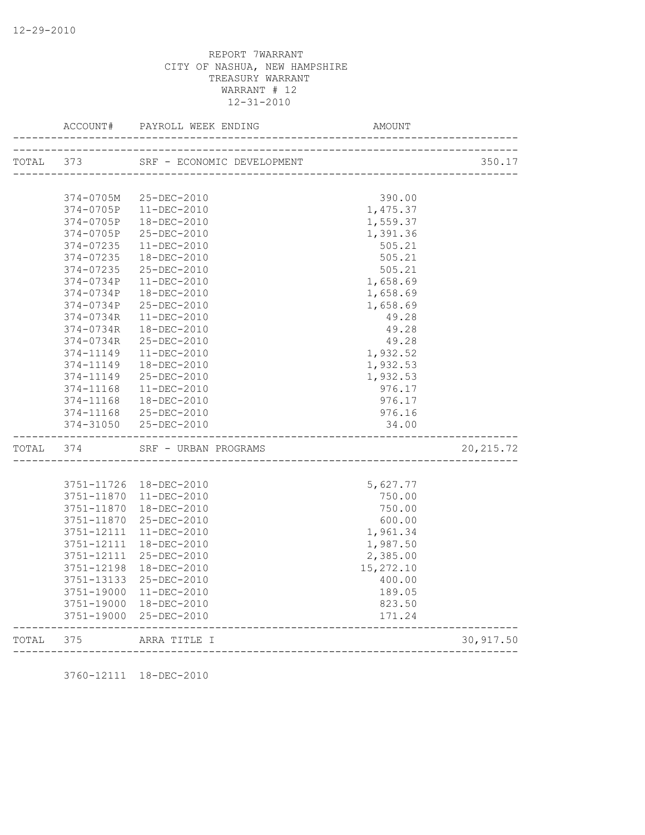| TOTAL | 373        | SRF - ECONOMIC DEVELOPMENT           |           | 350.17     |
|-------|------------|--------------------------------------|-----------|------------|
|       |            |                                      |           |            |
|       | 374-0705M  | 25-DEC-2010                          | 390.00    |            |
|       | 374-0705P  | $11 - DEC - 2010$                    | 1,475.37  |            |
|       | 374-0705P  | 18-DEC-2010                          | 1,559.37  |            |
|       | 374-0705P  | 25-DEC-2010                          | 1,391.36  |            |
|       | 374-07235  | $11 - DEC - 2010$                    | 505.21    |            |
|       | 374-07235  | 18-DEC-2010                          | 505.21    |            |
|       | 374-07235  | 25-DEC-2010                          | 505.21    |            |
|       | 374-0734P  | $11 - DEC - 2010$                    | 1,658.69  |            |
|       | 374-0734P  | 18-DEC-2010                          | 1,658.69  |            |
|       | 374-0734P  | 25-DEC-2010                          | 1,658.69  |            |
|       | 374-0734R  | $11 - DEC - 2010$                    | 49.28     |            |
|       | 374-0734R  | $18 - DEC - 2010$                    | 49.28     |            |
|       | 374-0734R  | 25-DEC-2010                          | 49.28     |            |
|       | 374-11149  | $11 - DEC - 2010$                    | 1,932.52  |            |
|       | 374-11149  | $18 - DEC - 2010$                    | 1,932.53  |            |
|       | 374-11149  | 25-DEC-2010                          | 1,932.53  |            |
|       | 374-11168  | $11 - DEC - 2010$                    | 976.17    |            |
|       | 374-11168  | 18-DEC-2010                          | 976.17    |            |
|       | 374-11168  | 25-DEC-2010                          | 976.16    |            |
|       | 374-31050  | 25-DEC-2010                          | 34.00     |            |
| TOTAL | 374        | SRF - URBAN PROGRAMS                 |           | 20, 215.72 |
|       |            |                                      |           |            |
|       |            | 3751-11726  18-DEC-2010              | 5,627.77  |            |
|       | 3751-11870 | 11-DEC-2010                          | 750.00    |            |
|       | 3751-11870 | 18-DEC-2010                          | 750.00    |            |
|       | 3751-11870 | 25-DEC-2010                          | 600.00    |            |
|       | 3751-12111 | $11 - DEC - 2010$                    | 1,961.34  |            |
|       | 3751-12111 | 18-DEC-2010                          | 1,987.50  |            |
|       | 3751-12111 | 25-DEC-2010                          | 2,385.00  |            |
|       | 3751-12198 | 18-DEC-2010                          | 15,272.10 |            |
|       | 3751-13133 | 25-DEC-2010                          | 400.00    |            |
|       | 3751-19000 | 11-DEC-2010                          | 189.05    |            |
|       | 3751-19000 | 18-DEC-2010                          | 823.50    |            |
|       |            | 3751-19000 25-DEC-2010               | 171.24    |            |
| TOTAL | 375        | ARRA TITLE I<br>____________________ |           | 30,917.50  |

3760-12111 18-DEC-2010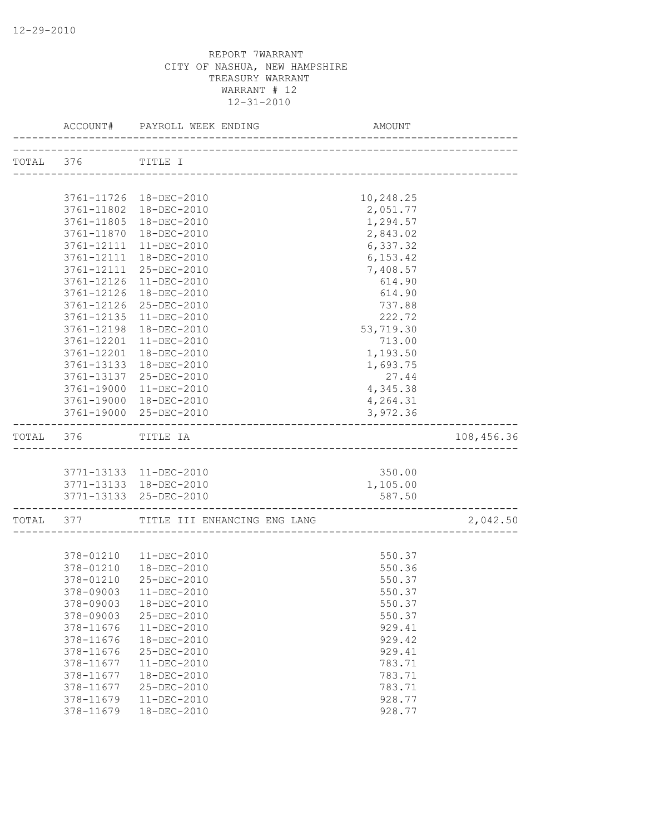|  |                    | ACCOUNT# PAYROLL WEEK ENDING AMO                        | AMOUNT                            |            |
|--|--------------------|---------------------------------------------------------|-----------------------------------|------------|
|  | TOTAL 376 TITLE I  |                                                         |                                   |            |
|  |                    |                                                         |                                   |            |
|  |                    | 3761-11726 18-DEC-2010                                  | 10,248.25                         |            |
|  |                    | 3761-11802  18-DEC-2010                                 | 2,051.77                          |            |
|  |                    | 3761-11805  18-DEC-2010                                 | 1,294.57                          |            |
|  | 3761-11870         | 18-DEC-2010                                             | 2,843.02                          |            |
|  | 3761-12111         | 11-DEC-2010                                             | 6,337.32                          |            |
|  | 3761-12111         | 18-DEC-2010                                             | 6, 153.42                         |            |
|  |                    | 3761-12111 25-DEC-2010                                  | 7,408.57                          |            |
|  | 3761-12126         | 11-DEC-2010                                             | 614.90                            |            |
|  | 3761-12126         | 18-DEC-2010                                             | 614.90                            |            |
|  | 3761-12126         | 25-DEC-2010                                             | 737.88                            |            |
|  | 3761-12135         | 11-DEC-2010                                             | 222.72                            |            |
|  | 3761-12198         | 18-DEC-2010                                             | 53,719.30                         |            |
|  | 3761-12201         | 11-DEC-2010                                             | 713.00                            |            |
|  | 3761-12201         | 18-DEC-2010                                             | 1,193.50                          |            |
|  | 3761-13133         | 18-DEC-2010                                             | 1,693.75                          |            |
|  | 3761-13137         | 25-DEC-2010                                             | 27.44                             |            |
|  | 3761-19000         | 11-DEC-2010                                             | 4,345.38                          |            |
|  |                    | 3761-19000 18-DEC-2010                                  | 4,264.31                          |            |
|  |                    | 3761-19000 25-DEC-2010                                  | 3,972.36                          |            |
|  | TOTAL 376 TITLE IA |                                                         |                                   | 108,456.36 |
|  |                    |                                                         |                                   |            |
|  |                    | 3771-13133 11-DEC-2010                                  | 350.00                            |            |
|  |                    | 3771-13133  18-DEC-2010                                 | 1,105.00                          |            |
|  |                    | 3771-13133 25-DEC-2010<br>----------------------------- | 587.50<br>----------------------- |            |
|  |                    | TOTAL 377 TITLE III ENHANCING ENG LANG                  |                                   | 2,042.50   |
|  |                    |                                                         |                                   |            |
|  |                    | 378-01210  11-DEC-2010                                  | 550.37                            |            |
|  |                    | 378-01210  18-DEC-2010                                  | 550.36                            |            |
|  | 378-01210          | 25-DEC-2010                                             | 550.37                            |            |
|  |                    | 378-09003  11-DEC-2010                                  | 550.37                            |            |
|  | 378-09003          | 18-DEC-2010                                             | 550.37                            |            |
|  | 378-09003          | 25-DEC-2010                                             | 550.37                            |            |
|  | 378-11676          | $11 - DEC - 2010$                                       | 929.41                            |            |
|  | 378-11676          | 18-DEC-2010                                             | 929.42                            |            |
|  | 378-11676          | 25-DEC-2010                                             | 929.41                            |            |
|  | 378-11677          | 11-DEC-2010                                             | 783.71                            |            |
|  | 378-11677          | 18-DEC-2010                                             | 783.71                            |            |
|  | 378-11677          | 25-DEC-2010                                             | 783.71                            |            |
|  | 378-11679          | 11-DEC-2010<br>18-DEC-2010                              | 928.77                            |            |
|  | 378-11679          |                                                         | 928.77                            |            |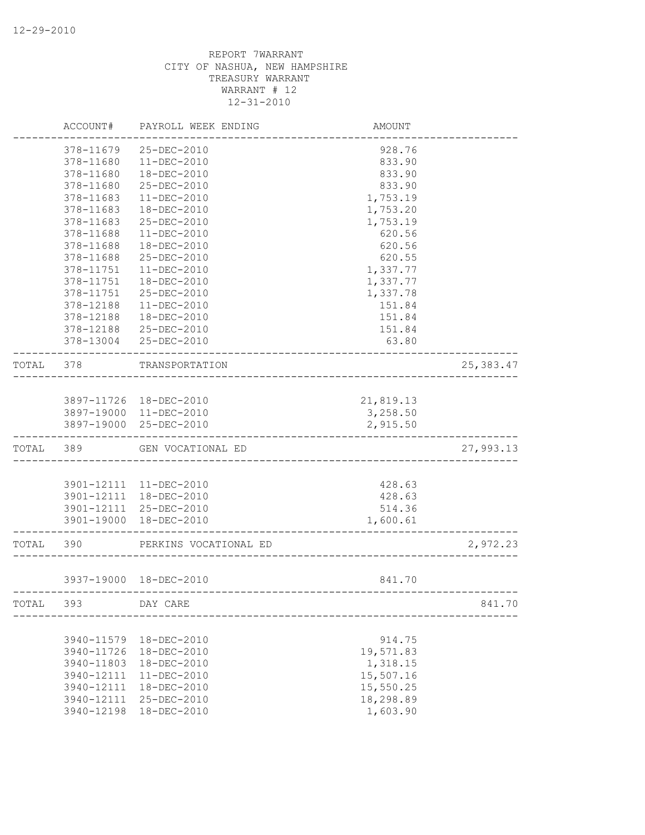|           | ACCOUNT#                 | PAYROLL WEEK ENDING        | AMOUNT              |            |
|-----------|--------------------------|----------------------------|---------------------|------------|
|           | 378-11679                | 25-DEC-2010                | 928.76              |            |
|           | 378-11680                | 11-DEC-2010                | 833.90              |            |
|           | 378-11680                | 18-DEC-2010                | 833.90              |            |
|           | 378-11680                | 25-DEC-2010                | 833.90              |            |
|           | 378-11683                | $11 - DEC - 2010$          | 1,753.19            |            |
|           | 378-11683                | 18-DEC-2010                | 1,753.20            |            |
|           | 378-11683                | 25-DEC-2010                | 1,753.19            |            |
|           | 378-11688                | $11 - DEC - 2010$          | 620.56              |            |
|           | 378-11688                | 18-DEC-2010                | 620.56              |            |
|           | 378-11688                | 25-DEC-2010                | 620.55              |            |
|           | 378-11751                | 11-DEC-2010                | 1,337.77            |            |
|           | 378-11751                | 18-DEC-2010                | 1,337.77            |            |
|           | 378-11751                | 25-DEC-2010                | 1,337.78            |            |
|           | 378-12188                | $11 - DEC - 2010$          | 151.84              |            |
|           | 378-12188                | 18-DEC-2010                | 151.84              |            |
|           | 378-12188                | 25-DEC-2010                | 151.84              |            |
|           | 378-13004                | 25-DEC-2010                | 63.80               |            |
| TOTAL     | 378                      | TRANSPORTATION             |                     | 25, 383.47 |
|           |                          |                            |                     |            |
|           |                          | 3897-11726 18-DEC-2010     | 21,819.13           |            |
|           |                          | 3897-19000 11-DEC-2010     | 3,258.50            |            |
|           |                          | 3897-19000 25-DEC-2010     | 2,915.50            |            |
| TOTAL 389 |                          | GEN VOCATIONAL ED          |                     | 27,993.13  |
|           |                          |                            |                     |            |
|           |                          | 3901-12111 11-DEC-2010     | 428.63              |            |
|           | 3901-12111               | 18-DEC-2010                | 428.63              |            |
|           |                          | 3901-12111 25-DEC-2010     | 514.36              |            |
|           |                          | 3901-19000 18-DEC-2010     | 1,600.61            |            |
| TOTAL 390 |                          | PERKINS VOCATIONAL ED      |                     | 2,972.23   |
|           |                          | 3937-19000 18-DEC-2010     | 841.70              |            |
|           |                          | -------------------------- |                     |            |
| TOTAL     | 393                      | DAY CARE                   |                     | 841.70     |
|           |                          | 18-DEC-2010                |                     |            |
|           | 3940-11579<br>3940-11726 | 18-DEC-2010                | 914.75<br>19,571.83 |            |
|           | 3940-11803               | 18-DEC-2010                | 1,318.15            |            |
|           | 3940-12111               | $11-DEC-2010$              | 15,507.16           |            |
|           | 3940-12111               | 18-DEC-2010                | 15,550.25           |            |
|           | 3940-12111               | 25-DEC-2010                | 18,298.89           |            |
|           | 3940-12198               | 18-DEC-2010                | 1,603.90            |            |
|           |                          |                            |                     |            |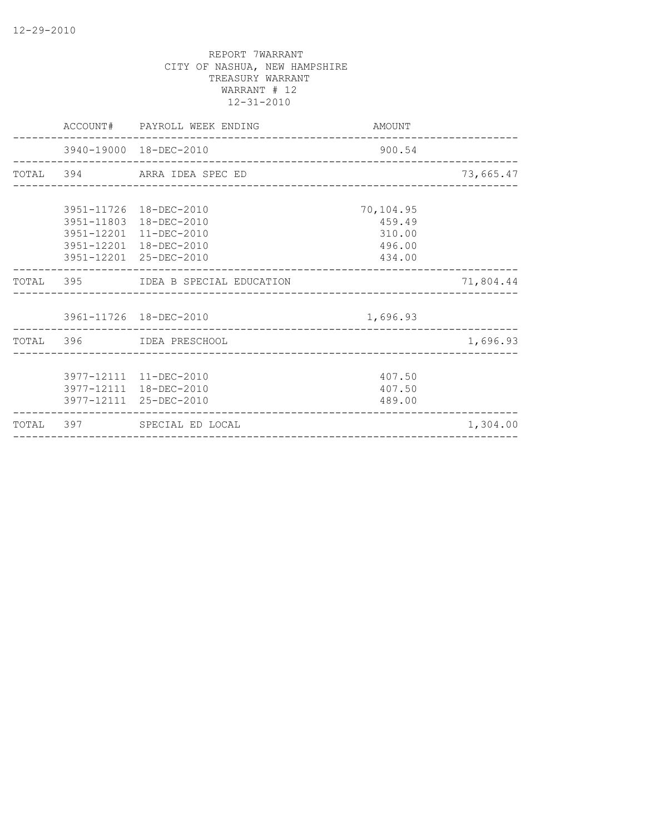|  | ACCOUNT# PAYROLL WEEK ENDING                                               | AMOUNT                                      | ________________ |
|--|----------------------------------------------------------------------------|---------------------------------------------|------------------|
|  | 3940-19000 18-DEC-2010                                                     | 900.54<br>_________________________________ |                  |
|  | TOTAL 394 ARRA IDEA SPEC ED                                                |                                             | 73,665.47        |
|  | 3951-11726 18-DEC-2010<br>3951-11803 18-DEC-2010<br>3951-12201 11-DEC-2010 | 70,104.95<br>459.49<br>310.00               |                  |
|  | 3951-12201 18-DEC-2010<br>3951-12201 25-DEC-2010                           | 496.00<br>434.00                            |                  |
|  | TOTAL 395 IDEA B SPECIAL EDUCATION                                         |                                             | 71,804.44        |
|  | 3961-11726 18-DEC-2010                                                     | 1,696.93                                    |                  |
|  | TOTAL 396 IDEA PRESCHOOL                                                   |                                             | 1,696.93         |
|  | 3977-12111 11-DEC-2010<br>3977-12111 18-DEC-2010<br>3977-12111 25-DEC-2010 | 407.50<br>407.50<br>489.00                  |                  |
|  | TOTAL 397 SPECIAL ED LOCAL                                                 | ____________________________________        | 1,304.00         |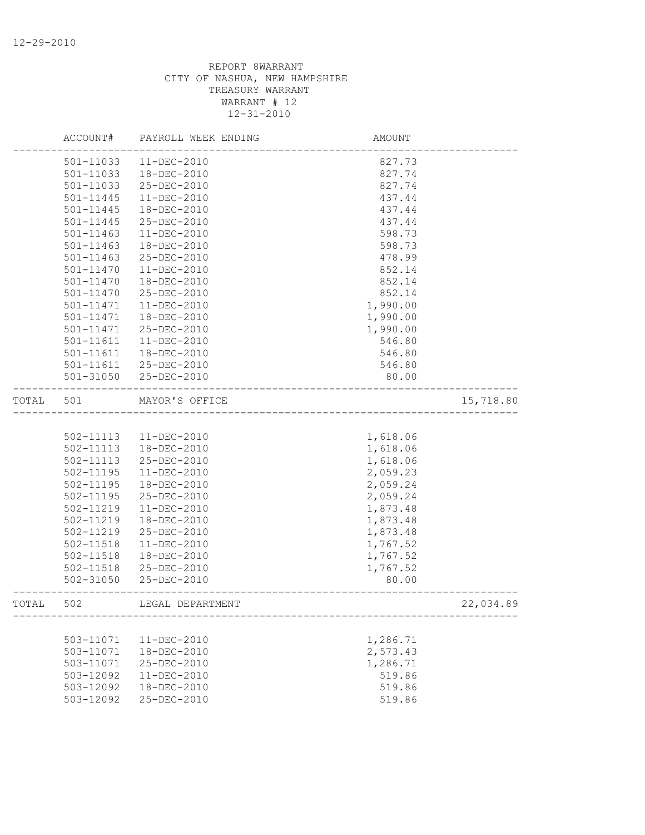|       | ACCOUNT#      | PAYROLL WEEK ENDING | AMOUNT                        |           |
|-------|---------------|---------------------|-------------------------------|-----------|
|       | 501-11033     | $11 - DEC - 2010$   | 827.73                        |           |
|       | 501-11033     | 18-DEC-2010         | 827.74                        |           |
|       | 501-11033     | 25-DEC-2010         | 827.74                        |           |
|       | 501-11445     | 11-DEC-2010         | 437.44                        |           |
|       | 501-11445     | 18-DEC-2010         | 437.44                        |           |
|       | 501-11445     | 25-DEC-2010         | 437.44                        |           |
|       | $501 - 11463$ | $11 - DEC - 2010$   | 598.73                        |           |
|       | $501 - 11463$ | 18-DEC-2010         | 598.73                        |           |
|       | $501 - 11463$ | 25-DEC-2010         | 478.99                        |           |
|       | 501-11470     | $11 - DEC - 2010$   | 852.14                        |           |
|       | 501-11470     | 18-DEC-2010         | 852.14                        |           |
|       | 501-11470     | 25-DEC-2010         | 852.14                        |           |
|       | 501-11471     | 11-DEC-2010         | 1,990.00                      |           |
|       | 501-11471     | 18-DEC-2010         | 1,990.00                      |           |
|       | 501-11471     | 25-DEC-2010         | 1,990.00                      |           |
|       | 501-11611     | $11 - DEC - 2010$   | 546.80                        |           |
|       | 501-11611     | 18-DEC-2010         | 546.80                        |           |
|       | 501-11611     | 25-DEC-2010         | 546.80                        |           |
|       |               |                     | 80.00                         |           |
|       | 501-31050     | 25-DEC-2010         |                               |           |
| TOTAL | 501           | MAYOR'S OFFICE      | _____________________________ | 15,718.80 |
|       |               |                     |                               |           |
|       | 502-11113     | 11-DEC-2010         | 1,618.06                      |           |
|       | 502-11113     | 18-DEC-2010         | 1,618.06                      |           |
|       | 502-11113     | 25-DEC-2010         | 1,618.06                      |           |
|       | 502-11195     | 11-DEC-2010         | 2,059.23                      |           |
|       | $502 - 11195$ | 18-DEC-2010         | 2,059.24                      |           |
|       | 502-11195     | 25-DEC-2010         | 2,059.24                      |           |
|       | 502-11219     | $11 - DEC - 2010$   | 1,873.48                      |           |
|       | 502-11219     | 18-DEC-2010         | 1,873.48                      |           |
|       | 502-11219     | 25-DEC-2010         | 1,873.48                      |           |
|       | 502-11518     | $11 - DEC - 2010$   | 1,767.52                      |           |
|       | 502-11518     | $18 - DEC - 2010$   | 1,767.52                      |           |
|       | 502-11518     | 25-DEC-2010         |                               |           |
|       | 502-31050     | 25-DEC-2010         | 1,767.52<br>80.00             |           |
|       |               |                     |                               |           |
| TOTAL | 502           | LEGAL DEPARTMENT    |                               | 22,034.89 |
|       |               |                     |                               |           |
|       | 503-11071     | 11-DEC-2010         | 1,286.71                      |           |
|       | 503-11071     | 18-DEC-2010         | 2,573.43                      |           |
|       | 503-11071     | 25-DEC-2010         | 1,286.71                      |           |
|       | 503-12092     | 11-DEC-2010         | 519.86                        |           |
|       | 503-12092     | 18-DEC-2010         | 519.86                        |           |
|       | 503-12092     | 25-DEC-2010         | 519.86                        |           |
|       |               |                     |                               |           |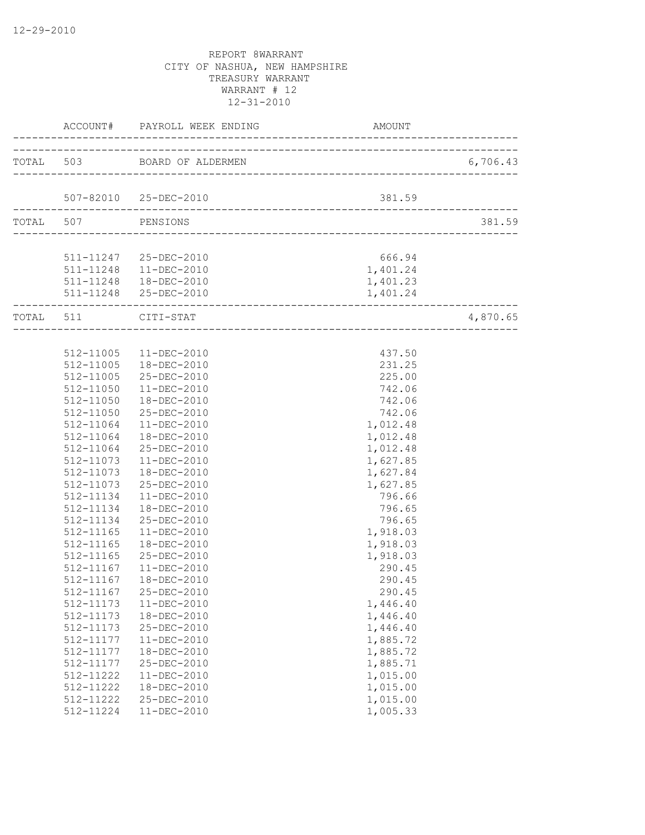|           |           | ACCOUNT# PAYROLL WEEK ENDING | AMOUNT   |          |
|-----------|-----------|------------------------------|----------|----------|
|           |           | TOTAL 503 BOARD OF ALDERMEN  |          | 6,706.43 |
|           |           |                              |          |          |
|           |           | 507-82010 25-DEC-2010        | 381.59   |          |
| TOTAL 507 |           | PENSIONS                     |          | 381.59   |
|           |           |                              |          |          |
|           |           | 511-11247 25-DEC-2010        | 666.94   |          |
|           |           | 511-11248  11-DEC-2010       | 1,401.24 |          |
|           |           | 511-11248  18-DEC-2010       | 1,401.23 |          |
|           |           | 511-11248 25-DEC-2010        | 1,401.24 |          |
| TOTAL 511 |           | CITI-STAT                    |          | 4,870.65 |
|           |           |                              |          |          |
|           |           | 512-11005 11-DEC-2010        | 437.50   |          |
|           | 512-11005 | 18-DEC-2010                  | 231.25   |          |
|           | 512-11005 | 25-DEC-2010                  | 225.00   |          |
|           | 512-11050 | $11 - DEC - 2010$            | 742.06   |          |
|           |           | 512-11050  18-DEC-2010       | 742.06   |          |
|           | 512-11050 | 25-DEC-2010                  | 742.06   |          |
|           | 512-11064 | 11-DEC-2010                  | 1,012.48 |          |
|           | 512-11064 | 18-DEC-2010                  | 1,012.48 |          |
|           | 512-11064 | 25-DEC-2010                  | 1,012.48 |          |
|           | 512-11073 | 11-DEC-2010                  | 1,627.85 |          |
|           | 512-11073 | 18-DEC-2010                  | 1,627.84 |          |
|           | 512-11073 | 25-DEC-2010                  | 1,627.85 |          |
|           | 512-11134 | 11-DEC-2010                  | 796.66   |          |
|           | 512-11134 | 18-DEC-2010                  | 796.65   |          |
|           | 512-11134 | 25-DEC-2010                  | 796.65   |          |
|           | 512-11165 | 11-DEC-2010                  | 1,918.03 |          |
|           | 512-11165 | 18-DEC-2010                  | 1,918.03 |          |
|           | 512-11165 | 25-DEC-2010                  | 1,918.03 |          |
|           | 512-11167 | 11-DEC-2010                  | 290.45   |          |
|           | 512-11167 | 18-DEC-2010                  | 290.45   |          |
|           | 512-11167 | 25-DEC-2010                  | 290.45   |          |
|           | 512-11173 | $11 - DEC - 2010$            | 1,446.40 |          |
|           | 512-11173 | 18-DEC-2010                  | 1,446.40 |          |
|           | 512-11173 | 25-DEC-2010                  | 1,446.40 |          |
|           | 512-11177 | 11-DEC-2010                  | 1,885.72 |          |
|           | 512-11177 | 18-DEC-2010                  | 1,885.72 |          |
|           | 512-11177 | 25-DEC-2010                  | 1,885.71 |          |
|           | 512-11222 | 11-DEC-2010                  | 1,015.00 |          |
|           | 512-11222 | 18-DEC-2010                  | 1,015.00 |          |
|           | 512-11222 | 25-DEC-2010                  | 1,015.00 |          |
|           | 512-11224 | 11-DEC-2010                  | 1,005.33 |          |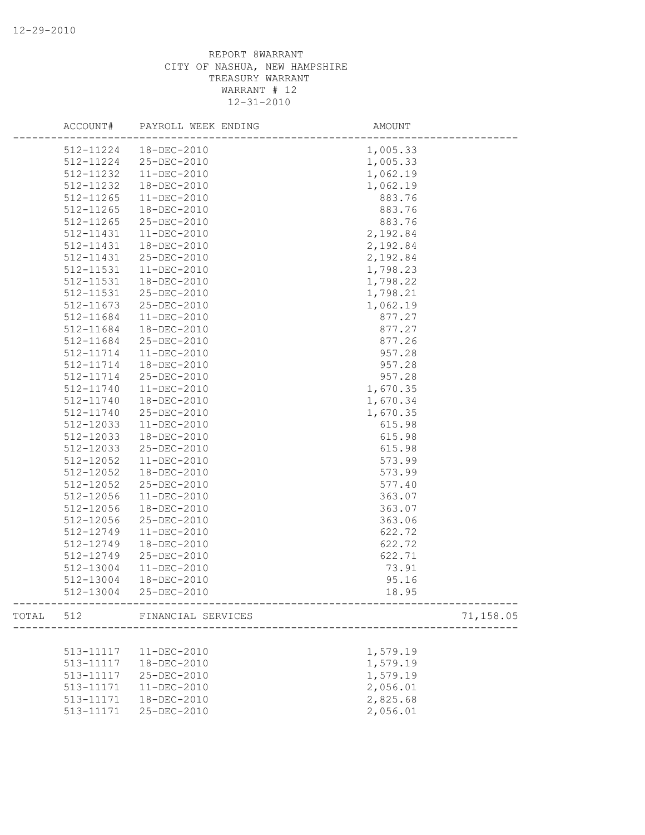| ACCOUNT#  | PAYROLL WEEK ENDING          | AMOUNT                                        |  |
|-----------|------------------------------|-----------------------------------------------|--|
| 512-11224 | 18-DEC-2010                  | 1,005.33                                      |  |
| 512-11224 | 25-DEC-2010                  | 1,005.33                                      |  |
| 512-11232 | $11-DEC-2010$                | 1,062.19                                      |  |
| 512-11232 | 18-DEC-2010                  | 1,062.19                                      |  |
| 512-11265 | $11 - DEC - 2010$            | 883.76                                        |  |
| 512-11265 | 18-DEC-2010                  | 883.76                                        |  |
| 512-11265 | 25-DEC-2010                  | 883.76                                        |  |
| 512-11431 | $11 - DEC - 2010$            | 2,192.84                                      |  |
| 512-11431 | 18-DEC-2010                  | 2,192.84                                      |  |
| 512-11431 | 25-DEC-2010                  | 2,192.84                                      |  |
| 512-11531 | 11-DEC-2010                  | 1,798.23                                      |  |
| 512-11531 | 18-DEC-2010                  | 1,798.22                                      |  |
| 512-11531 | 25-DEC-2010                  | 1,798.21                                      |  |
| 512-11673 | 25-DEC-2010                  | 1,062.19                                      |  |
| 512-11684 | 11-DEC-2010                  | 877.27                                        |  |
| 512-11684 | 18-DEC-2010                  | 877.27                                        |  |
| 512-11684 | 25-DEC-2010                  | 877.26                                        |  |
| 512-11714 | $11-DEC-2010$                | 957.28                                        |  |
| 512-11714 | 18-DEC-2010                  | 957.28                                        |  |
| 512-11714 | 25-DEC-2010                  | 957.28                                        |  |
| 512-11740 | 11-DEC-2010                  | 1,670.35                                      |  |
| 512-11740 | 18-DEC-2010                  | 1,670.34                                      |  |
| 512-11740 | 25-DEC-2010                  | 1,670.35                                      |  |
| 512-12033 | 11-DEC-2010                  | 615.98                                        |  |
| 512-12033 | 18-DEC-2010                  | 615.98                                        |  |
| 512-12033 | 25-DEC-2010                  | 615.98                                        |  |
| 512-12052 | $11-DEC-2010$                | 573.99                                        |  |
| 512-12052 | 18-DEC-2010                  | 573.99                                        |  |
| 512-12052 | 25-DEC-2010                  | 577.40                                        |  |
| 512-12056 | $11 - DEC - 2010$            | 363.07                                        |  |
| 512-12056 | 18-DEC-2010                  | 363.07                                        |  |
| 512-12056 | 25-DEC-2010                  | 363.06                                        |  |
| 512-12749 | 11-DEC-2010                  | 622.72                                        |  |
| 512-12749 | 18-DEC-2010                  | 622.72                                        |  |
| 512-12749 | 25-DEC-2010                  | 622.71                                        |  |
| 512-13004 | $11-DEC-2010$                | 73.91                                         |  |
| 512-13004 | 18-DEC-2010                  | 95.16                                         |  |
| 512-13004 | 25-DEC-2010                  | 18.95<br>------------------------------------ |  |
|           | TOTAL 512 FINANCIAL SERVICES | 71,158.05                                     |  |
|           |                              |                                               |  |
| 513-11117 | 11-DEC-2010                  | 1,579.19                                      |  |
| 513-11117 | 18-DEC-2010                  | 1,579.19                                      |  |
| 513-11117 | 25-DEC-2010                  | 1,579.19                                      |  |
| 513-11171 | $11-DEC-2010$                | 2,056.01                                      |  |
| 513-11171 | 18-DEC-2010                  | 2,825.68                                      |  |
| 513-11171 | 25-DEC-2010                  | 2,056.01                                      |  |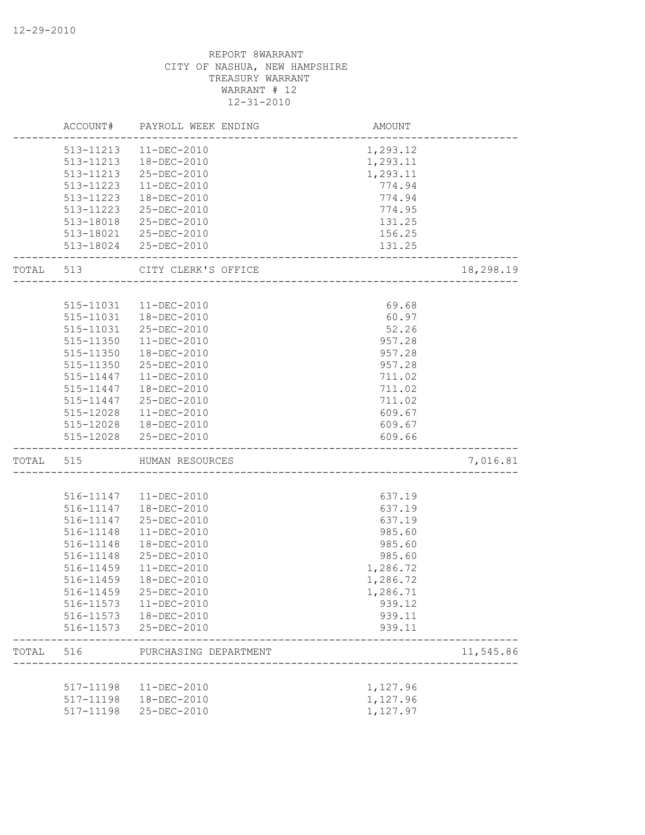|           |           | ACCOUNT# PAYROLL WEEK ENDING | AMOUNT                             |           |
|-----------|-----------|------------------------------|------------------------------------|-----------|
|           |           | 513-11213  11-DEC-2010       | 1,293.12                           |           |
|           |           | 513-11213  18-DEC-2010       | 1,293.11                           |           |
|           | 513-11213 | 25-DEC-2010                  | 1,293.11                           |           |
|           | 513-11223 | $11 - DEC - 2010$            | 774.94                             |           |
|           | 513-11223 | $18 - DEC - 2010$            | 774.94                             |           |
|           | 513-11223 | 25-DEC-2010                  | 774.95                             |           |
|           | 513-18018 | 25-DEC-2010                  | 131.25                             |           |
|           |           | 513-18021 25-DEC-2010        | 156.25                             |           |
|           |           | 513-18024 25-DEC-2010        | 131.25<br>________________________ |           |
| TOTAL 513 |           | CITY CLERK'S OFFICE          | ________________                   | 18,298.19 |
|           |           |                              |                                    |           |
|           |           | 515-11031  11-DEC-2010       | 69.68                              |           |
|           | 515-11031 | 18-DEC-2010                  | 60.97                              |           |
|           | 515-11031 | 25-DEC-2010                  | 52.26                              |           |
|           | 515-11350 | $11 - DEC - 2010$            | 957.28                             |           |
|           | 515-11350 | 18-DEC-2010                  | 957.28                             |           |
|           | 515-11350 | 25-DEC-2010                  | 957.28                             |           |
|           | 515-11447 | 11-DEC-2010                  | 711.02                             |           |
|           | 515-11447 | 18-DEC-2010                  | 711.02                             |           |
|           | 515-11447 | 25-DEC-2010                  | 711.02                             |           |
|           | 515-12028 | 11-DEC-2010                  | 609.67                             |           |
|           |           | 515-12028  18-DEC-2010       | 609.67                             |           |
|           |           | 515-12028 25-DEC-2010        | 609.66                             |           |
| TOTAL 515 |           | HUMAN RESOURCES              | _______________________            | 7,016.81  |
|           |           |                              |                                    |           |
|           |           | 516-11147   11-DEC-2010      | 637.19                             |           |
|           | 516-11147 | 18-DEC-2010                  | 637.19                             |           |
|           | 516-11147 | 25-DEC-2010                  | 637.19                             |           |
|           | 516-11148 | $11 - DEC - 2010$            | 985.60                             |           |
|           | 516-11148 | 18-DEC-2010                  | 985.60                             |           |
|           | 516-11148 | 25-DEC-2010                  | 985.60                             |           |
|           | 516-11459 | 11-DEC-2010                  | 1,286.72                           |           |
|           | 516-11459 | 18-DEC-2010                  | 1,286.72                           |           |
|           | 516-11459 | 25-DEC-2010                  | 1,286.71                           |           |
|           | 516-11573 | 11-DEC-2010                  | 939.12                             |           |
|           | 516-11573 | 18-DEC-2010                  | 939.11                             |           |
|           | 516-11573 | 25-DEC-2010                  | 939.11                             |           |
| TOTAL     | 516       | PURCHASING DEPARTMENT        |                                    | 11,545.86 |
|           |           |                              |                                    |           |
|           | 517-11198 | 11-DEC-2010                  | 1,127.96                           |           |
|           | 517-11198 | 18-DEC-2010                  | 1,127.96                           |           |
|           | 517-11198 | 25-DEC-2010                  | 1,127.97                           |           |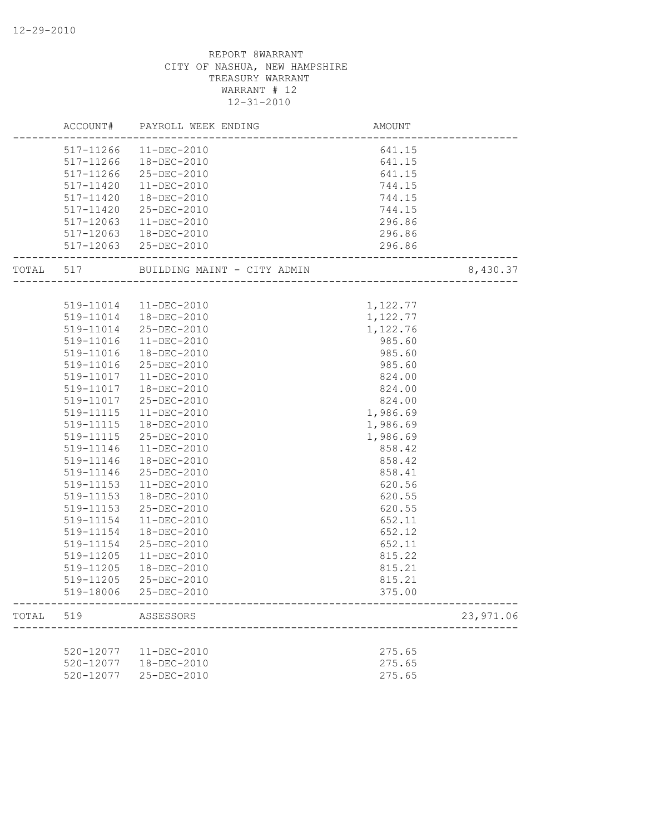|       |                        | ACCOUNT# PAYROLL WEEK ENDING               | AMOUNT<br>---------------------------                              |           |
|-------|------------------------|--------------------------------------------|--------------------------------------------------------------------|-----------|
|       |                        | 517-11266 11-DEC-2010                      | 641.15<br>641.15<br>641.15<br>744.15<br>744.15<br>744.15<br>296.86 |           |
|       | 517-11266              | 18-DEC-2010                                |                                                                    |           |
|       | 517-11266              | 25-DEC-2010                                |                                                                    |           |
|       | 517-11420              | 11-DEC-2010                                |                                                                    |           |
|       | 517-11420              | 18-DEC-2010                                |                                                                    |           |
|       | 517-11420              | 25-DEC-2010                                |                                                                    |           |
|       | 517-12063              | 11-DEC-2010                                | 296.86                                                             |           |
|       |                        | 517-12063  18-DEC-2010                     | 296.86                                                             |           |
|       |                        | 517-12063 25-DEC-2010                      | 296.86                                                             |           |
|       |                        | TOTAL 517 BUILDING MAINT - CITY ADMIN 8,43 |                                                                    | 8,430.37  |
|       |                        |                                            |                                                                    |           |
|       |                        | 519-11014 11-DEC-2010                      | 1,122.77                                                           |           |
|       |                        | 519-11014  18-DEC-2010                     | 1,122.77                                                           |           |
|       | 519-11014<br>519-11016 | 25-DEC-2010                                | 1,122.76                                                           |           |
|       | 519-11016              | 11-DEC-2010<br>18-DEC-2010                 | 985.60<br>985.60                                                   |           |
|       |                        | 25-DEC-2010                                |                                                                    |           |
|       | 519-11016<br>519-11017 | 11-DEC-2010                                | 985.60<br>824.00                                                   |           |
|       | 519-11017              | 18-DEC-2010                                |                                                                    |           |
|       | 519-11017              | 25-DEC-2010                                | 824.00<br>824.00                                                   |           |
|       | 519-11115              | 11-DEC-2010                                | 1,986.69                                                           |           |
|       | 519-11115              | $18 - DEC - 2010$                          | 1,986.69                                                           |           |
|       | 519-11115              | 25-DEC-2010                                | 1,986.69                                                           |           |
|       | 519-11146              | 11-DEC-2010                                | 858.42                                                             |           |
|       | 519-11146              | 18-DEC-2010                                | 858.42                                                             |           |
|       | 519-11146              | 25-DEC-2010                                | 858.41                                                             |           |
|       | 519-11153              | 11-DEC-2010                                | 620.56                                                             |           |
|       | 519-11153              | 18-DEC-2010                                | 620.55                                                             |           |
|       | 519-11153              | 25-DEC-2010                                | 620.55                                                             |           |
|       | 519-11154              | $11 - DEC - 2010$                          | 652.11                                                             |           |
|       | 519-11154              | 18-DEC-2010                                | 652.12                                                             |           |
|       | 519-11154              | 25-DEC-2010                                | 652.11                                                             |           |
|       | 519-11205              | $11 - DEC - 2010$                          | 815.22                                                             |           |
|       | 519-11205              | 18-DEC-2010                                | 815.21                                                             |           |
|       | 519-11205              | 25-DEC-2010                                | 815.21                                                             |           |
|       | 519-18006              | 25-DEC-2010                                | 375.00                                                             |           |
| TOTAL | 519                    | ASSESSORS                                  |                                                                    | 23,971.06 |
|       |                        |                                            |                                                                    |           |
|       | 520-12077              | 11-DEC-2010                                | 275.65                                                             |           |
|       | 520-12077              | 18-DEC-2010                                | 275.65                                                             |           |
|       | 520-12077              | 25-DEC-2010                                | 275.65                                                             |           |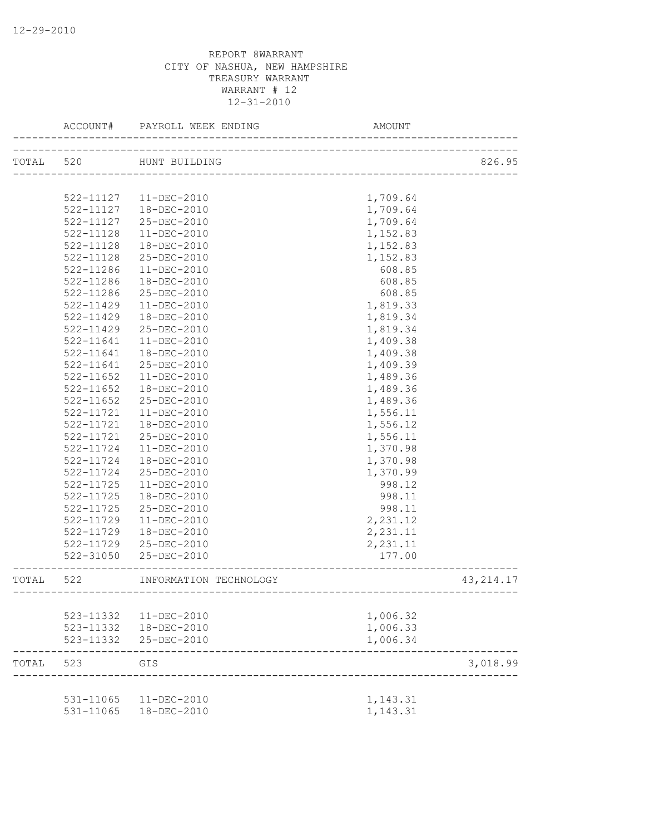|       | ACCOUNT#               | PAYROLL WEEK ENDING              | AMOUNT               |            |
|-------|------------------------|----------------------------------|----------------------|------------|
|       | TOTAL 520              | HUNT BUILDING                    |                      | 826.95     |
|       |                        |                                  |                      |            |
|       | 522-11127              | 11-DEC-2010                      | 1,709.64             |            |
|       | 522-11127              | 18-DEC-2010                      | 1,709.64             |            |
|       | 522-11127              | 25-DEC-2010                      | 1,709.64             |            |
|       | 522-11128              | $11 - DEC - 2010$                | 1,152.83             |            |
|       | 522-11128              | $18 - DEC - 2010$                | 1,152.83             |            |
|       | 522-11128              | 25-DEC-2010                      | 1,152.83             |            |
|       | 522-11286              | $11 - DEC - 2010$                | 608.85               |            |
|       | 522-11286              | 18-DEC-2010                      | 608.85               |            |
|       | 522-11286              | 25-DEC-2010                      | 608.85               |            |
|       | 522-11429              | $11 - DEC - 2010$                | 1,819.33             |            |
|       | 522-11429              | 18-DEC-2010                      | 1,819.34             |            |
|       | 522-11429              | 25-DEC-2010                      | 1,819.34             |            |
|       | 522-11641              | $11 - DEC - 2010$                | 1,409.38             |            |
|       | 522-11641              | 18-DEC-2010                      | 1,409.38             |            |
|       | 522-11641              | 25-DEC-2010                      | 1,409.39             |            |
|       | $522 - 11652$          | $11 - DEC - 2010$                | 1,489.36             |            |
|       | 522-11652              | $18 - DEC - 2010$                | 1,489.36             |            |
|       | 522-11652              | 25-DEC-2010                      | 1,489.36             |            |
|       | 522-11721              | $11 - DEC - 2010$                | 1,556.11             |            |
|       | 522-11721              | 18-DEC-2010                      | 1,556.12             |            |
|       | 522-11721              | 25-DEC-2010                      | 1,556.11             |            |
|       | 522-11724              | $11 - DEC - 2010$                | 1,370.98             |            |
|       | 522-11724              | 18-DEC-2010                      | 1,370.98             |            |
|       | 522-11724              | 25-DEC-2010                      | 1,370.99             |            |
|       | 522-11725              | $11 - DEC - 2010$                | 998.12               |            |
|       | 522-11725              | 18-DEC-2010                      | 998.11               |            |
|       | 522-11725              | 25-DEC-2010                      | 998.11               |            |
|       | 522-11729              | $11 - DEC - 2010$                | 2,231.12             |            |
|       | 522-11729              | 18-DEC-2010                      | 2,231.11             |            |
|       | 522-11729              | 25-DEC-2010                      | 2,231.11             |            |
|       | 522-31050              | 25-DEC-2010                      | 177.00               |            |
| TOTAL | 522                    | INFORMATION TECHNOLOGY           |                      | 43, 214.17 |
|       |                        |                                  |                      |            |
|       | 523-11332              | $11 - DEC - 2010$                | 1,006.32             |            |
|       | 523-11332              | 18-DEC-2010                      | 1,006.33             |            |
|       | 523-11332              | 25-DEC-2010                      | 1,006.34             |            |
| TOTAL | 523                    | GIS                              |                      | 3,018.99   |
|       |                        |                                  |                      |            |
|       | 531-11065<br>531-11065 | $11 - DEC - 2010$<br>18-DEC-2010 | 1,143.31<br>1,143.31 |            |
|       |                        |                                  |                      |            |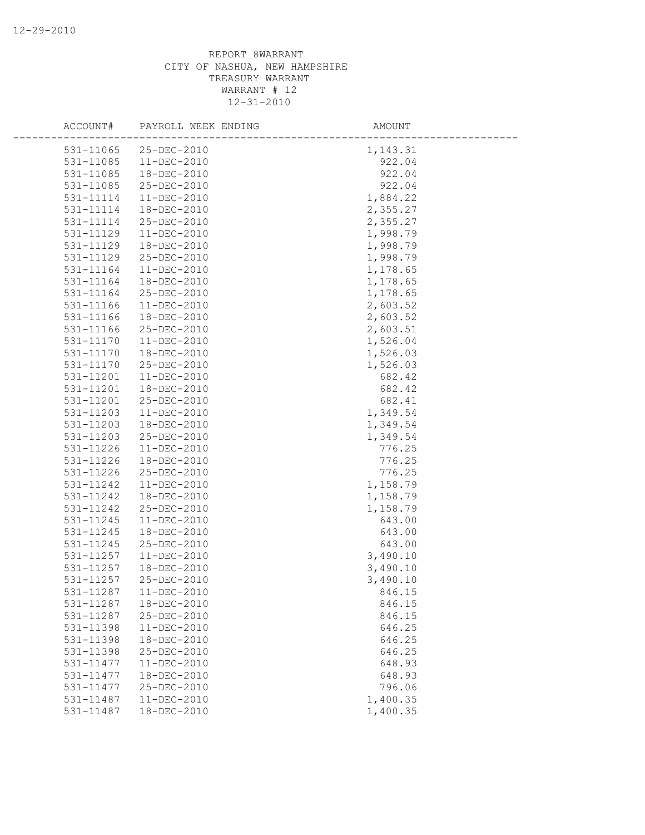| ACCOUNT#  | PAYROLL WEEK ENDING | AMOUNT   |
|-----------|---------------------|----------|
| 531-11065 | 25-DEC-2010         | 1,143.31 |
| 531-11085 | $11-DEC-2010$       | 922.04   |
| 531-11085 | 18-DEC-2010         | 922.04   |
| 531-11085 | 25-DEC-2010         | 922.04   |
| 531-11114 | 11-DEC-2010         | 1,884.22 |
| 531-11114 | 18-DEC-2010         | 2,355.27 |
| 531-11114 | 25-DEC-2010         | 2,355.27 |
| 531-11129 | 11-DEC-2010         | 1,998.79 |
| 531-11129 | 18-DEC-2010         | 1,998.79 |
| 531-11129 | 25-DEC-2010         | 1,998.79 |
| 531-11164 | $11 - DEC - 2010$   | 1,178.65 |
| 531-11164 | 18-DEC-2010         | 1,178.65 |
| 531-11164 | 25-DEC-2010         | 1,178.65 |
| 531-11166 | 11-DEC-2010         | 2,603.52 |
| 531-11166 | 18-DEC-2010         | 2,603.52 |
| 531-11166 | 25-DEC-2010         | 2,603.51 |
| 531-11170 | $11 - DEC - 2010$   | 1,526.04 |
| 531-11170 | 18-DEC-2010         | 1,526.03 |
| 531-11170 | 25-DEC-2010         | 1,526.03 |
| 531-11201 | $11-DEC-2010$       | 682.42   |
| 531-11201 | 18-DEC-2010         | 682.42   |
| 531-11201 | 25-DEC-2010         | 682.41   |
| 531-11203 | 11-DEC-2010         | 1,349.54 |
| 531-11203 | $18 - DEC - 2010$   | 1,349.54 |
| 531-11203 | 25-DEC-2010         | 1,349.54 |
| 531-11226 | $11 - DEC - 2010$   | 776.25   |
| 531-11226 | 18-DEC-2010         | 776.25   |
| 531-11226 | 25-DEC-2010         | 776.25   |
| 531-11242 | $11 - DEC - 2010$   | 1,158.79 |
| 531-11242 | 18-DEC-2010         | 1,158.79 |
| 531-11242 | 25-DEC-2010         | 1,158.79 |
| 531-11245 | 11-DEC-2010         | 643.00   |
| 531-11245 | 18-DEC-2010         | 643.00   |
| 531-11245 | 25-DEC-2010         | 643.00   |
| 531-11257 | $11 - DEC - 2010$   | 3,490.10 |
| 531-11257 | 18-DEC-2010         | 3,490.10 |
| 531-11257 | 25-DEC-2010         | 3,490.10 |
| 531-11287 | 11-DEC-2010         | 846.15   |
| 531-11287 | 18-DEC-2010         | 846.15   |
| 531-11287 | 25-DEC-2010         | 846.15   |
| 531-11398 | $11 - DEC - 2010$   | 646.25   |
| 531-11398 | 18-DEC-2010         | 646.25   |
| 531-11398 | 25-DEC-2010         | 646.25   |
| 531-11477 | 11-DEC-2010         | 648.93   |
| 531-11477 | 18-DEC-2010         | 648.93   |
| 531-11477 | 25-DEC-2010         | 796.06   |
| 531-11487 | 11-DEC-2010         | 1,400.35 |
| 531-11487 | 18-DEC-2010         | 1,400.35 |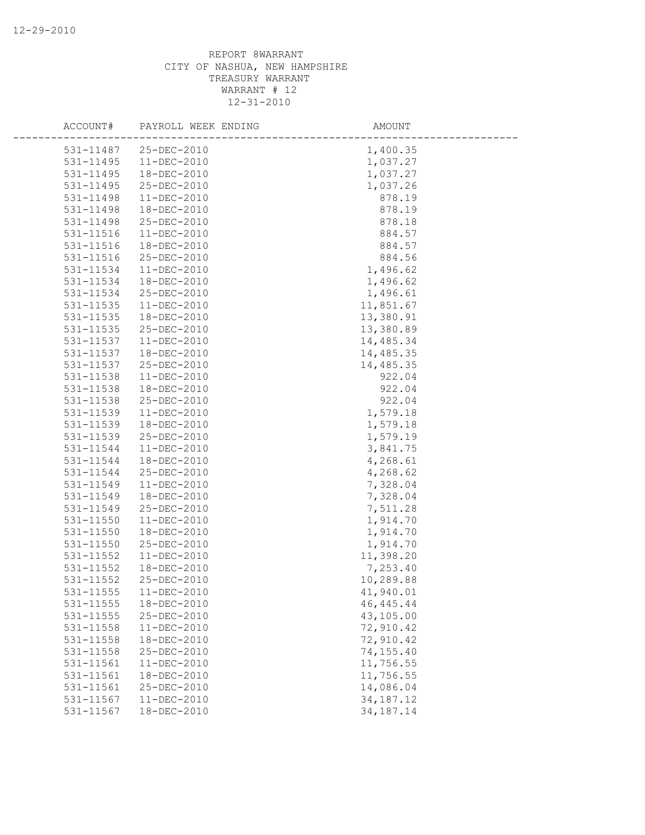| ACCOUNT#      | PAYROLL WEEK ENDING | AMOUNT      |  |
|---------------|---------------------|-------------|--|
| 531-11487     | 25-DEC-2010         | 1,400.35    |  |
| 531-11495     | $11 - DEC - 2010$   | 1,037.27    |  |
| 531-11495     | 18-DEC-2010         | 1,037.27    |  |
| 531-11495     | 25-DEC-2010         | 1,037.26    |  |
| 531-11498     | 11-DEC-2010         | 878.19      |  |
| 531-11498     | 18-DEC-2010         | 878.19      |  |
| 531-11498     | 25-DEC-2010         | 878.18      |  |
| 531-11516     | $11 - DEC - 2010$   | 884.57      |  |
| 531-11516     | 18-DEC-2010         | 884.57      |  |
| 531-11516     | 25-DEC-2010         | 884.56      |  |
| 531-11534     | $11 - DEC - 2010$   | 1,496.62    |  |
| 531-11534     | 18-DEC-2010         | 1,496.62    |  |
| 531-11534     | 25-DEC-2010         | 1,496.61    |  |
| 531-11535     | 11-DEC-2010         | 11,851.67   |  |
| 531-11535     | 18-DEC-2010         | 13,380.91   |  |
| 531-11535     | 25-DEC-2010         | 13,380.89   |  |
| 531-11537     | 11-DEC-2010         | 14,485.34   |  |
| 531-11537     | 18-DEC-2010         | 14,485.35   |  |
| 531-11537     | 25-DEC-2010         | 14,485.35   |  |
| 531-11538     | $11 - DEC - 2010$   | 922.04      |  |
| 531-11538     | 18-DEC-2010         | 922.04      |  |
| 531-11538     | 25-DEC-2010         | 922.04      |  |
| 531-11539     | 11-DEC-2010         | 1,579.18    |  |
| 531-11539     | 18-DEC-2010         | 1,579.18    |  |
| 531-11539     | 25-DEC-2010         | 1,579.19    |  |
| 531-11544     | 11-DEC-2010         | 3,841.75    |  |
| 531-11544     | 18-DEC-2010         | 4,268.61    |  |
| 531-11544     | 25-DEC-2010         | 4,268.62    |  |
| 531-11549     | $11 - DEC - 2010$   | 7,328.04    |  |
| 531-11549     | 18-DEC-2010         | 7,328.04    |  |
| 531-11549     | 25-DEC-2010         | 7,511.28    |  |
| 531-11550     | 11-DEC-2010         | 1,914.70    |  |
| 531-11550     | 18-DEC-2010         | 1,914.70    |  |
| 531-11550     | 25-DEC-2010         | 1,914.70    |  |
| 531-11552     | $11 - DEC - 2010$   | 11,398.20   |  |
| $531 - 11552$ | 18-DEC-2010         | 7,253.40    |  |
| 531-11552     | 25-DEC-2010         | 10,289.88   |  |
| 531-11555     | 11-DEC-2010         | 41,940.01   |  |
| 531-11555     | 18-DEC-2010         | 46, 445. 44 |  |
| 531-11555     | 25-DEC-2010         | 43,105.00   |  |
| 531-11558     | 11-DEC-2010         | 72,910.42   |  |
| 531-11558     | 18-DEC-2010         | 72,910.42   |  |
| 531-11558     | 25-DEC-2010         | 74,155.40   |  |
| 531-11561     | $11 - DEC - 2010$   | 11,756.55   |  |
| 531-11561     | 18-DEC-2010         | 11,756.55   |  |
| 531-11561     | 25-DEC-2010         | 14,086.04   |  |
| 531-11567     | 11-DEC-2010         | 34, 187. 12 |  |
| 531-11567     | 18-DEC-2010         | 34, 187. 14 |  |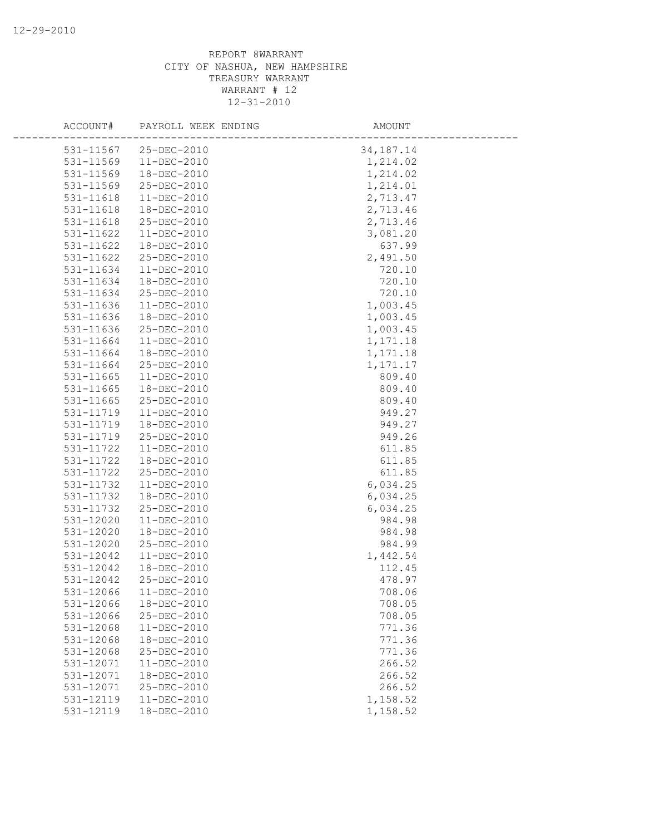| ACCOUNT#  | PAYROLL WEEK ENDING | AMOUNT      |
|-----------|---------------------|-------------|
| 531-11567 | $25 - DEC - 2010$   | 34, 187. 14 |
| 531-11569 | $11 - DEC - 2010$   | 1,214.02    |
| 531-11569 | 18-DEC-2010         | 1,214.02    |
| 531-11569 | 25-DEC-2010         | 1,214.01    |
| 531-11618 | 11-DEC-2010         | 2,713.47    |
| 531-11618 | 18-DEC-2010         | 2,713.46    |
| 531-11618 | 25-DEC-2010         | 2,713.46    |
| 531-11622 | $11-DEC-2010$       | 3,081.20    |
| 531-11622 | 18-DEC-2010         | 637.99      |
| 531-11622 | 25-DEC-2010         | 2,491.50    |
| 531-11634 | $11-DEC-2010$       | 720.10      |
| 531-11634 | 18-DEC-2010         | 720.10      |
| 531-11634 | 25-DEC-2010         | 720.10      |
| 531-11636 | 11-DEC-2010         | 1,003.45    |
| 531-11636 | 18-DEC-2010         | 1,003.45    |
| 531-11636 | 25-DEC-2010         | 1,003.45    |
| 531-11664 | 11-DEC-2010         | 1,171.18    |
| 531-11664 | 18-DEC-2010         | 1,171.18    |
| 531-11664 | 25-DEC-2010         | 1,171.17    |
| 531-11665 | $11-DEC-2010$       | 809.40      |
| 531-11665 | 18-DEC-2010         | 809.40      |
| 531-11665 | 25-DEC-2010         | 809.40      |
| 531-11719 | 11-DEC-2010         | 949.27      |
| 531-11719 | 18-DEC-2010         | 949.27      |
| 531-11719 | 25-DEC-2010         | 949.26      |
| 531-11722 | $11-DEC-2010$       | 611.85      |
| 531-11722 | 18-DEC-2010         | 611.85      |
| 531-11722 | 25-DEC-2010         | 611.85      |
| 531-11732 | $11 - DEC - 2010$   | 6,034.25    |
| 531-11732 | 18-DEC-2010         | 6,034.25    |
| 531-11732 | 25-DEC-2010         | 6,034.25    |
| 531-12020 | 11-DEC-2010         | 984.98      |
| 531-12020 | 18-DEC-2010         | 984.98      |
| 531-12020 | 25-DEC-2010         | 984.99      |
| 531-12042 | $11-DEC-2010$       | 1,442.54    |
| 531-12042 | 18-DEC-2010         | 112.45      |
| 531-12042 | 25-DEC-2010         | 478.97      |
| 531-12066 | 11-DEC-2010         | 708.06      |
| 531-12066 | 18-DEC-2010         | 708.05      |
| 531-12066 | 25-DEC-2010         | 708.05      |
| 531-12068 | $11 - DEC - 2010$   | 771.36      |
| 531-12068 | 18-DEC-2010         | 771.36      |
| 531-12068 | 25-DEC-2010         | 771.36      |
| 531-12071 | 11-DEC-2010         | 266.52      |
| 531-12071 | 18-DEC-2010         | 266.52      |
| 531-12071 | 25-DEC-2010         | 266.52      |
| 531-12119 | $11 - DEC - 2010$   | 1,158.52    |
| 531-12119 | 18-DEC-2010         | 1,158.52    |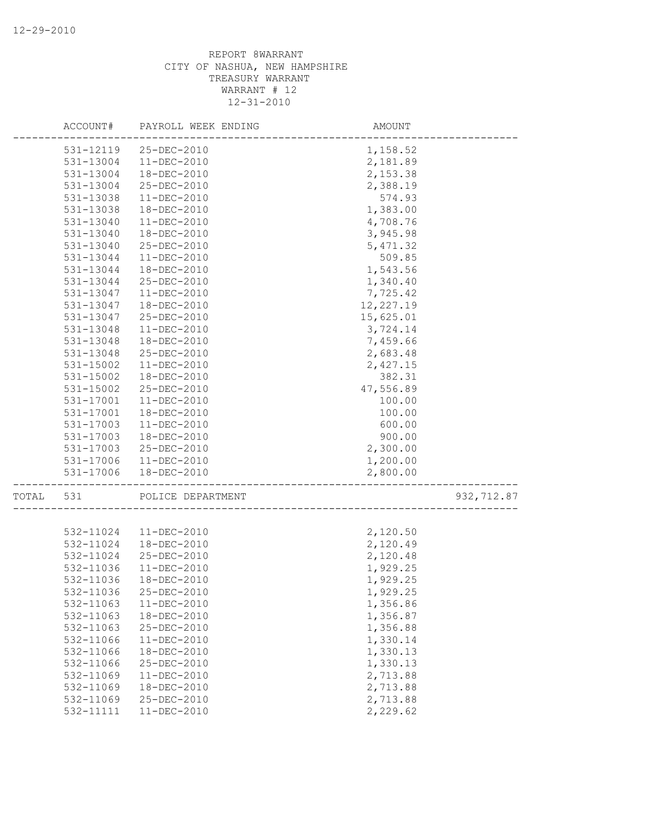|       | ACCOUNT#  | PAYROLL WEEK ENDING        | AMOUNT               |            |
|-------|-----------|----------------------------|----------------------|------------|
|       | 531-12119 | 25-DEC-2010                | 1,158.52             |            |
|       | 531-13004 | 11-DEC-2010                | 2,181.89             |            |
|       | 531-13004 | 18-DEC-2010                | 2,153.38             |            |
|       | 531-13004 | 25-DEC-2010                | 2,388.19             |            |
|       | 531-13038 | 11-DEC-2010                | 574.93               |            |
|       | 531-13038 | 18-DEC-2010                | 1,383.00             |            |
|       | 531-13040 | $11-DEC-2010$              | 4,708.76             |            |
|       | 531-13040 | 18-DEC-2010                | 3,945.98             |            |
|       | 531-13040 | 25-DEC-2010                | 5, 471.32            |            |
|       | 531-13044 | $11-DEC-2010$              | 509.85               |            |
|       | 531-13044 | 18-DEC-2010                | 1,543.56             |            |
|       | 531-13044 | 25-DEC-2010                | 1,340.40             |            |
|       | 531-13047 | 11-DEC-2010                | 7,725.42             |            |
|       | 531-13047 | 18-DEC-2010                | 12, 227.19           |            |
|       | 531-13047 | 25-DEC-2010                | 15,625.01            |            |
|       | 531-13048 | $11-DEC-2010$              | 3,724.14             |            |
|       | 531-13048 | 18-DEC-2010                | 7,459.66             |            |
|       | 531-13048 | 25-DEC-2010                | 2,683.48             |            |
|       | 531-15002 | $11-DEC-2010$              | 2,427.15             |            |
|       | 531-15002 | 18-DEC-2010                | 382.31               |            |
|       | 531-15002 | 25-DEC-2010                | 47,556.89            |            |
|       | 531-17001 | 11-DEC-2010                | 100.00               |            |
|       | 531-17001 | 18-DEC-2010                | 100.00               |            |
|       | 531-17003 | $11-DEC-2010$              | 600.00               |            |
|       | 531-17003 | 18-DEC-2010                | 900.00               |            |
|       | 531-17003 | 25-DEC-2010                | 2,300.00             |            |
|       | 531-17006 | 11-DEC-2010                | 1,200.00             |            |
|       | 531-17006 | 18-DEC-2010                | 2,800.00             |            |
| TOTAL | 531       | POLICE DEPARTMENT          | ____________________ | 932,712.87 |
|       |           |                            |                      |            |
|       | 532-11024 | 11-DEC-2010                | 2,120.50             |            |
|       | 532-11024 | 18-DEC-2010                | 2,120.49             |            |
|       | 532-11024 | 25-DEC-2010                | 2,120.48             |            |
|       | 532-11036 | 11-DEC-2010<br>18-DEC-2010 | 1,929.25             |            |
|       | 532-11036 |                            | 1,929.25             |            |
|       | 532-11036 | 25-DEC-2010                | 1,929.25             |            |
|       | 532-11063 | $11 - DEC - 2010$          | 1,356.86             |            |
|       | 532-11063 | 18-DEC-2010                | 1,356.87             |            |
|       | 532-11063 | 25-DEC-2010                | 1,356.88             |            |
|       | 532-11066 | 11-DEC-2010                | 1,330.14             |            |
|       | 532-11066 | 18-DEC-2010                | 1,330.13             |            |
|       | 532-11066 | 25-DEC-2010                | 1,330.13             |            |
|       | 532-11069 | 11-DEC-2010                | 2,713.88             |            |
|       | 532-11069 | 18-DEC-2010                | 2,713.88             |            |
|       | 532-11069 | 25-DEC-2010                | 2,713.88             |            |
|       | 532-11111 | 11-DEC-2010                | 2,229.62             |            |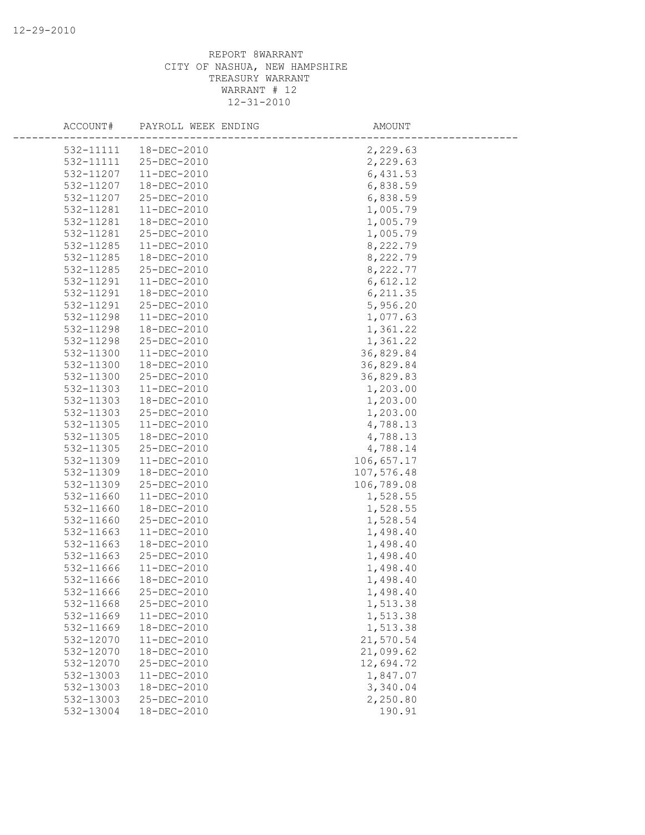| ACCOUNT#  | PAYROLL WEEK ENDING | AMOUNT     |
|-----------|---------------------|------------|
| 532-11111 | 18-DEC-2010         | 2,229.63   |
| 532-11111 | 25-DEC-2010         | 2,229.63   |
| 532-11207 | 11-DEC-2010         | 6,431.53   |
| 532-11207 | 18-DEC-2010         | 6,838.59   |
| 532-11207 | 25-DEC-2010         | 6,838.59   |
| 532-11281 | $11 - DEC - 2010$   | 1,005.79   |
| 532-11281 | 18-DEC-2010         | 1,005.79   |
| 532-11281 | 25-DEC-2010         | 1,005.79   |
| 532-11285 | 11-DEC-2010         | 8,222.79   |
| 532-11285 | 18-DEC-2010         | 8,222.79   |
| 532-11285 | 25-DEC-2010         | 8,222.77   |
| 532-11291 | 11-DEC-2010         | 6,612.12   |
| 532-11291 | 18-DEC-2010         | 6, 211.35  |
| 532-11291 | 25-DEC-2010         | 5,956.20   |
| 532-11298 | $11-DEC-2010$       | 1,077.63   |
| 532-11298 | 18-DEC-2010         | 1,361.22   |
| 532-11298 | 25-DEC-2010         | 1,361.22   |
| 532-11300 | $11 - DEC - 2010$   | 36,829.84  |
| 532-11300 | 18-DEC-2010         | 36,829.84  |
| 532-11300 | 25-DEC-2010         | 36,829.83  |
| 532-11303 | 11-DEC-2010         | 1,203.00   |
| 532-11303 | 18-DEC-2010         | 1,203.00   |
| 532-11303 | 25-DEC-2010         | 1,203.00   |
| 532-11305 | $11 - DEC - 2010$   | 4,788.13   |
| 532-11305 | 18-DEC-2010         | 4,788.13   |
| 532-11305 | 25-DEC-2010         | 4,788.14   |
| 532-11309 | $11 - DEC - 2010$   | 106,657.17 |
| 532-11309 | 18-DEC-2010         | 107,576.48 |
| 532-11309 | 25-DEC-2010         | 106,789.08 |
| 532-11660 | $11 - DEC - 2010$   | 1,528.55   |
| 532-11660 | 18-DEC-2010         | 1,528.55   |
| 532-11660 | 25-DEC-2010         | 1,528.54   |
| 532-11663 | 11-DEC-2010         | 1,498.40   |
| 532-11663 | 18-DEC-2010         | 1,498.40   |
| 532-11663 | 25-DEC-2010         | 1,498.40   |
| 532-11666 | $11-DEC-2010$       | 1,498.40   |
| 532-11666 | 18-DEC-2010         | 1,498.40   |
| 532-11666 | 25-DEC-2010         | 1,498.40   |
| 532-11668 | 25-DEC-2010         | 1,513.38   |
| 532-11669 | 11-DEC-2010         | 1,513.38   |
| 532-11669 | 18-DEC-2010         | 1,513.38   |
| 532-12070 | 11-DEC-2010         | 21,570.54  |
| 532-12070 | 18-DEC-2010         | 21,099.62  |
| 532-12070 | 25-DEC-2010         | 12,694.72  |
| 532-13003 | $11 - DEC - 2010$   | 1,847.07   |
| 532-13003 | 18-DEC-2010         | 3,340.04   |
| 532-13003 | 25-DEC-2010         | 2,250.80   |
| 532-13004 | 18-DEC-2010         | 190.91     |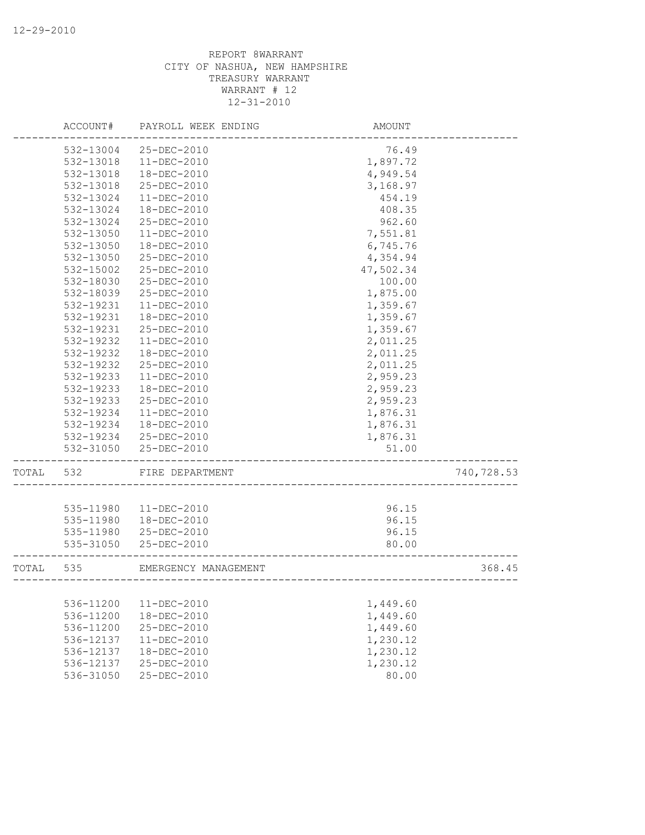|       | ACCOUNT#      | PAYROLL WEEK ENDING  | AMOUNT    |            |
|-------|---------------|----------------------|-----------|------------|
|       | 532-13004     | 25-DEC-2010          | 76.49     |            |
|       | 532-13018     | $11 - DEC - 2010$    | 1,897.72  |            |
|       | 532-13018     | 18-DEC-2010          | 4,949.54  |            |
|       | 532-13018     | 25-DEC-2010          | 3,168.97  |            |
|       | 532-13024     | $11 - DEC - 2010$    | 454.19    |            |
|       | 532-13024     | 18-DEC-2010          | 408.35    |            |
|       | 532-13024     | 25-DEC-2010          | 962.60    |            |
|       | 532-13050     | $11 - DEC - 2010$    | 7,551.81  |            |
|       | 532-13050     | 18-DEC-2010          | 6,745.76  |            |
|       | $532 - 13050$ | 25-DEC-2010          | 4,354.94  |            |
|       | 532-15002     | $25 - DEC - 2010$    | 47,502.34 |            |
|       | 532-18030     | 25-DEC-2010          | 100.00    |            |
|       | 532-18039     | 25-DEC-2010          | 1,875.00  |            |
|       | 532-19231     | $11 - DEC - 2010$    | 1,359.67  |            |
|       | 532-19231     | 18-DEC-2010          | 1,359.67  |            |
|       | 532-19231     | 25-DEC-2010          | 1,359.67  |            |
|       | 532-19232     | $11 - DEC - 2010$    | 2,011.25  |            |
|       | 532-19232     | 18-DEC-2010          | 2,011.25  |            |
|       | 532-19232     | 25-DEC-2010          | 2,011.25  |            |
|       | 532-19233     | $11 - DEC - 2010$    | 2,959.23  |            |
|       | 532-19233     | $18 - DEC - 2010$    | 2,959.23  |            |
|       | 532-19233     | 25-DEC-2010          | 2,959.23  |            |
|       | 532-19234     | $11 - DEC - 2010$    | 1,876.31  |            |
|       | 532-19234     | 18-DEC-2010          | 1,876.31  |            |
|       | 532-19234     | 25-DEC-2010          | 1,876.31  |            |
|       | 532-31050     | 25-DEC-2010          | 51.00     |            |
| TOTAL | 532           | FIRE DEPARTMENT      |           | 740,728.53 |
|       |               |                      |           |            |
|       | 535-11980     | $11 - DEC - 2010$    | 96.15     |            |
|       | 535-11980     | 18-DEC-2010          | 96.15     |            |
|       | 535-11980     | 25-DEC-2010          | 96.15     |            |
|       | 535-31050     | 25-DEC-2010          | 80.00     |            |
| TOTAL | 535           | EMERGENCY MANAGEMENT |           | 368.45     |
|       |               |                      |           |            |
|       | 536-11200     | 11-DEC-2010          | 1,449.60  |            |
|       | 536-11200     | 18-DEC-2010          | 1,449.60  |            |
|       | 536-11200     | 25-DEC-2010          | 1,449.60  |            |
|       | 536-12137     | 11-DEC-2010          | 1,230.12  |            |
|       | 536-12137     | 18-DEC-2010          | 1,230.12  |            |
|       | 536-12137     | 25-DEC-2010          | 1,230.12  |            |
|       | 536-31050     | 25-DEC-2010          | 80.00     |            |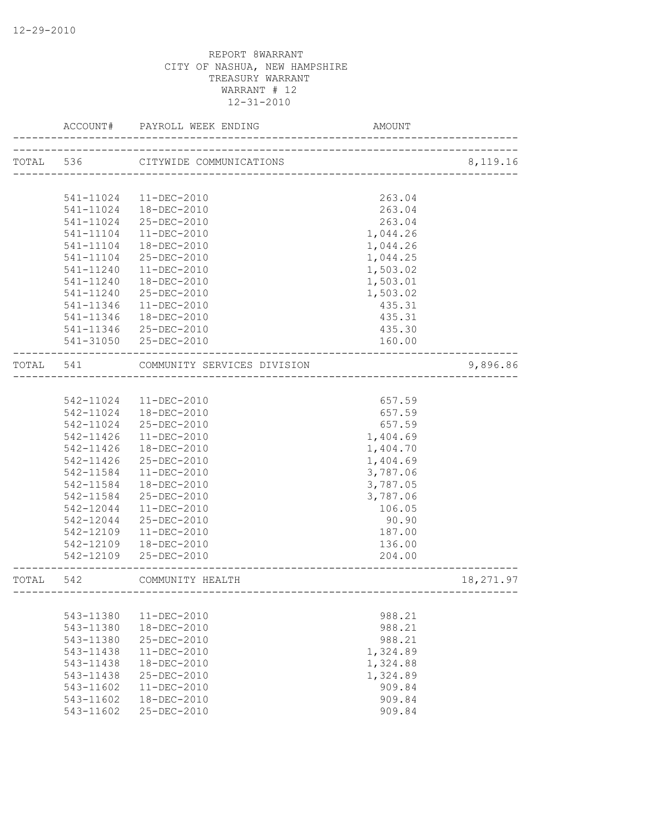|           | ACCOUNT#      | PAYROLL WEEK ENDING               | AMOUNT                        |           |
|-----------|---------------|-----------------------------------|-------------------------------|-----------|
|           |               | TOTAL 536 CITYWIDE COMMUNICATIONS | _____________________________ | 8,119.16  |
|           |               |                                   |                               |           |
|           | 541-11024     | 11-DEC-2010                       | 263.04                        |           |
|           | 541-11024     | 18-DEC-2010                       | 263.04                        |           |
|           | 541-11024     | 25-DEC-2010                       | 263.04                        |           |
|           | 541-11104     | 11-DEC-2010                       | 1,044.26                      |           |
|           | 541-11104     | 18-DEC-2010                       | 1,044.26                      |           |
|           | $541 - 11104$ | 25-DEC-2010                       | 1,044.25                      |           |
|           | 541-11240     | 11-DEC-2010                       | 1,503.02                      |           |
|           | 541-11240     | 18-DEC-2010                       | 1,503.01                      |           |
|           | 541-11240     | 25-DEC-2010                       | 1,503.02                      |           |
|           | 541-11346     | 11-DEC-2010                       | 435.31                        |           |
|           | 541-11346     | 18-DEC-2010                       | 435.31                        |           |
|           | 541-11346     | 25-DEC-2010                       | 435.30                        |           |
|           |               | 541-31050 25-DEC-2010             | 160.00                        |           |
| TOTAL 541 |               | COMMUNITY SERVICES DIVISION       |                               | 9,896.86  |
|           |               |                                   |                               |           |
|           | 542-11024     | 11-DEC-2010                       | 657.59                        |           |
|           | 542-11024     | 18-DEC-2010                       | 657.59                        |           |
|           | 542-11024     | 25-DEC-2010                       | 657.59                        |           |
|           | 542-11426     | 11-DEC-2010                       | 1,404.69                      |           |
|           | 542-11426     | 18-DEC-2010                       | 1,404.70                      |           |
|           | 542-11426     | 25-DEC-2010                       | 1,404.69                      |           |
|           | 542-11584     | $11 - DEC - 2010$                 | 3,787.06                      |           |
|           | 542-11584     | 18-DEC-2010                       | 3,787.05                      |           |
|           | 542-11584     | 25-DEC-2010                       | 3,787.06                      |           |
|           | 542-12044     | 11-DEC-2010                       | 106.05                        |           |
|           | 542-12044     | 25-DEC-2010                       | 90.90                         |           |
|           | 542-12109     | 11-DEC-2010                       | 187.00                        |           |
|           | 542-12109     | 18-DEC-2010                       | 136.00                        |           |
|           | 542-12109     | 25-DEC-2010                       | 204.00                        |           |
| TOTAL     | 542           | COMMUNITY HEALTH                  |                               | 18,271.97 |
|           |               |                                   |                               |           |
|           | 543-11380     | 11-DEC-2010                       | 988.21                        |           |
|           | 543-11380     | 18-DEC-2010                       | 988.21                        |           |
|           | 543-11380     | 25-DEC-2010                       | 988.21                        |           |
|           | 543-11438     | $11-DEC-2010$                     | 1,324.89                      |           |
|           | 543-11438     | 18-DEC-2010                       | 1,324.88                      |           |
|           | 543-11438     | $25 - DEC - 2010$                 | 1,324.89                      |           |
|           | 543-11602     | $11 - DEC - 2010$                 | 909.84                        |           |
|           | 543-11602     | 18-DEC-2010                       | 909.84                        |           |
|           | 543-11602     | 25-DEC-2010                       | 909.84                        |           |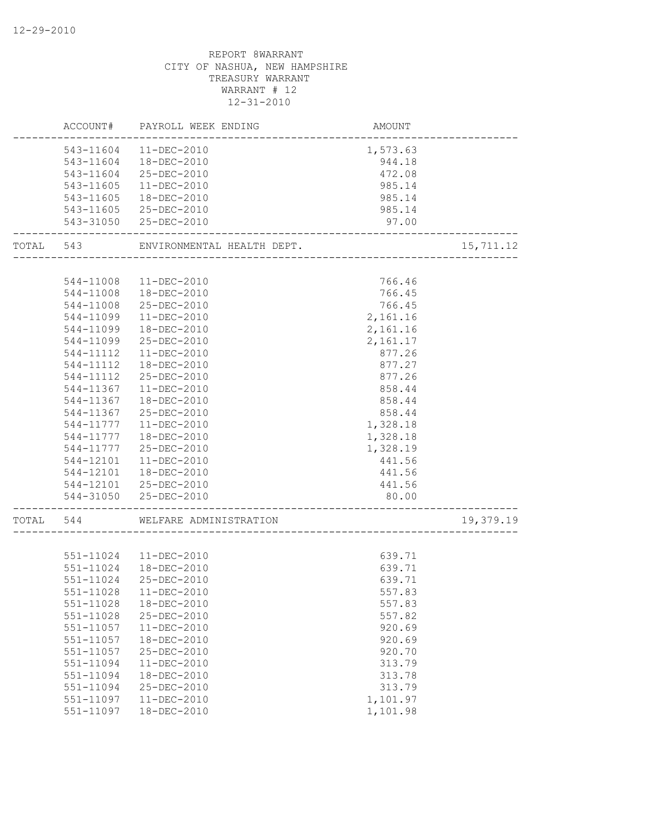| 543-11604<br>11-DEC-2010<br>1,573.63<br>543-11604<br>18-DEC-2010<br>944.18<br>472.08<br>543-11604<br>25-DEC-2010<br>543-11605<br>11-DEC-2010<br>985.14<br>543-11605<br>18-DEC-2010<br>985.14<br>985.14<br>543-11605<br>25-DEC-2010<br>543-31050<br>25-DEC-2010<br>97.00<br>15,711.12<br>TOTAL 543<br>ENVIRONMENTAL HEALTH DEPT.<br>766.46<br>544-11008<br>11-DEC-2010<br>18-DEC-2010<br>766.45<br>544-11008<br>544-11008<br>25-DEC-2010<br>766.45<br>2,161.16<br>544-11099<br>$11 - DEC - 2010$<br>544-11099<br>18-DEC-2010<br>2,161.16<br>25-DEC-2010<br>544-11099<br>2,161.17<br>877.26<br>544-11112<br>$11 - DEC - 2010$<br>18-DEC-2010<br>877.27<br>544-11112<br>877.26<br>544-11112<br>25-DEC-2010<br>858.44<br>544-11367<br>$11 - DEC - 2010$<br>544-11367<br>18-DEC-2010<br>858.44<br>544-11367<br>25-DEC-2010<br>858.44<br>544-11777<br>$11 - DEC - 2010$<br>1,328.18<br>1,328.18<br>544-11777<br>18-DEC-2010<br>1,328.19<br>544-11777<br>25-DEC-2010<br>544-12101<br>$11 - DEC - 2010$<br>441.56<br>544-12101<br>18-DEC-2010<br>441.56<br>544-12101 25-DEC-2010<br>441.56<br>544-31050 25-DEC-2010<br>80.00<br>19,379.19<br>544<br>WELFARE ADMINISTRATION<br>551-11024 11-DEC-2010<br>639.71<br>639.71<br>551-11024<br>18-DEC-2010<br>639.71<br>551-11024<br>25-DEC-2010<br>557.83<br>551-11028<br>18-DEC-2010<br>557.83<br>551-11028<br>25-DEC-2010<br>557.82<br>$551 - 11057$<br>11-DEC-2010<br>920.69<br>551-11057<br>18-DEC-2010<br>920.69<br>551-11057<br>25-DEC-2010<br>920.70<br>551-11094<br>$11 - DEC - 2010$<br>313.79<br>551-11094<br>18-DEC-2010<br>313.78<br>551-11094<br>25-DEC-2010<br>313.79<br>$11 - DEC - 2010$<br>1,101.97<br>551-11097 |       | ACCOUNT#  | PAYROLL WEEK ENDING | AMOUNT   |  |
|---------------------------------------------------------------------------------------------------------------------------------------------------------------------------------------------------------------------------------------------------------------------------------------------------------------------------------------------------------------------------------------------------------------------------------------------------------------------------------------------------------------------------------------------------------------------------------------------------------------------------------------------------------------------------------------------------------------------------------------------------------------------------------------------------------------------------------------------------------------------------------------------------------------------------------------------------------------------------------------------------------------------------------------------------------------------------------------------------------------------------------------------------------------------------------------------------------------------------------------------------------------------------------------------------------------------------------------------------------------------------------------------------------------------------------------------------------------------------------------------------------------------------------------------------------------------------------------------------------------------------------------------------------------------|-------|-----------|---------------------|----------|--|
|                                                                                                                                                                                                                                                                                                                                                                                                                                                                                                                                                                                                                                                                                                                                                                                                                                                                                                                                                                                                                                                                                                                                                                                                                                                                                                                                                                                                                                                                                                                                                                                                                                                                     |       |           |                     |          |  |
|                                                                                                                                                                                                                                                                                                                                                                                                                                                                                                                                                                                                                                                                                                                                                                                                                                                                                                                                                                                                                                                                                                                                                                                                                                                                                                                                                                                                                                                                                                                                                                                                                                                                     |       |           |                     |          |  |
|                                                                                                                                                                                                                                                                                                                                                                                                                                                                                                                                                                                                                                                                                                                                                                                                                                                                                                                                                                                                                                                                                                                                                                                                                                                                                                                                                                                                                                                                                                                                                                                                                                                                     |       |           |                     |          |  |
|                                                                                                                                                                                                                                                                                                                                                                                                                                                                                                                                                                                                                                                                                                                                                                                                                                                                                                                                                                                                                                                                                                                                                                                                                                                                                                                                                                                                                                                                                                                                                                                                                                                                     |       |           |                     |          |  |
|                                                                                                                                                                                                                                                                                                                                                                                                                                                                                                                                                                                                                                                                                                                                                                                                                                                                                                                                                                                                                                                                                                                                                                                                                                                                                                                                                                                                                                                                                                                                                                                                                                                                     |       |           |                     |          |  |
|                                                                                                                                                                                                                                                                                                                                                                                                                                                                                                                                                                                                                                                                                                                                                                                                                                                                                                                                                                                                                                                                                                                                                                                                                                                                                                                                                                                                                                                                                                                                                                                                                                                                     |       |           |                     |          |  |
|                                                                                                                                                                                                                                                                                                                                                                                                                                                                                                                                                                                                                                                                                                                                                                                                                                                                                                                                                                                                                                                                                                                                                                                                                                                                                                                                                                                                                                                                                                                                                                                                                                                                     |       |           |                     |          |  |
|                                                                                                                                                                                                                                                                                                                                                                                                                                                                                                                                                                                                                                                                                                                                                                                                                                                                                                                                                                                                                                                                                                                                                                                                                                                                                                                                                                                                                                                                                                                                                                                                                                                                     |       |           |                     |          |  |
|                                                                                                                                                                                                                                                                                                                                                                                                                                                                                                                                                                                                                                                                                                                                                                                                                                                                                                                                                                                                                                                                                                                                                                                                                                                                                                                                                                                                                                                                                                                                                                                                                                                                     |       |           |                     |          |  |
|                                                                                                                                                                                                                                                                                                                                                                                                                                                                                                                                                                                                                                                                                                                                                                                                                                                                                                                                                                                                                                                                                                                                                                                                                                                                                                                                                                                                                                                                                                                                                                                                                                                                     |       |           |                     |          |  |
|                                                                                                                                                                                                                                                                                                                                                                                                                                                                                                                                                                                                                                                                                                                                                                                                                                                                                                                                                                                                                                                                                                                                                                                                                                                                                                                                                                                                                                                                                                                                                                                                                                                                     |       |           |                     |          |  |
|                                                                                                                                                                                                                                                                                                                                                                                                                                                                                                                                                                                                                                                                                                                                                                                                                                                                                                                                                                                                                                                                                                                                                                                                                                                                                                                                                                                                                                                                                                                                                                                                                                                                     |       |           |                     |          |  |
|                                                                                                                                                                                                                                                                                                                                                                                                                                                                                                                                                                                                                                                                                                                                                                                                                                                                                                                                                                                                                                                                                                                                                                                                                                                                                                                                                                                                                                                                                                                                                                                                                                                                     |       |           |                     |          |  |
|                                                                                                                                                                                                                                                                                                                                                                                                                                                                                                                                                                                                                                                                                                                                                                                                                                                                                                                                                                                                                                                                                                                                                                                                                                                                                                                                                                                                                                                                                                                                                                                                                                                                     |       |           |                     |          |  |
|                                                                                                                                                                                                                                                                                                                                                                                                                                                                                                                                                                                                                                                                                                                                                                                                                                                                                                                                                                                                                                                                                                                                                                                                                                                                                                                                                                                                                                                                                                                                                                                                                                                                     |       |           |                     |          |  |
|                                                                                                                                                                                                                                                                                                                                                                                                                                                                                                                                                                                                                                                                                                                                                                                                                                                                                                                                                                                                                                                                                                                                                                                                                                                                                                                                                                                                                                                                                                                                                                                                                                                                     |       |           |                     |          |  |
|                                                                                                                                                                                                                                                                                                                                                                                                                                                                                                                                                                                                                                                                                                                                                                                                                                                                                                                                                                                                                                                                                                                                                                                                                                                                                                                                                                                                                                                                                                                                                                                                                                                                     |       |           |                     |          |  |
|                                                                                                                                                                                                                                                                                                                                                                                                                                                                                                                                                                                                                                                                                                                                                                                                                                                                                                                                                                                                                                                                                                                                                                                                                                                                                                                                                                                                                                                                                                                                                                                                                                                                     |       |           |                     |          |  |
|                                                                                                                                                                                                                                                                                                                                                                                                                                                                                                                                                                                                                                                                                                                                                                                                                                                                                                                                                                                                                                                                                                                                                                                                                                                                                                                                                                                                                                                                                                                                                                                                                                                                     |       |           |                     |          |  |
|                                                                                                                                                                                                                                                                                                                                                                                                                                                                                                                                                                                                                                                                                                                                                                                                                                                                                                                                                                                                                                                                                                                                                                                                                                                                                                                                                                                                                                                                                                                                                                                                                                                                     |       |           |                     |          |  |
|                                                                                                                                                                                                                                                                                                                                                                                                                                                                                                                                                                                                                                                                                                                                                                                                                                                                                                                                                                                                                                                                                                                                                                                                                                                                                                                                                                                                                                                                                                                                                                                                                                                                     |       |           |                     |          |  |
|                                                                                                                                                                                                                                                                                                                                                                                                                                                                                                                                                                                                                                                                                                                                                                                                                                                                                                                                                                                                                                                                                                                                                                                                                                                                                                                                                                                                                                                                                                                                                                                                                                                                     |       |           |                     |          |  |
|                                                                                                                                                                                                                                                                                                                                                                                                                                                                                                                                                                                                                                                                                                                                                                                                                                                                                                                                                                                                                                                                                                                                                                                                                                                                                                                                                                                                                                                                                                                                                                                                                                                                     |       |           |                     |          |  |
|                                                                                                                                                                                                                                                                                                                                                                                                                                                                                                                                                                                                                                                                                                                                                                                                                                                                                                                                                                                                                                                                                                                                                                                                                                                                                                                                                                                                                                                                                                                                                                                                                                                                     |       |           |                     |          |  |
|                                                                                                                                                                                                                                                                                                                                                                                                                                                                                                                                                                                                                                                                                                                                                                                                                                                                                                                                                                                                                                                                                                                                                                                                                                                                                                                                                                                                                                                                                                                                                                                                                                                                     |       |           |                     |          |  |
|                                                                                                                                                                                                                                                                                                                                                                                                                                                                                                                                                                                                                                                                                                                                                                                                                                                                                                                                                                                                                                                                                                                                                                                                                                                                                                                                                                                                                                                                                                                                                                                                                                                                     |       |           |                     |          |  |
|                                                                                                                                                                                                                                                                                                                                                                                                                                                                                                                                                                                                                                                                                                                                                                                                                                                                                                                                                                                                                                                                                                                                                                                                                                                                                                                                                                                                                                                                                                                                                                                                                                                                     |       |           |                     |          |  |
|                                                                                                                                                                                                                                                                                                                                                                                                                                                                                                                                                                                                                                                                                                                                                                                                                                                                                                                                                                                                                                                                                                                                                                                                                                                                                                                                                                                                                                                                                                                                                                                                                                                                     |       |           |                     |          |  |
|                                                                                                                                                                                                                                                                                                                                                                                                                                                                                                                                                                                                                                                                                                                                                                                                                                                                                                                                                                                                                                                                                                                                                                                                                                                                                                                                                                                                                                                                                                                                                                                                                                                                     | TOTAL |           |                     |          |  |
|                                                                                                                                                                                                                                                                                                                                                                                                                                                                                                                                                                                                                                                                                                                                                                                                                                                                                                                                                                                                                                                                                                                                                                                                                                                                                                                                                                                                                                                                                                                                                                                                                                                                     |       |           |                     |          |  |
|                                                                                                                                                                                                                                                                                                                                                                                                                                                                                                                                                                                                                                                                                                                                                                                                                                                                                                                                                                                                                                                                                                                                                                                                                                                                                                                                                                                                                                                                                                                                                                                                                                                                     |       |           |                     |          |  |
|                                                                                                                                                                                                                                                                                                                                                                                                                                                                                                                                                                                                                                                                                                                                                                                                                                                                                                                                                                                                                                                                                                                                                                                                                                                                                                                                                                                                                                                                                                                                                                                                                                                                     |       |           |                     |          |  |
|                                                                                                                                                                                                                                                                                                                                                                                                                                                                                                                                                                                                                                                                                                                                                                                                                                                                                                                                                                                                                                                                                                                                                                                                                                                                                                                                                                                                                                                                                                                                                                                                                                                                     |       |           |                     |          |  |
|                                                                                                                                                                                                                                                                                                                                                                                                                                                                                                                                                                                                                                                                                                                                                                                                                                                                                                                                                                                                                                                                                                                                                                                                                                                                                                                                                                                                                                                                                                                                                                                                                                                                     |       |           |                     |          |  |
|                                                                                                                                                                                                                                                                                                                                                                                                                                                                                                                                                                                                                                                                                                                                                                                                                                                                                                                                                                                                                                                                                                                                                                                                                                                                                                                                                                                                                                                                                                                                                                                                                                                                     |       |           |                     |          |  |
|                                                                                                                                                                                                                                                                                                                                                                                                                                                                                                                                                                                                                                                                                                                                                                                                                                                                                                                                                                                                                                                                                                                                                                                                                                                                                                                                                                                                                                                                                                                                                                                                                                                                     |       |           |                     |          |  |
|                                                                                                                                                                                                                                                                                                                                                                                                                                                                                                                                                                                                                                                                                                                                                                                                                                                                                                                                                                                                                                                                                                                                                                                                                                                                                                                                                                                                                                                                                                                                                                                                                                                                     |       |           |                     |          |  |
|                                                                                                                                                                                                                                                                                                                                                                                                                                                                                                                                                                                                                                                                                                                                                                                                                                                                                                                                                                                                                                                                                                                                                                                                                                                                                                                                                                                                                                                                                                                                                                                                                                                                     |       |           |                     |          |  |
|                                                                                                                                                                                                                                                                                                                                                                                                                                                                                                                                                                                                                                                                                                                                                                                                                                                                                                                                                                                                                                                                                                                                                                                                                                                                                                                                                                                                                                                                                                                                                                                                                                                                     |       |           |                     |          |  |
|                                                                                                                                                                                                                                                                                                                                                                                                                                                                                                                                                                                                                                                                                                                                                                                                                                                                                                                                                                                                                                                                                                                                                                                                                                                                                                                                                                                                                                                                                                                                                                                                                                                                     |       |           |                     |          |  |
|                                                                                                                                                                                                                                                                                                                                                                                                                                                                                                                                                                                                                                                                                                                                                                                                                                                                                                                                                                                                                                                                                                                                                                                                                                                                                                                                                                                                                                                                                                                                                                                                                                                                     |       |           |                     |          |  |
|                                                                                                                                                                                                                                                                                                                                                                                                                                                                                                                                                                                                                                                                                                                                                                                                                                                                                                                                                                                                                                                                                                                                                                                                                                                                                                                                                                                                                                                                                                                                                                                                                                                                     |       |           |                     |          |  |
|                                                                                                                                                                                                                                                                                                                                                                                                                                                                                                                                                                                                                                                                                                                                                                                                                                                                                                                                                                                                                                                                                                                                                                                                                                                                                                                                                                                                                                                                                                                                                                                                                                                                     |       |           |                     |          |  |
|                                                                                                                                                                                                                                                                                                                                                                                                                                                                                                                                                                                                                                                                                                                                                                                                                                                                                                                                                                                                                                                                                                                                                                                                                                                                                                                                                                                                                                                                                                                                                                                                                                                                     |       | 551-11097 | 18-DEC-2010         | 1,101.98 |  |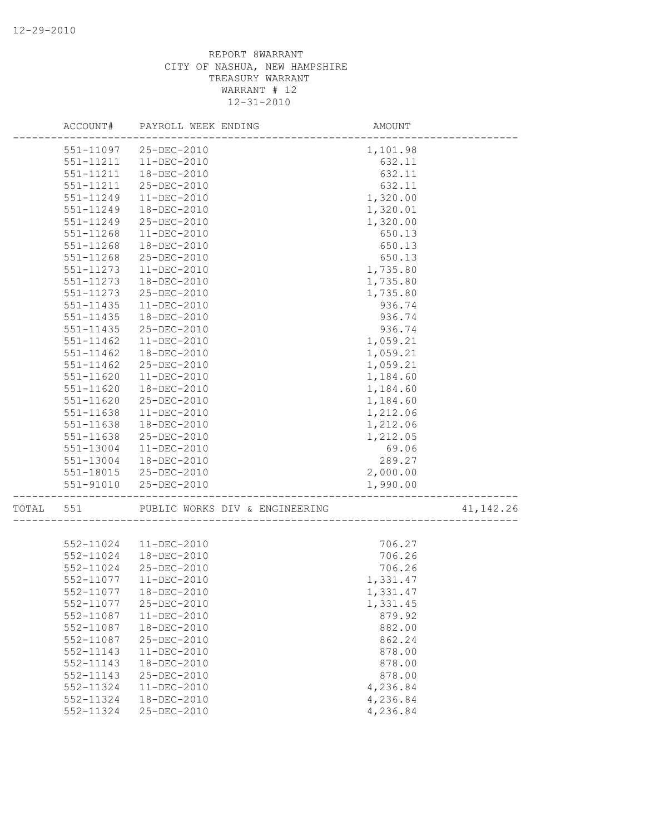|       |               | ACCOUNT# PAYROLL WEEK ENDING   | AMOUNT   |           |
|-------|---------------|--------------------------------|----------|-----------|
|       | 551-11097     | 25-DEC-2010                    | 1,101.98 |           |
|       | 551-11211     | 11-DEC-2010                    | 632.11   |           |
|       | 551-11211     | 18-DEC-2010                    | 632.11   |           |
|       | 551-11211     | 25-DEC-2010                    | 632.11   |           |
|       | 551-11249     | 11-DEC-2010                    | 1,320.00 |           |
|       | 551-11249     | 18-DEC-2010                    | 1,320.01 |           |
|       | 551-11249     | 25-DEC-2010                    | 1,320.00 |           |
|       | 551-11268     | $11 - DEC - 2010$              | 650.13   |           |
|       | 551-11268     | 18-DEC-2010                    | 650.13   |           |
|       | 551-11268     | 25-DEC-2010                    | 650.13   |           |
|       | 551-11273     | $11 - DEC - 2010$              | 1,735.80 |           |
|       | 551-11273     | 18-DEC-2010                    | 1,735.80 |           |
|       | 551-11273     | 25-DEC-2010                    | 1,735.80 |           |
|       | 551-11435     | 11-DEC-2010                    | 936.74   |           |
|       | $551 - 11435$ | 18-DEC-2010                    | 936.74   |           |
|       | 551-11435     | 25-DEC-2010                    | 936.74   |           |
|       | 551-11462     | $11-DEC-2010$                  | 1,059.21 |           |
|       | 551-11462     | 18-DEC-2010                    | 1,059.21 |           |
|       | $551 - 11462$ | 25-DEC-2010                    | 1,059.21 |           |
|       | 551-11620     | 11-DEC-2010                    | 1,184.60 |           |
|       | 551-11620     | 18-DEC-2010                    | 1,184.60 |           |
|       | 551-11620     | 25-DEC-2010                    | 1,184.60 |           |
|       | 551-11638     | 11-DEC-2010                    | 1,212.06 |           |
|       | 551-11638     | 18-DEC-2010                    | 1,212.06 |           |
|       | 551-11638     | 25-DEC-2010                    | 1,212.05 |           |
|       | 551-13004     | $11 - DEC - 2010$              | 69.06    |           |
|       | 551-13004     | 18-DEC-2010                    | 289.27   |           |
|       | 551-18015     | 25-DEC-2010                    | 2,000.00 |           |
|       |               | 551-91010 25-DEC-2010          | 1,990.00 |           |
| TOTAL | 551           | PUBLIC WORKS DIV & ENGINEERING |          | 41,142.26 |
|       |               |                                |          |           |
|       |               | 552-11024  11-DEC-2010         | 706.27   |           |
|       | 552-11024     | 18-DEC-2010                    | 706.26   |           |
|       | 552-11024     | 25-DEC-2010                    | 706.26   |           |
|       | 552-11077     | $11 - DEC - 2010$              | 1,331.47 |           |
|       |               | 552-11077   18-DEC-2010        | 1,331.47 |           |
|       | 552-11077     | 25-DEC-2010                    | 1,331.45 |           |
|       | 552-11087     | 11-DEC-2010                    | 879.92   |           |
|       | 552-11087     | 18-DEC-2010                    | 882.00   |           |
|       | 552-11087     | 25-DEC-2010                    | 862.24   |           |
|       | 552-11143     | 11-DEC-2010                    | 878.00   |           |
|       | 552-11143     | 18-DEC-2010                    | 878.00   |           |
|       | 552-11143     | 25-DEC-2010                    | 878.00   |           |
|       | 552-11324     | 11-DEC-2010                    | 4,236.84 |           |
|       | 552-11324     | 18-DEC-2010                    | 4,236.84 |           |
|       | 552-11324     | 25-DEC-2010                    | 4,236.84 |           |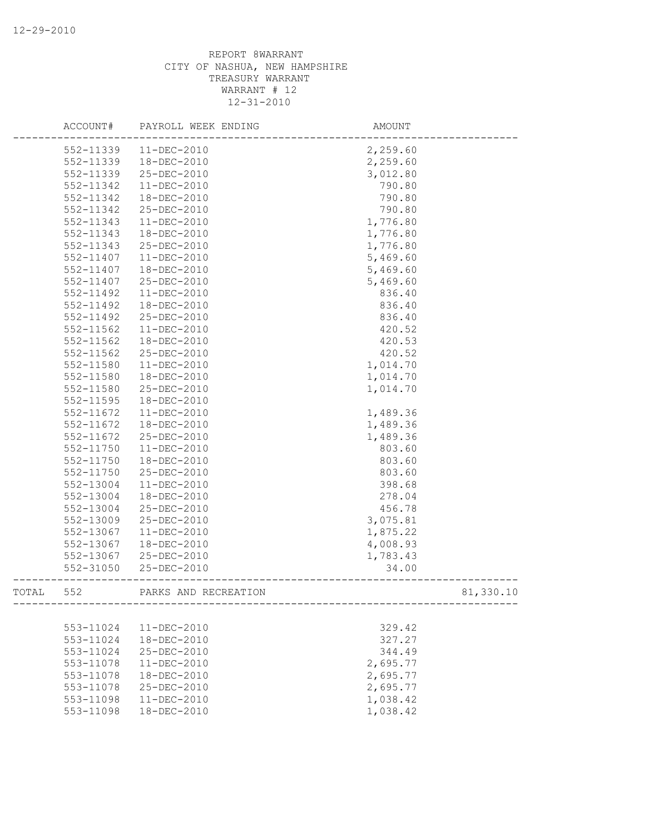|       | ACCOUNT#  | PAYROLL WEEK ENDING  | AMOUNT    |  |
|-------|-----------|----------------------|-----------|--|
|       | 552-11339 | 11-DEC-2010          | 2,259.60  |  |
|       | 552-11339 | 18-DEC-2010          | 2,259.60  |  |
|       | 552-11339 | 25-DEC-2010          | 3,012.80  |  |
|       | 552-11342 | $11 - DEC - 2010$    | 790.80    |  |
|       | 552-11342 | 18-DEC-2010          | 790.80    |  |
|       | 552-11342 | 25-DEC-2010          | 790.80    |  |
|       | 552-11343 | $11 - DEC - 2010$    | 1,776.80  |  |
|       | 552-11343 | 18-DEC-2010          | 1,776.80  |  |
|       | 552-11343 | 25-DEC-2010          | 1,776.80  |  |
|       | 552-11407 | 11-DEC-2010          | 5,469.60  |  |
|       | 552-11407 | 18-DEC-2010          | 5,469.60  |  |
|       | 552-11407 | 25-DEC-2010          | 5,469.60  |  |
|       | 552-11492 | $11-DEC-2010$        | 836.40    |  |
|       | 552-11492 | 18-DEC-2010          | 836.40    |  |
|       | 552-11492 | 25-DEC-2010          | 836.40    |  |
|       | 552-11562 | 11-DEC-2010          | 420.52    |  |
|       | 552-11562 | 18-DEC-2010          | 420.53    |  |
|       | 552-11562 | 25-DEC-2010          | 420.52    |  |
|       | 552-11580 | $11 - DEC - 2010$    | 1,014.70  |  |
|       | 552-11580 | 18-DEC-2010          | 1,014.70  |  |
|       | 552-11580 | 25-DEC-2010          | 1,014.70  |  |
|       | 552-11595 | 18-DEC-2010          |           |  |
|       | 552-11672 | 11-DEC-2010          | 1,489.36  |  |
|       | 552-11672 | 18-DEC-2010          | 1,489.36  |  |
|       | 552-11672 | 25-DEC-2010          | 1,489.36  |  |
|       | 552-11750 | $11-DEC-2010$        | 803.60    |  |
|       | 552-11750 | 18-DEC-2010          | 803.60    |  |
|       | 552-11750 | 25-DEC-2010          | 803.60    |  |
|       | 552-13004 | 11-DEC-2010          | 398.68    |  |
|       | 552-13004 | 18-DEC-2010          | 278.04    |  |
|       | 552-13004 | 25-DEC-2010          | 456.78    |  |
|       | 552-13009 | 25-DEC-2010          | 3,075.81  |  |
|       | 552-13067 | 11-DEC-2010          | 1,875.22  |  |
|       | 552-13067 | 18-DEC-2010          | 4,008.93  |  |
|       | 552-13067 | 25-DEC-2010          | 1,783.43  |  |
|       | 552-31050 | 25-DEC-2010          | 34.00     |  |
| TOTAL | 552       | PARKS AND RECREATION | 81,330.10 |  |
|       |           |                      |           |  |
|       | 553-11024 | 11-DEC-2010          | 329.42    |  |
|       | 553-11024 | 18-DEC-2010          | 327.27    |  |
|       | 553-11024 | 25-DEC-2010          | 344.49    |  |
|       | 553-11078 | 11-DEC-2010          | 2,695.77  |  |
|       | 553-11078 | 18-DEC-2010          | 2,695.77  |  |
|       | 553-11078 | 25-DEC-2010          | 2,695.77  |  |
|       | 553-11098 | $11-DEC-2010$        | 1,038.42  |  |
|       | 553-11098 | 18-DEC-2010          | 1,038.42  |  |
|       |           |                      |           |  |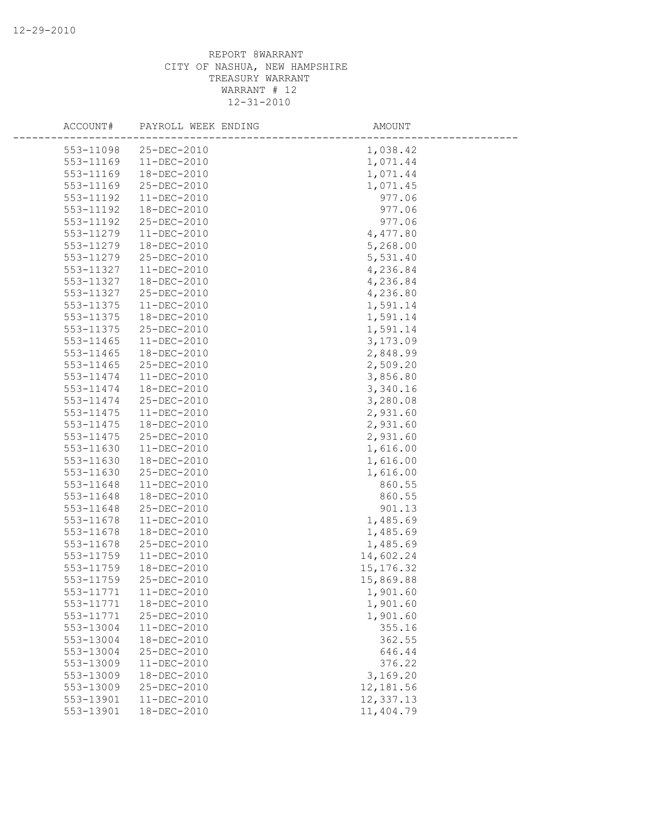| ACCOUNT#  | PAYROLL WEEK ENDING | AMOUNT     |  |
|-----------|---------------------|------------|--|
| 553-11098 | 25-DEC-2010         | 1,038.42   |  |
| 553-11169 | $11 - DEC - 2010$   | 1,071.44   |  |
| 553-11169 | 18-DEC-2010         | 1,071.44   |  |
| 553-11169 | 25-DEC-2010         | 1,071.45   |  |
| 553-11192 | 11-DEC-2010         | 977.06     |  |
| 553-11192 | 18-DEC-2010         | 977.06     |  |
| 553-11192 | 25-DEC-2010         | 977.06     |  |
| 553-11279 | 11-DEC-2010         | 4,477.80   |  |
| 553-11279 | 18-DEC-2010         | 5,268.00   |  |
| 553-11279 | 25-DEC-2010         | 5,531.40   |  |
| 553-11327 | $11-DEC-2010$       | 4,236.84   |  |
| 553-11327 | 18-DEC-2010         | 4,236.84   |  |
| 553-11327 | 25-DEC-2010         | 4,236.80   |  |
| 553-11375 | 11-DEC-2010         | 1,591.14   |  |
| 553-11375 | 18-DEC-2010         | 1,591.14   |  |
| 553-11375 | 25-DEC-2010         | 1,591.14   |  |
| 553-11465 | 11-DEC-2010         | 3,173.09   |  |
| 553-11465 | 18-DEC-2010         | 2,848.99   |  |
| 553-11465 | 25-DEC-2010         | 2,509.20   |  |
| 553-11474 | $11 - DEC - 2010$   | 3,856.80   |  |
| 553-11474 | 18-DEC-2010         | 3,340.16   |  |
| 553-11474 | 25-DEC-2010         | 3,280.08   |  |
| 553-11475 | 11-DEC-2010         | 2,931.60   |  |
| 553-11475 | 18-DEC-2010         | 2,931.60   |  |
| 553-11475 | 25-DEC-2010         | 2,931.60   |  |
| 553-11630 | 11-DEC-2010         | 1,616.00   |  |
| 553-11630 | 18-DEC-2010         | 1,616.00   |  |
| 553-11630 | 25-DEC-2010         | 1,616.00   |  |
| 553-11648 | $11 - DEC - 2010$   | 860.55     |  |
| 553-11648 | 18-DEC-2010         | 860.55     |  |
| 553-11648 | 25-DEC-2010         | 901.13     |  |
| 553-11678 | 11-DEC-2010         | 1,485.69   |  |
| 553-11678 | 18-DEC-2010         | 1,485.69   |  |
| 553-11678 | 25-DEC-2010         | 1,485.69   |  |
| 553-11759 | 11-DEC-2010         | 14,602.24  |  |
| 553-11759 | 18-DEC-2010         | 15, 176.32 |  |
| 553-11759 | 25-DEC-2010         | 15,869.88  |  |
| 553-11771 | 11-DEC-2010         | 1,901.60   |  |
| 553-11771 | 18-DEC-2010         | 1,901.60   |  |
| 553-11771 | 25-DEC-2010         | 1,901.60   |  |
| 553-13004 | 11-DEC-2010         | 355.16     |  |
| 553-13004 | 18-DEC-2010         | 362.55     |  |
| 553-13004 | 25-DEC-2010         | 646.44     |  |
| 553-13009 | 11-DEC-2010         | 376.22     |  |
| 553-13009 | 18-DEC-2010         | 3,169.20   |  |
| 553-13009 | 25-DEC-2010         | 12,181.56  |  |
| 553-13901 | 11-DEC-2010         | 12,337.13  |  |
| 553-13901 | 18-DEC-2010         | 11,404.79  |  |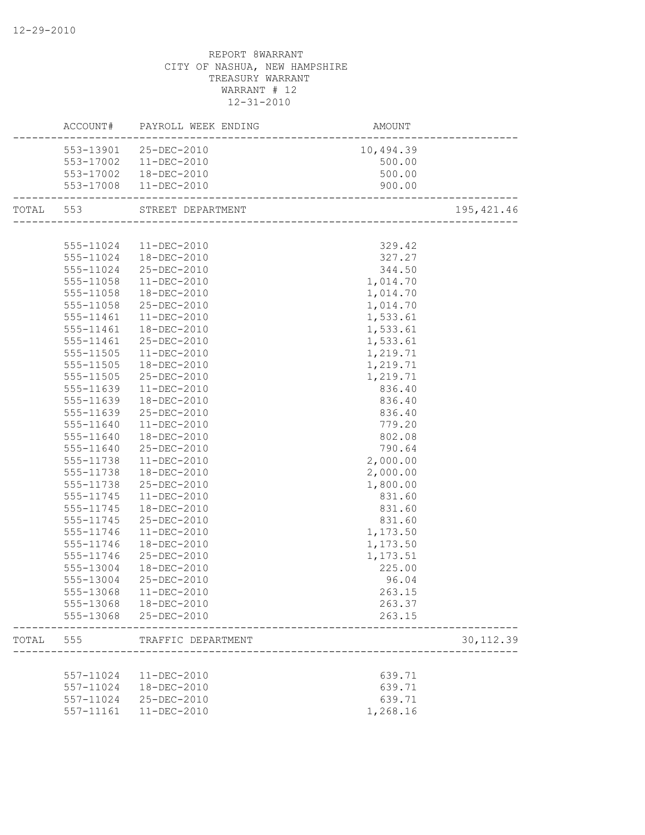|           |               | ACCOUNT# PAYROLL WEEK ENDING | AMOUNT    |             |
|-----------|---------------|------------------------------|-----------|-------------|
|           |               | 553-13901 25-DEC-2010        | 10,494.39 |             |
|           |               | 553-17002  11-DEC-2010       | 500.00    |             |
|           |               | 553-17002  18-DEC-2010       | 500.00    |             |
|           |               | 553-17008  11-DEC-2010       | 900.00    |             |
| TOTAL 553 |               | STREET DEPARTMENT            |           | 195, 421.46 |
|           |               |                              |           |             |
|           |               | 555-11024 11-DEC-2010        | 329.42    |             |
|           | 555-11024     | 18-DEC-2010                  | 327.27    |             |
|           |               | 555-11024 25-DEC-2010        | 344.50    |             |
|           | 555-11058     | 11-DEC-2010                  | 1,014.70  |             |
|           | 555-11058     | 18-DEC-2010                  | 1,014.70  |             |
|           | 555-11058     | 25-DEC-2010                  | 1,014.70  |             |
|           | 555-11461     | 11-DEC-2010                  | 1,533.61  |             |
|           | 555-11461     | 18-DEC-2010                  | 1,533.61  |             |
|           | 555-11461     | 25-DEC-2010                  | 1,533.61  |             |
|           | 555-11505     | 11-DEC-2010                  | 1,219.71  |             |
|           | 555-11505     | 18-DEC-2010                  | 1,219.71  |             |
|           | $555 - 11505$ | 25-DEC-2010                  | 1,219.71  |             |
|           | 555-11639     | 11-DEC-2010                  | 836.40    |             |
|           | 555-11639     | 18-DEC-2010                  | 836.40    |             |
|           | 555-11639     | 25-DEC-2010                  | 836.40    |             |
|           | 555-11640     | 11-DEC-2010                  | 779.20    |             |
|           | 555-11640     | 18-DEC-2010                  | 802.08    |             |
|           | 555-11640     | 25-DEC-2010                  | 790.64    |             |
|           | 555-11738     | 11-DEC-2010                  | 2,000.00  |             |
|           | 555-11738     | 18-DEC-2010                  | 2,000.00  |             |
|           | 555-11738     | 25-DEC-2010                  | 1,800.00  |             |
|           | 555-11745     | 11-DEC-2010                  | 831.60    |             |
|           | 555-11745     | 18-DEC-2010                  | 831.60    |             |
|           | 555-11745     | 25-DEC-2010                  | 831.60    |             |
|           | 555-11746     | 11-DEC-2010                  | 1,173.50  |             |
|           | 555-11746     | 18-DEC-2010                  | 1,173.50  |             |
|           | 555-11746     | 25-DEC-2010                  | 1,173.51  |             |
|           | 555-13004     | 18-DEC-2010                  | 225.00    |             |
|           | 555-13004     | 25-DEC-2010                  | 96.04     |             |
|           |               | 555-13068 11-DEC-2010        | 263.15    |             |
|           |               | 555-13068 18-DEC-2010        | 263.37    |             |
|           |               | 555-13068 25-DEC-2010        | 263.15    |             |
| TOTAL     | 555           | TRAFFIC DEPARTMENT           |           | 30, 112.39  |
|           |               |                              |           |             |
|           |               | 557-11024  11-DEC-2010       | 639.71    |             |
|           |               | 557-11024  18-DEC-2010       | 639.71    |             |
|           | 557-11024     | 25-DEC-2010                  | 639.71    |             |
|           | 557-11161     | 11-DEC-2010                  | 1,268.16  |             |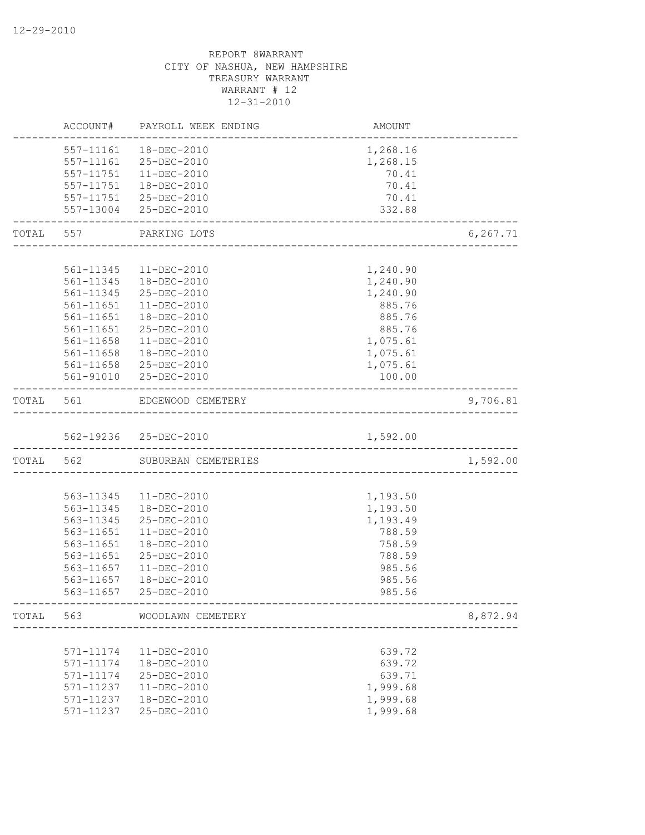|           | ACCOUNT#  | PAYROLL WEEK ENDING                                | AMOUNT   |           |
|-----------|-----------|----------------------------------------------------|----------|-----------|
|           | 557-11161 | 18-DEC-2010                                        | 1,268.16 |           |
|           | 557-11161 | 25-DEC-2010                                        | 1,268.15 |           |
|           | 557-11751 | 11-DEC-2010                                        | 70.41    |           |
|           | 557-11751 | 18-DEC-2010                                        | 70.41    |           |
|           |           | 557-11751 25-DEC-2010                              | 70.41    |           |
|           |           | 557-13004 25-DEC-2010                              | 332.88   |           |
| TOTAL     | 557       | PARKING LOTS                                       |          | 6, 267.71 |
|           |           |                                                    |          |           |
|           | 561-11345 | 11-DEC-2010                                        | 1,240.90 |           |
|           |           | 561-11345  18-DEC-2010                             | 1,240.90 |           |
|           | 561-11345 | 25-DEC-2010                                        | 1,240.90 |           |
|           | 561-11651 | 11-DEC-2010                                        | 885.76   |           |
|           | 561-11651 | 18-DEC-2010                                        | 885.76   |           |
|           | 561-11651 | 25-DEC-2010                                        | 885.76   |           |
|           | 561-11658 | $11-DEC-2010$                                      | 1,075.61 |           |
|           | 561-11658 | 18-DEC-2010                                        | 1,075.61 |           |
|           | 561-11658 | 25-DEC-2010                                        | 1,075.61 |           |
|           |           | 561-91010 25-DEC-2010                              | 100.00   |           |
| TOTAL     | 561       | EDGEWOOD CEMETERY                                  |          | 9,706.81  |
|           |           |                                                    |          |           |
|           |           | 562-19236 25-DEC-2010                              | 1,592.00 |           |
| TOTAL 562 |           | SUBURBAN CEMETERIES                                |          | 1,592.00  |
|           |           |                                                    |          |           |
|           | 563-11345 | 11-DEC-2010                                        | 1,193.50 |           |
|           | 563-11345 | 18-DEC-2010                                        | 1,193.50 |           |
|           | 563-11345 | 25-DEC-2010                                        | 1,193.49 |           |
|           | 563-11651 | $11-DEC-2010$                                      | 788.59   |           |
|           | 563-11651 | 18-DEC-2010                                        | 758.59   |           |
|           | 563-11651 | 25-DEC-2010                                        | 788.59   |           |
|           | 563-11657 | $11 - DEC - 2010$                                  | 985.56   |           |
|           | 563-11657 | 18-DEC-2010                                        | 985.56   |           |
|           | 563-11657 | 25-DEC-2010<br>----------------------------------- | 985.56   |           |
|           |           | TOTAL 563 WOODLAWN CEMETERY                        |          | 8,872.94  |
|           |           |                                                    |          |           |
|           | 571-11174 | 11-DEC-2010                                        | 639.72   |           |
|           | 571-11174 | 18-DEC-2010                                        | 639.72   |           |
|           | 571-11174 | 25-DEC-2010                                        | 639.71   |           |
|           | 571-11237 | $11 - DEC - 2010$                                  | 1,999.68 |           |
|           | 571-11237 | 18-DEC-2010                                        | 1,999.68 |           |
|           | 571-11237 | 25-DEC-2010                                        | 1,999.68 |           |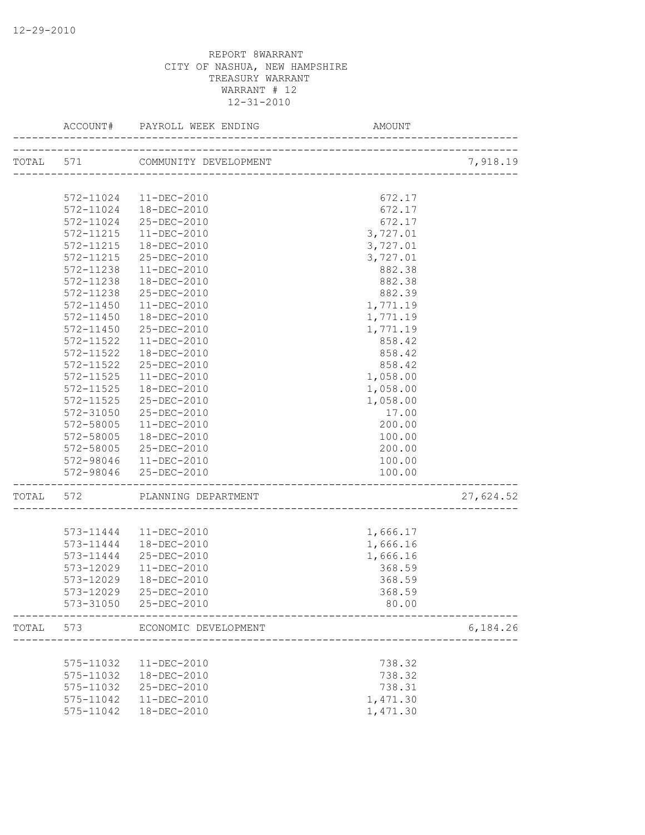|                    | ACCOUNT#               | PAYROLL WEEK ENDING             | AMOUNT                              |           |
|--------------------|------------------------|---------------------------------|-------------------------------------|-----------|
| TOTAL 572<br>TOTAL |                        | TOTAL 571 COMMUNITY DEVELOPMENT | -------------------------------     | 7,918.19  |
|                    |                        |                                 |                                     |           |
|                    | 572-11024              | 11-DEC-2010                     | 672.17                              |           |
|                    | 572-11024              | 18-DEC-2010                     | 672.17                              |           |
|                    | 572-11024              | 25-DEC-2010                     | 672.17                              |           |
|                    | 572-11215              | 11-DEC-2010                     | 3,727.01                            |           |
|                    | 572-11215              | 18-DEC-2010                     | 3,727.01                            |           |
|                    | 572-11215              | 25-DEC-2010                     | 3,727.01                            |           |
|                    | 572-11238              | 11-DEC-2010                     | 882.38                              |           |
|                    | 572-11238              | 18-DEC-2010                     | 882.38                              |           |
|                    | 572-11238              | 25-DEC-2010                     | 882.39                              |           |
|                    | 572-11450              | $11 - DEC - 2010$               | 1,771.19                            |           |
|                    | 572-11450              | 18-DEC-2010                     | 1,771.19                            |           |
|                    | 572-11450              | 25-DEC-2010                     | 1,771.19                            |           |
|                    | 572-11522              | 11-DEC-2010                     | 858.42                              |           |
|                    | 572-11522              | 18-DEC-2010                     | 858.42                              |           |
|                    | 572-11522              | 25-DEC-2010                     | 858.42                              |           |
|                    | 572-11525              | $11 - DEC - 2010$               | 1,058.00                            |           |
|                    | $572 - 11525$          | 18-DEC-2010                     | 1,058.00                            |           |
|                    | 572-11525              | 25-DEC-2010                     | 1,058.00                            |           |
|                    | 572-31050              | 25-DEC-2010                     | 17.00                               |           |
|                    | 572-58005              | 11-DEC-2010                     | 200.00                              |           |
|                    | 572-58005              | 18-DEC-2010                     | 100.00                              |           |
|                    | 572-58005              | 25-DEC-2010                     | 200.00                              |           |
|                    |                        | 572-98046  11-DEC-2010          | 100.00                              |           |
|                    |                        | 572-98046 25-DEC-2010           | 100.00                              |           |
|                    |                        | PLANNING DEPARTMENT             | ----------------------------------- | 27,624.52 |
|                    |                        |                                 |                                     |           |
|                    |                        | 573-11444   11-DEC-2010         | 1,666.17                            |           |
|                    | 573-11444              | 18-DEC-2010                     | 1,666.16                            |           |
|                    | 573-11444              | 25-DEC-2010                     | 1,666.16                            |           |
|                    | 573-12029              | $11 - DEC - 2010$               | 368.59                              |           |
|                    | 573-12029              | 18-DEC-2010                     | 368.59                              |           |
|                    | 573-12029              | 25-DEC-2010                     | 368.59                              |           |
|                    |                        | 573-31050 25-DEC-2010           | 80.00                               |           |
|                    | 573                    | ECONOMIC DEVELOPMENT            |                                     | 6,184.26  |
|                    |                        |                                 | 738.32                              |           |
|                    | 575-11032              | 11-DEC-2010                     |                                     |           |
|                    | 575-11032<br>575-11032 | 18-DEC-2010                     | 738.32                              |           |
|                    | 575-11042              | 25-DEC-2010                     | 738.31                              |           |
|                    | 575-11042              | 11-DEC-2010<br>18-DEC-2010      | 1,471.30                            |           |
|                    |                        |                                 | 1,471.30                            |           |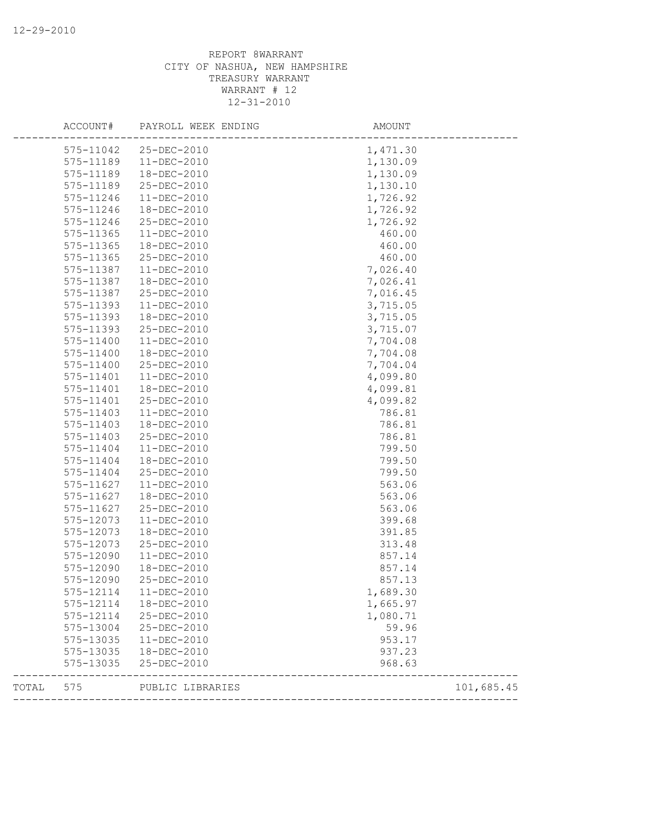|       | ACCOUNT#                                                                                                                                                                                                                                                                                                                                                                                                                                                                                                                                                                                                                                                                                                                                                                                                                                                                                                                                                                                                                                                                                                                                                                                                                             | PAYROLL WEEK ENDING | AMOUNT     |
|-------|--------------------------------------------------------------------------------------------------------------------------------------------------------------------------------------------------------------------------------------------------------------------------------------------------------------------------------------------------------------------------------------------------------------------------------------------------------------------------------------------------------------------------------------------------------------------------------------------------------------------------------------------------------------------------------------------------------------------------------------------------------------------------------------------------------------------------------------------------------------------------------------------------------------------------------------------------------------------------------------------------------------------------------------------------------------------------------------------------------------------------------------------------------------------------------------------------------------------------------------|---------------------|------------|
|       | 575-11042                                                                                                                                                                                                                                                                                                                                                                                                                                                                                                                                                                                                                                                                                                                                                                                                                                                                                                                                                                                                                                                                                                                                                                                                                            | 25-DEC-2010         | 1,471.30   |
|       | 575-11189<br>$11 - DEC - 2010$<br>575-11189<br>18-DEC-2010<br>575-11189<br>25-DEC-2010<br>575-11246<br>11-DEC-2010<br>575-11246<br>18-DEC-2010<br>575-11246<br>25-DEC-2010<br>575-11365<br>11-DEC-2010<br>575-11365<br>18-DEC-2010<br>575-11365<br>25-DEC-2010<br>575-11387<br>$11-DEC-2010$<br>575-11387<br>18-DEC-2010<br>575-11387<br>25-DEC-2010<br>575-11393<br>11-DEC-2010<br>575-11393<br>18-DEC-2010<br>575-11393<br>25-DEC-2010<br>575-11400<br>11-DEC-2010<br>575-11400<br>18-DEC-2010<br>575-11400<br>25-DEC-2010<br>575-11401<br>11-DEC-2010<br>575-11401<br>18-DEC-2010<br>575-11401<br>25-DEC-2010<br>575-11403<br>11-DEC-2010<br>575-11403<br>18-DEC-2010<br>575-11403<br>25-DEC-2010<br>575-11404<br>11-DEC-2010<br>575-11404<br>18-DEC-2010<br>575-11404<br>25-DEC-2010<br>575-11627<br>11-DEC-2010<br>18-DEC-2010<br>575-11627<br>575-11627<br>25-DEC-2010<br>575-12073<br>11-DEC-2010<br>575-12073<br>18-DEC-2010<br>575-12073<br>25-DEC-2010<br>575-12090<br>$11-DEC-2010$<br>575-12090<br>18-DEC-2010<br>575-12090<br>25-DEC-2010<br>$11 - DEC - 2010$<br>575-12114<br>18-DEC-2010<br>575-12114<br>25-DEC-2010<br>575-12114<br>575-13004<br>25-DEC-2010<br>575-13035<br>11-DEC-2010<br>575-13035<br>18-DEC-2010 | 1,130.09            |            |
|       |                                                                                                                                                                                                                                                                                                                                                                                                                                                                                                                                                                                                                                                                                                                                                                                                                                                                                                                                                                                                                                                                                                                                                                                                                                      |                     | 1,130.09   |
|       |                                                                                                                                                                                                                                                                                                                                                                                                                                                                                                                                                                                                                                                                                                                                                                                                                                                                                                                                                                                                                                                                                                                                                                                                                                      |                     | 1,130.10   |
|       |                                                                                                                                                                                                                                                                                                                                                                                                                                                                                                                                                                                                                                                                                                                                                                                                                                                                                                                                                                                                                                                                                                                                                                                                                                      |                     | 1,726.92   |
|       |                                                                                                                                                                                                                                                                                                                                                                                                                                                                                                                                                                                                                                                                                                                                                                                                                                                                                                                                                                                                                                                                                                                                                                                                                                      |                     | 1,726.92   |
|       |                                                                                                                                                                                                                                                                                                                                                                                                                                                                                                                                                                                                                                                                                                                                                                                                                                                                                                                                                                                                                                                                                                                                                                                                                                      |                     | 1,726.92   |
|       |                                                                                                                                                                                                                                                                                                                                                                                                                                                                                                                                                                                                                                                                                                                                                                                                                                                                                                                                                                                                                                                                                                                                                                                                                                      |                     | 460.00     |
|       |                                                                                                                                                                                                                                                                                                                                                                                                                                                                                                                                                                                                                                                                                                                                                                                                                                                                                                                                                                                                                                                                                                                                                                                                                                      |                     | 460.00     |
|       |                                                                                                                                                                                                                                                                                                                                                                                                                                                                                                                                                                                                                                                                                                                                                                                                                                                                                                                                                                                                                                                                                                                                                                                                                                      |                     | 460.00     |
|       |                                                                                                                                                                                                                                                                                                                                                                                                                                                                                                                                                                                                                                                                                                                                                                                                                                                                                                                                                                                                                                                                                                                                                                                                                                      |                     | 7,026.40   |
|       |                                                                                                                                                                                                                                                                                                                                                                                                                                                                                                                                                                                                                                                                                                                                                                                                                                                                                                                                                                                                                                                                                                                                                                                                                                      |                     | 7,026.41   |
|       |                                                                                                                                                                                                                                                                                                                                                                                                                                                                                                                                                                                                                                                                                                                                                                                                                                                                                                                                                                                                                                                                                                                                                                                                                                      |                     | 7,016.45   |
|       |                                                                                                                                                                                                                                                                                                                                                                                                                                                                                                                                                                                                                                                                                                                                                                                                                                                                                                                                                                                                                                                                                                                                                                                                                                      |                     | 3,715.05   |
|       |                                                                                                                                                                                                                                                                                                                                                                                                                                                                                                                                                                                                                                                                                                                                                                                                                                                                                                                                                                                                                                                                                                                                                                                                                                      |                     | 3,715.05   |
|       |                                                                                                                                                                                                                                                                                                                                                                                                                                                                                                                                                                                                                                                                                                                                                                                                                                                                                                                                                                                                                                                                                                                                                                                                                                      |                     | 3,715.07   |
|       |                                                                                                                                                                                                                                                                                                                                                                                                                                                                                                                                                                                                                                                                                                                                                                                                                                                                                                                                                                                                                                                                                                                                                                                                                                      |                     | 7,704.08   |
|       |                                                                                                                                                                                                                                                                                                                                                                                                                                                                                                                                                                                                                                                                                                                                                                                                                                                                                                                                                                                                                                                                                                                                                                                                                                      |                     | 7,704.08   |
|       |                                                                                                                                                                                                                                                                                                                                                                                                                                                                                                                                                                                                                                                                                                                                                                                                                                                                                                                                                                                                                                                                                                                                                                                                                                      |                     | 7,704.04   |
|       |                                                                                                                                                                                                                                                                                                                                                                                                                                                                                                                                                                                                                                                                                                                                                                                                                                                                                                                                                                                                                                                                                                                                                                                                                                      |                     | 4,099.80   |
|       |                                                                                                                                                                                                                                                                                                                                                                                                                                                                                                                                                                                                                                                                                                                                                                                                                                                                                                                                                                                                                                                                                                                                                                                                                                      |                     | 4,099.81   |
|       |                                                                                                                                                                                                                                                                                                                                                                                                                                                                                                                                                                                                                                                                                                                                                                                                                                                                                                                                                                                                                                                                                                                                                                                                                                      |                     | 4,099.82   |
|       |                                                                                                                                                                                                                                                                                                                                                                                                                                                                                                                                                                                                                                                                                                                                                                                                                                                                                                                                                                                                                                                                                                                                                                                                                                      |                     | 786.81     |
|       |                                                                                                                                                                                                                                                                                                                                                                                                                                                                                                                                                                                                                                                                                                                                                                                                                                                                                                                                                                                                                                                                                                                                                                                                                                      |                     | 786.81     |
|       |                                                                                                                                                                                                                                                                                                                                                                                                                                                                                                                                                                                                                                                                                                                                                                                                                                                                                                                                                                                                                                                                                                                                                                                                                                      |                     | 786.81     |
|       |                                                                                                                                                                                                                                                                                                                                                                                                                                                                                                                                                                                                                                                                                                                                                                                                                                                                                                                                                                                                                                                                                                                                                                                                                                      |                     | 799.50     |
|       |                                                                                                                                                                                                                                                                                                                                                                                                                                                                                                                                                                                                                                                                                                                                                                                                                                                                                                                                                                                                                                                                                                                                                                                                                                      |                     | 799.50     |
|       |                                                                                                                                                                                                                                                                                                                                                                                                                                                                                                                                                                                                                                                                                                                                                                                                                                                                                                                                                                                                                                                                                                                                                                                                                                      |                     | 799.50     |
|       |                                                                                                                                                                                                                                                                                                                                                                                                                                                                                                                                                                                                                                                                                                                                                                                                                                                                                                                                                                                                                                                                                                                                                                                                                                      |                     | 563.06     |
|       |                                                                                                                                                                                                                                                                                                                                                                                                                                                                                                                                                                                                                                                                                                                                                                                                                                                                                                                                                                                                                                                                                                                                                                                                                                      |                     | 563.06     |
|       |                                                                                                                                                                                                                                                                                                                                                                                                                                                                                                                                                                                                                                                                                                                                                                                                                                                                                                                                                                                                                                                                                                                                                                                                                                      |                     | 563.06     |
|       |                                                                                                                                                                                                                                                                                                                                                                                                                                                                                                                                                                                                                                                                                                                                                                                                                                                                                                                                                                                                                                                                                                                                                                                                                                      |                     | 399.68     |
|       |                                                                                                                                                                                                                                                                                                                                                                                                                                                                                                                                                                                                                                                                                                                                                                                                                                                                                                                                                                                                                                                                                                                                                                                                                                      |                     | 391.85     |
|       |                                                                                                                                                                                                                                                                                                                                                                                                                                                                                                                                                                                                                                                                                                                                                                                                                                                                                                                                                                                                                                                                                                                                                                                                                                      |                     | 313.48     |
|       |                                                                                                                                                                                                                                                                                                                                                                                                                                                                                                                                                                                                                                                                                                                                                                                                                                                                                                                                                                                                                                                                                                                                                                                                                                      |                     | 857.14     |
|       |                                                                                                                                                                                                                                                                                                                                                                                                                                                                                                                                                                                                                                                                                                                                                                                                                                                                                                                                                                                                                                                                                                                                                                                                                                      |                     | 857.14     |
|       |                                                                                                                                                                                                                                                                                                                                                                                                                                                                                                                                                                                                                                                                                                                                                                                                                                                                                                                                                                                                                                                                                                                                                                                                                                      |                     | 857.13     |
|       |                                                                                                                                                                                                                                                                                                                                                                                                                                                                                                                                                                                                                                                                                                                                                                                                                                                                                                                                                                                                                                                                                                                                                                                                                                      |                     | 1,689.30   |
|       |                                                                                                                                                                                                                                                                                                                                                                                                                                                                                                                                                                                                                                                                                                                                                                                                                                                                                                                                                                                                                                                                                                                                                                                                                                      |                     | 1,665.97   |
|       |                                                                                                                                                                                                                                                                                                                                                                                                                                                                                                                                                                                                                                                                                                                                                                                                                                                                                                                                                                                                                                                                                                                                                                                                                                      |                     | 1,080.71   |
|       |                                                                                                                                                                                                                                                                                                                                                                                                                                                                                                                                                                                                                                                                                                                                                                                                                                                                                                                                                                                                                                                                                                                                                                                                                                      |                     | 59.96      |
|       |                                                                                                                                                                                                                                                                                                                                                                                                                                                                                                                                                                                                                                                                                                                                                                                                                                                                                                                                                                                                                                                                                                                                                                                                                                      |                     | 953.17     |
|       |                                                                                                                                                                                                                                                                                                                                                                                                                                                                                                                                                                                                                                                                                                                                                                                                                                                                                                                                                                                                                                                                                                                                                                                                                                      |                     | 937.23     |
|       | 575-13035                                                                                                                                                                                                                                                                                                                                                                                                                                                                                                                                                                                                                                                                                                                                                                                                                                                                                                                                                                                                                                                                                                                                                                                                                            | 25-DEC-2010         | 968.63     |
| TOTAL | 575                                                                                                                                                                                                                                                                                                                                                                                                                                                                                                                                                                                                                                                                                                                                                                                                                                                                                                                                                                                                                                                                                                                                                                                                                                  | PUBLIC LIBRARIES    | 101,685.45 |
|       |                                                                                                                                                                                                                                                                                                                                                                                                                                                                                                                                                                                                                                                                                                                                                                                                                                                                                                                                                                                                                                                                                                                                                                                                                                      |                     |            |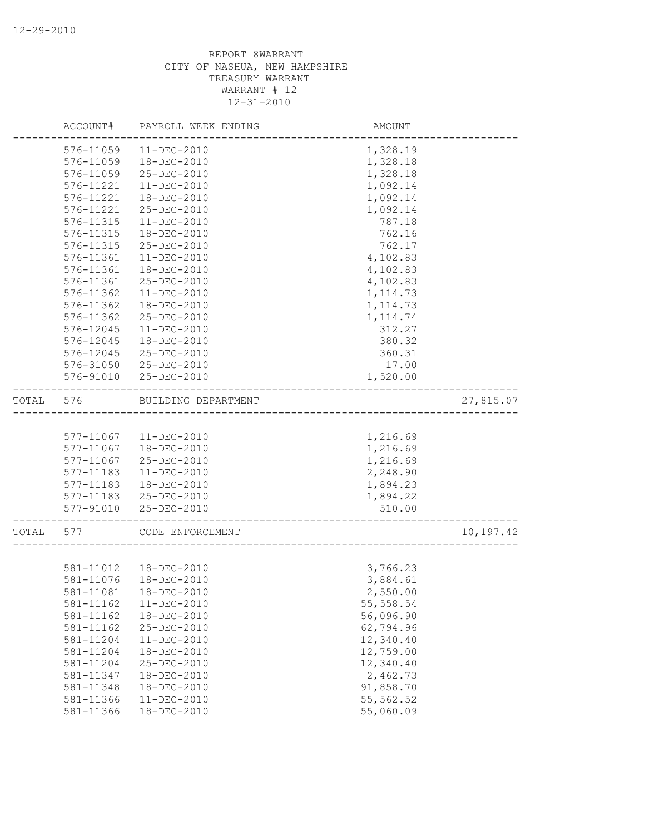|       | ACCOUNT#  | PAYROLL WEEK ENDING    | AMOUNT                            |           |
|-------|-----------|------------------------|-----------------------------------|-----------|
|       | 576-11059 | $11 - DEC - 2010$      | 1,328.19                          |           |
|       | 576-11059 | 18-DEC-2010            | 1,328.18                          |           |
|       | 576-11059 | 25-DEC-2010            | 1,328.18                          |           |
|       | 576-11221 | $11 - DEC - 2010$      | 1,092.14                          |           |
|       | 576-11221 | 18-DEC-2010            | 1,092.14                          |           |
|       | 576-11221 | 25-DEC-2010            | 1,092.14                          |           |
|       | 576-11315 | $11 - DEC - 2010$      | 787.18                            |           |
|       | 576-11315 | 18-DEC-2010            | 762.16                            |           |
|       | 576-11315 | 25-DEC-2010            | 762.17                            |           |
|       | 576-11361 | $11 - DEC - 2010$      | 4,102.83                          |           |
|       | 576-11361 | 18-DEC-2010            | 4,102.83                          |           |
|       | 576-11361 | 25-DEC-2010            | 4,102.83                          |           |
|       | 576-11362 | 11-DEC-2010            | 1, 114.73                         |           |
|       | 576-11362 | 18-DEC-2010            | 1, 114.73                         |           |
|       | 576-11362 | 25-DEC-2010            | 1, 114.74                         |           |
|       | 576-12045 | $11 - DEC - 2010$      | 312.27                            |           |
|       | 576-12045 | 18-DEC-2010            | 380.32                            |           |
|       | 576-12045 | 25-DEC-2010            | 360.31                            |           |
|       | 576-31050 | 25-DEC-2010            | 17.00                             |           |
|       | 576-91010 | 25-DEC-2010            | 1,520.00                          |           |
| TOTAL | 576       | BUILDING DEPARTMENT    |                                   | 27,815.07 |
|       |           |                        |                                   |           |
|       | 577-11067 | 11-DEC-2010            | 1,216.69                          |           |
|       | 577-11067 | 18-DEC-2010            | 1,216.69                          |           |
|       | 577-11067 | 25-DEC-2010            | 1,216.69                          |           |
|       | 577-11183 | 11-DEC-2010            | 2,248.90                          |           |
|       | 577-11183 | 18-DEC-2010            | 1,894.23                          |           |
|       | 577-11183 | 25-DEC-2010            | 1,894.22                          |           |
|       | 577-91010 | 25-DEC-2010            | 510.00<br>_______________________ |           |
| TOTAL | 577       | CODE ENFORCEMENT       | _______________________           | 10,197.42 |
|       |           |                        |                                   |           |
|       |           | 581-11012  18-DEC-2010 | 3,766.23                          |           |
|       | 581-11076 | 18-DEC-2010            | 3,884.61                          |           |
|       |           | 581-11081  18-DEC-2010 | 2,550.00                          |           |
|       | 581-11162 | 11-DEC-2010            | 55, 558.54                        |           |
|       | 581-11162 | 18-DEC-2010            | 56,096.90                         |           |
|       | 581-11162 | 25-DEC-2010            | 62,794.96                         |           |
|       | 581-11204 | 11-DEC-2010            | 12,340.40                         |           |
|       | 581-11204 | 18-DEC-2010            | 12,759.00                         |           |
|       | 581-11204 | 25-DEC-2010            | 12,340.40                         |           |
|       | 581-11347 | 18-DEC-2010            | 2,462.73                          |           |
|       | 581-11348 | 18-DEC-2010            | 91,858.70                         |           |
|       | 581-11366 | 11-DEC-2010            | 55, 562.52                        |           |
|       | 581-11366 | 18-DEC-2010            | 55,060.09                         |           |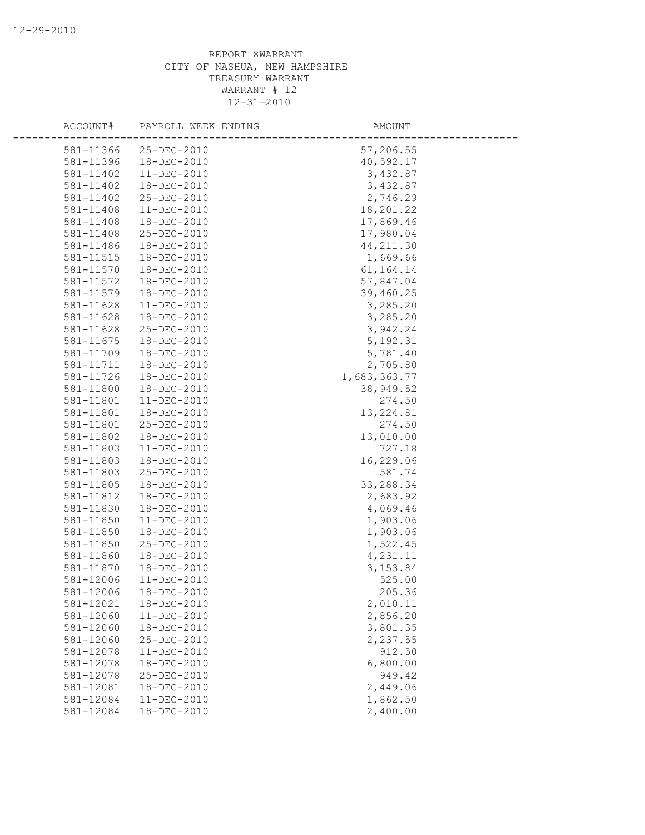| ACCOUNT#  | PAYROLL WEEK ENDING | AMOUNT       |  |
|-----------|---------------------|--------------|--|
| 581-11366 | 25-DEC-2010         | 57,206.55    |  |
| 581-11396 | 18-DEC-2010         | 40,592.17    |  |
| 581-11402 | 11-DEC-2010         | 3,432.87     |  |
| 581-11402 | 18-DEC-2010         | 3,432.87     |  |
| 581-11402 | 25-DEC-2010         | 2,746.29     |  |
| 581-11408 | $11 - DEC - 2010$   | 18,201.22    |  |
| 581-11408 | 18-DEC-2010         | 17,869.46    |  |
| 581-11408 | 25-DEC-2010         | 17,980.04    |  |
| 581-11486 | 18-DEC-2010         | 44, 211.30   |  |
| 581-11515 | 18-DEC-2010         | 1,669.66     |  |
| 581-11570 | 18-DEC-2010         | 61, 164. 14  |  |
| 581-11572 | 18-DEC-2010         | 57,847.04    |  |
| 581-11579 | 18-DEC-2010         | 39,460.25    |  |
| 581-11628 | 11-DEC-2010         | 3,285.20     |  |
| 581-11628 | 18-DEC-2010         | 3,285.20     |  |
| 581-11628 | 25-DEC-2010         | 3,942.24     |  |
| 581-11675 | 18-DEC-2010         | 5, 192.31    |  |
| 581-11709 | 18-DEC-2010         | 5,781.40     |  |
| 581-11711 | 18-DEC-2010         | 2,705.80     |  |
| 581-11726 | 18-DEC-2010         | 1,683,363.77 |  |
| 581-11800 | 18-DEC-2010         | 38,949.52    |  |
| 581-11801 | 11-DEC-2010         | 274.50       |  |
| 581-11801 | 18-DEC-2010         | 13, 224.81   |  |
| 581-11801 | 25-DEC-2010         | 274.50       |  |
| 581-11802 | 18-DEC-2010         | 13,010.00    |  |
| 581-11803 | 11-DEC-2010         | 727.18       |  |
| 581-11803 | 18-DEC-2010         | 16,229.06    |  |
| 581-11803 | 25-DEC-2010         | 581.74       |  |
| 581-11805 | 18-DEC-2010         | 33,288.34    |  |
| 581-11812 | 18-DEC-2010         | 2,683.92     |  |
| 581-11830 | 18-DEC-2010         | 4,069.46     |  |
| 581-11850 | 11-DEC-2010         | 1,903.06     |  |
| 581-11850 | 18-DEC-2010         | 1,903.06     |  |
| 581-11850 | 25-DEC-2010         | 1,522.45     |  |
| 581-11860 | 18-DEC-2010         | 4,231.11     |  |
| 581-11870 | 18-DEC-2010         | 3, 153.84    |  |
| 581-12006 | $11-DEC-2010$       | 525.00       |  |
| 581-12006 | 18-DEC-2010         | 205.36       |  |
| 581-12021 | 18-DEC-2010         | 2,010.11     |  |
| 581-12060 | 11-DEC-2010         | 2,856.20     |  |
| 581-12060 | 18-DEC-2010         | 3,801.35     |  |
| 581-12060 | 25-DEC-2010         | 2,237.55     |  |
| 581-12078 | 11-DEC-2010         | 912.50       |  |
| 581-12078 | 18-DEC-2010         | 6,800.00     |  |
| 581-12078 | 25-DEC-2010         | 949.42       |  |
| 581-12081 | 18-DEC-2010         | 2,449.06     |  |
| 581-12084 | $11 - DEC - 2010$   | 1,862.50     |  |
| 581-12084 | 18-DEC-2010         | 2,400.00     |  |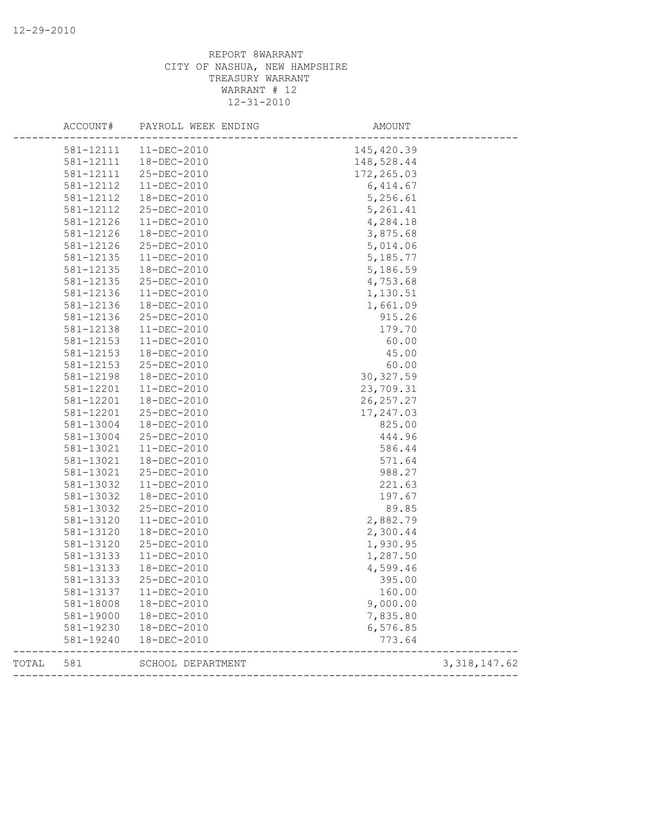|       | ACCOUNT#  | PAYROLL WEEK ENDING | AMOUNT      |                |
|-------|-----------|---------------------|-------------|----------------|
|       | 581-12111 | 11-DEC-2010         | 145, 420.39 |                |
|       | 581-12111 | 18-DEC-2010         | 148,528.44  |                |
|       | 581-12111 | 25-DEC-2010         | 172, 265.03 |                |
|       | 581-12112 | $11-DEC-2010$       | 6, 414.67   |                |
|       | 581-12112 | 18-DEC-2010         | 5,256.61    |                |
|       | 581-12112 | 25-DEC-2010         | 5,261.41    |                |
|       | 581-12126 | 11-DEC-2010         | 4,284.18    |                |
|       | 581-12126 | 18-DEC-2010         | 3,875.68    |                |
|       | 581-12126 | 25-DEC-2010         | 5,014.06    |                |
|       | 581-12135 | $11 - DEC - 2010$   | 5,185.77    |                |
|       | 581-12135 | 18-DEC-2010         | 5,186.59    |                |
|       | 581-12135 | 25-DEC-2010         | 4,753.68    |                |
|       | 581-12136 | 11-DEC-2010         | 1,130.51    |                |
|       | 581-12136 | 18-DEC-2010         | 1,661.09    |                |
|       | 581-12136 | 25-DEC-2010         | 915.26      |                |
|       | 581-12138 | $11 - DEC - 2010$   | 179.70      |                |
|       | 581-12153 | $11 - DEC - 2010$   | 60.00       |                |
|       | 581-12153 | 18-DEC-2010         | 45.00       |                |
|       | 581-12153 | 25-DEC-2010         | 60.00       |                |
|       | 581-12198 | 18-DEC-2010         | 30, 327.59  |                |
|       | 581-12201 | $11 - DEC - 2010$   | 23,709.31   |                |
|       | 581-12201 | 18-DEC-2010         | 26, 257.27  |                |
|       | 581-12201 | 25-DEC-2010         | 17,247.03   |                |
|       | 581-13004 | 18-DEC-2010         | 825.00      |                |
|       | 581-13004 | 25-DEC-2010         | 444.96      |                |
|       | 581-13021 | $11 - DEC - 2010$   | 586.44      |                |
|       | 581-13021 | 18-DEC-2010         | 571.64      |                |
|       | 581-13021 | 25-DEC-2010         | 988.27      |                |
|       | 581-13032 | $11 - DEC - 2010$   | 221.63      |                |
|       | 581-13032 | 18-DEC-2010         | 197.67      |                |
|       | 581-13032 | 25-DEC-2010         | 89.85       |                |
|       | 581-13120 | 11-DEC-2010         | 2,882.79    |                |
|       | 581-13120 | 18-DEC-2010         | 2,300.44    |                |
|       | 581-13120 | 25-DEC-2010         | 1,930.95    |                |
|       | 581-13133 | $11 - DEC - 2010$   | 1,287.50    |                |
|       | 581-13133 | 18-DEC-2010         | 4,599.46    |                |
|       | 581-13133 | 25-DEC-2010         | 395.00      |                |
|       | 581-13137 | $11 - DEC - 2010$   | 160.00      |                |
|       | 581-18008 | 18-DEC-2010         | 9,000.00    |                |
|       | 581-19000 | 18-DEC-2010         | 7,835.80    |                |
|       | 581-19230 | 18-DEC-2010         | 6,576.85    |                |
|       | 581-19240 | 18-DEC-2010         | 773.64      |                |
| TOTAL | 581       | SCHOOL DEPARTMENT   |             | 3, 318, 147.62 |
|       |           |                     |             |                |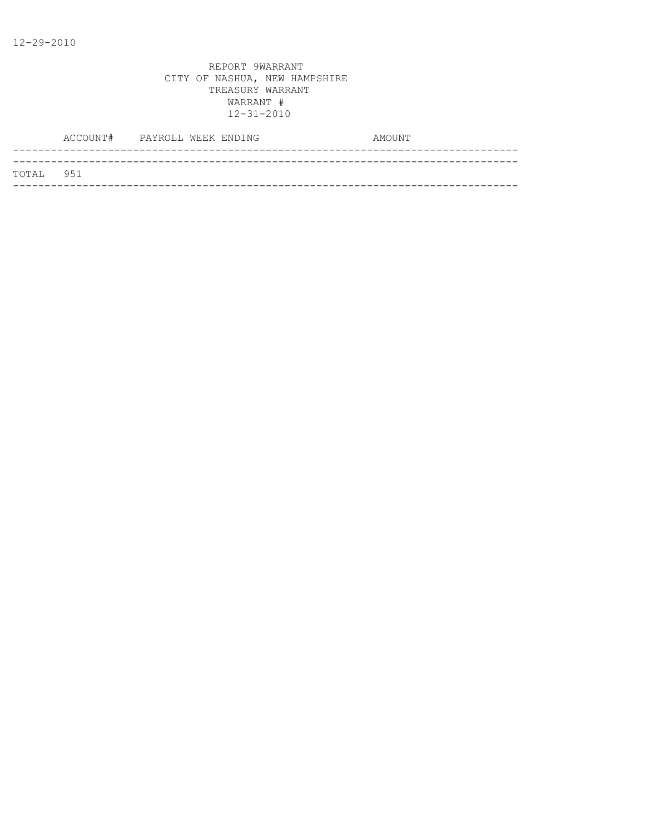|           | ACCOUNT# PAYROLL WEEK ENDING |  |  | AMOUNT |
|-----------|------------------------------|--|--|--------|
|           |                              |  |  |        |
| TOTAL 951 |                              |  |  |        |
|           |                              |  |  |        |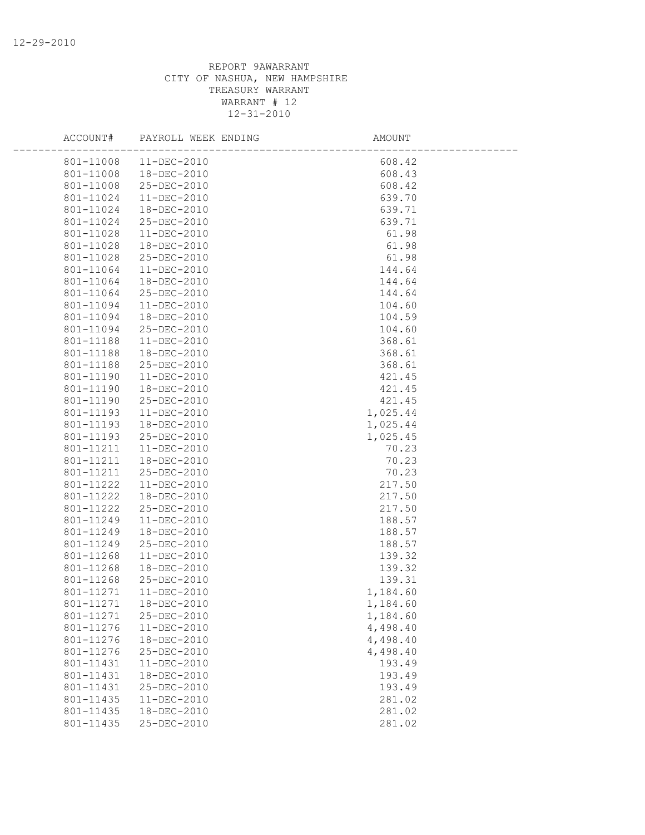| ACCOUNT#  | PAYROLL WEEK ENDING | AMOUNT   |  |
|-----------|---------------------|----------|--|
| 801-11008 | 11-DEC-2010         | 608.42   |  |
| 801-11008 | 18-DEC-2010         | 608.43   |  |
| 801-11008 | 25-DEC-2010         | 608.42   |  |
| 801-11024 | 11-DEC-2010         | 639.70   |  |
| 801-11024 | 18-DEC-2010         | 639.71   |  |
| 801-11024 | 25-DEC-2010         | 639.71   |  |
| 801-11028 | $11 - DEC - 2010$   | 61.98    |  |
| 801-11028 | 18-DEC-2010         | 61.98    |  |
| 801-11028 | 25-DEC-2010         | 61.98    |  |
| 801-11064 | $11 - DEC - 2010$   | 144.64   |  |
| 801-11064 | 18-DEC-2010         | 144.64   |  |
| 801-11064 | 25-DEC-2010         | 144.64   |  |
| 801-11094 | 11-DEC-2010         | 104.60   |  |
| 801-11094 | 18-DEC-2010         | 104.59   |  |
| 801-11094 | 25-DEC-2010         | 104.60   |  |
| 801-11188 | 11-DEC-2010         | 368.61   |  |
| 801-11188 | 18-DEC-2010         | 368.61   |  |
| 801-11188 | 25-DEC-2010         | 368.61   |  |
| 801-11190 | $11 - DEC - 2010$   | 421.45   |  |
| 801-11190 | 18-DEC-2010         | 421.45   |  |
| 801-11190 | 25-DEC-2010         | 421.45   |  |
| 801-11193 | 11-DEC-2010         | 1,025.44 |  |
| 801-11193 | 18-DEC-2010         | 1,025.44 |  |
| 801-11193 | 25-DEC-2010         | 1,025.45 |  |
| 801-11211 | 11-DEC-2010         | 70.23    |  |
| 801-11211 | 18-DEC-2010         | 70.23    |  |
| 801-11211 | 25-DEC-2010         | 70.23    |  |
| 801-11222 | $11 - DEC - 2010$   | 217.50   |  |
| 801-11222 | 18-DEC-2010         | 217.50   |  |
| 801-11222 | 25-DEC-2010         | 217.50   |  |
| 801-11249 | $11 - DEC - 2010$   | 188.57   |  |
| 801-11249 | 18-DEC-2010         | 188.57   |  |
| 801-11249 | 25-DEC-2010         | 188.57   |  |
| 801-11268 | 11-DEC-2010         | 139.32   |  |
| 801-11268 | 18-DEC-2010         | 139.32   |  |
| 801-11268 | $25 - DEC - 2010$   | 139.31   |  |
| 801-11271 | $11 - DEC - 2010$   | 1,184.60 |  |
| 801-11271 | 18-DEC-2010         | 1,184.60 |  |
| 801-11271 | 25-DEC-2010         | 1,184.60 |  |
| 801-11276 | 11-DEC-2010         | 4,498.40 |  |
| 801-11276 | 18-DEC-2010         | 4,498.40 |  |
| 801-11276 | 25-DEC-2010         | 4,498.40 |  |
| 801-11431 | 11-DEC-2010         | 193.49   |  |
| 801-11431 | 18-DEC-2010         | 193.49   |  |
| 801-11431 | 25-DEC-2010         | 193.49   |  |
| 801-11435 | $11 - DEC - 2010$   | 281.02   |  |
| 801-11435 | 18-DEC-2010         | 281.02   |  |
| 801-11435 | 25-DEC-2010         | 281.02   |  |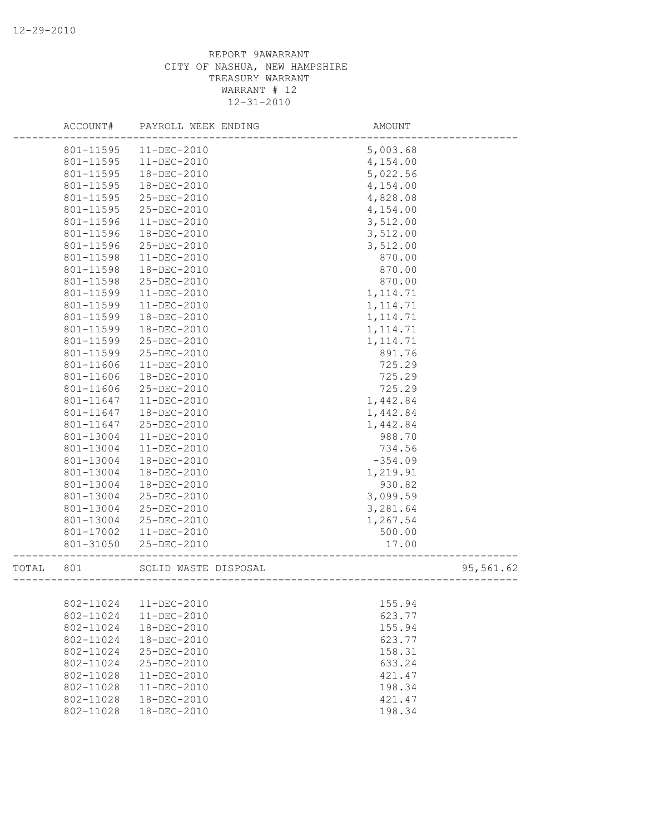|       | ACCOUNT#  | PAYROLL WEEK ENDING                                                                                                                                                                                                                                                                                            | AMOUNT    |  |
|-------|-----------|----------------------------------------------------------------------------------------------------------------------------------------------------------------------------------------------------------------------------------------------------------------------------------------------------------------|-----------|--|
|       | 801-11595 | $11-DEC-2010$                                                                                                                                                                                                                                                                                                  | 5,003.68  |  |
|       | 801-11595 | 11-DEC-2010                                                                                                                                                                                                                                                                                                    | 4,154.00  |  |
|       | 801-11595 | 18-DEC-2010<br>18-DEC-2010<br>25-DEC-2010<br>25-DEC-2010<br>11-DEC-2010<br>18-DEC-2010<br>25-DEC-2010<br>11-DEC-2010<br>18-DEC-2010<br>25-DEC-2010<br>11-DEC-2010<br>11-DEC-2010<br>18-DEC-2010<br>18-DEC-2010<br>25-DEC-2010<br>25-DEC-2010<br>11-DEC-2010<br>18-DEC-2010<br>25-DEC-2010<br>$11 - DEC - 2010$ | 5,022.56  |  |
|       | 801-11595 |                                                                                                                                                                                                                                                                                                                | 4,154.00  |  |
|       | 801-11595 |                                                                                                                                                                                                                                                                                                                | 4,828.08  |  |
|       | 801-11595 |                                                                                                                                                                                                                                                                                                                | 4,154.00  |  |
|       | 801-11596 |                                                                                                                                                                                                                                                                                                                | 3,512.00  |  |
|       | 801-11596 |                                                                                                                                                                                                                                                                                                                | 3,512.00  |  |
|       | 801-11596 |                                                                                                                                                                                                                                                                                                                | 3,512.00  |  |
|       | 801-11598 |                                                                                                                                                                                                                                                                                                                | 870.00    |  |
|       | 801-11598 |                                                                                                                                                                                                                                                                                                                | 870.00    |  |
|       | 801-11598 |                                                                                                                                                                                                                                                                                                                | 870.00    |  |
|       | 801-11599 |                                                                                                                                                                                                                                                                                                                | 1, 114.71 |  |
|       | 801-11599 |                                                                                                                                                                                                                                                                                                                | 1, 114.71 |  |
|       | 801-11599 |                                                                                                                                                                                                                                                                                                                | 1, 114.71 |  |
|       | 801-11599 |                                                                                                                                                                                                                                                                                                                | 1, 114.71 |  |
|       | 801-11599 |                                                                                                                                                                                                                                                                                                                | 1, 114.71 |  |
|       | 801-11599 |                                                                                                                                                                                                                                                                                                                | 891.76    |  |
|       | 801-11606 |                                                                                                                                                                                                                                                                                                                | 725.29    |  |
|       | 801-11606 |                                                                                                                                                                                                                                                                                                                | 725.29    |  |
|       | 801-11606 |                                                                                                                                                                                                                                                                                                                | 725.29    |  |
|       | 801-11647 |                                                                                                                                                                                                                                                                                                                | 1,442.84  |  |
|       | 801-11647 | 18-DEC-2010                                                                                                                                                                                                                                                                                                    | 1,442.84  |  |
|       | 801-11647 | 25-DEC-2010                                                                                                                                                                                                                                                                                                    | 1,442.84  |  |
|       | 801-13004 | $11 - DEC - 2010$                                                                                                                                                                                                                                                                                              | 988.70    |  |
|       | 801-13004 | $11 - DEC - 2010$                                                                                                                                                                                                                                                                                              | 734.56    |  |
|       | 801-13004 | 18-DEC-2010                                                                                                                                                                                                                                                                                                    | $-354.09$ |  |
|       | 801-13004 | 18-DEC-2010                                                                                                                                                                                                                                                                                                    | 1,219.91  |  |
|       | 801-13004 | 18-DEC-2010                                                                                                                                                                                                                                                                                                    | 930.82    |  |
|       | 801-13004 | 25-DEC-2010                                                                                                                                                                                                                                                                                                    | 3,099.59  |  |
|       | 801-13004 | 25-DEC-2010                                                                                                                                                                                                                                                                                                    | 3,281.64  |  |
|       | 801-13004 | 25-DEC-2010                                                                                                                                                                                                                                                                                                    | 1,267.54  |  |
|       | 801-17002 | 11-DEC-2010                                                                                                                                                                                                                                                                                                    | 500.00    |  |
|       | 801-31050 | 25-DEC-2010                                                                                                                                                                                                                                                                                                    | 17.00     |  |
| TOTAL | 801       | SOLID WASTE DISPOSAL                                                                                                                                                                                                                                                                                           | 95,561.62 |  |
|       |           |                                                                                                                                                                                                                                                                                                                |           |  |
|       | 802-11024 | 11-DEC-2010                                                                                                                                                                                                                                                                                                    | 155.94    |  |
|       | 802-11024 | 11-DEC-2010                                                                                                                                                                                                                                                                                                    | 623.77    |  |
|       | 802-11024 | 18-DEC-2010                                                                                                                                                                                                                                                                                                    | 155.94    |  |
|       | 802-11024 | 18-DEC-2010                                                                                                                                                                                                                                                                                                    | 623.77    |  |
|       | 802-11024 | 25-DEC-2010                                                                                                                                                                                                                                                                                                    | 158.31    |  |
|       | 802-11024 | $25 - DEC - 2010$                                                                                                                                                                                                                                                                                              | 633.24    |  |
|       | 802-11028 | $11 - DEC - 2010$                                                                                                                                                                                                                                                                                              | 421.47    |  |
|       | 802-11028 | $11 - DEC - 2010$                                                                                                                                                                                                                                                                                              | 198.34    |  |
|       | 802-11028 | 18-DEC-2010                                                                                                                                                                                                                                                                                                    | 421.47    |  |
|       | 802-11028 | 18-DEC-2010                                                                                                                                                                                                                                                                                                    | 198.34    |  |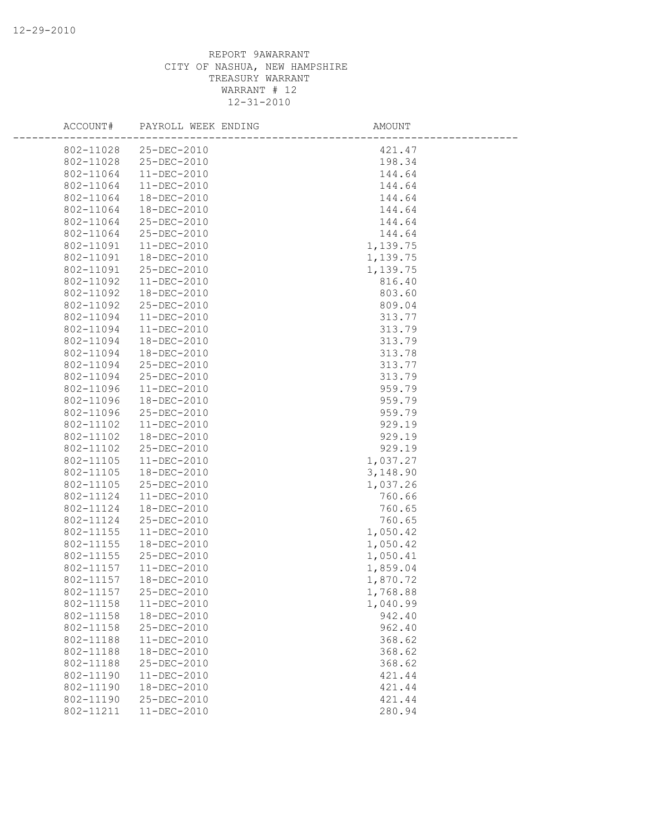| ACCOUNT#  | PAYROLL WEEK ENDING | AMOUNT   |  |
|-----------|---------------------|----------|--|
| 802-11028 | 25-DEC-2010         | 421.47   |  |
| 802-11028 | 25-DEC-2010         | 198.34   |  |
| 802-11064 | 11-DEC-2010         | 144.64   |  |
| 802-11064 | 11-DEC-2010         | 144.64   |  |
| 802-11064 | 18-DEC-2010         | 144.64   |  |
| 802-11064 | 18-DEC-2010         | 144.64   |  |
| 802-11064 | 25-DEC-2010         | 144.64   |  |
| 802-11064 | 25-DEC-2010         | 144.64   |  |
| 802-11091 | 11-DEC-2010         | 1,139.75 |  |
| 802-11091 | 18-DEC-2010         | 1,139.75 |  |
| 802-11091 | 25-DEC-2010         | 1,139.75 |  |
| 802-11092 | $11 - DEC - 2010$   | 816.40   |  |
| 802-11092 | 18-DEC-2010         | 803.60   |  |
| 802-11092 | 25-DEC-2010         | 809.04   |  |
| 802-11094 | 11-DEC-2010         | 313.77   |  |
| 802-11094 | 11-DEC-2010         | 313.79   |  |
| 802-11094 | 18-DEC-2010         | 313.79   |  |
| 802-11094 | 18-DEC-2010         | 313.78   |  |
| 802-11094 | 25-DEC-2010         | 313.77   |  |
| 802-11094 | 25-DEC-2010         | 313.79   |  |
| 802-11096 | $11 - DEC - 2010$   | 959.79   |  |
| 802-11096 | 18-DEC-2010         | 959.79   |  |
| 802-11096 | 25-DEC-2010         | 959.79   |  |
| 802-11102 | $11 - DEC - 2010$   | 929.19   |  |
| 802-11102 | 18-DEC-2010         | 929.19   |  |
| 802-11102 | 25-DEC-2010         | 929.19   |  |
| 802-11105 | $11 - DEC - 2010$   | 1,037.27 |  |
| 802-11105 | 18-DEC-2010         | 3,148.90 |  |
| 802-11105 | 25-DEC-2010         | 1,037.26 |  |
| 802-11124 | 11-DEC-2010         | 760.66   |  |
| 802-11124 | 18-DEC-2010         | 760.65   |  |
| 802-11124 | 25-DEC-2010         | 760.65   |  |
| 802-11155 | 11-DEC-2010         | 1,050.42 |  |
| 802-11155 | 18-DEC-2010         | 1,050.42 |  |
| 802-11155 | 25-DEC-2010         | 1,050.41 |  |
| 802-11157 | 11-DEC-2010         | 1,859.04 |  |
| 802-11157 | 18-DEC-2010         | 1,870.72 |  |
| 802-11157 | 25-DEC-2010         | 1,768.88 |  |
| 802-11158 | 11-DEC-2010         | 1,040.99 |  |
| 802-11158 | 18-DEC-2010         | 942.40   |  |
| 802-11158 | 25-DEC-2010         | 962.40   |  |
| 802-11188 | 11-DEC-2010         | 368.62   |  |
| 802-11188 | 18-DEC-2010         | 368.62   |  |
| 802-11188 | 25-DEC-2010         | 368.62   |  |
| 802-11190 | 11-DEC-2010         | 421.44   |  |
| 802-11190 | 18-DEC-2010         | 421.44   |  |
| 802-11190 | 25-DEC-2010         | 421.44   |  |
| 802-11211 | 11-DEC-2010         | 280.94   |  |
|           |                     |          |  |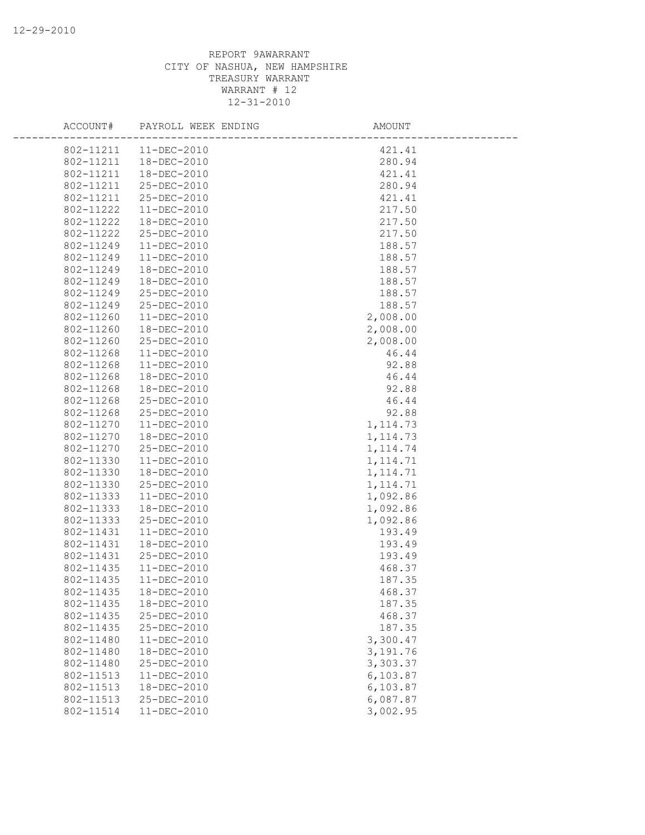| ACCOUNT#  | PAYROLL WEEK ENDING | AMOUNT    |
|-----------|---------------------|-----------|
| 802-11211 | 11-DEC-2010         | 421.41    |
| 802-11211 | 18-DEC-2010         | 280.94    |
| 802-11211 | 18-DEC-2010         | 421.41    |
| 802-11211 | 25-DEC-2010         | 280.94    |
| 802-11211 | 25-DEC-2010         | 421.41    |
| 802-11222 | $11-DEC-2010$       | 217.50    |
| 802-11222 | 18-DEC-2010         | 217.50    |
| 802-11222 | 25-DEC-2010         | 217.50    |
| 802-11249 | 11-DEC-2010         | 188.57    |
| 802-11249 | $11 - DEC - 2010$   | 188.57    |
| 802-11249 | 18-DEC-2010         | 188.57    |
| 802-11249 | 18-DEC-2010         | 188.57    |
| 802-11249 | 25-DEC-2010         | 188.57    |
| 802-11249 | 25-DEC-2010         | 188.57    |
| 802-11260 | 11-DEC-2010         | 2,008.00  |
| 802-11260 | 18-DEC-2010         | 2,008.00  |
| 802-11260 | 25-DEC-2010         | 2,008.00  |
| 802-11268 | 11-DEC-2010         | 46.44     |
| 802-11268 | $11 - DEC - 2010$   | 92.88     |
| 802-11268 | 18-DEC-2010         | 46.44     |
| 802-11268 | 18-DEC-2010         | 92.88     |
| 802-11268 | 25-DEC-2010         | 46.44     |
| 802-11268 | 25-DEC-2010         | 92.88     |
| 802-11270 | $11 - DEC - 2010$   | 1, 114.73 |
| 802-11270 | 18-DEC-2010         | 1, 114.73 |
| 802-11270 | 25-DEC-2010         | 1, 114.74 |
| 802-11330 | 11-DEC-2010         | 1, 114.71 |
| 802-11330 | 18-DEC-2010         | 1, 114.71 |
| 802-11330 | 25-DEC-2010         | 1, 114.71 |
| 802-11333 | 11-DEC-2010         | 1,092.86  |
| 802-11333 | 18-DEC-2010         | 1,092.86  |
| 802-11333 | 25-DEC-2010         | 1,092.86  |
| 802-11431 | 11-DEC-2010         | 193.49    |
| 802-11431 | 18-DEC-2010         | 193.49    |
| 802-11431 | 25-DEC-2010         | 193.49    |
| 802-11435 | 11-DEC-2010         | 468.37    |
| 802-11435 | $11 - DEC - 2010$   | 187.35    |
| 802-11435 | 18-DEC-2010         | 468.37    |
| 802-11435 | 18-DEC-2010         | 187.35    |
| 802-11435 | 25-DEC-2010         | 468.37    |
| 802-11435 | 25-DEC-2010         | 187.35    |
| 802-11480 | 11-DEC-2010         | 3,300.47  |
| 802-11480 | 18-DEC-2010         | 3,191.76  |
| 802-11480 | 25-DEC-2010         | 3,303.37  |
| 802-11513 | 11-DEC-2010         | 6,103.87  |
| 802-11513 | 18-DEC-2010         | 6,103.87  |
| 802-11513 | 25-DEC-2010         | 6,087.87  |
| 802-11514 | 11-DEC-2010         | 3,002.95  |